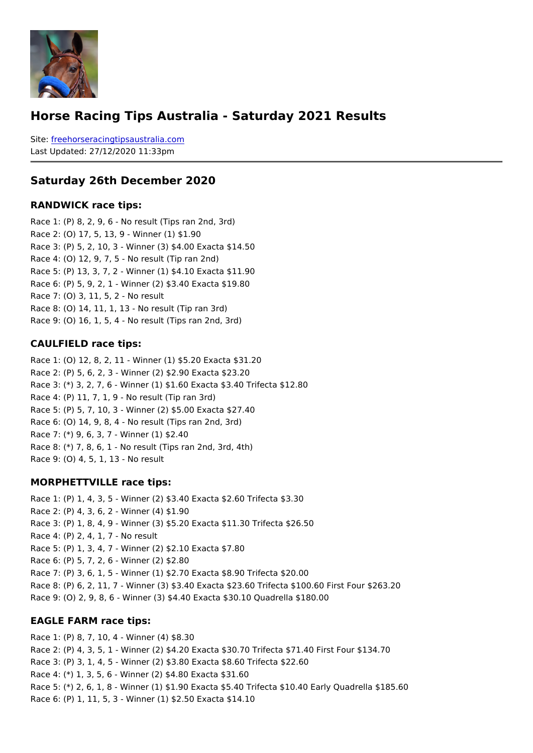#### Horse Racing Tips Australia - Saturday 2021 Results

Sitefreehorseracingtipsaustralia.com Last Updated: 27/12/2020 11:33pm

#### Saturday 26th December 2020

#### RANDWICK race tips:

Race 1: (P) 8, 2, 9, 6 - No result (Tips ran 2nd, 3rd) Race 2: (O) 17, 5, 13, 9 - Winner (1) \$1.90 Race 3: (P) 5, 2, 10, 3 - Winner (3) \$4.00 Exacta \$14.50 Race 4: (O) 12, 9, 7, 5 - No result (Tip ran 2nd) Race 5: (P) 13, 3, 7, 2 - Winner (1) \$4.10 Exacta \$11.90 Race 6: (P) 5, 9, 2, 1 - Winner (2) \$3.40 Exacta \$19.80 Race 7: (O) 3, 11, 5, 2 - No result Race 8: (O) 14, 11, 1, 13 - No result (Tip ran 3rd) Race 9: (O) 16, 1, 5, 4 - No result (Tips ran 2nd, 3rd)

#### CAULFIELD race tips:

Race 1: (O) 12, 8, 2, 11 - Winner (1) \$5.20 Exacta \$31.20 Race 2: (P) 5, 6, 2, 3 - Winner (2) \$2.90 Exacta \$23.20 Race 3: (\*) 3, 2, 7, 6 - Winner (1) \$1.60 Exacta \$3.40 Trifecta \$12.80 Race 4: (P) 11, 7, 1, 9 - No result (Tip ran 3rd) Race 5: (P) 5, 7, 10, 3 - Winner (2) \$5.00 Exacta \$27.40 Race 6: (O) 14, 9, 8, 4 - No result (Tips ran 2nd, 3rd) Race 7: (\*) 9, 6, 3, 7 - Winner (1) \$2.40 Race 8: (\*) 7, 8, 6, 1 - No result (Tips ran 2nd, 3rd, 4th) Race 9: (O) 4, 5, 1, 13 - No result

#### MORPHETTVILLE race tips:

Race 1: (P) 1, 4, 3, 5 - Winner (2) \$3.40 Exacta \$2.60 Trifecta \$3.30 Race 2: (P) 4, 3, 6, 2 - Winner (4) \$1.90 Race 3: (P) 1, 8, 4, 9 - Winner (3) \$5.20 Exacta \$11.30 Trifecta \$26.50 Race 4: (P) 2, 4, 1, 7 - No result Race 5: (P) 1, 3, 4, 7 - Winner (2) \$2.10 Exacta \$7.80 Race 6: (P) 5, 7, 2, 6 - Winner (2) \$2.80 Race 7: (P) 3, 6, 1, 5 - Winner (1) \$2.70 Exacta \$8.90 Trifecta \$20.00 Race 8: (P) 6, 2, 11, 7 - Winner (3) \$3.40 Exacta \$23.60 Trifecta \$100.60 First Four \$2 Race 9: (O) 2, 9, 8, 6 - Winner (3) \$4.40 Exacta \$30.10 Quadrella \$180.00

#### EAGLE FARM race tips:

Race 1: (P) 8, 7, 10, 4 - Winner (4) \$8.30 Race 2: (P) 4, 3, 5, 1 - Winner (2) \$4.20 Exacta \$30.70 Trifecta \$71.40 First Four \$134.70 Race 3: (P) 3, 1, 4, 5 - Winner (2) \$3.80 Exacta \$8.60 Trifecta \$22.60 Race 4: (\*) 1, 3, 5, 6 - Winner (2) \$4.80 Exacta \$31.60 Race 5: (\*) 2, 6, 1, 8 - Winner (1) \$1.90 Exacta \$5.40 Trifecta \$10.40 Early Quadrella Race 6: (P) 1, 11, 5, 3 - Winner (1) \$2.50 Exacta \$14.10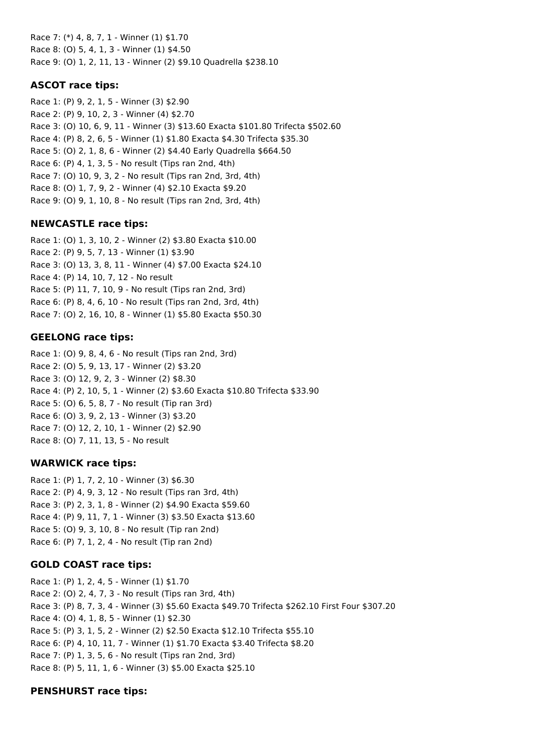Race 7: (\*) 4, 8, 7, 1 - Winner (1) \$1.70 Race 8: (O) 5, 4, 1, 3 - Winner (1) \$4.50 Race 9: (O) 1, 2, 11, 13 - Winner (2) \$9.10 Quadrella \$238.10

## **ASCOT race tips:**

Race 1: (P) 9, 2, 1, 5 - Winner (3) \$2.90 Race 2: (P) 9, 10, 2, 3 - Winner (4) \$2.70 Race 3: (O) 10, 6, 9, 11 - Winner (3) \$13.60 Exacta \$101.80 Trifecta \$502.60 Race 4: (P) 8, 2, 6, 5 - Winner (1) \$1.80 Exacta \$4.30 Trifecta \$35.30 Race 5: (O) 2, 1, 8, 6 - Winner (2) \$4.40 Early Quadrella \$664.50 Race 6: (P) 4, 1, 3, 5 - No result (Tips ran 2nd, 4th) Race 7: (O) 10, 9, 3, 2 - No result (Tips ran 2nd, 3rd, 4th) Race 8: (O) 1, 7, 9, 2 - Winner (4) \$2.10 Exacta \$9.20 Race 9: (O) 9, 1, 10, 8 - No result (Tips ran 2nd, 3rd, 4th)

## **NEWCASTLE race tips:**

Race 1: (O) 1, 3, 10, 2 - Winner (2) \$3.80 Exacta \$10.00 Race 2: (P) 9, 5, 7, 13 - Winner (1) \$3.90 Race 3: (O) 13, 3, 8, 11 - Winner (4) \$7.00 Exacta \$24.10 Race 4: (P) 14, 10, 7, 12 - No result Race 5: (P) 11, 7, 10, 9 - No result (Tips ran 2nd, 3rd) Race 6: (P) 8, 4, 6, 10 - No result (Tips ran 2nd, 3rd, 4th) Race 7: (O) 2, 16, 10, 8 - Winner (1) \$5.80 Exacta \$50.30

## **GEELONG race tips:**

Race 1: (O) 9, 8, 4, 6 - No result (Tips ran 2nd, 3rd) Race 2: (O) 5, 9, 13, 17 - Winner (2) \$3.20 Race 3: (O) 12, 9, 2, 3 - Winner (2) \$8.30 Race 4: (P) 2, 10, 5, 1 - Winner (2) \$3.60 Exacta \$10.80 Trifecta \$33.90 Race 5: (O) 6, 5, 8, 7 - No result (Tip ran 3rd) Race 6: (O) 3, 9, 2, 13 - Winner (3) \$3.20 Race 7: (O) 12, 2, 10, 1 - Winner (2) \$2.90 Race 8: (O) 7, 11, 13, 5 - No result

### **WARWICK race tips:**

Race 1: (P) 1, 7, 2, 10 - Winner (3) \$6.30 Race 2: (P) 4, 9, 3, 12 - No result (Tips ran 3rd, 4th) Race 3: (P) 2, 3, 1, 8 - Winner (2) \$4.90 Exacta \$59.60 Race 4: (P) 9, 11, 7, 1 - Winner (3) \$3.50 Exacta \$13.60 Race 5: (O) 9, 3, 10, 8 - No result (Tip ran 2nd) Race 6: (P) 7, 1, 2, 4 - No result (Tip ran 2nd)

### **GOLD COAST race tips:**

Race 1: (P) 1, 2, 4, 5 - Winner (1) \$1.70 Race 2: (O) 2, 4, 7, 3 - No result (Tips ran 3rd, 4th) Race 3: (P) 8, 7, 3, 4 - Winner (3) \$5.60 Exacta \$49.70 Trifecta \$262.10 First Four \$307.20 Race 4: (O) 4, 1, 8, 5 - Winner (1) \$2.30 Race 5: (P) 3, 1, 5, 2 - Winner (2) \$2.50 Exacta \$12.10 Trifecta \$55.10 Race 6: (P) 4, 10, 11, 7 - Winner (1) \$1.70 Exacta \$3.40 Trifecta \$8.20 Race 7: (P) 1, 3, 5, 6 - No result (Tips ran 2nd, 3rd) Race 8: (P) 5, 11, 1, 6 - Winner (3) \$5.00 Exacta \$25.10

### **PENSHURST race tips:**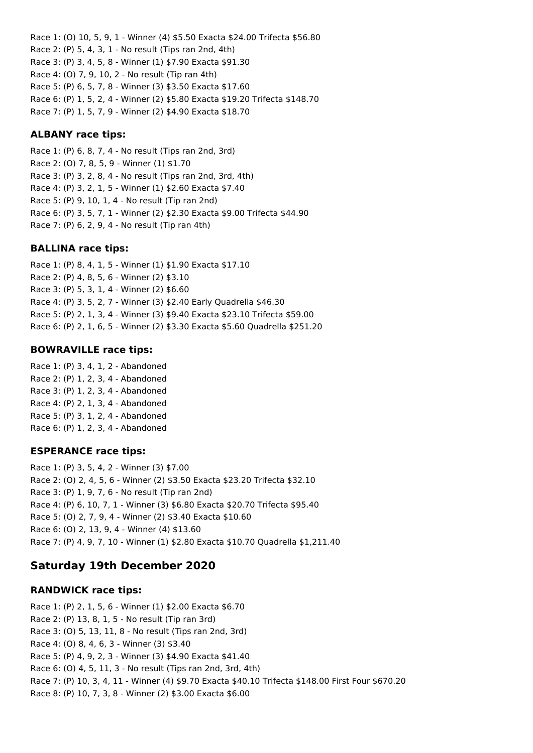Race 1: (O) 10, 5, 9, 1 - Winner (4) \$5.50 Exacta \$24.00 Trifecta \$56.80 Race 2: (P) 5, 4, 3, 1 - No result (Tips ran 2nd, 4th) Race 3: (P) 3, 4, 5, 8 - Winner (1) \$7.90 Exacta \$91.30 Race 4: (O) 7, 9, 10, 2 - No result (Tip ran 4th) Race 5: (P) 6, 5, 7, 8 - Winner (3) \$3.50 Exacta \$17.60 Race 6: (P) 1, 5, 2, 4 - Winner (2) \$5.80 Exacta \$19.20 Trifecta \$148.70 Race 7: (P) 1, 5, 7, 9 - Winner (2) \$4.90 Exacta \$18.70

#### **ALBANY race tips:**

Race 1: (P) 6, 8, 7, 4 - No result (Tips ran 2nd, 3rd) Race 2: (O) 7, 8, 5, 9 - Winner (1) \$1.70 Race 3: (P) 3, 2, 8, 4 - No result (Tips ran 2nd, 3rd, 4th) Race 4: (P) 3, 2, 1, 5 - Winner (1) \$2.60 Exacta \$7.40 Race 5: (P) 9, 10, 1, 4 - No result (Tip ran 2nd) Race 6: (P) 3, 5, 7, 1 - Winner (2) \$2.30 Exacta \$9.00 Trifecta \$44.90 Race 7: (P) 6, 2, 9, 4 - No result (Tip ran 4th)

#### **BALLINA race tips:**

Race 1: (P) 8, 4, 1, 5 - Winner (1) \$1.90 Exacta \$17.10 Race 2: (P) 4, 8, 5, 6 - Winner (2) \$3.10 Race 3: (P) 5, 3, 1, 4 - Winner (2) \$6.60 Race 4: (P) 3, 5, 2, 7 - Winner (3) \$2.40 Early Quadrella \$46.30 Race 5: (P) 2, 1, 3, 4 - Winner (3) \$9.40 Exacta \$23.10 Trifecta \$59.00 Race 6: (P) 2, 1, 6, 5 - Winner (2) \$3.30 Exacta \$5.60 Quadrella \$251.20

#### **BOWRAVILLE race tips:**

Race 1: (P) 3, 4, 1, 2 - Abandoned Race 2: (P) 1, 2, 3, 4 - Abandoned Race 3: (P) 1, 2, 3, 4 - Abandoned Race 4: (P) 2, 1, 3, 4 - Abandoned Race 5: (P) 3, 1, 2, 4 - Abandoned Race 6: (P) 1, 2, 3, 4 - Abandoned

#### **ESPERANCE race tips:**

Race 1: (P) 3, 5, 4, 2 - Winner (3) \$7.00 Race 2: (O) 2, 4, 5, 6 - Winner (2) \$3.50 Exacta \$23.20 Trifecta \$32.10 Race 3: (P) 1, 9, 7, 6 - No result (Tip ran 2nd) Race 4: (P) 6, 10, 7, 1 - Winner (3) \$6.80 Exacta \$20.70 Trifecta \$95.40 Race 5: (O) 2, 7, 9, 4 - Winner (2) \$3.40 Exacta \$10.60 Race 6: (O) 2, 13, 9, 4 - Winner (4) \$13.60 Race 7: (P) 4, 9, 7, 10 - Winner (1) \$2.80 Exacta \$10.70 Quadrella \$1,211.40

### **Saturday 19th December 2020**

#### **RANDWICK race tips:**

Race 1: (P) 2, 1, 5, 6 - Winner (1) \$2.00 Exacta \$6.70 Race 2: (P) 13, 8, 1, 5 - No result (Tip ran 3rd) Race 3: (O) 5, 13, 11, 8 - No result (Tips ran 2nd, 3rd) Race 4: (O) 8, 4, 6, 3 - Winner (3) \$3.40 Race 5: (P) 4, 9, 2, 3 - Winner (3) \$4.90 Exacta \$41.40 Race 6: (O) 4, 5, 11, 3 - No result (Tips ran 2nd, 3rd, 4th) Race 7: (P) 10, 3, 4, 11 - Winner (4) \$9.70 Exacta \$40.10 Trifecta \$148.00 First Four \$670.20 Race 8: (P) 10, 7, 3, 8 - Winner (2) \$3.00 Exacta \$6.00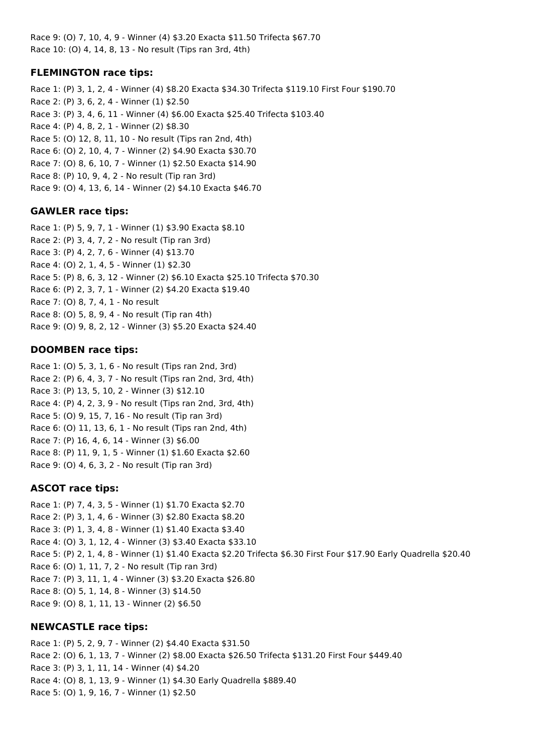Race 9: (O) 7, 10, 4, 9 - Winner (4) \$3.20 Exacta \$11.50 Trifecta \$67.70 Race 10: (O) 4, 14, 8, 13 - No result (Tips ran 3rd, 4th)

## **FLEMINGTON race tips:**

Race 1: (P) 3, 1, 2, 4 - Winner (4) \$8.20 Exacta \$34.30 Trifecta \$119.10 First Four \$190.70 Race 2: (P) 3, 6, 2, 4 - Winner (1) \$2.50 Race 3: (P) 3, 4, 6, 11 - Winner (4) \$6.00 Exacta \$25.40 Trifecta \$103.40 Race 4: (P) 4, 8, 2, 1 - Winner (2) \$8.30 Race 5: (O) 12, 8, 11, 10 - No result (Tips ran 2nd, 4th) Race 6: (O) 2, 10, 4, 7 - Winner (2) \$4.90 Exacta \$30.70 Race 7: (O) 8, 6, 10, 7 - Winner (1) \$2.50 Exacta \$14.90 Race 8: (P) 10, 9, 4, 2 - No result (Tip ran 3rd) Race 9: (O) 4, 13, 6, 14 - Winner (2) \$4.10 Exacta \$46.70

## **GAWLER race tips:**

Race 1: (P) 5, 9, 7, 1 - Winner (1) \$3.90 Exacta \$8.10 Race 2: (P) 3, 4, 7, 2 - No result (Tip ran 3rd) Race 3: (P) 4, 2, 7, 6 - Winner (4) \$13.70 Race 4: (O) 2, 1, 4, 5 - Winner (1) \$2.30 Race 5: (P) 8, 6, 3, 12 - Winner (2) \$6.10 Exacta \$25.10 Trifecta \$70.30 Race 6: (P) 2, 3, 7, 1 - Winner (2) \$4.20 Exacta \$19.40 Race 7: (O) 8, 7, 4, 1 - No result Race 8: (O) 5, 8, 9, 4 - No result (Tip ran 4th) Race 9: (O) 9, 8, 2, 12 - Winner (3) \$5.20 Exacta \$24.40

## **DOOMBEN race tips:**

Race 1: (O) 5, 3, 1, 6 - No result (Tips ran 2nd, 3rd) Race 2: (P) 6, 4, 3, 7 - No result (Tips ran 2nd, 3rd, 4th) Race 3: (P) 13, 5, 10, 2 - Winner (3) \$12.10 Race 4: (P) 4, 2, 3, 9 - No result (Tips ran 2nd, 3rd, 4th) Race 5: (O) 9, 15, 7, 16 - No result (Tip ran 3rd) Race 6: (O) 11, 13, 6, 1 - No result (Tips ran 2nd, 4th) Race 7: (P) 16, 4, 6, 14 - Winner (3) \$6.00 Race 8: (P) 11, 9, 1, 5 - Winner (1) \$1.60 Exacta \$2.60 Race 9: (O) 4, 6, 3, 2 - No result (Tip ran 3rd)

# **ASCOT race tips:**

Race 1: (P) 7, 4, 3, 5 - Winner (1) \$1.70 Exacta \$2.70 Race 2: (P) 3, 1, 4, 6 - Winner (3) \$2.80 Exacta \$8.20 Race 3: (P) 1, 3, 4, 8 - Winner (1) \$1.40 Exacta \$3.40 Race 4: (O) 3, 1, 12, 4 - Winner (3) \$3.40 Exacta \$33.10 Race 5: (P) 2, 1, 4, 8 - Winner (1) \$1.40 Exacta \$2.20 Trifecta \$6.30 First Four \$17.90 Early Quadrella \$20.40 Race 6: (O) 1, 11, 7, 2 - No result (Tip ran 3rd) Race 7: (P) 3, 11, 1, 4 - Winner (3) \$3.20 Exacta \$26.80 Race 8: (O) 5, 1, 14, 8 - Winner (3) \$14.50 Race 9: (O) 8, 1, 11, 13 - Winner (2) \$6.50

# **NEWCASTLE race tips:**

Race 1: (P) 5, 2, 9, 7 - Winner (2) \$4.40 Exacta \$31.50 Race 2: (O) 6, 1, 13, 7 - Winner (2) \$8.00 Exacta \$26.50 Trifecta \$131.20 First Four \$449.40 Race 3: (P) 3, 1, 11, 14 - Winner (4) \$4.20 Race 4: (O) 8, 1, 13, 9 - Winner (1) \$4.30 Early Quadrella \$889.40 Race 5: (O) 1, 9, 16, 7 - Winner (1) \$2.50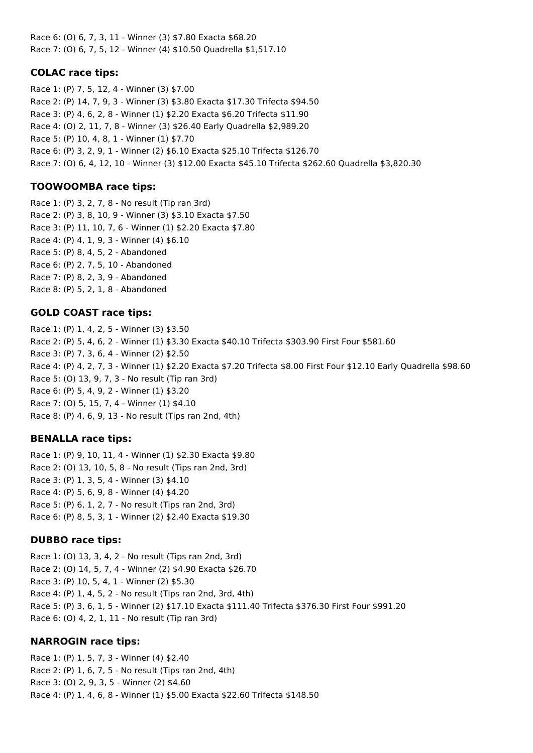Race 6: (O) 6, 7, 3, 11 - Winner (3) \$7.80 Exacta \$68.20 Race 7: (O) 6, 7, 5, 12 - Winner (4) \$10.50 Quadrella \$1,517.10

#### **COLAC race tips:**

Race 1: (P) 7, 5, 12, 4 - Winner (3) \$7.00 Race 2: (P) 14, 7, 9, 3 - Winner (3) \$3.80 Exacta \$17.30 Trifecta \$94.50 Race 3: (P) 4, 6, 2, 8 - Winner (1) \$2.20 Exacta \$6.20 Trifecta \$11.90 Race 4: (O) 2, 11, 7, 8 - Winner (3) \$26.40 Early Quadrella \$2,989.20 Race 5: (P) 10, 4, 8, 1 - Winner (1) \$7.70 Race 6: (P) 3, 2, 9, 1 - Winner (2) \$6.10 Exacta \$25.10 Trifecta \$126.70 Race 7: (O) 6, 4, 12, 10 - Winner (3) \$12.00 Exacta \$45.10 Trifecta \$262.60 Quadrella \$3,820.30

#### **TOOWOOMBA race tips:**

Race 1: (P) 3, 2, 7, 8 - No result (Tip ran 3rd) Race 2: (P) 3, 8, 10, 9 - Winner (3) \$3.10 Exacta \$7.50 Race 3: (P) 11, 10, 7, 6 - Winner (1) \$2.20 Exacta \$7.80 Race 4: (P) 4, 1, 9, 3 - Winner (4) \$6.10 Race 5: (P) 8, 4, 5, 2 - Abandoned Race 6: (P) 2, 7, 5, 10 - Abandoned Race 7: (P) 8, 2, 3, 9 - Abandoned Race 8: (P) 5, 2, 1, 8 - Abandoned

#### **GOLD COAST race tips:**

Race 1: (P) 1, 4, 2, 5 - Winner (3) \$3.50 Race 2: (P) 5, 4, 6, 2 - Winner (1) \$3.30 Exacta \$40.10 Trifecta \$303.90 First Four \$581.60 Race 3: (P) 7, 3, 6, 4 - Winner (2) \$2.50 Race 4: (P) 4, 2, 7, 3 - Winner (1) \$2.20 Exacta \$7.20 Trifecta \$8.00 First Four \$12.10 Early Quadrella \$98.60 Race 5: (O) 13, 9, 7, 3 - No result (Tip ran 3rd) Race 6: (P) 5, 4, 9, 2 - Winner (1) \$3.20 Race 7: (O) 5, 15, 7, 4 - Winner (1) \$4.10 Race 8: (P) 4, 6, 9, 13 - No result (Tips ran 2nd, 4th)

#### **BENALLA race tips:**

Race 1: (P) 9, 10, 11, 4 - Winner (1) \$2.30 Exacta \$9.80 Race 2: (O) 13, 10, 5, 8 - No result (Tips ran 2nd, 3rd) Race 3: (P) 1, 3, 5, 4 - Winner (3) \$4.10 Race 4: (P) 5, 6, 9, 8 - Winner (4) \$4.20 Race 5: (P) 6, 1, 2, 7 - No result (Tips ran 2nd, 3rd) Race 6: (P) 8, 5, 3, 1 - Winner (2) \$2.40 Exacta \$19.30

#### **DUBBO race tips:**

Race 1: (O) 13, 3, 4, 2 - No result (Tips ran 2nd, 3rd) Race 2: (O) 14, 5, 7, 4 - Winner (2) \$4.90 Exacta \$26.70 Race 3: (P) 10, 5, 4, 1 - Winner (2) \$5.30 Race 4: (P) 1, 4, 5, 2 - No result (Tips ran 2nd, 3rd, 4th) Race 5: (P) 3, 6, 1, 5 - Winner (2) \$17.10 Exacta \$111.40 Trifecta \$376.30 First Four \$991.20 Race 6: (O) 4, 2, 1, 11 - No result (Tip ran 3rd)

#### **NARROGIN race tips:**

Race 1: (P) 1, 5, 7, 3 - Winner (4) \$2.40 Race 2: (P) 1, 6, 7, 5 - No result (Tips ran 2nd, 4th) Race 3: (O) 2, 9, 3, 5 - Winner (2) \$4.60 Race 4: (P) 1, 4, 6, 8 - Winner (1) \$5.00 Exacta \$22.60 Trifecta \$148.50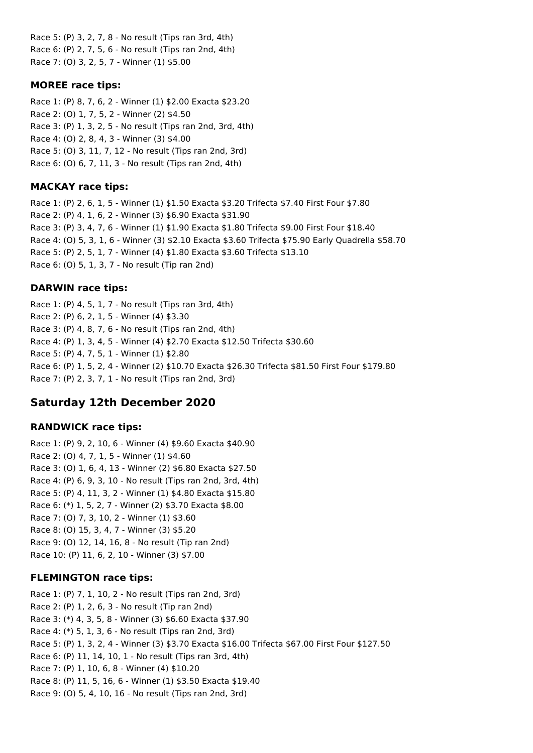Race 5: (P) 3, 2, 7, 8 - No result (Tips ran 3rd, 4th) Race 6: (P) 2, 7, 5, 6 - No result (Tips ran 2nd, 4th) Race 7: (O) 3, 2, 5, 7 - Winner (1) \$5.00

#### **MOREE race tips:**

Race 1: (P) 8, 7, 6, 2 - Winner (1) \$2.00 Exacta \$23.20 Race 2: (O) 1, 7, 5, 2 - Winner (2) \$4.50 Race 3: (P) 1, 3, 2, 5 - No result (Tips ran 2nd, 3rd, 4th) Race 4: (O) 2, 8, 4, 3 - Winner (3) \$4.00 Race 5: (O) 3, 11, 7, 12 - No result (Tips ran 2nd, 3rd) Race 6: (O) 6, 7, 11, 3 - No result (Tips ran 2nd, 4th)

## **MACKAY race tips:**

Race 1: (P) 2, 6, 1, 5 - Winner (1) \$1.50 Exacta \$3.20 Trifecta \$7.40 First Four \$7.80 Race 2: (P) 4, 1, 6, 2 - Winner (3) \$6.90 Exacta \$31.90 Race 3: (P) 3, 4, 7, 6 - Winner (1) \$1.90 Exacta \$1.80 Trifecta \$9.00 First Four \$18.40 Race 4: (O) 5, 3, 1, 6 - Winner (3) \$2.10 Exacta \$3.60 Trifecta \$75.90 Early Quadrella \$58.70 Race 5: (P) 2, 5, 1, 7 - Winner (4) \$1.80 Exacta \$3.60 Trifecta \$13.10 Race 6: (O) 5, 1, 3, 7 - No result (Tip ran 2nd)

# **DARWIN race tips:**

Race 1: (P) 4, 5, 1, 7 - No result (Tips ran 3rd, 4th) Race 2: (P) 6, 2, 1, 5 - Winner (4) \$3.30 Race 3: (P) 4, 8, 7, 6 - No result (Tips ran 2nd, 4th) Race 4: (P) 1, 3, 4, 5 - Winner (4) \$2.70 Exacta \$12.50 Trifecta \$30.60 Race 5: (P) 4, 7, 5, 1 - Winner (1) \$2.80 Race 6: (P) 1, 5, 2, 4 - Winner (2) \$10.70 Exacta \$26.30 Trifecta \$81.50 First Four \$179.80 Race 7: (P) 2, 3, 7, 1 - No result (Tips ran 2nd, 3rd)

# **Saturday 12th December 2020**

### **RANDWICK race tips:**

Race 1: (P) 9, 2, 10, 6 - Winner (4) \$9.60 Exacta \$40.90 Race 2: (O) 4, 7, 1, 5 - Winner (1) \$4.60 Race 3: (O) 1, 6, 4, 13 - Winner (2) \$6.80 Exacta \$27.50 Race 4: (P) 6, 9, 3, 10 - No result (Tips ran 2nd, 3rd, 4th) Race 5: (P) 4, 11, 3, 2 - Winner (1) \$4.80 Exacta \$15.80 Race 6: (\*) 1, 5, 2, 7 - Winner (2) \$3.70 Exacta \$8.00 Race 7: (O) 7, 3, 10, 2 - Winner (1) \$3.60 Race 8: (O) 15, 3, 4, 7 - Winner (3) \$5.20 Race 9: (O) 12, 14, 16, 8 - No result (Tip ran 2nd) Race 10: (P) 11, 6, 2, 10 - Winner (3) \$7.00

### **FLEMINGTON race tips:**

Race 1: (P) 7, 1, 10, 2 - No result (Tips ran 2nd, 3rd) Race 2: (P) 1, 2, 6, 3 - No result (Tip ran 2nd) Race 3: (\*) 4, 3, 5, 8 - Winner (3) \$6.60 Exacta \$37.90 Race 4: (\*) 5, 1, 3, 6 - No result (Tips ran 2nd, 3rd) Race 5: (P) 1, 3, 2, 4 - Winner (3) \$3.70 Exacta \$16.00 Trifecta \$67.00 First Four \$127.50 Race 6: (P) 11, 14, 10, 1 - No result (Tips ran 3rd, 4th) Race 7: (P) 1, 10, 6, 8 - Winner (4) \$10.20 Race 8: (P) 11, 5, 16, 6 - Winner (1) \$3.50 Exacta \$19.40 Race 9: (O) 5, 4, 10, 16 - No result (Tips ran 2nd, 3rd)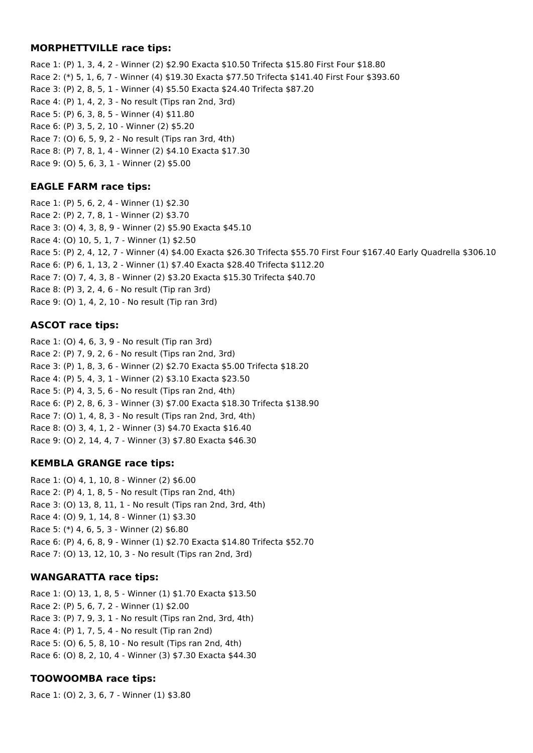#### **MORPHETTVILLE race tips:**

Race 1: (P) 1, 3, 4, 2 - Winner (2) \$2.90 Exacta \$10.50 Trifecta \$15.80 First Four \$18.80 Race 2: (\*) 5, 1, 6, 7 - Winner (4) \$19.30 Exacta \$77.50 Trifecta \$141.40 First Four \$393.60 Race 3: (P) 2, 8, 5, 1 - Winner (4) \$5.50 Exacta \$24.40 Trifecta \$87.20 Race 4: (P) 1, 4, 2, 3 - No result (Tips ran 2nd, 3rd) Race 5: (P) 6, 3, 8, 5 - Winner (4) \$11.80 Race 6: (P) 3, 5, 2, 10 - Winner (2) \$5.20 Race 7: (O) 6, 5, 9, 2 - No result (Tips ran 3rd, 4th) Race 8: (P) 7, 8, 1, 4 - Winner (2) \$4.10 Exacta \$17.30 Race 9: (O) 5, 6, 3, 1 - Winner (2) \$5.00

## **EAGLE FARM race tips:**

Race 1: (P) 5, 6, 2, 4 - Winner (1) \$2.30 Race 2: (P) 2, 7, 8, 1 - Winner (2) \$3.70 Race 3: (O) 4, 3, 8, 9 - Winner (2) \$5.90 Exacta \$45.10 Race 4: (O) 10, 5, 1, 7 - Winner (1) \$2.50 Race 5: (P) 2, 4, 12, 7 - Winner (4) \$4.00 Exacta \$26.30 Trifecta \$55.70 First Four \$167.40 Early Quadrella \$306.10 Race 6: (P) 6, 1, 13, 2 - Winner (1) \$7.40 Exacta \$28.40 Trifecta \$112.20 Race 7: (O) 7, 4, 3, 8 - Winner (2) \$3.20 Exacta \$15.30 Trifecta \$40.70 Race 8: (P) 3, 2, 4, 6 - No result (Tip ran 3rd) Race 9: (O) 1, 4, 2, 10 - No result (Tip ran 3rd)

## **ASCOT race tips:**

Race 1: (O) 4, 6, 3, 9 - No result (Tip ran 3rd) Race 2: (P) 7, 9, 2, 6 - No result (Tips ran 2nd, 3rd) Race 3: (P) 1, 8, 3, 6 - Winner (2) \$2.70 Exacta \$5.00 Trifecta \$18.20 Race 4: (P) 5, 4, 3, 1 - Winner (2) \$3.10 Exacta \$23.50 Race 5: (P) 4, 3, 5, 6 - No result (Tips ran 2nd, 4th) Race 6: (P) 2, 8, 6, 3 - Winner (3) \$7.00 Exacta \$18.30 Trifecta \$138.90 Race 7: (O) 1, 4, 8, 3 - No result (Tips ran 2nd, 3rd, 4th) Race 8: (O) 3, 4, 1, 2 - Winner (3) \$4.70 Exacta \$16.40 Race 9: (O) 2, 14, 4, 7 - Winner (3) \$7.80 Exacta \$46.30

# **KEMBLA GRANGE race tips:**

Race 1: (O) 4, 1, 10, 8 - Winner (2) \$6.00 Race 2: (P) 4, 1, 8, 5 - No result (Tips ran 2nd, 4th) Race 3: (O) 13, 8, 11, 1 - No result (Tips ran 2nd, 3rd, 4th) Race 4: (O) 9, 1, 14, 8 - Winner (1) \$3.30 Race 5: (\*) 4, 6, 5, 3 - Winner (2) \$6.80 Race 6: (P) 4, 6, 8, 9 - Winner (1) \$2.70 Exacta \$14.80 Trifecta \$52.70 Race 7: (O) 13, 12, 10, 3 - No result (Tips ran 2nd, 3rd)

# **WANGARATTA race tips:**

Race 1: (O) 13, 1, 8, 5 - Winner (1) \$1.70 Exacta \$13.50 Race 2: (P) 5, 6, 7, 2 - Winner (1) \$2.00 Race 3: (P) 7, 9, 3, 1 - No result (Tips ran 2nd, 3rd, 4th) Race 4: (P) 1, 7, 5, 4 - No result (Tip ran 2nd) Race 5: (O) 6, 5, 8, 10 - No result (Tips ran 2nd, 4th) Race 6: (O) 8, 2, 10, 4 - Winner (3) \$7.30 Exacta \$44.30

# **TOOWOOMBA race tips:**

Race 1: (O) 2, 3, 6, 7 - Winner (1) \$3.80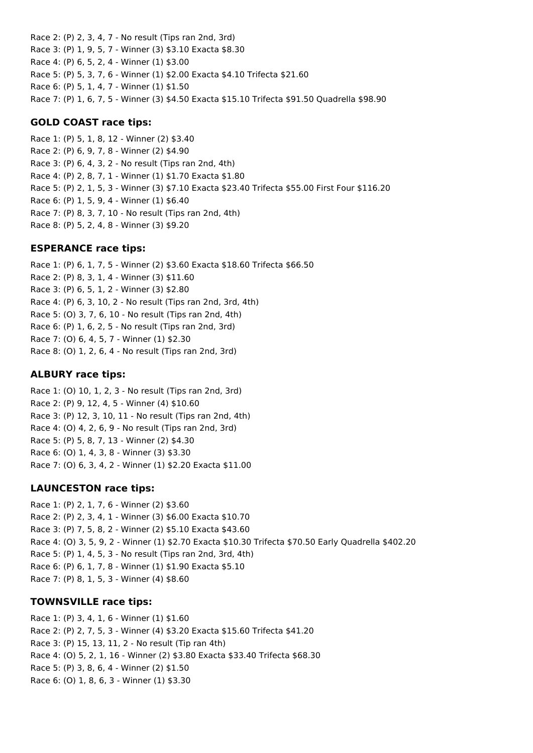Race 2: (P) 2, 3, 4, 7 - No result (Tips ran 2nd, 3rd) Race 3: (P) 1, 9, 5, 7 - Winner (3) \$3.10 Exacta \$8.30 Race 4: (P) 6, 5, 2, 4 - Winner (1) \$3.00 Race 5: (P) 5, 3, 7, 6 - Winner (1) \$2.00 Exacta \$4.10 Trifecta \$21.60 Race 6: (P) 5, 1, 4, 7 - Winner (1) \$1.50 Race 7: (P) 1, 6, 7, 5 - Winner (3) \$4.50 Exacta \$15.10 Trifecta \$91.50 Quadrella \$98.90

#### **GOLD COAST race tips:**

Race 1: (P) 5, 1, 8, 12 - Winner (2) \$3.40 Race 2: (P) 6, 9, 7, 8 - Winner (2) \$4.90 Race 3: (P) 6, 4, 3, 2 - No result (Tips ran 2nd, 4th) Race 4: (P) 2, 8, 7, 1 - Winner (1) \$1.70 Exacta \$1.80 Race 5: (P) 2, 1, 5, 3 - Winner (3) \$7.10 Exacta \$23.40 Trifecta \$55.00 First Four \$116.20 Race 6: (P) 1, 5, 9, 4 - Winner (1) \$6.40 Race 7: (P) 8, 3, 7, 10 - No result (Tips ran 2nd, 4th) Race 8: (P) 5, 2, 4, 8 - Winner (3) \$9.20

#### **ESPERANCE race tips:**

Race 1: (P) 6, 1, 7, 5 - Winner (2) \$3.60 Exacta \$18.60 Trifecta \$66.50 Race 2: (P) 8, 3, 1, 4 - Winner (3) \$11.60 Race 3: (P) 6, 5, 1, 2 - Winner (3) \$2.80 Race 4: (P) 6, 3, 10, 2 - No result (Tips ran 2nd, 3rd, 4th) Race 5: (O) 3, 7, 6, 10 - No result (Tips ran 2nd, 4th) Race 6: (P) 1, 6, 2, 5 - No result (Tips ran 2nd, 3rd) Race 7: (O) 6, 4, 5, 7 - Winner (1) \$2.30 Race 8: (O) 1, 2, 6, 4 - No result (Tips ran 2nd, 3rd)

#### **ALBURY race tips:**

Race 1: (O) 10, 1, 2, 3 - No result (Tips ran 2nd, 3rd) Race 2: (P) 9, 12, 4, 5 - Winner (4) \$10.60 Race 3: (P) 12, 3, 10, 11 - No result (Tips ran 2nd, 4th) Race 4: (O) 4, 2, 6, 9 - No result (Tips ran 2nd, 3rd) Race 5: (P) 5, 8, 7, 13 - Winner (2) \$4.30 Race 6: (O) 1, 4, 3, 8 - Winner (3) \$3.30 Race 7: (O) 6, 3, 4, 2 - Winner (1) \$2.20 Exacta \$11.00

### **LAUNCESTON race tips:**

Race 1: (P) 2, 1, 7, 6 - Winner (2) \$3.60 Race 2: (P) 2, 3, 4, 1 - Winner (3) \$6.00 Exacta \$10.70 Race 3: (P) 7, 5, 8, 2 - Winner (2) \$5.10 Exacta \$43.60 Race 4: (O) 3, 5, 9, 2 - Winner (1) \$2.70 Exacta \$10.30 Trifecta \$70.50 Early Quadrella \$402.20 Race 5: (P) 1, 4, 5, 3 - No result (Tips ran 2nd, 3rd, 4th) Race 6: (P) 6, 1, 7, 8 - Winner (1) \$1.90 Exacta \$5.10 Race 7: (P) 8, 1, 5, 3 - Winner (4) \$8.60

#### **TOWNSVILLE race tips:**

Race 1: (P) 3, 4, 1, 6 - Winner (1) \$1.60 Race 2: (P) 2, 7, 5, 3 - Winner (4) \$3.20 Exacta \$15.60 Trifecta \$41.20 Race 3: (P) 15, 13, 11, 2 - No result (Tip ran 4th) Race 4: (O) 5, 2, 1, 16 - Winner (2) \$3.80 Exacta \$33.40 Trifecta \$68.30 Race 5: (P) 3, 8, 6, 4 - Winner (2) \$1.50 Race 6: (O) 1, 8, 6, 3 - Winner (1) \$3.30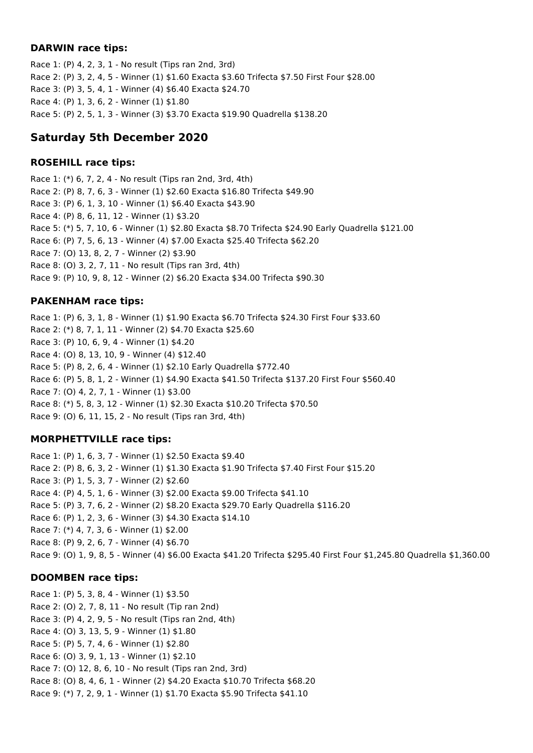#### **DARWIN race tips:**

Race 1: (P) 4, 2, 3, 1 - No result (Tips ran 2nd, 3rd) Race 2: (P) 3, 2, 4, 5 - Winner (1) \$1.60 Exacta \$3.60 Trifecta \$7.50 First Four \$28.00 Race 3: (P) 3, 5, 4, 1 - Winner (4) \$6.40 Exacta \$24.70 Race 4: (P) 1, 3, 6, 2 - Winner (1) \$1.80 Race 5: (P) 2, 5, 1, 3 - Winner (3) \$3.70 Exacta \$19.90 Quadrella \$138.20

# **Saturday 5th December 2020**

## **ROSEHILL race tips:**

Race 1: (\*) 6, 7, 2, 4 - No result (Tips ran 2nd, 3rd, 4th) Race 2: (P) 8, 7, 6, 3 - Winner (1) \$2.60 Exacta \$16.80 Trifecta \$49.90 Race 3: (P) 6, 1, 3, 10 - Winner (1) \$6.40 Exacta \$43.90 Race 4: (P) 8, 6, 11, 12 - Winner (1) \$3.20 Race 5: (\*) 5, 7, 10, 6 - Winner (1) \$2.80 Exacta \$8.70 Trifecta \$24.90 Early Quadrella \$121.00 Race 6: (P) 7, 5, 6, 13 - Winner (4) \$7.00 Exacta \$25.40 Trifecta \$62.20 Race 7: (O) 13, 8, 2, 7 - Winner (2) \$3.90 Race 8: (O) 3, 2, 7, 11 - No result (Tips ran 3rd, 4th) Race 9: (P) 10, 9, 8, 12 - Winner (2) \$6.20 Exacta \$34.00 Trifecta \$90.30

# **PAKENHAM race tips:**

Race 1: (P) 6, 3, 1, 8 - Winner (1) \$1.90 Exacta \$6.70 Trifecta \$24.30 First Four \$33.60 Race 2: (\*) 8, 7, 1, 11 - Winner (2) \$4.70 Exacta \$25.60 Race 3: (P) 10, 6, 9, 4 - Winner (1) \$4.20 Race 4: (O) 8, 13, 10, 9 - Winner (4) \$12.40 Race 5: (P) 8, 2, 6, 4 - Winner (1) \$2.10 Early Quadrella \$772.40 Race 6: (P) 5, 8, 1, 2 - Winner (1) \$4.90 Exacta \$41.50 Trifecta \$137.20 First Four \$560.40 Race 7: (O) 4, 2, 7, 1 - Winner (1) \$3.00 Race 8: (\*) 5, 8, 3, 12 - Winner (1) \$2.30 Exacta \$10.20 Trifecta \$70.50 Race 9: (O) 6, 11, 15, 2 - No result (Tips ran 3rd, 4th)

# **MORPHETTVILLE race tips:**

Race 1: (P) 1, 6, 3, 7 - Winner (1) \$2.50 Exacta \$9.40 Race 2: (P) 8, 6, 3, 2 - Winner (1) \$1.30 Exacta \$1.90 Trifecta \$7.40 First Four \$15.20 Race 3: (P) 1, 5, 3, 7 - Winner (2) \$2.60 Race 4: (P) 4, 5, 1, 6 - Winner (3) \$2.00 Exacta \$9.00 Trifecta \$41.10 Race 5: (P) 3, 7, 6, 2 - Winner (2) \$8.20 Exacta \$29.70 Early Quadrella \$116.20 Race 6: (P) 1, 2, 3, 6 - Winner (3) \$4.30 Exacta \$14.10 Race 7: (\*) 4, 7, 3, 6 - Winner (1) \$2.00 Race 8: (P) 9, 2, 6, 7 - Winner (4) \$6.70 Race 9: (O) 1, 9, 8, 5 - Winner (4) \$6.00 Exacta \$41.20 Trifecta \$295.40 First Four \$1,245.80 Quadrella \$1,360.00

### **DOOMBEN race tips:**

Race 1: (P) 5, 3, 8, 4 - Winner (1) \$3.50 Race 2: (O) 2, 7, 8, 11 - No result (Tip ran 2nd) Race 3: (P) 4, 2, 9, 5 - No result (Tips ran 2nd, 4th) Race 4: (O) 3, 13, 5, 9 - Winner (1) \$1.80 Race 5: (P) 5, 7, 4, 6 - Winner (1) \$2.80 Race 6: (O) 3, 9, 1, 13 - Winner (1) \$2.10 Race 7: (O) 12, 8, 6, 10 - No result (Tips ran 2nd, 3rd) Race 8: (O) 8, 4, 6, 1 - Winner (2) \$4.20 Exacta \$10.70 Trifecta \$68.20 Race 9: (\*) 7, 2, 9, 1 - Winner (1) \$1.70 Exacta \$5.90 Trifecta \$41.10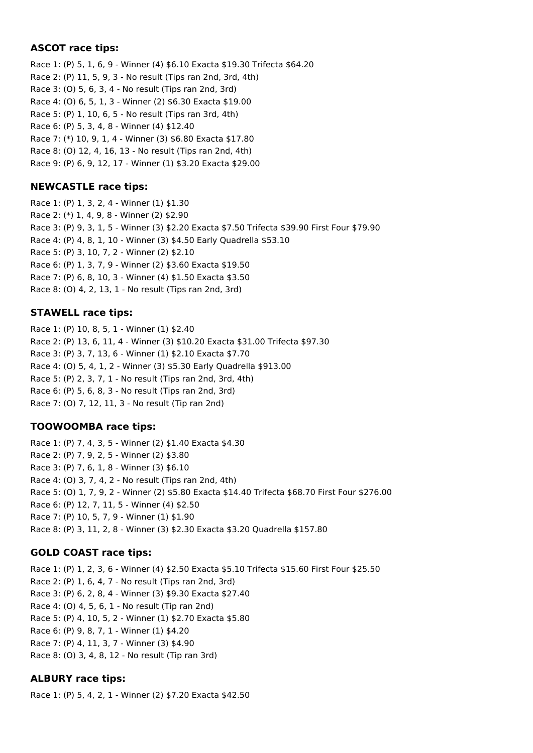### **ASCOT race tips:**

Race 1: (P) 5, 1, 6, 9 - Winner (4) \$6.10 Exacta \$19.30 Trifecta \$64.20 Race 2: (P) 11, 5, 9, 3 - No result (Tips ran 2nd, 3rd, 4th) Race 3: (O) 5, 6, 3, 4 - No result (Tips ran 2nd, 3rd) Race 4: (O) 6, 5, 1, 3 - Winner (2) \$6.30 Exacta \$19.00 Race 5: (P) 1, 10, 6, 5 - No result (Tips ran 3rd, 4th) Race 6: (P) 5, 3, 4, 8 - Winner (4) \$12.40 Race 7: (\*) 10, 9, 1, 4 - Winner (3) \$6.80 Exacta \$17.80 Race 8: (O) 12, 4, 16, 13 - No result (Tips ran 2nd, 4th) Race 9: (P) 6, 9, 12, 17 - Winner (1) \$3.20 Exacta \$29.00

### **NEWCASTLE race tips:**

Race 1: (P) 1, 3, 2, 4 - Winner (1) \$1.30 Race 2: (\*) 1, 4, 9, 8 - Winner (2) \$2.90 Race 3: (P) 9, 3, 1, 5 - Winner (3) \$2.20 Exacta \$7.50 Trifecta \$39.90 First Four \$79.90 Race 4: (P) 4, 8, 1, 10 - Winner (3) \$4.50 Early Quadrella \$53.10 Race 5: (P) 3, 10, 7, 2 - Winner (2) \$2.10 Race 6: (P) 1, 3, 7, 9 - Winner (2) \$3.60 Exacta \$19.50 Race 7: (P) 6, 8, 10, 3 - Winner (4) \$1.50 Exacta \$3.50 Race 8: (O) 4, 2, 13, 1 - No result (Tips ran 2nd, 3rd)

### **STAWELL race tips:**

Race 1: (P) 10, 8, 5, 1 - Winner (1) \$2.40 Race 2: (P) 13, 6, 11, 4 - Winner (3) \$10.20 Exacta \$31.00 Trifecta \$97.30 Race 3: (P) 3, 7, 13, 6 - Winner (1) \$2.10 Exacta \$7.70 Race 4: (O) 5, 4, 1, 2 - Winner (3) \$5.30 Early Quadrella \$913.00 Race 5: (P) 2, 3, 7, 1 - No result (Tips ran 2nd, 3rd, 4th) Race 6: (P) 5, 6, 8, 3 - No result (Tips ran 2nd, 3rd) Race 7: (O) 7, 12, 11, 3 - No result (Tip ran 2nd)

# **TOOWOOMBA race tips:**

Race 1: (P) 7, 4, 3, 5 - Winner (2) \$1.40 Exacta \$4.30 Race 2: (P) 7, 9, 2, 5 - Winner (2) \$3.80 Race 3: (P) 7, 6, 1, 8 - Winner (3) \$6.10 Race 4: (O) 3, 7, 4, 2 - No result (Tips ran 2nd, 4th) Race 5: (O) 1, 7, 9, 2 - Winner (2) \$5.80 Exacta \$14.40 Trifecta \$68.70 First Four \$276.00 Race 6: (P) 12, 7, 11, 5 - Winner (4) \$2.50 Race 7: (P) 10, 5, 7, 9 - Winner (1) \$1.90 Race 8: (P) 3, 11, 2, 8 - Winner (3) \$2.30 Exacta \$3.20 Quadrella \$157.80

# **GOLD COAST race tips:**

Race 1: (P) 1, 2, 3, 6 - Winner (4) \$2.50 Exacta \$5.10 Trifecta \$15.60 First Four \$25.50 Race 2: (P) 1, 6, 4, 7 - No result (Tips ran 2nd, 3rd) Race 3: (P) 6, 2, 8, 4 - Winner (3) \$9.30 Exacta \$27.40 Race 4: (O) 4, 5, 6, 1 - No result (Tip ran 2nd) Race 5: (P) 4, 10, 5, 2 - Winner (1) \$2.70 Exacta \$5.80 Race 6: (P) 9, 8, 7, 1 - Winner (1) \$4.20 Race 7: (P) 4, 11, 3, 7 - Winner (3) \$4.90 Race 8: (O) 3, 4, 8, 12 - No result (Tip ran 3rd)

# **ALBURY race tips:**

Race 1: (P) 5, 4, 2, 1 - Winner (2) \$7.20 Exacta \$42.50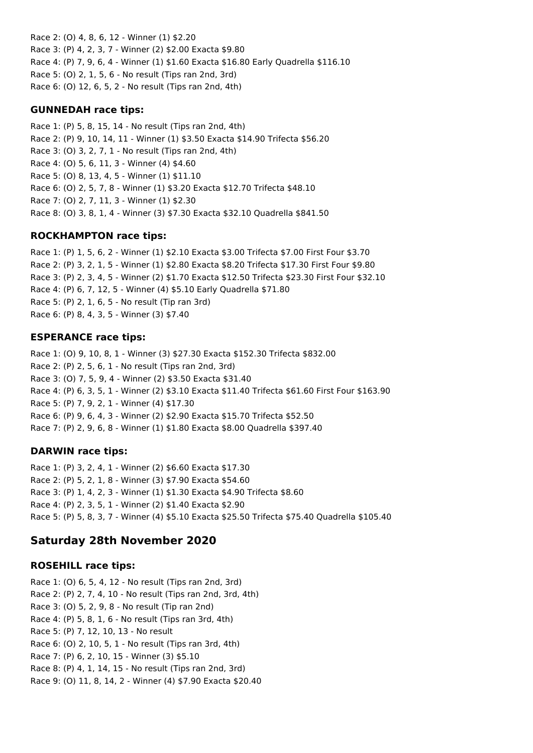Race 2: (O) 4, 8, 6, 12 - Winner (1) \$2.20 Race 3: (P) 4, 2, 3, 7 - Winner (2) \$2.00 Exacta \$9.80 Race 4: (P) 7, 9, 6, 4 - Winner (1) \$1.60 Exacta \$16.80 Early Quadrella \$116.10 Race 5: (O) 2, 1, 5, 6 - No result (Tips ran 2nd, 3rd) Race 6: (O) 12, 6, 5, 2 - No result (Tips ran 2nd, 4th)

#### **GUNNEDAH race tips:**

Race 1: (P) 5, 8, 15, 14 - No result (Tips ran 2nd, 4th) Race 2: (P) 9, 10, 14, 11 - Winner (1) \$3.50 Exacta \$14.90 Trifecta \$56.20 Race 3: (O) 3, 2, 7, 1 - No result (Tips ran 2nd, 4th) Race 4: (O) 5, 6, 11, 3 - Winner (4) \$4.60 Race 5: (O) 8, 13, 4, 5 - Winner (1) \$11.10 Race 6: (O) 2, 5, 7, 8 - Winner (1) \$3.20 Exacta \$12.70 Trifecta \$48.10 Race 7: (O) 2, 7, 11, 3 - Winner (1) \$2.30 Race 8: (O) 3, 8, 1, 4 - Winner (3) \$7.30 Exacta \$32.10 Quadrella \$841.50

### **ROCKHAMPTON race tips:**

Race 1: (P) 1, 5, 6, 2 - Winner (1) \$2.10 Exacta \$3.00 Trifecta \$7.00 First Four \$3.70 Race 2: (P) 3, 2, 1, 5 - Winner (1) \$2.80 Exacta \$8.20 Trifecta \$17.30 First Four \$9.80 Race 3: (P) 2, 3, 4, 5 - Winner (2) \$1.70 Exacta \$12.50 Trifecta \$23.30 First Four \$32.10 Race 4: (P) 6, 7, 12, 5 - Winner (4) \$5.10 Early Quadrella \$71.80 Race 5: (P) 2, 1, 6, 5 - No result (Tip ran 3rd) Race 6: (P) 8, 4, 3, 5 - Winner (3) \$7.40

### **ESPERANCE race tips:**

Race 1: (O) 9, 10, 8, 1 - Winner (3) \$27.30 Exacta \$152.30 Trifecta \$832.00 Race 2: (P) 2, 5, 6, 1 - No result (Tips ran 2nd, 3rd) Race 3: (O) 7, 5, 9, 4 - Winner (2) \$3.50 Exacta \$31.40 Race 4: (P) 6, 3, 5, 1 - Winner (2) \$3.10 Exacta \$11.40 Trifecta \$61.60 First Four \$163.90 Race 5: (P) 7, 9, 2, 1 - Winner (4) \$17.30 Race 6: (P) 9, 6, 4, 3 - Winner (2) \$2.90 Exacta \$15.70 Trifecta \$52.50 Race 7: (P) 2, 9, 6, 8 - Winner (1) \$1.80 Exacta \$8.00 Quadrella \$397.40

#### **DARWIN race tips:**

Race 1: (P) 3, 2, 4, 1 - Winner (2) \$6.60 Exacta \$17.30 Race 2: (P) 5, 2, 1, 8 - Winner (3) \$7.90 Exacta \$54.60 Race 3: (P) 1, 4, 2, 3 - Winner (1) \$1.30 Exacta \$4.90 Trifecta \$8.60 Race 4: (P) 2, 3, 5, 1 - Winner (2) \$1.40 Exacta \$2.90 Race 5: (P) 5, 8, 3, 7 - Winner (4) \$5.10 Exacta \$25.50 Trifecta \$75.40 Quadrella \$105.40

# **Saturday 28th November 2020**

### **ROSEHILL race tips:**

Race 1: (O) 6, 5, 4, 12 - No result (Tips ran 2nd, 3rd) Race 2: (P) 2, 7, 4, 10 - No result (Tips ran 2nd, 3rd, 4th) Race 3: (O) 5, 2, 9, 8 - No result (Tip ran 2nd) Race 4: (P) 5, 8, 1, 6 - No result (Tips ran 3rd, 4th) Race 5: (P) 7, 12, 10, 13 - No result Race 6: (O) 2, 10, 5, 1 - No result (Tips ran 3rd, 4th) Race 7: (P) 6, 2, 10, 15 - Winner (3) \$5.10 Race 8: (P) 4, 1, 14, 15 - No result (Tips ran 2nd, 3rd) Race 9: (O) 11, 8, 14, 2 - Winner (4) \$7.90 Exacta \$20.40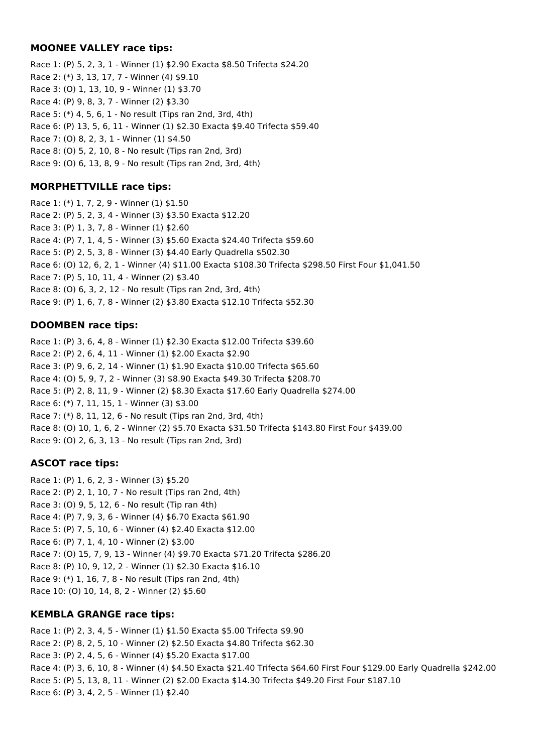#### **MOONEE VALLEY race tips:**

Race 1: (P) 5, 2, 3, 1 - Winner (1) \$2.90 Exacta \$8.50 Trifecta \$24.20 Race 2: (\*) 3, 13, 17, 7 - Winner (4) \$9.10 Race 3: (O) 1, 13, 10, 9 - Winner (1) \$3.70 Race 4: (P) 9, 8, 3, 7 - Winner (2) \$3.30 Race 5: (\*) 4, 5, 6, 1 - No result (Tips ran 2nd, 3rd, 4th) Race 6: (P) 13, 5, 6, 11 - Winner (1) \$2.30 Exacta \$9.40 Trifecta \$59.40 Race 7: (O) 8, 2, 3, 1 - Winner (1) \$4.50 Race 8: (O) 5, 2, 10, 8 - No result (Tips ran 2nd, 3rd) Race 9: (O) 6, 13, 8, 9 - No result (Tips ran 2nd, 3rd, 4th)

## **MORPHETTVILLE race tips:**

Race 1: (\*) 1, 7, 2, 9 - Winner (1) \$1.50 Race 2: (P) 5, 2, 3, 4 - Winner (3) \$3.50 Exacta \$12.20 Race 3: (P) 1, 3, 7, 8 - Winner (1) \$2.60 Race 4: (P) 7, 1, 4, 5 - Winner (3) \$5.60 Exacta \$24.40 Trifecta \$59.60 Race 5: (P) 2, 5, 3, 8 - Winner (3) \$4.40 Early Quadrella \$502.30 Race 6: (O) 12, 6, 2, 1 - Winner (4) \$11.00 Exacta \$108.30 Trifecta \$298.50 First Four \$1,041.50 Race 7: (P) 5, 10, 11, 4 - Winner (2) \$3.40 Race 8: (O) 6, 3, 2, 12 - No result (Tips ran 2nd, 3rd, 4th) Race 9: (P) 1, 6, 7, 8 - Winner (2) \$3.80 Exacta \$12.10 Trifecta \$52.30

## **DOOMBEN race tips:**

Race 1: (P) 3, 6, 4, 8 - Winner (1) \$2.30 Exacta \$12.00 Trifecta \$39.60 Race 2: (P) 2, 6, 4, 11 - Winner (1) \$2.00 Exacta \$2.90 Race 3: (P) 9, 6, 2, 14 - Winner (1) \$1.90 Exacta \$10.00 Trifecta \$65.60 Race 4: (O) 5, 9, 7, 2 - Winner (3) \$8.90 Exacta \$49.30 Trifecta \$208.70 Race 5: (P) 2, 8, 11, 9 - Winner (2) \$8.30 Exacta \$17.60 Early Quadrella \$274.00 Race 6: (\*) 7, 11, 15, 1 - Winner (3) \$3.00 Race 7: (\*) 8, 11, 12, 6 - No result (Tips ran 2nd, 3rd, 4th) Race 8: (O) 10, 1, 6, 2 - Winner (2) \$5.70 Exacta \$31.50 Trifecta \$143.80 First Four \$439.00 Race 9: (O) 2, 6, 3, 13 - No result (Tips ran 2nd, 3rd)

# **ASCOT race tips:**

Race 1: (P) 1, 6, 2, 3 - Winner (3) \$5.20 Race 2: (P) 2, 1, 10, 7 - No result (Tips ran 2nd, 4th) Race 3: (O) 9, 5, 12, 6 - No result (Tip ran 4th) Race 4: (P) 7, 9, 3, 6 - Winner (4) \$6.70 Exacta \$61.90 Race 5: (P) 7, 5, 10, 6 - Winner (4) \$2.40 Exacta \$12.00 Race 6: (P) 7, 1, 4, 10 - Winner (2) \$3.00 Race 7: (O) 15, 7, 9, 13 - Winner (4) \$9.70 Exacta \$71.20 Trifecta \$286.20 Race 8: (P) 10, 9, 12, 2 - Winner (1) \$2.30 Exacta \$16.10 Race 9: (\*) 1, 16, 7, 8 - No result (Tips ran 2nd, 4th) Race 10: (O) 10, 14, 8, 2 - Winner (2) \$5.60

### **KEMBLA GRANGE race tips:**

Race 1: (P) 2, 3, 4, 5 - Winner (1) \$1.50 Exacta \$5.00 Trifecta \$9.90 Race 2: (P) 8, 2, 5, 10 - Winner (2) \$2.50 Exacta \$4.80 Trifecta \$62.30 Race 3: (P) 2, 4, 5, 6 - Winner (4) \$5.20 Exacta \$17.00 Race 4: (P) 3, 6, 10, 8 - Winner (4) \$4.50 Exacta \$21.40 Trifecta \$64.60 First Four \$129.00 Early Quadrella \$242.00 Race 5: (P) 5, 13, 8, 11 - Winner (2) \$2.00 Exacta \$14.30 Trifecta \$49.20 First Four \$187.10 Race 6: (P) 3, 4, 2, 5 - Winner (1) \$2.40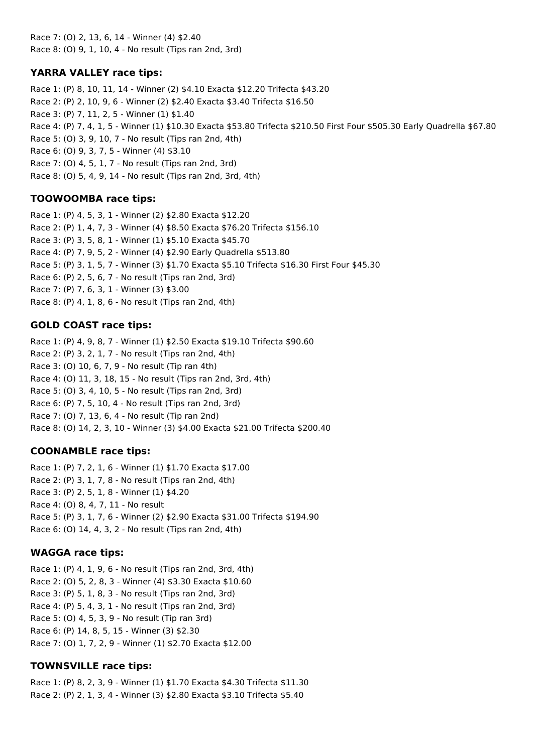Race 7: (O) 2, 13, 6, 14 - Winner (4) \$2.40 Race 8: (O) 9, 1, 10, 4 - No result (Tips ran 2nd, 3rd)

### **YARRA VALLEY race tips:**

Race 1: (P) 8, 10, 11, 14 - Winner (2) \$4.10 Exacta \$12.20 Trifecta \$43.20 Race 2: (P) 2, 10, 9, 6 - Winner (2) \$2.40 Exacta \$3.40 Trifecta \$16.50 Race 3: (P) 7, 11, 2, 5 - Winner (1) \$1.40 Race 4: (P) 7, 4, 1, 5 - Winner (1) \$10.30 Exacta \$53.80 Trifecta \$210.50 First Four \$505.30 Early Quadrella \$67.80 Race 5: (O) 3, 9, 10, 7 - No result (Tips ran 2nd, 4th) Race 6: (O) 9, 3, 7, 5 - Winner (4) \$3.10 Race 7: (O) 4, 5, 1, 7 - No result (Tips ran 2nd, 3rd) Race 8: (O) 5, 4, 9, 14 - No result (Tips ran 2nd, 3rd, 4th)

## **TOOWOOMBA race tips:**

Race 1: (P) 4, 5, 3, 1 - Winner (2) \$2.80 Exacta \$12.20 Race 2: (P) 1, 4, 7, 3 - Winner (4) \$8.50 Exacta \$76.20 Trifecta \$156.10 Race 3: (P) 3, 5, 8, 1 - Winner (1) \$5.10 Exacta \$45.70 Race 4: (P) 7, 9, 5, 2 - Winner (4) \$2.90 Early Quadrella \$513.80 Race 5: (P) 3, 1, 5, 7 - Winner (3) \$1.70 Exacta \$5.10 Trifecta \$16.30 First Four \$45.30 Race 6: (P) 2, 5, 6, 7 - No result (Tips ran 2nd, 3rd) Race 7: (P) 7, 6, 3, 1 - Winner (3) \$3.00 Race 8: (P) 4, 1, 8, 6 - No result (Tips ran 2nd, 4th)

## **GOLD COAST race tips:**

Race 1: (P) 4, 9, 8, 7 - Winner (1) \$2.50 Exacta \$19.10 Trifecta \$90.60 Race 2: (P) 3, 2, 1, 7 - No result (Tips ran 2nd, 4th) Race 3: (O) 10, 6, 7, 9 - No result (Tip ran 4th) Race 4: (O) 11, 3, 18, 15 - No result (Tips ran 2nd, 3rd, 4th) Race 5: (O) 3, 4, 10, 5 - No result (Tips ran 2nd, 3rd) Race 6: (P) 7, 5, 10, 4 - No result (Tips ran 2nd, 3rd) Race 7: (O) 7, 13, 6, 4 - No result (Tip ran 2nd) Race 8: (O) 14, 2, 3, 10 - Winner (3) \$4.00 Exacta \$21.00 Trifecta \$200.40

### **COONAMBLE race tips:**

Race 1: (P) 7, 2, 1, 6 - Winner (1) \$1.70 Exacta \$17.00 Race 2: (P) 3, 1, 7, 8 - No result (Tips ran 2nd, 4th) Race 3: (P) 2, 5, 1, 8 - Winner (1) \$4.20 Race 4: (O) 8, 4, 7, 11 - No result Race 5: (P) 3, 1, 7, 6 - Winner (2) \$2.90 Exacta \$31.00 Trifecta \$194.90 Race 6: (O) 14, 4, 3, 2 - No result (Tips ran 2nd, 4th)

# **WAGGA race tips:**

Race 1: (P) 4, 1, 9, 6 - No result (Tips ran 2nd, 3rd, 4th) Race 2: (O) 5, 2, 8, 3 - Winner (4) \$3.30 Exacta \$10.60 Race 3: (P) 5, 1, 8, 3 - No result (Tips ran 2nd, 3rd) Race 4: (P) 5, 4, 3, 1 - No result (Tips ran 2nd, 3rd) Race 5: (O) 4, 5, 3, 9 - No result (Tip ran 3rd) Race 6: (P) 14, 8, 5, 15 - Winner (3) \$2.30 Race 7: (O) 1, 7, 2, 9 - Winner (1) \$2.70 Exacta \$12.00

# **TOWNSVILLE race tips:**

Race 1: (P) 8, 2, 3, 9 - Winner (1) \$1.70 Exacta \$4.30 Trifecta \$11.30 Race 2: (P) 2, 1, 3, 4 - Winner (3) \$2.80 Exacta \$3.10 Trifecta \$5.40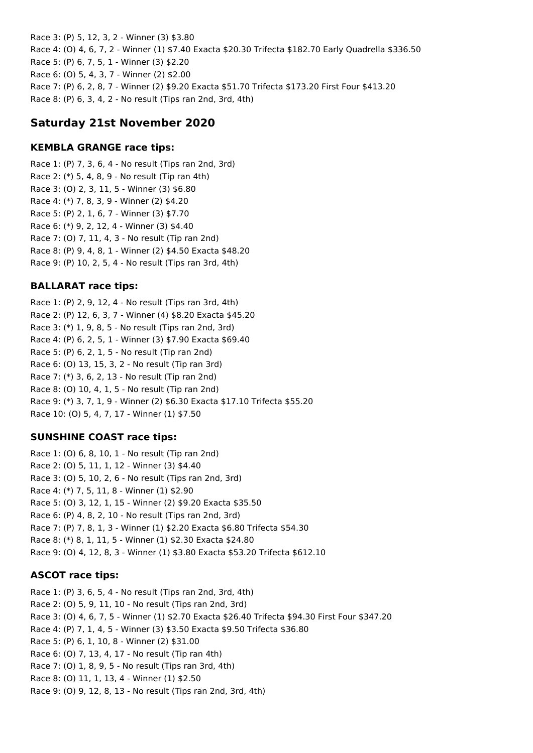Race 3: (P) 5, 12, 3, 2 - Winner (3) \$3.80 Race 4: (O) 4, 6, 7, 2 - Winner (1) \$7.40 Exacta \$20.30 Trifecta \$182.70 Early Quadrella \$336.50 Race 5: (P) 6, 7, 5, 1 - Winner (3) \$2.20 Race 6: (O) 5, 4, 3, 7 - Winner (2) \$2.00 Race 7: (P) 6, 2, 8, 7 - Winner (2) \$9.20 Exacta \$51.70 Trifecta \$173.20 First Four \$413.20 Race 8: (P) 6, 3, 4, 2 - No result (Tips ran 2nd, 3rd, 4th)

# **Saturday 21st November 2020**

## **KEMBLA GRANGE race tips:**

Race 1: (P) 7, 3, 6, 4 - No result (Tips ran 2nd, 3rd) Race 2: (\*) 5, 4, 8, 9 - No result (Tip ran 4th) Race 3: (O) 2, 3, 11, 5 - Winner (3) \$6.80 Race 4: (\*) 7, 8, 3, 9 - Winner (2) \$4.20 Race 5: (P) 2, 1, 6, 7 - Winner (3) \$7.70 Race 6: (\*) 9, 2, 12, 4 - Winner (3) \$4.40 Race 7: (O) 7, 11, 4, 3 - No result (Tip ran 2nd) Race 8: (P) 9, 4, 8, 1 - Winner (2) \$4.50 Exacta \$48.20 Race 9: (P) 10, 2, 5, 4 - No result (Tips ran 3rd, 4th)

# **BALLARAT race tips:**

Race 1: (P) 2, 9, 12, 4 - No result (Tips ran 3rd, 4th) Race 2: (P) 12, 6, 3, 7 - Winner (4) \$8.20 Exacta \$45.20 Race 3: (\*) 1, 9, 8, 5 - No result (Tips ran 2nd, 3rd) Race 4: (P) 6, 2, 5, 1 - Winner (3) \$7.90 Exacta \$69.40 Race 5: (P) 6, 2, 1, 5 - No result (Tip ran 2nd) Race 6: (O) 13, 15, 3, 2 - No result (Tip ran 3rd) Race 7: (\*) 3, 6, 2, 13 - No result (Tip ran 2nd) Race 8: (O) 10, 4, 1, 5 - No result (Tip ran 2nd) Race 9: (\*) 3, 7, 1, 9 - Winner (2) \$6.30 Exacta \$17.10 Trifecta \$55.20 Race 10: (O) 5, 4, 7, 17 - Winner (1) \$7.50

# **SUNSHINE COAST race tips:**

Race 1: (O) 6, 8, 10, 1 - No result (Tip ran 2nd) Race 2: (O) 5, 11, 1, 12 - Winner (3) \$4.40 Race 3: (O) 5, 10, 2, 6 - No result (Tips ran 2nd, 3rd) Race 4: (\*) 7, 5, 11, 8 - Winner (1) \$2.90 Race 5: (O) 3, 12, 1, 15 - Winner (2) \$9.20 Exacta \$35.50 Race 6: (P) 4, 8, 2, 10 - No result (Tips ran 2nd, 3rd) Race 7: (P) 7, 8, 1, 3 - Winner (1) \$2.20 Exacta \$6.80 Trifecta \$54.30 Race 8: (\*) 8, 1, 11, 5 - Winner (1) \$2.30 Exacta \$24.80 Race 9: (O) 4, 12, 8, 3 - Winner (1) \$3.80 Exacta \$53.20 Trifecta \$612.10

# **ASCOT race tips:**

Race 1: (P) 3, 6, 5, 4 - No result (Tips ran 2nd, 3rd, 4th) Race 2: (O) 5, 9, 11, 10 - No result (Tips ran 2nd, 3rd) Race 3: (O) 4, 6, 7, 5 - Winner (1) \$2.70 Exacta \$26.40 Trifecta \$94.30 First Four \$347.20 Race 4: (P) 7, 1, 4, 5 - Winner (3) \$3.50 Exacta \$9.50 Trifecta \$36.80 Race 5: (P) 6, 1, 10, 8 - Winner (2) \$31.00 Race 6: (O) 7, 13, 4, 17 - No result (Tip ran 4th) Race 7: (O) 1, 8, 9, 5 - No result (Tips ran 3rd, 4th) Race 8: (O) 11, 1, 13, 4 - Winner (1) \$2.50 Race 9: (O) 9, 12, 8, 13 - No result (Tips ran 2nd, 3rd, 4th)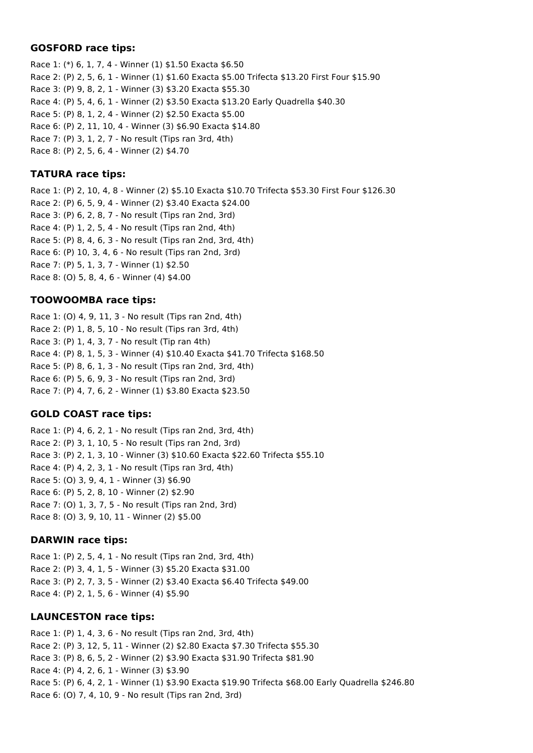#### **GOSFORD race tips:**

Race 1: (\*) 6, 1, 7, 4 - Winner (1) \$1.50 Exacta \$6.50 Race 2: (P) 2, 5, 6, 1 - Winner (1) \$1.60 Exacta \$5.00 Trifecta \$13.20 First Four \$15.90 Race 3: (P) 9, 8, 2, 1 - Winner (3) \$3.20 Exacta \$55.30 Race 4: (P) 5, 4, 6, 1 - Winner (2) \$3.50 Exacta \$13.20 Early Quadrella \$40.30 Race 5: (P) 8, 1, 2, 4 - Winner (2) \$2.50 Exacta \$5.00 Race 6: (P) 2, 11, 10, 4 - Winner (3) \$6.90 Exacta \$14.80 Race 7: (P) 3, 1, 2, 7 - No result (Tips ran 3rd, 4th) Race 8: (P) 2, 5, 6, 4 - Winner (2) \$4.70

## **TATURA race tips:**

Race 1: (P) 2, 10, 4, 8 - Winner (2) \$5.10 Exacta \$10.70 Trifecta \$53.30 First Four \$126.30 Race 2: (P) 6, 5, 9, 4 - Winner (2) \$3.40 Exacta \$24.00 Race 3: (P) 6, 2, 8, 7 - No result (Tips ran 2nd, 3rd) Race 4: (P) 1, 2, 5, 4 - No result (Tips ran 2nd, 4th) Race 5: (P) 8, 4, 6, 3 - No result (Tips ran 2nd, 3rd, 4th) Race 6: (P) 10, 3, 4, 6 - No result (Tips ran 2nd, 3rd) Race 7: (P) 5, 1, 3, 7 - Winner (1) \$2.50 Race 8: (O) 5, 8, 4, 6 - Winner (4) \$4.00

## **TOOWOOMBA race tips:**

Race 1: (O) 4, 9, 11, 3 - No result (Tips ran 2nd, 4th) Race 2: (P) 1, 8, 5, 10 - No result (Tips ran 3rd, 4th) Race 3: (P) 1, 4, 3, 7 - No result (Tip ran 4th) Race 4: (P) 8, 1, 5, 3 - Winner (4) \$10.40 Exacta \$41.70 Trifecta \$168.50 Race 5: (P) 8, 6, 1, 3 - No result (Tips ran 2nd, 3rd, 4th) Race 6: (P) 5, 6, 9, 3 - No result (Tips ran 2nd, 3rd) Race 7: (P) 4, 7, 6, 2 - Winner (1) \$3.80 Exacta \$23.50

# **GOLD COAST race tips:**

Race 1: (P) 4, 6, 2, 1 - No result (Tips ran 2nd, 3rd, 4th) Race 2: (P) 3, 1, 10, 5 - No result (Tips ran 2nd, 3rd) Race 3: (P) 2, 1, 3, 10 - Winner (3) \$10.60 Exacta \$22.60 Trifecta \$55.10 Race 4: (P) 4, 2, 3, 1 - No result (Tips ran 3rd, 4th) Race 5: (O) 3, 9, 4, 1 - Winner (3) \$6.90 Race 6: (P) 5, 2, 8, 10 - Winner (2) \$2.90 Race 7: (O) 1, 3, 7, 5 - No result (Tips ran 2nd, 3rd) Race 8: (O) 3, 9, 10, 11 - Winner (2) \$5.00

### **DARWIN race tips:**

Race 1: (P) 2, 5, 4, 1 - No result (Tips ran 2nd, 3rd, 4th) Race 2: (P) 3, 4, 1, 5 - Winner (3) \$5.20 Exacta \$31.00 Race 3: (P) 2, 7, 3, 5 - Winner (2) \$3.40 Exacta \$6.40 Trifecta \$49.00 Race 4: (P) 2, 1, 5, 6 - Winner (4) \$5.90

# **LAUNCESTON race tips:**

Race 1: (P) 1, 4, 3, 6 - No result (Tips ran 2nd, 3rd, 4th) Race 2: (P) 3, 12, 5, 11 - Winner (2) \$2.80 Exacta \$7.30 Trifecta \$55.30 Race 3: (P) 8, 6, 5, 2 - Winner (2) \$3.90 Exacta \$31.90 Trifecta \$81.90 Race 4: (P) 4, 2, 6, 1 - Winner (3) \$3.90 Race 5: (P) 6, 4, 2, 1 - Winner (1) \$3.90 Exacta \$19.90 Trifecta \$68.00 Early Quadrella \$246.80 Race 6: (O) 7, 4, 10, 9 - No result (Tips ran 2nd, 3rd)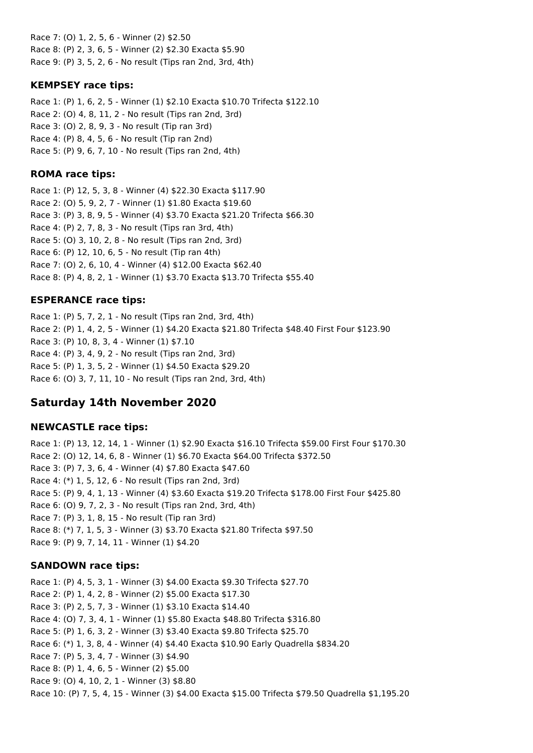Race 7: (O) 1, 2, 5, 6 - Winner (2) \$2.50 Race 8: (P) 2, 3, 6, 5 - Winner (2) \$2.30 Exacta \$5.90 Race 9: (P) 3, 5, 2, 6 - No result (Tips ran 2nd, 3rd, 4th)

## **KEMPSEY race tips:**

Race 1: (P) 1, 6, 2, 5 - Winner (1) \$2.10 Exacta \$10.70 Trifecta \$122.10 Race 2: (O) 4, 8, 11, 2 - No result (Tips ran 2nd, 3rd) Race 3: (O) 2, 8, 9, 3 - No result (Tip ran 3rd) Race 4: (P) 8, 4, 5, 6 - No result (Tip ran 2nd) Race 5: (P) 9, 6, 7, 10 - No result (Tips ran 2nd, 4th)

## **ROMA race tips:**

Race 1: (P) 12, 5, 3, 8 - Winner (4) \$22.30 Exacta \$117.90 Race 2: (O) 5, 9, 2, 7 - Winner (1) \$1.80 Exacta \$19.60 Race 3: (P) 3, 8, 9, 5 - Winner (4) \$3.70 Exacta \$21.20 Trifecta \$66.30 Race 4: (P) 2, 7, 8, 3 - No result (Tips ran 3rd, 4th) Race 5: (O) 3, 10, 2, 8 - No result (Tips ran 2nd, 3rd) Race 6: (P) 12, 10, 6, 5 - No result (Tip ran 4th) Race 7: (O) 2, 6, 10, 4 - Winner (4) \$12.00 Exacta \$62.40 Race 8: (P) 4, 8, 2, 1 - Winner (1) \$3.70 Exacta \$13.70 Trifecta \$55.40

# **ESPERANCE race tips:**

Race 1: (P) 5, 7, 2, 1 - No result (Tips ran 2nd, 3rd, 4th) Race 2: (P) 1, 4, 2, 5 - Winner (1) \$4.20 Exacta \$21.80 Trifecta \$48.40 First Four \$123.90 Race 3: (P) 10, 8, 3, 4 - Winner (1) \$7.10 Race 4: (P) 3, 4, 9, 2 - No result (Tips ran 2nd, 3rd) Race 5: (P) 1, 3, 5, 2 - Winner (1) \$4.50 Exacta \$29.20 Race 6: (O) 3, 7, 11, 10 - No result (Tips ran 2nd, 3rd, 4th)

# **Saturday 14th November 2020**

# **NEWCASTLE race tips:**

Race 1: (P) 13, 12, 14, 1 - Winner (1) \$2.90 Exacta \$16.10 Trifecta \$59.00 First Four \$170.30 Race 2: (O) 12, 14, 6, 8 - Winner (1) \$6.70 Exacta \$64.00 Trifecta \$372.50 Race 3: (P) 7, 3, 6, 4 - Winner (4) \$7.80 Exacta \$47.60 Race 4: (\*) 1, 5, 12, 6 - No result (Tips ran 2nd, 3rd) Race 5: (P) 9, 4, 1, 13 - Winner (4) \$3.60 Exacta \$19.20 Trifecta \$178.00 First Four \$425.80 Race 6: (O) 9, 7, 2, 3 - No result (Tips ran 2nd, 3rd, 4th) Race 7: (P) 3, 1, 8, 15 - No result (Tip ran 3rd) Race 8: (\*) 7, 1, 5, 3 - Winner (3) \$3.70 Exacta \$21.80 Trifecta \$97.50 Race 9: (P) 9, 7, 14, 11 - Winner (1) \$4.20

# **SANDOWN race tips:**

Race 1: (P) 4, 5, 3, 1 - Winner (3) \$4.00 Exacta \$9.30 Trifecta \$27.70 Race 2: (P) 1, 4, 2, 8 - Winner (2) \$5.00 Exacta \$17.30 Race 3: (P) 2, 5, 7, 3 - Winner (1) \$3.10 Exacta \$14.40 Race 4: (O) 7, 3, 4, 1 - Winner (1) \$5.80 Exacta \$48.80 Trifecta \$316.80 Race 5: (P) 1, 6, 3, 2 - Winner (3) \$3.40 Exacta \$9.80 Trifecta \$25.70 Race 6: (\*) 1, 3, 8, 4 - Winner (4) \$4.40 Exacta \$10.90 Early Quadrella \$834.20 Race 7: (P) 5, 3, 4, 7 - Winner (3) \$4.90 Race 8: (P) 1, 4, 6, 5 - Winner (2) \$5.00 Race 9: (O) 4, 10, 2, 1 - Winner (3) \$8.80 Race 10: (P) 7, 5, 4, 15 - Winner (3) \$4.00 Exacta \$15.00 Trifecta \$79.50 Quadrella \$1,195.20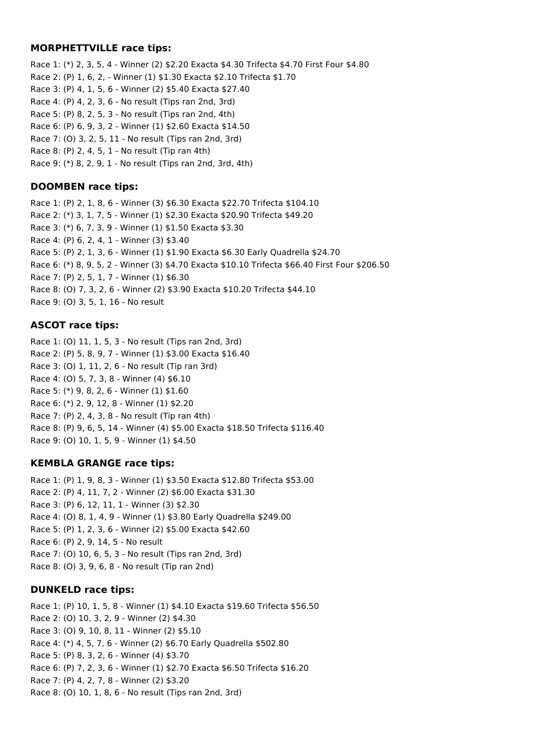#### **MORPHETTVILLE race tips:**

Race 1: (\*) 2, 3, 5, 4 - Winner (2) \$2.20 Exacta \$4.30 Trifecta \$4.70 First Four \$4.80 Race 2: (P) 1, 6, 2, - Winner (1) \$1.30 Exacta \$2.10 Trifecta \$1.70 Race 3: (P) 4, 1, 5, 6 - Winner (2) \$5.40 Exacta \$27.40 Race 4: (P) 4, 2, 3, 6 - No result (Tips ran 2nd, 3rd) Race 5: (P) 8, 2, 5, 3 - No result (Tips ran 2nd, 4th) Race 6: (P) 6, 9, 3, 2 - Winner (1) \$2.60 Exacta \$14.50 Race 7: (O) 3, 2, 5, 11 - No result (Tips ran 2nd, 3rd) Race 8: (P) 2, 4, 5, 1 - No result (Tip ran 4th) Race 9: (\*) 8, 2, 9, 1 - No result (Tips ran 2nd, 3rd, 4th)

### **DOOMBEN race tips:**

Race 1: (P) 2, 1, 8, 6 - Winner (3) \$6.30 Exacta \$22.70 Trifecta \$104.10 Race 2: (\*) 3, 1, 7, 5 - Winner (1) \$2.30 Exacta \$20.90 Trifecta \$49.20 Race 3: (\*) 6, 7, 3, 9 - Winner (1) \$1.50 Exacta \$3.30 Race 4: (P) 6, 2, 4, 1 - Winner (3) \$3.40 Race 5: (P) 2, 1, 3, 6 - Winner (1) \$1.90 Exacta \$6.30 Early Quadrella \$24.70 Race 6: (\*) 8, 9, 5, 2 - Winner (3) \$4.70 Exacta \$10.10 Trifecta \$66.40 First Four \$206.50 Race 7: (P) 2, 5, 1, 7 - Winner (1) \$6.30 Race 8: (O) 7, 3, 2, 6 - Winner (2) \$3.90 Exacta \$10.20 Trifecta \$44.10 Race 9: (O) 3, 5, 1, 16 - No result

## **ASCOT race tips:**

Race 1: (O) 11, 1, 5, 3 - No result (Tips ran 2nd, 3rd) Race 2: (P) 5, 8, 9, 7 - Winner (1) \$3.00 Exacta \$16.40 Race 3: (O) 1, 11, 2, 6 - No result (Tip ran 3rd) Race 4: (O) 5, 7, 3, 8 - Winner (4) \$6.10 Race 5: (\*) 9, 8, 2, 6 - Winner (1) \$1.60 Race 6: (\*) 2, 9, 12, 8 - Winner (1) \$2.20 Race 7: (P) 2, 4, 3, 8 - No result (Tip ran 4th) Race 8: (P) 9, 6, 5, 14 - Winner (4) \$5.00 Exacta \$18.50 Trifecta \$116.40 Race 9: (O) 10, 1, 5, 9 - Winner (1) \$4.50

# **KEMBLA GRANGE race tips:**

Race 1: (P) 1, 9, 8, 3 - Winner (1) \$3.50 Exacta \$12.80 Trifecta \$53.00 Race 2: (P) 4, 11, 7, 2 - Winner (2) \$6.00 Exacta \$31.30 Race 3: (P) 6, 12, 11, 1 - Winner (3) \$2.30 Race 4: (O) 8, 1, 4, 9 - Winner (1) \$3.80 Early Quadrella \$249.00 Race 5: (P) 1, 2, 3, 6 - Winner (2) \$5.00 Exacta \$42.60 Race 6: (P) 2, 9, 14, 5 - No result Race 7: (O) 10, 6, 5, 3 - No result (Tips ran 2nd, 3rd) Race 8: (O) 3, 9, 6, 8 - No result (Tip ran 2nd)

### **DUNKELD race tips:**

Race 1: (P) 10, 1, 5, 8 - Winner (1) \$4.10 Exacta \$19.60 Trifecta \$56.50 Race 2: (O) 10, 3, 2, 9 - Winner (2) \$4.30 Race 3: (O) 9, 10, 8, 11 - Winner (2) \$5.10 Race 4: (\*) 4, 5, 7, 6 - Winner (2) \$6.70 Early Quadrella \$502.80 Race 5: (P) 8, 3, 2, 6 - Winner (4) \$3.70 Race 6: (P) 7, 2, 3, 6 - Winner (1) \$2.70 Exacta \$6.50 Trifecta \$16.20 Race 7: (P) 4, 2, 7, 8 - Winner (2) \$3.20 Race 8: (O) 10, 1, 8, 6 - No result (Tips ran 2nd, 3rd)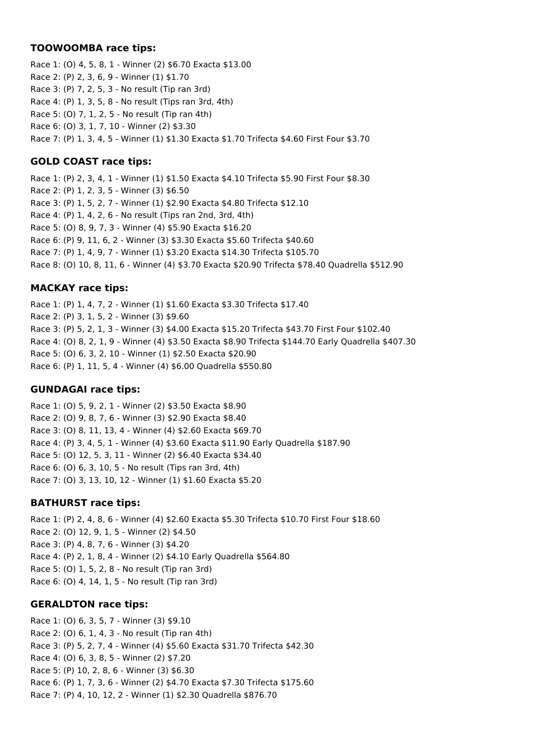#### **TOOWOOMBA race tips:**

Race 1: (O) 4, 5, 8, 1 - Winner (2) \$6.70 Exacta \$13.00 Race 2: (P) 2, 3, 6, 9 - Winner (1) \$1.70 Race 3: (P) 7, 2, 5, 3 - No result (Tip ran 3rd) Race 4: (P) 1, 3, 5, 8 - No result (Tips ran 3rd, 4th) Race 5: (O) 7, 1, 2, 5 - No result (Tip ran 4th) Race 6: (O) 3, 1, 7, 10 - Winner (2) \$3.30 Race 7: (P) 1, 3, 4, 5 - Winner (1) \$1.30 Exacta \$1.70 Trifecta \$4.60 First Four \$3.70

## **GOLD COAST race tips:**

Race 1: (P) 2, 3, 4, 1 - Winner (1) \$1.50 Exacta \$4.10 Trifecta \$5.90 First Four \$8.30 Race 2: (P) 1, 2, 3, 5 - Winner (3) \$6.50 Race 3: (P) 1, 5, 2, 7 - Winner (1) \$2.90 Exacta \$4.80 Trifecta \$12.10 Race 4: (P) 1, 4, 2, 6 - No result (Tips ran 2nd, 3rd, 4th) Race 5: (O) 8, 9, 7, 3 - Winner (4) \$5.90 Exacta \$16.20 Race 6: (P) 9, 11, 6, 2 - Winner (3) \$3.30 Exacta \$5.60 Trifecta \$40.60 Race 7: (P) 1, 4, 9, 7 - Winner (1) \$3.20 Exacta \$14.30 Trifecta \$105.70 Race 8: (O) 10, 8, 11, 6 - Winner (4) \$3.70 Exacta \$20.90 Trifecta \$78.40 Quadrella \$512.90

# **MACKAY race tips:**

Race 1: (P) 1, 4, 7, 2 - Winner (1) \$1.60 Exacta \$3.30 Trifecta \$17.40 Race 2: (P) 3, 1, 5, 2 - Winner (3) \$9.60 Race 3: (P) 5, 2, 1, 3 - Winner (3) \$4.00 Exacta \$15.20 Trifecta \$43.70 First Four \$102.40 Race 4: (O) 8, 2, 1, 9 - Winner (4) \$3.50 Exacta \$8.90 Trifecta \$144.70 Early Quadrella \$407.30 Race 5: (O) 6, 3, 2, 10 - Winner (1) \$2.50 Exacta \$20.90 Race 6: (P) 1, 11, 5, 4 - Winner (4) \$6.00 Quadrella \$550.80

### **GUNDAGAI race tips:**

Race 1: (O) 5, 9, 2, 1 - Winner (2) \$3.50 Exacta \$8.90 Race 2: (O) 9, 8, 7, 6 - Winner (3) \$2.90 Exacta \$8.40 Race 3: (O) 8, 11, 13, 4 - Winner (4) \$2.60 Exacta \$69.70 Race 4: (P) 3, 4, 5, 1 - Winner (4) \$3.60 Exacta \$11.90 Early Quadrella \$187.90 Race 5: (O) 12, 5, 3, 11 - Winner (2) \$6.40 Exacta \$34.40 Race 6: (O) 6, 3, 10, 5 - No result (Tips ran 3rd, 4th) Race 7: (O) 3, 13, 10, 12 - Winner (1) \$1.60 Exacta \$5.20

### **BATHURST race tips:**

Race 1: (P) 2, 4, 8, 6 - Winner (4) \$2.60 Exacta \$5.30 Trifecta \$10.70 First Four \$18.60 Race 2: (O) 12, 9, 1, 5 - Winner (2) \$4.50 Race 3: (P) 4, 8, 7, 6 - Winner (3) \$4.20 Race 4: (P) 2, 1, 8, 4 - Winner (2) \$4.10 Early Quadrella \$564.80 Race 5: (O) 1, 5, 2, 8 - No result (Tip ran 3rd) Race 6: (O) 4, 14, 1, 5 - No result (Tip ran 3rd)

### **GERALDTON race tips:**

Race 1: (O) 6, 3, 5, 7 - Winner (3) \$9.10 Race 2: (O) 6, 1, 4, 3 - No result (Tip ran 4th) Race 3: (P) 5, 2, 7, 4 - Winner (4) \$5.60 Exacta \$31.70 Trifecta \$42.30 Race 4: (O) 6, 3, 8, 5 - Winner (2) \$7.20 Race 5: (P) 10, 2, 8, 6 - Winner (3) \$6.30 Race 6: (P) 1, 7, 3, 6 - Winner (2) \$4.70 Exacta \$7.30 Trifecta \$175.60 Race 7: (P) 4, 10, 12, 2 - Winner (1) \$2.30 Quadrella \$876.70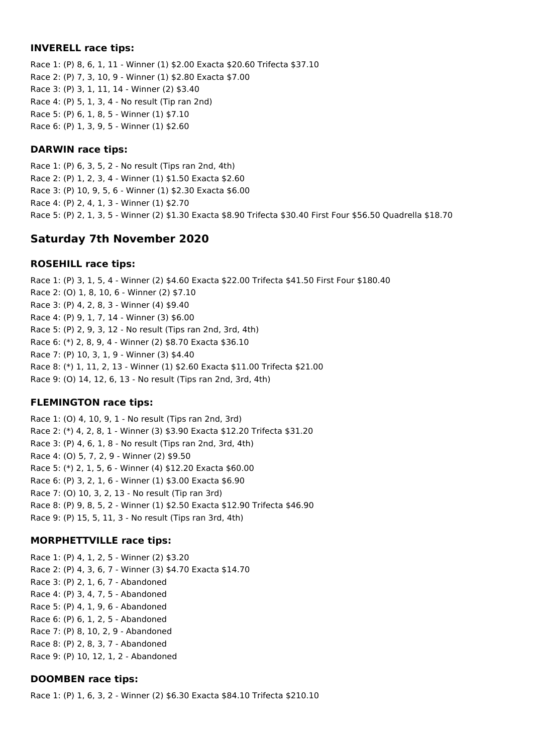#### **INVERELL race tips:**

Race 1: (P) 8, 6, 1, 11 - Winner (1) \$2.00 Exacta \$20.60 Trifecta \$37.10 Race 2: (P) 7, 3, 10, 9 - Winner (1) \$2.80 Exacta \$7.00 Race 3: (P) 3, 1, 11, 14 - Winner (2) \$3.40 Race 4: (P) 5, 1, 3, 4 - No result (Tip ran 2nd) Race 5: (P) 6, 1, 8, 5 - Winner (1) \$7.10 Race 6: (P) 1, 3, 9, 5 - Winner (1) \$2.60

### **DARWIN race tips:**

Race 1: (P) 6, 3, 5, 2 - No result (Tips ran 2nd, 4th) Race 2: (P) 1, 2, 3, 4 - Winner (1) \$1.50 Exacta \$2.60 Race 3: (P) 10, 9, 5, 6 - Winner (1) \$2.30 Exacta \$6.00 Race 4: (P) 2, 4, 1, 3 - Winner (1) \$2.70 Race 5: (P) 2, 1, 3, 5 - Winner (2) \$1.30 Exacta \$8.90 Trifecta \$30.40 First Four \$56.50 Quadrella \$18.70

# **Saturday 7th November 2020**

#### **ROSEHILL race tips:**

Race 1: (P) 3, 1, 5, 4 - Winner (2) \$4.60 Exacta \$22.00 Trifecta \$41.50 First Four \$180.40 Race 2: (O) 1, 8, 10, 6 - Winner (2) \$7.10 Race 3: (P) 4, 2, 8, 3 - Winner (4) \$9.40 Race 4: (P) 9, 1, 7, 14 - Winner (3) \$6.00 Race 5: (P) 2, 9, 3, 12 - No result (Tips ran 2nd, 3rd, 4th) Race 6: (\*) 2, 8, 9, 4 - Winner (2) \$8.70 Exacta \$36.10 Race 7: (P) 10, 3, 1, 9 - Winner (3) \$4.40 Race 8: (\*) 1, 11, 2, 13 - Winner (1) \$2.60 Exacta \$11.00 Trifecta \$21.00 Race 9: (O) 14, 12, 6, 13 - No result (Tips ran 2nd, 3rd, 4th)

### **FLEMINGTON race tips:**

Race 1: (O) 4, 10, 9, 1 - No result (Tips ran 2nd, 3rd) Race 2: (\*) 4, 2, 8, 1 - Winner (3) \$3.90 Exacta \$12.20 Trifecta \$31.20 Race 3: (P) 4, 6, 1, 8 - No result (Tips ran 2nd, 3rd, 4th) Race 4: (O) 5, 7, 2, 9 - Winner (2) \$9.50 Race 5: (\*) 2, 1, 5, 6 - Winner (4) \$12.20 Exacta \$60.00 Race 6: (P) 3, 2, 1, 6 - Winner (1) \$3.00 Exacta \$6.90 Race 7: (O) 10, 3, 2, 13 - No result (Tip ran 3rd) Race 8: (P) 9, 8, 5, 2 - Winner (1) \$2.50 Exacta \$12.90 Trifecta \$46.90 Race 9: (P) 15, 5, 11, 3 - No result (Tips ran 3rd, 4th)

### **MORPHETTVILLE race tips:**

Race 1: (P) 4, 1, 2, 5 - Winner (2) \$3.20 Race 2: (P) 4, 3, 6, 7 - Winner (3) \$4.70 Exacta \$14.70 Race 3: (P) 2, 1, 6, 7 - Abandoned Race 4: (P) 3, 4, 7, 5 - Abandoned Race 5: (P) 4, 1, 9, 6 - Abandoned Race 6: (P) 6, 1, 2, 5 - Abandoned Race 7: (P) 8, 10, 2, 9 - Abandoned Race 8: (P) 2, 8, 3, 7 - Abandoned Race 9: (P) 10, 12, 1, 2 - Abandoned

### **DOOMBEN race tips:**

Race 1: (P) 1, 6, 3, 2 - Winner (2) \$6.30 Exacta \$84.10 Trifecta \$210.10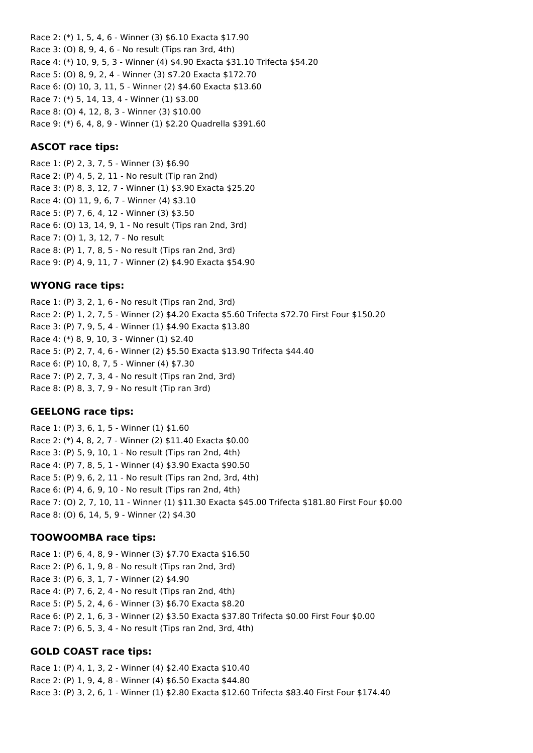Race 2: (\*) 1, 5, 4, 6 - Winner (3) \$6.10 Exacta \$17.90 Race 3: (O) 8, 9, 4, 6 - No result (Tips ran 3rd, 4th) Race 4: (\*) 10, 9, 5, 3 - Winner (4) \$4.90 Exacta \$31.10 Trifecta \$54.20 Race 5: (O) 8, 9, 2, 4 - Winner (3) \$7.20 Exacta \$172.70 Race 6: (O) 10, 3, 11, 5 - Winner (2) \$4.60 Exacta \$13.60 Race 7: (\*) 5, 14, 13, 4 - Winner (1) \$3.00 Race 8: (O) 4, 12, 8, 3 - Winner (3) \$10.00 Race 9: (\*) 6, 4, 8, 9 - Winner (1) \$2.20 Quadrella \$391.60

### **ASCOT race tips:**

Race 1: (P) 2, 3, 7, 5 - Winner (3) \$6.90 Race 2: (P) 4, 5, 2, 11 - No result (Tip ran 2nd) Race 3: (P) 8, 3, 12, 7 - Winner (1) \$3.90 Exacta \$25.20 Race 4: (O) 11, 9, 6, 7 - Winner (4) \$3.10 Race 5: (P) 7, 6, 4, 12 - Winner (3) \$3.50 Race 6: (O) 13, 14, 9, 1 - No result (Tips ran 2nd, 3rd) Race 7: (O) 1, 3, 12, 7 - No result Race 8: (P) 1, 7, 8, 5 - No result (Tips ran 2nd, 3rd) Race 9: (P) 4, 9, 11, 7 - Winner (2) \$4.90 Exacta \$54.90

## **WYONG race tips:**

Race 1: (P) 3, 2, 1, 6 - No result (Tips ran 2nd, 3rd) Race 2: (P) 1, 2, 7, 5 - Winner (2) \$4.20 Exacta \$5.60 Trifecta \$72.70 First Four \$150.20 Race 3: (P) 7, 9, 5, 4 - Winner (1) \$4.90 Exacta \$13.80 Race 4: (\*) 8, 9, 10, 3 - Winner (1) \$2.40 Race 5: (P) 2, 7, 4, 6 - Winner (2) \$5.50 Exacta \$13.90 Trifecta \$44.40 Race 6: (P) 10, 8, 7, 5 - Winner (4) \$7.30 Race 7: (P) 2, 7, 3, 4 - No result (Tips ran 2nd, 3rd) Race 8: (P) 8, 3, 7, 9 - No result (Tip ran 3rd)

### **GEELONG race tips:**

Race 1: (P) 3, 6, 1, 5 - Winner (1) \$1.60 Race 2: (\*) 4, 8, 2, 7 - Winner (2) \$11.40 Exacta \$0.00 Race 3: (P) 5, 9, 10, 1 - No result (Tips ran 2nd, 4th) Race 4: (P) 7, 8, 5, 1 - Winner (4) \$3.90 Exacta \$90.50 Race 5: (P) 9, 6, 2, 11 - No result (Tips ran 2nd, 3rd, 4th) Race 6: (P) 4, 6, 9, 10 - No result (Tips ran 2nd, 4th) Race 7: (O) 2, 7, 10, 11 - Winner (1) \$11.30 Exacta \$45.00 Trifecta \$181.80 First Four \$0.00 Race 8: (O) 6, 14, 5, 9 - Winner (2) \$4.30

### **TOOWOOMBA race tips:**

Race 1: (P) 6, 4, 8, 9 - Winner (3) \$7.70 Exacta \$16.50 Race 2: (P) 6, 1, 9, 8 - No result (Tips ran 2nd, 3rd) Race 3: (P) 6, 3, 1, 7 - Winner (2) \$4.90 Race 4: (P) 7, 6, 2, 4 - No result (Tips ran 2nd, 4th) Race 5: (P) 5, 2, 4, 6 - Winner (3) \$6.70 Exacta \$8.20 Race 6: (P) 2, 1, 6, 3 - Winner (2) \$3.50 Exacta \$37.80 Trifecta \$0.00 First Four \$0.00 Race 7: (P) 6, 5, 3, 4 - No result (Tips ran 2nd, 3rd, 4th)

# **GOLD COAST race tips:**

Race 1: (P) 4, 1, 3, 2 - Winner (4) \$2.40 Exacta \$10.40 Race 2: (P) 1, 9, 4, 8 - Winner (4) \$6.50 Exacta \$44.80 Race 3: (P) 3, 2, 6, 1 - Winner (1) \$2.80 Exacta \$12.60 Trifecta \$83.40 First Four \$174.40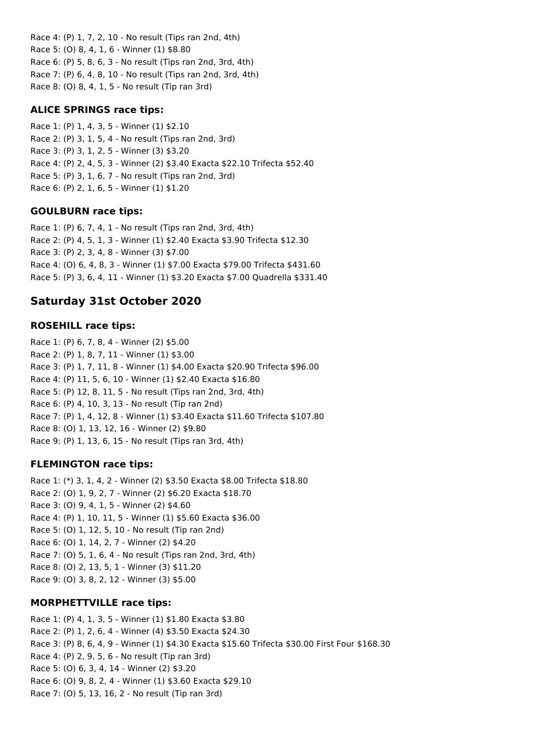Race 4: (P) 1, 7, 2, 10 - No result (Tips ran 2nd, 4th) Race 5: (O) 8, 4, 1, 6 - Winner (1) \$8.80 Race 6: (P) 5, 8, 6, 3 - No result (Tips ran 2nd, 3rd, 4th) Race 7: (P) 6, 4, 8, 10 - No result (Tips ran 2nd, 3rd, 4th) Race 8: (O) 8, 4, 1, 5 - No result (Tip ran 3rd)

#### **ALICE SPRINGS race tips:**

Race 1: (P) 1, 4, 3, 5 - Winner (1) \$2.10 Race 2: (P) 3, 1, 5, 4 - No result (Tips ran 2nd, 3rd) Race 3: (P) 3, 1, 2, 5 - Winner (3) \$3.20 Race 4: (P) 2, 4, 5, 3 - Winner (2) \$3.40 Exacta \$22.10 Trifecta \$52.40 Race 5: (P) 3, 1, 6, 7 - No result (Tips ran 2nd, 3rd) Race 6: (P) 2, 1, 6, 5 - Winner (1) \$1.20

### **GOULBURN race tips:**

Race 1: (P) 6, 7, 4, 1 - No result (Tips ran 2nd, 3rd, 4th) Race 2: (P) 4, 5, 1, 3 - Winner (1) \$2.40 Exacta \$3.90 Trifecta \$12.30 Race 3: (P) 2, 3, 4, 8 - Winner (3) \$7.00 Race 4: (O) 6, 4, 8, 3 - Winner (1) \$7.00 Exacta \$79.00 Trifecta \$431.60 Race 5: (P) 3, 6, 4, 11 - Winner (1) \$3.20 Exacta \$7.00 Quadrella \$331.40

# **Saturday 31st October 2020**

#### **ROSEHILL race tips:**

Race 1: (P) 6, 7, 8, 4 - Winner (2) \$5.00 Race 2: (P) 1, 8, 7, 11 - Winner (1) \$3.00 Race 3: (P) 1, 7, 11, 8 - Winner (1) \$4.00 Exacta \$20.90 Trifecta \$96.00 Race 4: (P) 11, 5, 6, 10 - Winner (1) \$2.40 Exacta \$16.80 Race 5: (P) 12, 8, 11, 5 - No result (Tips ran 2nd, 3rd, 4th) Race 6: (P) 4, 10, 3, 13 - No result (Tip ran 2nd) Race 7: (P) 1, 4, 12, 8 - Winner (1) \$3.40 Exacta \$11.60 Trifecta \$107.80 Race 8: (O) 1, 13, 12, 16 - Winner (2) \$9.80 Race 9: (P) 1, 13, 6, 15 - No result (Tips ran 3rd, 4th)

### **FLEMINGTON race tips:**

Race 1: (\*) 3, 1, 4, 2 - Winner (2) \$3.50 Exacta \$8.00 Trifecta \$18.80 Race 2: (O) 1, 9, 2, 7 - Winner (2) \$6.20 Exacta \$18.70 Race 3: (O) 9, 4, 1, 5 - Winner (2) \$4.60 Race 4: (P) 1, 10, 11, 5 - Winner (1) \$5.60 Exacta \$36.00 Race 5: (O) 1, 12, 5, 10 - No result (Tip ran 2nd) Race 6: (O) 1, 14, 2, 7 - Winner (2) \$4.20 Race 7: (O) 5, 1, 6, 4 - No result (Tips ran 2nd, 3rd, 4th) Race 8: (O) 2, 13, 5, 1 - Winner (3) \$11.20 Race 9: (O) 3, 8, 2, 12 - Winner (3) \$5.00

### **MORPHETTVILLE race tips:**

Race 1: (P) 4, 1, 3, 5 - Winner (1) \$1.80 Exacta \$3.80 Race 2: (P) 1, 2, 6, 4 - Winner (4) \$3.50 Exacta \$24.30 Race 3: (P) 8, 6, 4, 9 - Winner (1) \$4.30 Exacta \$15.60 Trifecta \$30.00 First Four \$168.30 Race 4: (P) 2, 9, 5, 6 - No result (Tip ran 3rd) Race 5: (O) 6, 3, 4, 14 - Winner (2) \$3.20 Race 6: (O) 9, 8, 2, 4 - Winner (1) \$3.60 Exacta \$29.10 Race 7: (O) 5, 13, 16, 2 - No result (Tip ran 3rd)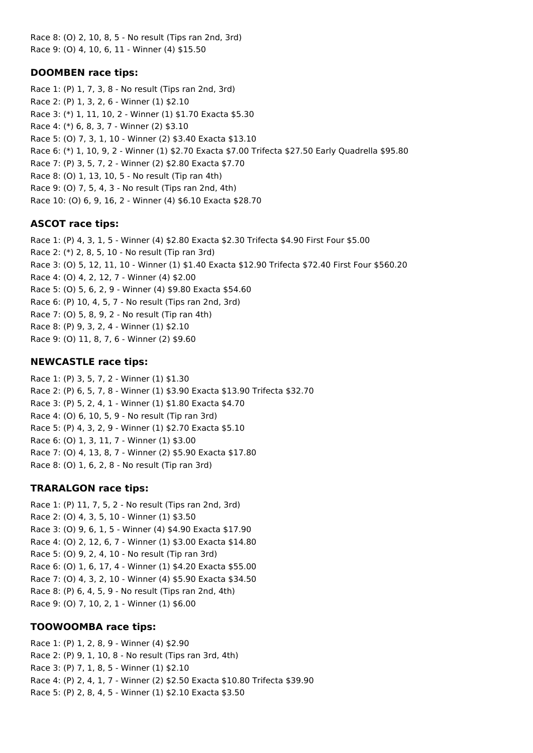Race 8: (O) 2, 10, 8, 5 - No result (Tips ran 2nd, 3rd) Race 9: (O) 4, 10, 6, 11 - Winner (4) \$15.50

#### **DOOMBEN race tips:**

Race 1: (P) 1, 7, 3, 8 - No result (Tips ran 2nd, 3rd) Race 2: (P) 1, 3, 2, 6 - Winner (1) \$2.10 Race 3: (\*) 1, 11, 10, 2 - Winner (1) \$1.70 Exacta \$5.30 Race 4: (\*) 6, 8, 3, 7 - Winner (2) \$3.10 Race 5: (O) 7, 3, 1, 10 - Winner (2) \$3.40 Exacta \$13.10 Race 6: (\*) 1, 10, 9, 2 - Winner (1) \$2.70 Exacta \$7.00 Trifecta \$27.50 Early Quadrella \$95.80 Race 7: (P) 3, 5, 7, 2 - Winner (2) \$2.80 Exacta \$7.70 Race 8: (O) 1, 13, 10, 5 - No result (Tip ran 4th) Race 9: (O) 7, 5, 4, 3 - No result (Tips ran 2nd, 4th) Race 10: (O) 6, 9, 16, 2 - Winner (4) \$6.10 Exacta \$28.70

#### **ASCOT race tips:**

Race 1: (P) 4, 3, 1, 5 - Winner (4) \$2.80 Exacta \$2.30 Trifecta \$4.90 First Four \$5.00 Race 2: (\*) 2, 8, 5, 10 - No result (Tip ran 3rd) Race 3: (O) 5, 12, 11, 10 - Winner (1) \$1.40 Exacta \$12.90 Trifecta \$72.40 First Four \$560.20 Race 4: (O) 4, 2, 12, 7 - Winner (4) \$2.00 Race 5: (O) 5, 6, 2, 9 - Winner (4) \$9.80 Exacta \$54.60 Race 6: (P) 10, 4, 5, 7 - No result (Tips ran 2nd, 3rd) Race 7: (O) 5, 8, 9, 2 - No result (Tip ran 4th) Race 8: (P) 9, 3, 2, 4 - Winner (1) \$2.10 Race 9: (O) 11, 8, 7, 6 - Winner (2) \$9.60

### **NEWCASTLE race tips:**

Race 1: (P) 3, 5, 7, 2 - Winner (1) \$1.30 Race 2: (P) 6, 5, 7, 8 - Winner (1) \$3.90 Exacta \$13.90 Trifecta \$32.70 Race 3: (P) 5, 2, 4, 1 - Winner (1) \$1.80 Exacta \$4.70 Race 4: (O) 6, 10, 5, 9 - No result (Tip ran 3rd) Race 5: (P) 4, 3, 2, 9 - Winner (1) \$2.70 Exacta \$5.10 Race 6: (O) 1, 3, 11, 7 - Winner (1) \$3.00 Race 7: (O) 4, 13, 8, 7 - Winner (2) \$5.90 Exacta \$17.80 Race 8: (O) 1, 6, 2, 8 - No result (Tip ran 3rd)

#### **TRARALGON race tips:**

Race 1: (P) 11, 7, 5, 2 - No result (Tips ran 2nd, 3rd) Race 2: (O) 4, 3, 5, 10 - Winner (1) \$3.50 Race 3: (O) 9, 6, 1, 5 - Winner (4) \$4.90 Exacta \$17.90 Race 4: (O) 2, 12, 6, 7 - Winner (1) \$3.00 Exacta \$14.80 Race 5: (O) 9, 2, 4, 10 - No result (Tip ran 3rd) Race 6: (O) 1, 6, 17, 4 - Winner (1) \$4.20 Exacta \$55.00 Race 7: (O) 4, 3, 2, 10 - Winner (4) \$5.90 Exacta \$34.50 Race 8: (P) 6, 4, 5, 9 - No result (Tips ran 2nd, 4th) Race 9: (O) 7, 10, 2, 1 - Winner (1) \$6.00

#### **TOOWOOMBA race tips:**

Race 1: (P) 1, 2, 8, 9 - Winner (4) \$2.90 Race 2: (P) 9, 1, 10, 8 - No result (Tips ran 3rd, 4th) Race 3: (P) 7, 1, 8, 5 - Winner (1) \$2.10 Race 4: (P) 2, 4, 1, 7 - Winner (2) \$2.50 Exacta \$10.80 Trifecta \$39.90 Race 5: (P) 2, 8, 4, 5 - Winner (1) \$2.10 Exacta \$3.50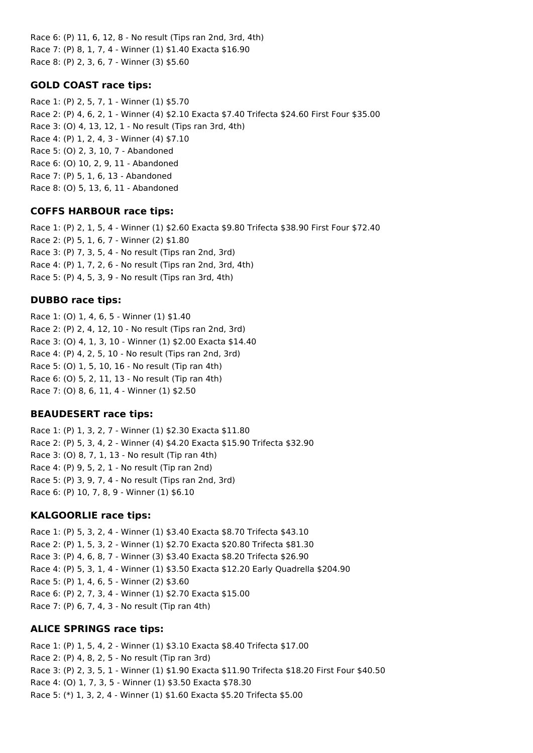Race 6: (P) 11, 6, 12, 8 - No result (Tips ran 2nd, 3rd, 4th) Race 7: (P) 8, 1, 7, 4 - Winner (1) \$1.40 Exacta \$16.90 Race 8: (P) 2, 3, 6, 7 - Winner (3) \$5.60

#### **GOLD COAST race tips:**

Race 1: (P) 2, 5, 7, 1 - Winner (1) \$5.70 Race 2: (P) 4, 6, 2, 1 - Winner (4) \$2.10 Exacta \$7.40 Trifecta \$24.60 First Four \$35.00 Race 3: (O) 4, 13, 12, 1 - No result (Tips ran 3rd, 4th) Race 4: (P) 1, 2, 4, 3 - Winner (4) \$7.10 Race 5: (O) 2, 3, 10, 7 - Abandoned Race 6: (O) 10, 2, 9, 11 - Abandoned Race 7: (P) 5, 1, 6, 13 - Abandoned Race 8: (O) 5, 13, 6, 11 - Abandoned

#### **COFFS HARBOUR race tips:**

Race 1: (P) 2, 1, 5, 4 - Winner (1) \$2.60 Exacta \$9.80 Trifecta \$38.90 First Four \$72.40 Race 2: (P) 5, 1, 6, 7 - Winner (2) \$1.80 Race 3: (P) 7, 3, 5, 4 - No result (Tips ran 2nd, 3rd) Race 4: (P) 1, 7, 2, 6 - No result (Tips ran 2nd, 3rd, 4th) Race 5: (P) 4, 5, 3, 9 - No result (Tips ran 3rd, 4th)

#### **DUBBO race tips:**

Race 1: (O) 1, 4, 6, 5 - Winner (1) \$1.40 Race 2: (P) 2, 4, 12, 10 - No result (Tips ran 2nd, 3rd) Race 3: (O) 4, 1, 3, 10 - Winner (1) \$2.00 Exacta \$14.40 Race 4: (P) 4, 2, 5, 10 - No result (Tips ran 2nd, 3rd) Race 5: (O) 1, 5, 10, 16 - No result (Tip ran 4th) Race 6: (O) 5, 2, 11, 13 - No result (Tip ran 4th) Race 7: (O) 8, 6, 11, 4 - Winner (1) \$2.50

### **BEAUDESERT race tips:**

Race 1: (P) 1, 3, 2, 7 - Winner (1) \$2.30 Exacta \$11.80 Race 2: (P) 5, 3, 4, 2 - Winner (4) \$4.20 Exacta \$15.90 Trifecta \$32.90 Race 3: (O) 8, 7, 1, 13 - No result (Tip ran 4th) Race 4: (P) 9, 5, 2, 1 - No result (Tip ran 2nd) Race 5: (P) 3, 9, 7, 4 - No result (Tips ran 2nd, 3rd) Race 6: (P) 10, 7, 8, 9 - Winner (1) \$6.10

#### **KALGOORLIE race tips:**

Race 1: (P) 5, 3, 2, 4 - Winner (1) \$3.40 Exacta \$8.70 Trifecta \$43.10 Race 2: (P) 1, 5, 3, 2 - Winner (1) \$2.70 Exacta \$20.80 Trifecta \$81.30 Race 3: (P) 4, 6, 8, 7 - Winner (3) \$3.40 Exacta \$8.20 Trifecta \$26.90 Race 4: (P) 5, 3, 1, 4 - Winner (1) \$3.50 Exacta \$12.20 Early Quadrella \$204.90 Race 5: (P) 1, 4, 6, 5 - Winner (2) \$3.60 Race 6: (P) 2, 7, 3, 4 - Winner (1) \$2.70 Exacta \$15.00 Race 7: (P) 6, 7, 4, 3 - No result (Tip ran 4th)

### **ALICE SPRINGS race tips:**

Race 1: (P) 1, 5, 4, 2 - Winner (1) \$3.10 Exacta \$8.40 Trifecta \$17.00 Race 2: (P) 4, 8, 2, 5 - No result (Tip ran 3rd) Race 3: (P) 2, 3, 5, 1 - Winner (1) \$1.90 Exacta \$11.90 Trifecta \$18.20 First Four \$40.50 Race 4: (O) 1, 7, 3, 5 - Winner (1) \$3.50 Exacta \$78.30 Race 5: (\*) 1, 3, 2, 4 - Winner (1) \$1.60 Exacta \$5.20 Trifecta \$5.00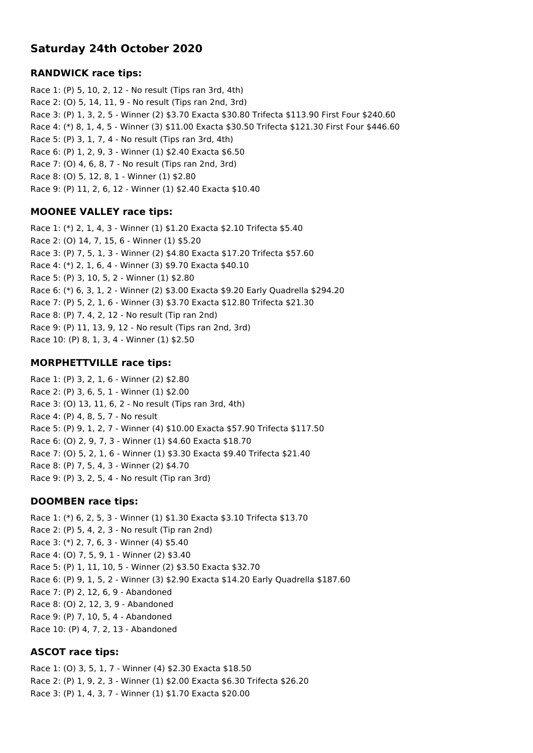# **Saturday 24th October 2020**

#### **RANDWICK race tips:**

Race 1: (P) 5, 10, 2, 12 - No result (Tips ran 3rd, 4th) Race 2: (O) 5, 14, 11, 9 - No result (Tips ran 2nd, 3rd) Race 3: (P) 1, 3, 2, 5 - Winner (2) \$3.70 Exacta \$30.80 Trifecta \$113.90 First Four \$240.60 Race 4: (\*) 8, 1, 4, 5 - Winner (3) \$11.00 Exacta \$30.50 Trifecta \$121.30 First Four \$446.60 Race 5: (P) 3, 1, 7, 4 - No result (Tips ran 3rd, 4th) Race 6: (P) 1, 2, 9, 3 - Winner (1) \$2.40 Exacta \$6.50 Race 7: (O) 4, 6, 8, 7 - No result (Tips ran 2nd, 3rd) Race 8: (O) 5, 12, 8, 1 - Winner (1) \$2.80 Race 9: (P) 11, 2, 6, 12 - Winner (1) \$2.40 Exacta \$10.40

### **MOONEE VALLEY race tips:**

Race 1: (\*) 2, 1, 4, 3 - Winner (1) \$1.20 Exacta \$2.10 Trifecta \$5.40 Race 2: (O) 14, 7, 15, 6 - Winner (1) \$5.20 Race 3: (P) 7, 5, 1, 3 - Winner (2) \$4.80 Exacta \$17.20 Trifecta \$57.60 Race 4: (\*) 2, 1, 6, 4 - Winner (3) \$9.70 Exacta \$40.10 Race 5: (P) 3, 10, 5, 2 - Winner (1) \$2.80 Race 6: (\*) 6, 3, 1, 2 - Winner (2) \$3.00 Exacta \$9.20 Early Quadrella \$294.20 Race 7: (P) 5, 2, 1, 6 - Winner (3) \$3.70 Exacta \$12.80 Trifecta \$21.30 Race 8: (P) 7, 4, 2, 12 - No result (Tip ran 2nd) Race 9: (P) 11, 13, 9, 12 - No result (Tips ran 2nd, 3rd) Race 10: (P) 8, 1, 3, 4 - Winner (1) \$2.50

## **MORPHETTVILLE race tips:**

Race 1: (P) 3, 2, 1, 6 - Winner (2) \$2.80 Race 2: (P) 3, 6, 5, 1 - Winner (1) \$2.00 Race 3: (O) 13, 11, 6, 2 - No result (Tips ran 3rd, 4th) Race 4: (P) 4, 8, 5, 7 - No result Race 5: (P) 9, 1, 2, 7 - Winner (4) \$10.00 Exacta \$57.90 Trifecta \$117.50 Race 6: (O) 2, 9, 7, 3 - Winner (1) \$4.60 Exacta \$18.70 Race 7: (O) 5, 2, 1, 6 - Winner (1) \$3.30 Exacta \$9.40 Trifecta \$21.40 Race 8: (P) 7, 5, 4, 3 - Winner (2) \$4.70 Race 9: (P) 3, 2, 5, 4 - No result (Tip ran 3rd)

### **DOOMBEN race tips:**

Race 1: (\*) 6, 2, 5, 3 - Winner (1) \$1.30 Exacta \$3.10 Trifecta \$13.70 Race 2: (P) 5, 4, 2, 3 - No result (Tip ran 2nd) Race 3: (\*) 2, 7, 6, 3 - Winner (4) \$5.40 Race 4: (O) 7, 5, 9, 1 - Winner (2) \$3.40 Race 5: (P) 1, 11, 10, 5 - Winner (2) \$3.50 Exacta \$32.70 Race 6: (P) 9, 1, 5, 2 - Winner (3) \$2.90 Exacta \$14.20 Early Quadrella \$187.60 Race 7: (P) 2, 12, 6, 9 - Abandoned Race 8: (O) 2, 12, 3, 9 - Abandoned Race 9: (P) 7, 10, 5, 4 - Abandoned Race 10: (P) 4, 7, 2, 13 - Abandoned

# **ASCOT race tips:**

Race 1: (O) 3, 5, 1, 7 - Winner (4) \$2.30 Exacta \$18.50 Race 2: (P) 1, 9, 2, 3 - Winner (1) \$2.00 Exacta \$6.30 Trifecta \$26.20 Race 3: (P) 1, 4, 3, 7 - Winner (1) \$1.70 Exacta \$20.00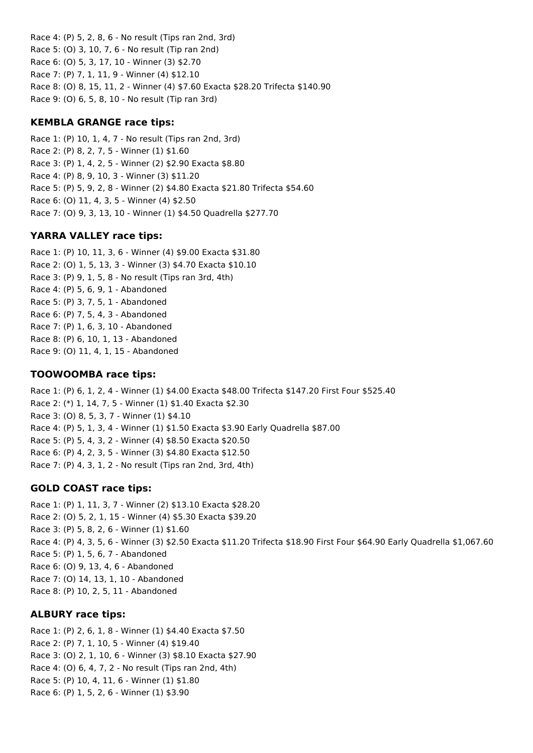Race 4: (P) 5, 2, 8, 6 - No result (Tips ran 2nd, 3rd) Race 5: (O) 3, 10, 7, 6 - No result (Tip ran 2nd) Race 6: (O) 5, 3, 17, 10 - Winner (3) \$2.70 Race 7: (P) 7, 1, 11, 9 - Winner (4) \$12.10 Race 8: (O) 8, 15, 11, 2 - Winner (4) \$7.60 Exacta \$28.20 Trifecta \$140.90 Race 9: (O) 6, 5, 8, 10 - No result (Tip ran 3rd)

## **KEMBLA GRANGE race tips:**

Race 1: (P) 10, 1, 4, 7 - No result (Tips ran 2nd, 3rd) Race 2: (P) 8, 2, 7, 5 - Winner (1) \$1.60 Race 3: (P) 1, 4, 2, 5 - Winner (2) \$2.90 Exacta \$8.80 Race 4: (P) 8, 9, 10, 3 - Winner (3) \$11.20 Race 5: (P) 5, 9, 2, 8 - Winner (2) \$4.80 Exacta \$21.80 Trifecta \$54.60 Race 6: (O) 11, 4, 3, 5 - Winner (4) \$2.50 Race 7: (O) 9, 3, 13, 10 - Winner (1) \$4.50 Quadrella \$277.70

# **YARRA VALLEY race tips:**

Race 1: (P) 10, 11, 3, 6 - Winner (4) \$9.00 Exacta \$31.80 Race 2: (O) 1, 5, 13, 3 - Winner (3) \$4.70 Exacta \$10.10 Race 3: (P) 9, 1, 5, 8 - No result (Tips ran 3rd, 4th) Race 4: (P) 5, 6, 9, 1 - Abandoned Race 5: (P) 3, 7, 5, 1 - Abandoned Race 6: (P) 7, 5, 4, 3 - Abandoned Race 7: (P) 1, 6, 3, 10 - Abandoned Race 8: (P) 6, 10, 1, 13 - Abandoned Race 9: (O) 11, 4, 1, 15 - Abandoned

## **TOOWOOMBA race tips:**

Race 1: (P) 6, 1, 2, 4 - Winner (1) \$4.00 Exacta \$48.00 Trifecta \$147.20 First Four \$525.40 Race 2: (\*) 1, 14, 7, 5 - Winner (1) \$1.40 Exacta \$2.30 Race 3: (O) 8, 5, 3, 7 - Winner (1) \$4.10 Race 4: (P) 5, 1, 3, 4 - Winner (1) \$1.50 Exacta \$3.90 Early Quadrella \$87.00 Race 5: (P) 5, 4, 3, 2 - Winner (4) \$8.50 Exacta \$20.50 Race 6: (P) 4, 2, 3, 5 - Winner (3) \$4.80 Exacta \$12.50 Race 7: (P) 4, 3, 1, 2 - No result (Tips ran 2nd, 3rd, 4th)

# **GOLD COAST race tips:**

Race 1: (P) 1, 11, 3, 7 - Winner (2) \$13.10 Exacta \$28.20 Race 2: (O) 5, 2, 1, 15 - Winner (4) \$5.30 Exacta \$39.20 Race 3: (P) 5, 8, 2, 6 - Winner (1) \$1.60 Race 4: (P) 4, 3, 5, 6 - Winner (3) \$2.50 Exacta \$11.20 Trifecta \$18.90 First Four \$64.90 Early Quadrella \$1,067.60 Race 5: (P) 1, 5, 6, 7 - Abandoned Race 6: (O) 9, 13, 4, 6 - Abandoned Race 7: (O) 14, 13, 1, 10 - Abandoned Race 8: (P) 10, 2, 5, 11 - Abandoned

# **ALBURY race tips:**

Race 1: (P) 2, 6, 1, 8 - Winner (1) \$4.40 Exacta \$7.50 Race 2: (P) 7, 1, 10, 5 - Winner (4) \$19.40 Race 3: (O) 2, 1, 10, 6 - Winner (3) \$8.10 Exacta \$27.90 Race 4: (O) 6, 4, 7, 2 - No result (Tips ran 2nd, 4th) Race 5: (P) 10, 4, 11, 6 - Winner (1) \$1.80

Race 6: (P) 1, 5, 2, 6 - Winner (1) \$3.90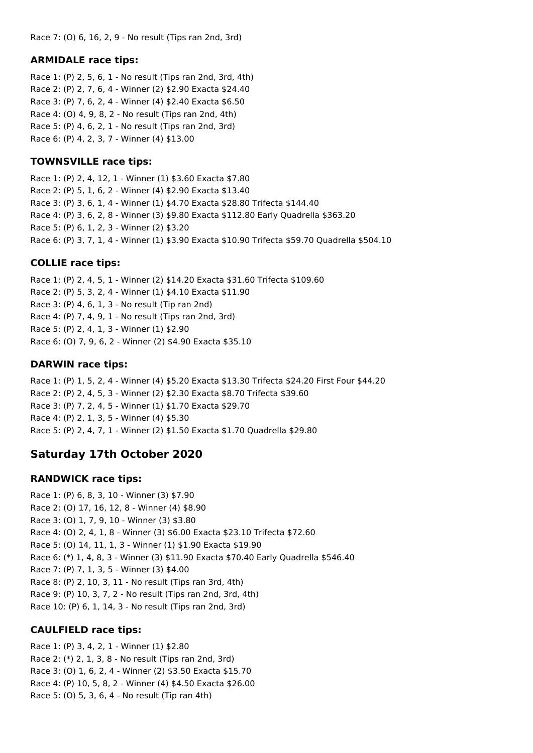Race 7: (O) 6, 16, 2, 9 - No result (Tips ran 2nd, 3rd)

#### **ARMIDALE race tips:**

Race 1: (P) 2, 5, 6, 1 - No result (Tips ran 2nd, 3rd, 4th) Race 2: (P) 2, 7, 6, 4 - Winner (2) \$2.90 Exacta \$24.40 Race 3: (P) 7, 6, 2, 4 - Winner (4) \$2.40 Exacta \$6.50 Race 4: (O) 4, 9, 8, 2 - No result (Tips ran 2nd, 4th) Race 5: (P) 4, 6, 2, 1 - No result (Tips ran 2nd, 3rd) Race 6: (P) 4, 2, 3, 7 - Winner (4) \$13.00

#### **TOWNSVILLE race tips:**

Race 1: (P) 2, 4, 12, 1 - Winner (1) \$3.60 Exacta \$7.80 Race 2: (P) 5, 1, 6, 2 - Winner (4) \$2.90 Exacta \$13.40 Race 3: (P) 3, 6, 1, 4 - Winner (1) \$4.70 Exacta \$28.80 Trifecta \$144.40 Race 4: (P) 3, 6, 2, 8 - Winner (3) \$9.80 Exacta \$112.80 Early Quadrella \$363.20 Race 5: (P) 6, 1, 2, 3 - Winner (2) \$3.20 Race 6: (P) 3, 7, 1, 4 - Winner (1) \$3.90 Exacta \$10.90 Trifecta \$59.70 Quadrella \$504.10

#### **COLLIE race tips:**

Race 1: (P) 2, 4, 5, 1 - Winner (2) \$14.20 Exacta \$31.60 Trifecta \$109.60 Race 2: (P) 5, 3, 2, 4 - Winner (1) \$4.10 Exacta \$11.90 Race 3: (P) 4, 6, 1, 3 - No result (Tip ran 2nd) Race 4: (P) 7, 4, 9, 1 - No result (Tips ran 2nd, 3rd) Race 5: (P) 2, 4, 1, 3 - Winner (1) \$2.90 Race 6: (O) 7, 9, 6, 2 - Winner (2) \$4.90 Exacta \$35.10

### **DARWIN race tips:**

Race 1: (P) 1, 5, 2, 4 - Winner (4) \$5.20 Exacta \$13.30 Trifecta \$24.20 First Four \$44.20 Race 2: (P) 2, 4, 5, 3 - Winner (2) \$2.30 Exacta \$8.70 Trifecta \$39.60 Race 3: (P) 7, 2, 4, 5 - Winner (1) \$1.70 Exacta \$29.70 Race 4: (P) 2, 1, 3, 5 - Winner (4) \$5.30 Race 5: (P) 2, 4, 7, 1 - Winner (2) \$1.50 Exacta \$1.70 Quadrella \$29.80

# **Saturday 17th October 2020**

#### **RANDWICK race tips:**

Race 1: (P) 6, 8, 3, 10 - Winner (3) \$7.90 Race 2: (O) 17, 16, 12, 8 - Winner (4) \$8.90 Race 3: (O) 1, 7, 9, 10 - Winner (3) \$3.80 Race 4: (O) 2, 4, 1, 8 - Winner (3) \$6.00 Exacta \$23.10 Trifecta \$72.60 Race 5: (O) 14, 11, 1, 3 - Winner (1) \$1.90 Exacta \$19.90 Race 6: (\*) 1, 4, 8, 3 - Winner (3) \$11.90 Exacta \$70.40 Early Quadrella \$546.40 Race 7: (P) 7, 1, 3, 5 - Winner (3) \$4.00 Race 8: (P) 2, 10, 3, 11 - No result (Tips ran 3rd, 4th) Race 9: (P) 10, 3, 7, 2 - No result (Tips ran 2nd, 3rd, 4th) Race 10: (P) 6, 1, 14, 3 - No result (Tips ran 2nd, 3rd)

### **CAULFIELD race tips:**

Race 1: (P) 3, 4, 2, 1 - Winner (1) \$2.80 Race 2: (\*) 2, 1, 3, 8 - No result (Tips ran 2nd, 3rd) Race 3: (O) 1, 6, 2, 4 - Winner (2) \$3.50 Exacta \$15.70 Race 4: (P) 10, 5, 8, 2 - Winner (4) \$4.50 Exacta \$26.00 Race 5: (O) 5, 3, 6, 4 - No result (Tip ran 4th)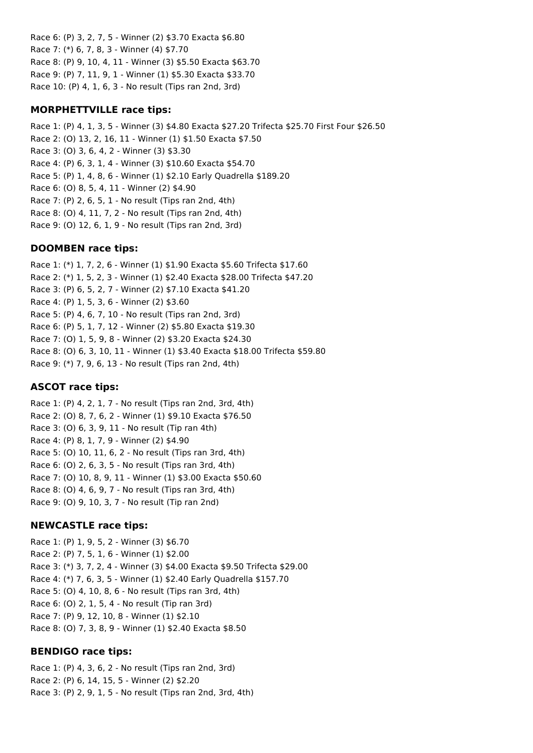Race 6: (P) 3, 2, 7, 5 - Winner (2) \$3.70 Exacta \$6.80 Race 7: (\*) 6, 7, 8, 3 - Winner (4) \$7.70 Race 8: (P) 9, 10, 4, 11 - Winner (3) \$5.50 Exacta \$63.70 Race 9: (P) 7, 11, 9, 1 - Winner (1) \$5.30 Exacta \$33.70 Race 10: (P) 4, 1, 6, 3 - No result (Tips ran 2nd, 3rd)

#### **MORPHETTVILLE race tips:**

Race 1: (P) 4, 1, 3, 5 - Winner (3) \$4.80 Exacta \$27.20 Trifecta \$25.70 First Four \$26.50 Race 2: (O) 13, 2, 16, 11 - Winner (1) \$1.50 Exacta \$7.50 Race 3: (O) 3, 6, 4, 2 - Winner (3) \$3.30 Race 4: (P) 6, 3, 1, 4 - Winner (3) \$10.60 Exacta \$54.70 Race 5: (P) 1, 4, 8, 6 - Winner (1) \$2.10 Early Quadrella \$189.20 Race 6: (O) 8, 5, 4, 11 - Winner (2) \$4.90 Race 7: (P) 2, 6, 5, 1 - No result (Tips ran 2nd, 4th) Race 8: (O) 4, 11, 7, 2 - No result (Tips ran 2nd, 4th) Race 9: (O) 12, 6, 1, 9 - No result (Tips ran 2nd, 3rd)

### **DOOMBEN race tips:**

Race 1: (\*) 1, 7, 2, 6 - Winner (1) \$1.90 Exacta \$5.60 Trifecta \$17.60 Race 2: (\*) 1, 5, 2, 3 - Winner (1) \$2.40 Exacta \$28.00 Trifecta \$47.20 Race 3: (P) 6, 5, 2, 7 - Winner (2) \$7.10 Exacta \$41.20 Race 4: (P) 1, 5, 3, 6 - Winner (2) \$3.60 Race 5: (P) 4, 6, 7, 10 - No result (Tips ran 2nd, 3rd) Race 6: (P) 5, 1, 7, 12 - Winner (2) \$5.80 Exacta \$19.30 Race 7: (O) 1, 5, 9, 8 - Winner (2) \$3.20 Exacta \$24.30 Race 8: (O) 6, 3, 10, 11 - Winner (1) \$3.40 Exacta \$18.00 Trifecta \$59.80 Race 9: (\*) 7, 9, 6, 13 - No result (Tips ran 2nd, 4th)

#### **ASCOT race tips:**

Race 1: (P) 4, 2, 1, 7 - No result (Tips ran 2nd, 3rd, 4th) Race 2: (O) 8, 7, 6, 2 - Winner (1) \$9.10 Exacta \$76.50 Race 3: (O) 6, 3, 9, 11 - No result (Tip ran 4th) Race 4: (P) 8, 1, 7, 9 - Winner (2) \$4.90 Race 5: (O) 10, 11, 6, 2 - No result (Tips ran 3rd, 4th) Race 6: (O) 2, 6, 3, 5 - No result (Tips ran 3rd, 4th) Race 7: (O) 10, 8, 9, 11 - Winner (1) \$3.00 Exacta \$50.60 Race 8: (O) 4, 6, 9, 7 - No result (Tips ran 3rd, 4th) Race 9: (O) 9, 10, 3, 7 - No result (Tip ran 2nd)

### **NEWCASTLE race tips:**

Race 1: (P) 1, 9, 5, 2 - Winner (3) \$6.70 Race 2: (P) 7, 5, 1, 6 - Winner (1) \$2.00 Race 3: (\*) 3, 7, 2, 4 - Winner (3) \$4.00 Exacta \$9.50 Trifecta \$29.00 Race 4: (\*) 7, 6, 3, 5 - Winner (1) \$2.40 Early Quadrella \$157.70 Race 5: (O) 4, 10, 8, 6 - No result (Tips ran 3rd, 4th) Race 6: (O) 2, 1, 5, 4 - No result (Tip ran 3rd) Race 7: (P) 9, 12, 10, 8 - Winner (1) \$2.10 Race 8: (O) 7, 3, 8, 9 - Winner (1) \$2.40 Exacta \$8.50

#### **BENDIGO race tips:**

Race 1: (P) 4, 3, 6, 2 - No result (Tips ran 2nd, 3rd) Race 2: (P) 6, 14, 15, 5 - Winner (2) \$2.20 Race 3: (P) 2, 9, 1, 5 - No result (Tips ran 2nd, 3rd, 4th)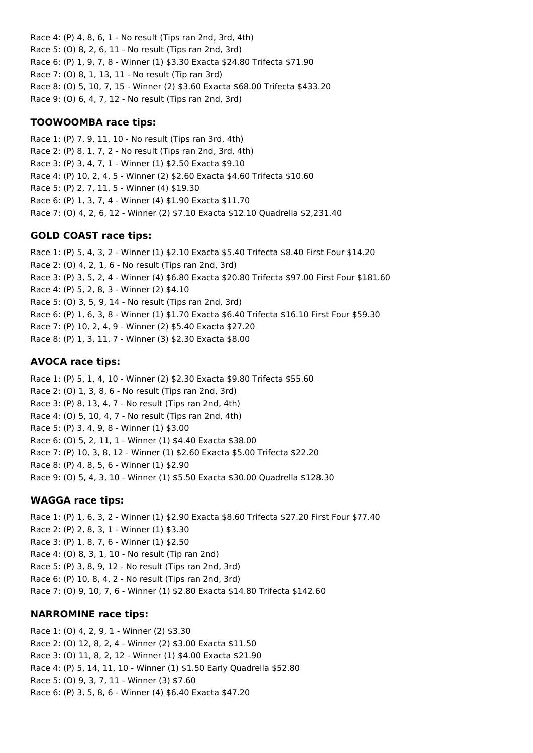Race 4: (P) 4, 8, 6, 1 - No result (Tips ran 2nd, 3rd, 4th) Race 5: (O) 8, 2, 6, 11 - No result (Tips ran 2nd, 3rd) Race 6: (P) 1, 9, 7, 8 - Winner (1) \$3.30 Exacta \$24.80 Trifecta \$71.90 Race 7: (O) 8, 1, 13, 11 - No result (Tip ran 3rd) Race 8: (O) 5, 10, 7, 15 - Winner (2) \$3.60 Exacta \$68.00 Trifecta \$433.20 Race 9: (O) 6, 4, 7, 12 - No result (Tips ran 2nd, 3rd)

## **TOOWOOMBA race tips:**

Race 1: (P) 7, 9, 11, 10 - No result (Tips ran 3rd, 4th) Race 2: (P) 8, 1, 7, 2 - No result (Tips ran 2nd, 3rd, 4th) Race 3: (P) 3, 4, 7, 1 - Winner (1) \$2.50 Exacta \$9.10 Race 4: (P) 10, 2, 4, 5 - Winner (2) \$2.60 Exacta \$4.60 Trifecta \$10.60 Race 5: (P) 2, 7, 11, 5 - Winner (4) \$19.30 Race 6: (P) 1, 3, 7, 4 - Winner (4) \$1.90 Exacta \$11.70 Race 7: (O) 4, 2, 6, 12 - Winner (2) \$7.10 Exacta \$12.10 Quadrella \$2,231.40

# **GOLD COAST race tips:**

Race 1: (P) 5, 4, 3, 2 - Winner (1) \$2.10 Exacta \$5.40 Trifecta \$8.40 First Four \$14.20 Race 2: (O) 4, 2, 1, 6 - No result (Tips ran 2nd, 3rd) Race 3: (P) 3, 5, 2, 4 - Winner (4) \$6.80 Exacta \$20.80 Trifecta \$97.00 First Four \$181.60 Race 4: (P) 5, 2, 8, 3 - Winner (2) \$4.10 Race 5: (O) 3, 5, 9, 14 - No result (Tips ran 2nd, 3rd) Race 6: (P) 1, 6, 3, 8 - Winner (1) \$1.70 Exacta \$6.40 Trifecta \$16.10 First Four \$59.30 Race 7: (P) 10, 2, 4, 9 - Winner (2) \$5.40 Exacta \$27.20 Race 8: (P) 1, 3, 11, 7 - Winner (3) \$2.30 Exacta \$8.00

# **AVOCA race tips:**

Race 1: (P) 5, 1, 4, 10 - Winner (2) \$2.30 Exacta \$9.80 Trifecta \$55.60 Race 2: (O) 1, 3, 8, 6 - No result (Tips ran 2nd, 3rd) Race 3: (P) 8, 13, 4, 7 - No result (Tips ran 2nd, 4th) Race 4: (O) 5, 10, 4, 7 - No result (Tips ran 2nd, 4th) Race 5: (P) 3, 4, 9, 8 - Winner (1) \$3.00 Race 6: (O) 5, 2, 11, 1 - Winner (1) \$4.40 Exacta \$38.00 Race 7: (P) 10, 3, 8, 12 - Winner (1) \$2.60 Exacta \$5.00 Trifecta \$22.20 Race 8: (P) 4, 8, 5, 6 - Winner (1) \$2.90 Race 9: (O) 5, 4, 3, 10 - Winner (1) \$5.50 Exacta \$30.00 Quadrella \$128.30

### **WAGGA race tips:**

Race 1: (P) 1, 6, 3, 2 - Winner (1) \$2.90 Exacta \$8.60 Trifecta \$27.20 First Four \$77.40 Race 2: (P) 2, 8, 3, 1 - Winner (1) \$3.30 Race 3: (P) 1, 8, 7, 6 - Winner (1) \$2.50 Race 4: (O) 8, 3, 1, 10 - No result (Tip ran 2nd) Race 5: (P) 3, 8, 9, 12 - No result (Tips ran 2nd, 3rd) Race 6: (P) 10, 8, 4, 2 - No result (Tips ran 2nd, 3rd) Race 7: (O) 9, 10, 7, 6 - Winner (1) \$2.80 Exacta \$14.80 Trifecta \$142.60

### **NARROMINE race tips:**

Race 1: (O) 4, 2, 9, 1 - Winner (2) \$3.30 Race 2: (O) 12, 8, 2, 4 - Winner (2) \$3.00 Exacta \$11.50 Race 3: (O) 11, 8, 2, 12 - Winner (1) \$4.00 Exacta \$21.90 Race 4: (P) 5, 14, 11, 10 - Winner (1) \$1.50 Early Quadrella \$52.80 Race 5: (O) 9, 3, 7, 11 - Winner (3) \$7.60 Race 6: (P) 3, 5, 8, 6 - Winner (4) \$6.40 Exacta \$47.20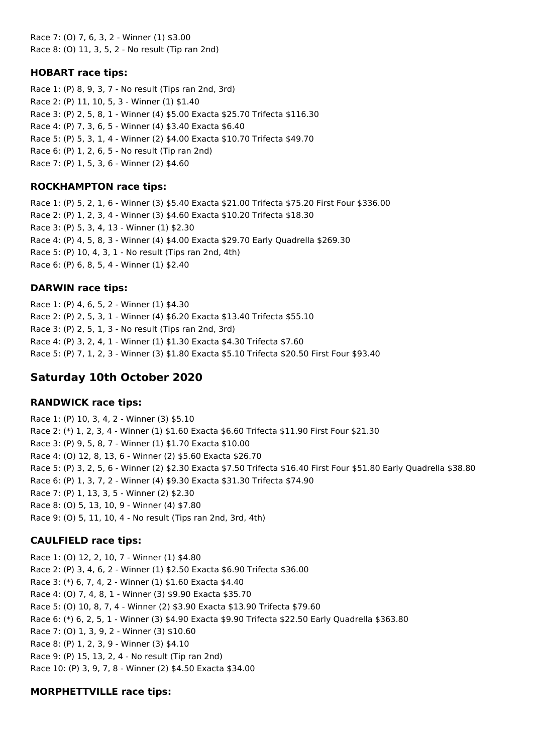Race 7: (O) 7, 6, 3, 2 - Winner (1) \$3.00 Race 8: (O) 11, 3, 5, 2 - No result (Tip ran 2nd)

#### **HOBART race tips:**

Race 1: (P) 8, 9, 3, 7 - No result (Tips ran 2nd, 3rd) Race 2: (P) 11, 10, 5, 3 - Winner (1) \$1.40 Race 3: (P) 2, 5, 8, 1 - Winner (4) \$5.00 Exacta \$25.70 Trifecta \$116.30 Race 4: (P) 7, 3, 6, 5 - Winner (4) \$3.40 Exacta \$6.40 Race 5: (P) 5, 3, 1, 4 - Winner (2) \$4.00 Exacta \$10.70 Trifecta \$49.70 Race 6: (P) 1, 2, 6, 5 - No result (Tip ran 2nd) Race 7: (P) 1, 5, 3, 6 - Winner (2) \$4.60

#### **ROCKHAMPTON race tips:**

Race 1: (P) 5, 2, 1, 6 - Winner (3) \$5.40 Exacta \$21.00 Trifecta \$75.20 First Four \$336.00 Race 2: (P) 1, 2, 3, 4 - Winner (3) \$4.60 Exacta \$10.20 Trifecta \$18.30 Race 3: (P) 5, 3, 4, 13 - Winner (1) \$2.30 Race 4: (P) 4, 5, 8, 3 - Winner (4) \$4.00 Exacta \$29.70 Early Quadrella \$269.30 Race 5: (P) 10, 4, 3, 1 - No result (Tips ran 2nd, 4th) Race 6: (P) 6, 8, 5, 4 - Winner (1) \$2.40

### **DARWIN race tips:**

Race 1: (P) 4, 6, 5, 2 - Winner (1) \$4.30 Race 2: (P) 2, 5, 3, 1 - Winner (4) \$6.20 Exacta \$13.40 Trifecta \$55.10 Race 3: (P) 2, 5, 1, 3 - No result (Tips ran 2nd, 3rd) Race 4: (P) 3, 2, 4, 1 - Winner (1) \$1.30 Exacta \$4.30 Trifecta \$7.60 Race 5: (P) 7, 1, 2, 3 - Winner (3) \$1.80 Exacta \$5.10 Trifecta \$20.50 First Four \$93.40

# **Saturday 10th October 2020**

### **RANDWICK race tips:**

Race 1: (P) 10, 3, 4, 2 - Winner (3) \$5.10 Race 2: (\*) 1, 2, 3, 4 - Winner (1) \$1.60 Exacta \$6.60 Trifecta \$11.90 First Four \$21.30 Race 3: (P) 9, 5, 8, 7 - Winner (1) \$1.70 Exacta \$10.00 Race 4: (O) 12, 8, 13, 6 - Winner (2) \$5.60 Exacta \$26.70 Race 5: (P) 3, 2, 5, 6 - Winner (2) \$2.30 Exacta \$7.50 Trifecta \$16.40 First Four \$51.80 Early Quadrella \$38.80 Race 6: (P) 1, 3, 7, 2 - Winner (4) \$9.30 Exacta \$31.30 Trifecta \$74.90 Race 7: (P) 1, 13, 3, 5 - Winner (2) \$2.30 Race 8: (O) 5, 13, 10, 9 - Winner (4) \$7.80 Race 9: (O) 5, 11, 10, 4 - No result (Tips ran 2nd, 3rd, 4th)

### **CAULFIELD race tips:**

Race 1: (O) 12, 2, 10, 7 - Winner (1) \$4.80 Race 2: (P) 3, 4, 6, 2 - Winner (1) \$2.50 Exacta \$6.90 Trifecta \$36.00 Race 3: (\*) 6, 7, 4, 2 - Winner (1) \$1.60 Exacta \$4.40 Race 4: (O) 7, 4, 8, 1 - Winner (3) \$9.90 Exacta \$35.70 Race 5: (O) 10, 8, 7, 4 - Winner (2) \$3.90 Exacta \$13.90 Trifecta \$79.60 Race 6: (\*) 6, 2, 5, 1 - Winner (3) \$4.90 Exacta \$9.90 Trifecta \$22.50 Early Quadrella \$363.80 Race 7: (O) 1, 3, 9, 2 - Winner (3) \$10.60 Race 8: (P) 1, 2, 3, 9 - Winner (3) \$4.10 Race 9: (P) 15, 13, 2, 4 - No result (Tip ran 2nd) Race 10: (P) 3, 9, 7, 8 - Winner (2) \$4.50 Exacta \$34.00

### **MORPHETTVILLE race tips:**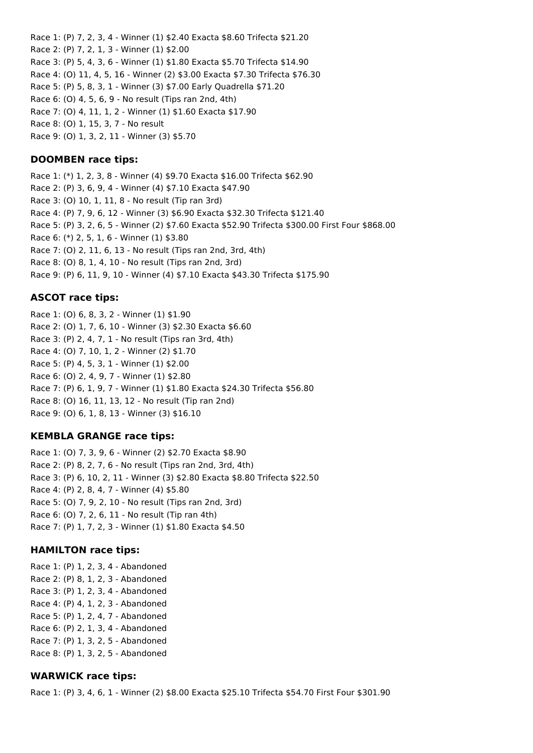Race 1: (P) 7, 2, 3, 4 - Winner (1) \$2.40 Exacta \$8.60 Trifecta \$21.20 Race 2: (P) 7, 2, 1, 3 - Winner (1) \$2.00 Race 3: (P) 5, 4, 3, 6 - Winner (1) \$1.80 Exacta \$5.70 Trifecta \$14.90 Race 4: (O) 11, 4, 5, 16 - Winner (2) \$3.00 Exacta \$7.30 Trifecta \$76.30 Race 5: (P) 5, 8, 3, 1 - Winner (3) \$7.00 Early Quadrella \$71.20 Race 6: (O) 4, 5, 6, 9 - No result (Tips ran 2nd, 4th) Race 7: (O) 4, 11, 1, 2 - Winner (1) \$1.60 Exacta \$17.90 Race 8: (O) 1, 15, 3, 7 - No result Race 9: (O) 1, 3, 2, 11 - Winner (3) \$5.70

#### **DOOMBEN race tips:**

Race 1: (\*) 1, 2, 3, 8 - Winner (4) \$9.70 Exacta \$16.00 Trifecta \$62.90 Race 2: (P) 3, 6, 9, 4 - Winner (4) \$7.10 Exacta \$47.90 Race 3: (O) 10, 1, 11, 8 - No result (Tip ran 3rd) Race 4: (P) 7, 9, 6, 12 - Winner (3) \$6.90 Exacta \$32.30 Trifecta \$121.40 Race 5: (P) 3, 2, 6, 5 - Winner (2) \$7.60 Exacta \$52.90 Trifecta \$300.00 First Four \$868.00 Race 6: (\*) 2, 5, 1, 6 - Winner (1) \$3.80 Race 7: (O) 2, 11, 6, 13 - No result (Tips ran 2nd, 3rd, 4th) Race 8: (O) 8, 1, 4, 10 - No result (Tips ran 2nd, 3rd) Race 9: (P) 6, 11, 9, 10 - Winner (4) \$7.10 Exacta \$43.30 Trifecta \$175.90

#### **ASCOT race tips:**

Race 1: (O) 6, 8, 3, 2 - Winner (1) \$1.90 Race 2: (O) 1, 7, 6, 10 - Winner (3) \$2.30 Exacta \$6.60 Race 3: (P) 2, 4, 7, 1 - No result (Tips ran 3rd, 4th) Race 4: (O) 7, 10, 1, 2 - Winner (2) \$1.70 Race 5: (P) 4, 5, 3, 1 - Winner (1) \$2.00 Race 6: (O) 2, 4, 9, 7 - Winner (1) \$2.80 Race 7: (P) 6, 1, 9, 7 - Winner (1) \$1.80 Exacta \$24.30 Trifecta \$56.80 Race 8: (O) 16, 11, 13, 12 - No result (Tip ran 2nd) Race 9: (O) 6, 1, 8, 13 - Winner (3) \$16.10

#### **KEMBLA GRANGE race tips:**

Race 1: (O) 7, 3, 9, 6 - Winner (2) \$2.70 Exacta \$8.90 Race 2: (P) 8, 2, 7, 6 - No result (Tips ran 2nd, 3rd, 4th) Race 3: (P) 6, 10, 2, 11 - Winner (3) \$2.80 Exacta \$8.80 Trifecta \$22.50 Race 4: (P) 2, 8, 4, 7 - Winner (4) \$5.80 Race 5: (O) 7, 9, 2, 10 - No result (Tips ran 2nd, 3rd) Race 6: (O) 7, 2, 6, 11 - No result (Tip ran 4th) Race 7: (P) 1, 7, 2, 3 - Winner (1) \$1.80 Exacta \$4.50

#### **HAMILTON race tips:**

Race 1: (P) 1, 2, 3, 4 - Abandoned Race 2: (P) 8, 1, 2, 3 - Abandoned Race 3: (P) 1, 2, 3, 4 - Abandoned Race 4: (P) 4, 1, 2, 3 - Abandoned Race 5: (P) 1, 2, 4, 7 - Abandoned Race 6: (P) 2, 1, 3, 4 - Abandoned Race 7: (P) 1, 3, 2, 5 - Abandoned Race 8: (P) 1, 3, 2, 5 - Abandoned

### **WARWICK race tips:**

Race 1: (P) 3, 4, 6, 1 - Winner (2) \$8.00 Exacta \$25.10 Trifecta \$54.70 First Four \$301.90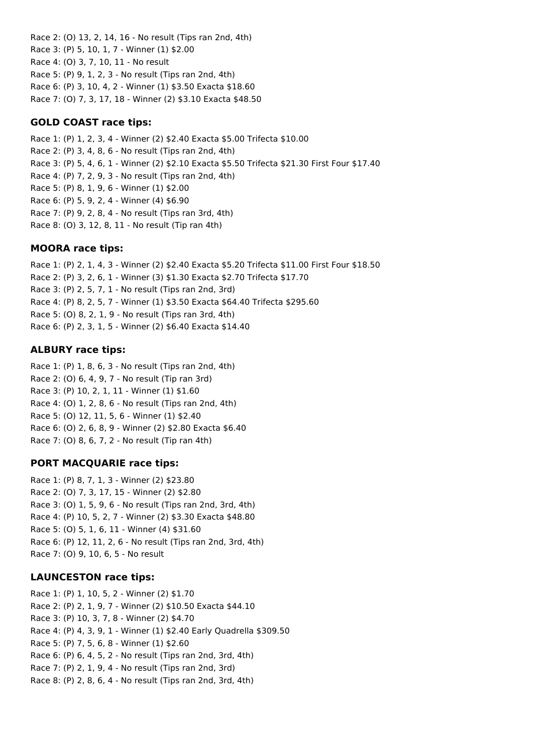Race 2: (O) 13, 2, 14, 16 - No result (Tips ran 2nd, 4th) Race 3: (P) 5, 10, 1, 7 - Winner (1) \$2.00 Race 4: (O) 3, 7, 10, 11 - No result Race 5: (P) 9, 1, 2, 3 - No result (Tips ran 2nd, 4th) Race 6: (P) 3, 10, 4, 2 - Winner (1) \$3.50 Exacta \$18.60 Race 7: (O) 7, 3, 17, 18 - Winner (2) \$3.10 Exacta \$48.50

### **GOLD COAST race tips:**

Race 1: (P) 1, 2, 3, 4 - Winner (2) \$2.40 Exacta \$5.00 Trifecta \$10.00 Race 2: (P) 3, 4, 8, 6 - No result (Tips ran 2nd, 4th) Race 3: (P) 5, 4, 6, 1 - Winner (2) \$2.10 Exacta \$5.50 Trifecta \$21.30 First Four \$17.40 Race 4: (P) 7, 2, 9, 3 - No result (Tips ran 2nd, 4th) Race 5: (P) 8, 1, 9, 6 - Winner (1) \$2.00 Race 6: (P) 5, 9, 2, 4 - Winner (4) \$6.90 Race 7: (P) 9, 2, 8, 4 - No result (Tips ran 3rd, 4th) Race 8: (O) 3, 12, 8, 11 - No result (Tip ran 4th)

### **MOORA race tips:**

Race 1: (P) 2, 1, 4, 3 - Winner (2) \$2.40 Exacta \$5.20 Trifecta \$11.00 First Four \$18.50 Race 2: (P) 3, 2, 6, 1 - Winner (3) \$1.30 Exacta \$2.70 Trifecta \$17.70 Race 3: (P) 2, 5, 7, 1 - No result (Tips ran 2nd, 3rd) Race 4: (P) 8, 2, 5, 7 - Winner (1) \$3.50 Exacta \$64.40 Trifecta \$295.60 Race 5: (O) 8, 2, 1, 9 - No result (Tips ran 3rd, 4th) Race 6: (P) 2, 3, 1, 5 - Winner (2) \$6.40 Exacta \$14.40

# **ALBURY race tips:**

Race 1: (P) 1, 8, 6, 3 - No result (Tips ran 2nd, 4th) Race 2: (O) 6, 4, 9, 7 - No result (Tip ran 3rd) Race 3: (P) 10, 2, 1, 11 - Winner (1) \$1.60 Race 4: (O) 1, 2, 8, 6 - No result (Tips ran 2nd, 4th) Race 5: (O) 12, 11, 5, 6 - Winner (1) \$2.40 Race 6: (O) 2, 6, 8, 9 - Winner (2) \$2.80 Exacta \$6.40 Race 7: (O) 8, 6, 7, 2 - No result (Tip ran 4th)

# **PORT MACQUARIE race tips:**

Race 1: (P) 8, 7, 1, 3 - Winner (2) \$23.80 Race 2: (O) 7, 3, 17, 15 - Winner (2) \$2.80 Race 3: (O) 1, 5, 9, 6 - No result (Tips ran 2nd, 3rd, 4th) Race 4: (P) 10, 5, 2, 7 - Winner (2) \$3.30 Exacta \$48.80 Race 5: (O) 5, 1, 6, 11 - Winner (4) \$31.60 Race 6: (P) 12, 11, 2, 6 - No result (Tips ran 2nd, 3rd, 4th) Race 7: (O) 9, 10, 6, 5 - No result

# **LAUNCESTON race tips:**

Race 1: (P) 1, 10, 5, 2 - Winner (2) \$1.70 Race 2: (P) 2, 1, 9, 7 - Winner (2) \$10.50 Exacta \$44.10 Race 3: (P) 10, 3, 7, 8 - Winner (2) \$4.70 Race 4: (P) 4, 3, 9, 1 - Winner (1) \$2.40 Early Quadrella \$309.50 Race 5: (P) 7, 5, 6, 8 - Winner (1) \$2.60 Race 6: (P) 6, 4, 5, 2 - No result (Tips ran 2nd, 3rd, 4th) Race 7: (P) 2, 1, 9, 4 - No result (Tips ran 2nd, 3rd) Race 8: (P) 2, 8, 6, 4 - No result (Tips ran 2nd, 3rd, 4th)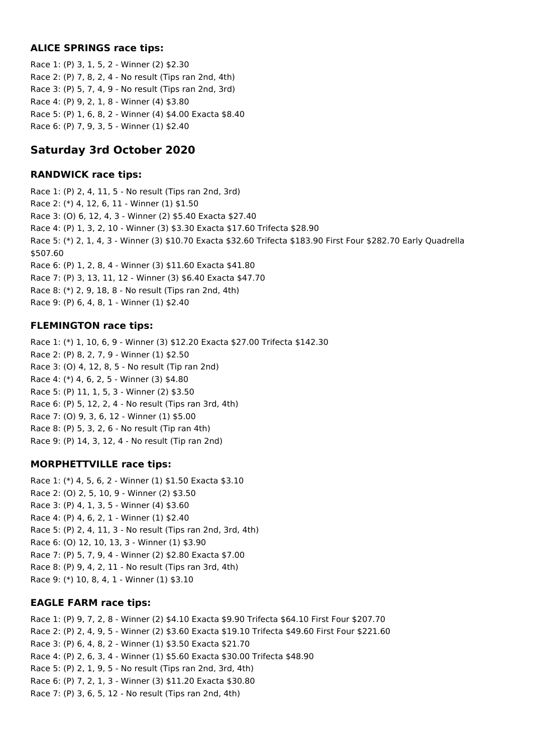## **ALICE SPRINGS race tips:**

Race 1: (P) 3, 1, 5, 2 - Winner (2) \$2.30 Race 2: (P) 7, 8, 2, 4 - No result (Tips ran 2nd, 4th) Race 3: (P) 5, 7, 4, 9 - No result (Tips ran 2nd, 3rd) Race 4: (P) 9, 2, 1, 8 - Winner (4) \$3.80 Race 5: (P) 1, 6, 8, 2 - Winner (4) \$4.00 Exacta \$8.40 Race 6: (P) 7, 9, 3, 5 - Winner (1) \$2.40

# **Saturday 3rd October 2020**

### **RANDWICK race tips:**

Race 1: (P) 2, 4, 11, 5 - No result (Tips ran 2nd, 3rd) Race 2: (\*) 4, 12, 6, 11 - Winner (1) \$1.50 Race 3: (O) 6, 12, 4, 3 - Winner (2) \$5.40 Exacta \$27.40 Race 4: (P) 1, 3, 2, 10 - Winner (3) \$3.30 Exacta \$17.60 Trifecta \$28.90 Race 5: (\*) 2, 1, 4, 3 - Winner (3) \$10.70 Exacta \$32.60 Trifecta \$183.90 First Four \$282.70 Early Quadrella \$507.60 Race 6: (P) 1, 2, 8, 4 - Winner (3) \$11.60 Exacta \$41.80 Race 7: (P) 3, 13, 11, 12 - Winner (3) \$6.40 Exacta \$47.70 Race 8: (\*) 2, 9, 18, 8 - No result (Tips ran 2nd, 4th) Race 9: (P) 6, 4, 8, 1 - Winner (1) \$2.40

## **FLEMINGTON race tips:**

Race 1: (\*) 1, 10, 6, 9 - Winner (3) \$12.20 Exacta \$27.00 Trifecta \$142.30 Race 2: (P) 8, 2, 7, 9 - Winner (1) \$2.50 Race 3: (O) 4, 12, 8, 5 - No result (Tip ran 2nd) Race 4: (\*) 4, 6, 2, 5 - Winner (3) \$4.80 Race 5: (P) 11, 1, 5, 3 - Winner (2) \$3.50 Race 6: (P) 5, 12, 2, 4 - No result (Tips ran 3rd, 4th) Race 7: (O) 9, 3, 6, 12 - Winner (1) \$5.00 Race 8: (P) 5, 3, 2, 6 - No result (Tip ran 4th) Race 9: (P) 14, 3, 12, 4 - No result (Tip ran 2nd)

# **MORPHETTVILLE race tips:**

Race 1: (\*) 4, 5, 6, 2 - Winner (1) \$1.50 Exacta \$3.10 Race 2: (O) 2, 5, 10, 9 - Winner (2) \$3.50 Race 3: (P) 4, 1, 3, 5 - Winner (4) \$3.60 Race 4: (P) 4, 6, 2, 1 - Winner (1) \$2.40 Race 5: (P) 2, 4, 11, 3 - No result (Tips ran 2nd, 3rd, 4th) Race 6: (O) 12, 10, 13, 3 - Winner (1) \$3.90 Race 7: (P) 5, 7, 9, 4 - Winner (2) \$2.80 Exacta \$7.00 Race 8: (P) 9, 4, 2, 11 - No result (Tips ran 3rd, 4th) Race 9: (\*) 10, 8, 4, 1 - Winner (1) \$3.10

### **EAGLE FARM race tips:**

Race 1: (P) 9, 7, 2, 8 - Winner (2) \$4.10 Exacta \$9.90 Trifecta \$64.10 First Four \$207.70 Race 2: (P) 2, 4, 9, 5 - Winner (2) \$3.60 Exacta \$19.10 Trifecta \$49.60 First Four \$221.60 Race 3: (P) 6, 4, 8, 2 - Winner (1) \$3.50 Exacta \$21.70 Race 4: (P) 2, 6, 3, 4 - Winner (1) \$5.60 Exacta \$30.00 Trifecta \$48.90 Race 5: (P) 2, 1, 9, 5 - No result (Tips ran 2nd, 3rd, 4th) Race 6: (P) 7, 2, 1, 3 - Winner (3) \$11.20 Exacta \$30.80 Race 7: (P) 3, 6, 5, 12 - No result (Tips ran 2nd, 4th)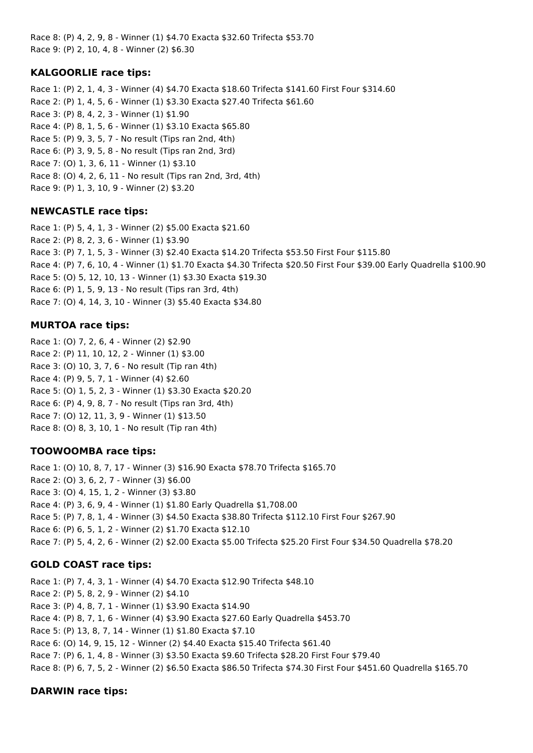Race 8: (P) 4, 2, 9, 8 - Winner (1) \$4.70 Exacta \$32.60 Trifecta \$53.70 Race 9: (P) 2, 10, 4, 8 - Winner (2) \$6.30

## **KALGOORLIE race tips:**

Race 1: (P) 2, 1, 4, 3 - Winner (4) \$4.70 Exacta \$18.60 Trifecta \$141.60 First Four \$314.60 Race 2: (P) 1, 4, 5, 6 - Winner (1) \$3.30 Exacta \$27.40 Trifecta \$61.60 Race 3: (P) 8, 4, 2, 3 - Winner (1) \$1.90 Race 4: (P) 8, 1, 5, 6 - Winner (1) \$3.10 Exacta \$65.80 Race 5: (P) 9, 3, 5, 7 - No result (Tips ran 2nd, 4th) Race 6: (P) 3, 9, 5, 8 - No result (Tips ran 2nd, 3rd) Race 7: (O) 1, 3, 6, 11 - Winner (1) \$3.10 Race 8: (O) 4, 2, 6, 11 - No result (Tips ran 2nd, 3rd, 4th) Race 9: (P) 1, 3, 10, 9 - Winner (2) \$3.20

## **NEWCASTLE race tips:**

Race 1: (P) 5, 4, 1, 3 - Winner (2) \$5.00 Exacta \$21.60 Race 2: (P) 8, 2, 3, 6 - Winner (1) \$3.90 Race 3: (P) 7, 1, 5, 3 - Winner (3) \$2.40 Exacta \$14.20 Trifecta \$53.50 First Four \$115.80 Race 4: (P) 7, 6, 10, 4 - Winner (1) \$1.70 Exacta \$4.30 Trifecta \$20.50 First Four \$39.00 Early Quadrella \$100.90 Race 5: (O) 5, 12, 10, 13 - Winner (1) \$3.30 Exacta \$19.30 Race 6: (P) 1, 5, 9, 13 - No result (Tips ran 3rd, 4th) Race 7: (O) 4, 14, 3, 10 - Winner (3) \$5.40 Exacta \$34.80

## **MURTOA race tips:**

Race 1: (O) 7, 2, 6, 4 - Winner (2) \$2.90 Race 2: (P) 11, 10, 12, 2 - Winner (1) \$3.00 Race 3: (O) 10, 3, 7, 6 - No result (Tip ran 4th) Race 4: (P) 9, 5, 7, 1 - Winner (4) \$2.60 Race 5: (O) 1, 5, 2, 3 - Winner (1) \$3.30 Exacta \$20.20 Race 6: (P) 4, 9, 8, 7 - No result (Tips ran 3rd, 4th) Race 7: (O) 12, 11, 3, 9 - Winner (1) \$13.50 Race 8: (O) 8, 3, 10, 1 - No result (Tip ran 4th)

# **TOOWOOMBA race tips:**

Race 1: (O) 10, 8, 7, 17 - Winner (3) \$16.90 Exacta \$78.70 Trifecta \$165.70 Race 2: (O) 3, 6, 2, 7 - Winner (3) \$6.00 Race 3: (O) 4, 15, 1, 2 - Winner (3) \$3.80 Race 4: (P) 3, 6, 9, 4 - Winner (1) \$1.80 Early Quadrella \$1,708.00 Race 5: (P) 7, 8, 1, 4 - Winner (3) \$4.50 Exacta \$38.80 Trifecta \$112.10 First Four \$267.90 Race 6: (P) 6, 5, 1, 2 - Winner (2) \$1.70 Exacta \$12.10 Race 7: (P) 5, 4, 2, 6 - Winner (2) \$2.00 Exacta \$5.00 Trifecta \$25.20 First Four \$34.50 Quadrella \$78.20

# **GOLD COAST race tips:**

Race 1: (P) 7, 4, 3, 1 - Winner (4) \$4.70 Exacta \$12.90 Trifecta \$48.10 Race 2: (P) 5, 8, 2, 9 - Winner (2) \$4.10 Race 3: (P) 4, 8, 7, 1 - Winner (1) \$3.90 Exacta \$14.90 Race 4: (P) 8, 7, 1, 6 - Winner (4) \$3.90 Exacta \$27.60 Early Quadrella \$453.70 Race 5: (P) 13, 8, 7, 14 - Winner (1) \$1.80 Exacta \$7.10 Race 6: (O) 14, 9, 15, 12 - Winner (2) \$4.40 Exacta \$15.40 Trifecta \$61.40 Race 7: (P) 6, 1, 4, 8 - Winner (3) \$3.50 Exacta \$9.60 Trifecta \$28.20 First Four \$79.40 Race 8: (P) 6, 7, 5, 2 - Winner (2) \$6.50 Exacta \$86.50 Trifecta \$74.30 First Four \$451.60 Quadrella \$165.70

# **DARWIN race tips:**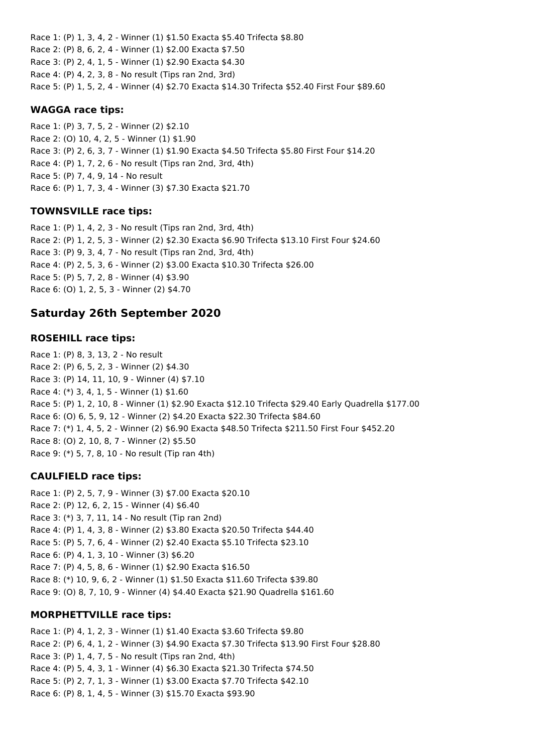Race 1: (P) 1, 3, 4, 2 - Winner (1) \$1.50 Exacta \$5.40 Trifecta \$8.80 Race 2: (P) 8, 6, 2, 4 - Winner (1) \$2.00 Exacta \$7.50 Race 3: (P) 2, 4, 1, 5 - Winner (1) \$2.90 Exacta \$4.30 Race 4: (P) 4, 2, 3, 8 - No result (Tips ran 2nd, 3rd) Race 5: (P) 1, 5, 2, 4 - Winner (4) \$2.70 Exacta \$14.30 Trifecta \$52.40 First Four \$89.60

#### **WAGGA race tips:**

Race 1: (P) 3, 7, 5, 2 - Winner (2) \$2.10 Race 2: (O) 10, 4, 2, 5 - Winner (1) \$1.90 Race 3: (P) 2, 6, 3, 7 - Winner (1) \$1.90 Exacta \$4.50 Trifecta \$5.80 First Four \$14.20 Race 4: (P) 1, 7, 2, 6 - No result (Tips ran 2nd, 3rd, 4th) Race 5: (P) 7, 4, 9, 14 - No result Race 6: (P) 1, 7, 3, 4 - Winner (3) \$7.30 Exacta \$21.70

## **TOWNSVILLE race tips:**

Race 1: (P) 1, 4, 2, 3 - No result (Tips ran 2nd, 3rd, 4th) Race 2: (P) 1, 2, 5, 3 - Winner (2) \$2.30 Exacta \$6.90 Trifecta \$13.10 First Four \$24.60 Race 3: (P) 9, 3, 4, 7 - No result (Tips ran 2nd, 3rd, 4th) Race 4: (P) 2, 5, 3, 6 - Winner (2) \$3.00 Exacta \$10.30 Trifecta \$26.00 Race 5: (P) 5, 7, 2, 8 - Winner (4) \$3.90 Race 6: (O) 1, 2, 5, 3 - Winner (2) \$4.70

# **Saturday 26th September 2020**

## **ROSEHILL race tips:**

Race 1: (P) 8, 3, 13, 2 - No result Race 2: (P) 6, 5, 2, 3 - Winner (2) \$4.30 Race 3: (P) 14, 11, 10, 9 - Winner (4) \$7.10 Race 4: (\*) 3, 4, 1, 5 - Winner (1) \$1.60 Race 5: (P) 1, 2, 10, 8 - Winner (1) \$2.90 Exacta \$12.10 Trifecta \$29.40 Early Quadrella \$177.00 Race 6: (O) 6, 5, 9, 12 - Winner (2) \$4.20 Exacta \$22.30 Trifecta \$84.60 Race 7: (\*) 1, 4, 5, 2 - Winner (2) \$6.90 Exacta \$48.50 Trifecta \$211.50 First Four \$452.20 Race 8: (O) 2, 10, 8, 7 - Winner (2) \$5.50 Race 9: (\*) 5, 7, 8, 10 - No result (Tip ran 4th)

# **CAULFIELD race tips:**

Race 1: (P) 2, 5, 7, 9 - Winner (3) \$7.00 Exacta \$20.10 Race 2: (P) 12, 6, 2, 15 - Winner (4) \$6.40 Race 3: (\*) 3, 7, 11, 14 - No result (Tip ran 2nd) Race 4: (P) 1, 4, 3, 8 - Winner (2) \$3.80 Exacta \$20.50 Trifecta \$44.40 Race 5: (P) 5, 7, 6, 4 - Winner (2) \$2.40 Exacta \$5.10 Trifecta \$23.10 Race 6: (P) 4, 1, 3, 10 - Winner (3) \$6.20 Race 7: (P) 4, 5, 8, 6 - Winner (1) \$2.90 Exacta \$16.50 Race 8: (\*) 10, 9, 6, 2 - Winner (1) \$1.50 Exacta \$11.60 Trifecta \$39.80 Race 9: (O) 8, 7, 10, 9 - Winner (4) \$4.40 Exacta \$21.90 Quadrella \$161.60

# **MORPHETTVILLE race tips:**

Race 1: (P) 4, 1, 2, 3 - Winner (1) \$1.40 Exacta \$3.60 Trifecta \$9.80 Race 2: (P) 6, 4, 1, 2 - Winner (3) \$4.90 Exacta \$7.30 Trifecta \$13.90 First Four \$28.80 Race 3: (P) 1, 4, 7, 5 - No result (Tips ran 2nd, 4th) Race 4: (P) 5, 4, 3, 1 - Winner (4) \$6.30 Exacta \$21.30 Trifecta \$74.50 Race 5: (P) 2, 7, 1, 3 - Winner (1) \$3.00 Exacta \$7.70 Trifecta \$42.10 Race 6: (P) 8, 1, 4, 5 - Winner (3) \$15.70 Exacta \$93.90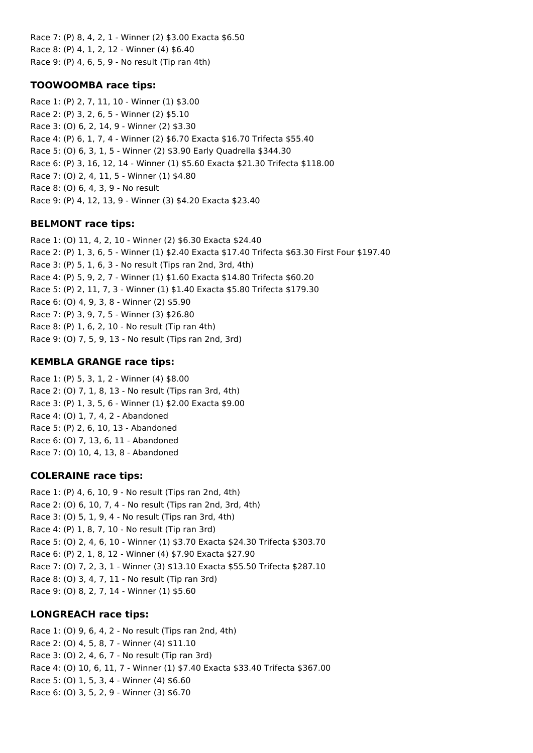Race 7: (P) 8, 4, 2, 1 - Winner (2) \$3.00 Exacta \$6.50 Race 8: (P) 4, 1, 2, 12 - Winner (4) \$6.40 Race 9: (P) 4, 6, 5, 9 - No result (Tip ran 4th)

#### **TOOWOOMBA race tips:**

Race 1: (P) 2, 7, 11, 10 - Winner (1) \$3.00 Race 2: (P) 3, 2, 6, 5 - Winner (2) \$5.10 Race 3: (O) 6, 2, 14, 9 - Winner (2) \$3.30 Race 4: (P) 6, 1, 7, 4 - Winner (2) \$6.70 Exacta \$16.70 Trifecta \$55.40 Race 5: (O) 6, 3, 1, 5 - Winner (2) \$3.90 Early Quadrella \$344.30 Race 6: (P) 3, 16, 12, 14 - Winner (1) \$5.60 Exacta \$21.30 Trifecta \$118.00 Race 7: (O) 2, 4, 11, 5 - Winner (1) \$4.80 Race 8: (O) 6, 4, 3, 9 - No result Race 9: (P) 4, 12, 13, 9 - Winner (3) \$4.20 Exacta \$23.40

### **BELMONT race tips:**

Race 1: (O) 11, 4, 2, 10 - Winner (2) \$6.30 Exacta \$24.40 Race 2: (P) 1, 3, 6, 5 - Winner (1) \$2.40 Exacta \$17.40 Trifecta \$63.30 First Four \$197.40 Race 3: (P) 5, 1, 6, 3 - No result (Tips ran 2nd, 3rd, 4th) Race 4: (P) 5, 9, 2, 7 - Winner (1) \$1.60 Exacta \$14.80 Trifecta \$60.20 Race 5: (P) 2, 11, 7, 3 - Winner (1) \$1.40 Exacta \$5.80 Trifecta \$179.30 Race 6: (O) 4, 9, 3, 8 - Winner (2) \$5.90 Race 7: (P) 3, 9, 7, 5 - Winner (3) \$26.80 Race 8: (P) 1, 6, 2, 10 - No result (Tip ran 4th) Race 9: (O) 7, 5, 9, 13 - No result (Tips ran 2nd, 3rd)

## **KEMBLA GRANGE race tips:**

Race 1: (P) 5, 3, 1, 2 - Winner (4) \$8.00 Race 2: (O) 7, 1, 8, 13 - No result (Tips ran 3rd, 4th) Race 3: (P) 1, 3, 5, 6 - Winner (1) \$2.00 Exacta \$9.00 Race 4: (O) 1, 7, 4, 2 - Abandoned Race 5: (P) 2, 6, 10, 13 - Abandoned Race 6: (O) 7, 13, 6, 11 - Abandoned Race 7: (O) 10, 4, 13, 8 - Abandoned

### **COLERAINE race tips:**

Race 1: (P) 4, 6, 10, 9 - No result (Tips ran 2nd, 4th) Race 2: (O) 6, 10, 7, 4 - No result (Tips ran 2nd, 3rd, 4th) Race 3: (O) 5, 1, 9, 4 - No result (Tips ran 3rd, 4th) Race 4: (P) 1, 8, 7, 10 - No result (Tip ran 3rd) Race 5: (O) 2, 4, 6, 10 - Winner (1) \$3.70 Exacta \$24.30 Trifecta \$303.70 Race 6: (P) 2, 1, 8, 12 - Winner (4) \$7.90 Exacta \$27.90 Race 7: (O) 7, 2, 3, 1 - Winner (3) \$13.10 Exacta \$55.50 Trifecta \$287.10 Race 8: (O) 3, 4, 7, 11 - No result (Tip ran 3rd) Race 9: (O) 8, 2, 7, 14 - Winner (1) \$5.60

### **LONGREACH race tips:**

Race 1: (O) 9, 6, 4, 2 - No result (Tips ran 2nd, 4th) Race 2: (O) 4, 5, 8, 7 - Winner (4) \$11.10 Race 3: (O) 2, 4, 6, 7 - No result (Tip ran 3rd) Race 4: (O) 10, 6, 11, 7 - Winner (1) \$7.40 Exacta \$33.40 Trifecta \$367.00 Race 5: (O) 1, 5, 3, 4 - Winner (4) \$6.60 Race 6: (O) 3, 5, 2, 9 - Winner (3) \$6.70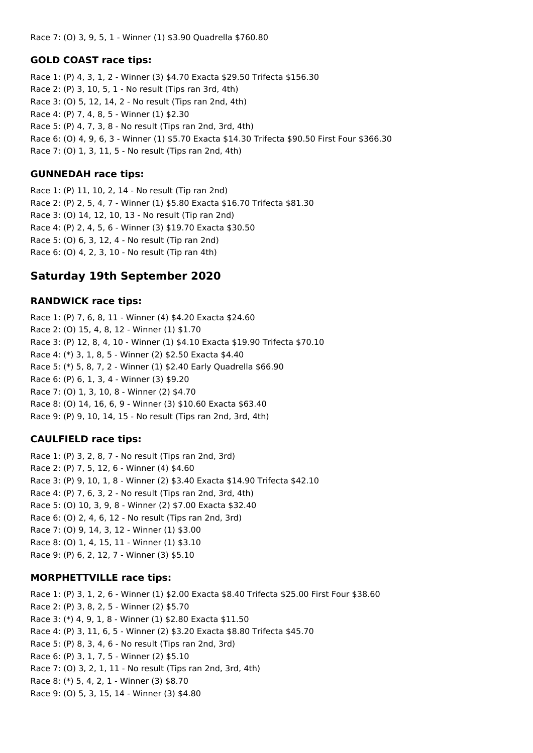Race 7: (O) 3, 9, 5, 1 - Winner (1) \$3.90 Quadrella \$760.80

### **GOLD COAST race tips:**

Race 1: (P) 4, 3, 1, 2 - Winner (3) \$4.70 Exacta \$29.50 Trifecta \$156.30 Race 2: (P) 3, 10, 5, 1 - No result (Tips ran 3rd, 4th) Race 3: (O) 5, 12, 14, 2 - No result (Tips ran 2nd, 4th) Race 4: (P) 7, 4, 8, 5 - Winner (1) \$2.30 Race 5: (P) 4, 7, 3, 8 - No result (Tips ran 2nd, 3rd, 4th) Race 6: (O) 4, 9, 6, 3 - Winner (1) \$5.70 Exacta \$14.30 Trifecta \$90.50 First Four \$366.30 Race 7: (O) 1, 3, 11, 5 - No result (Tips ran 2nd, 4th)

## **GUNNEDAH race tips:**

Race 1: (P) 11, 10, 2, 14 - No result (Tip ran 2nd) Race 2: (P) 2, 5, 4, 7 - Winner (1) \$5.80 Exacta \$16.70 Trifecta \$81.30 Race 3: (O) 14, 12, 10, 13 - No result (Tip ran 2nd) Race 4: (P) 2, 4, 5, 6 - Winner (3) \$19.70 Exacta \$30.50 Race 5: (O) 6, 3, 12, 4 - No result (Tip ran 2nd) Race 6: (O) 4, 2, 3, 10 - No result (Tip ran 4th)

# **Saturday 19th September 2020**

## **RANDWICK race tips:**

Race 1: (P) 7, 6, 8, 11 - Winner (4) \$4.20 Exacta \$24.60 Race 2: (O) 15, 4, 8, 12 - Winner (1) \$1.70 Race 3: (P) 12, 8, 4, 10 - Winner (1) \$4.10 Exacta \$19.90 Trifecta \$70.10 Race 4: (\*) 3, 1, 8, 5 - Winner (2) \$2.50 Exacta \$4.40 Race 5: (\*) 5, 8, 7, 2 - Winner (1) \$2.40 Early Quadrella \$66.90 Race 6: (P) 6, 1, 3, 4 - Winner (3) \$9.20 Race 7: (O) 1, 3, 10, 8 - Winner (2) \$4.70 Race 8: (O) 14, 16, 6, 9 - Winner (3) \$10.60 Exacta \$63.40 Race 9: (P) 9, 10, 14, 15 - No result (Tips ran 2nd, 3rd, 4th)

# **CAULFIELD race tips:**

Race 1: (P) 3, 2, 8, 7 - No result (Tips ran 2nd, 3rd) Race 2: (P) 7, 5, 12, 6 - Winner (4) \$4.60 Race 3: (P) 9, 10, 1, 8 - Winner (2) \$3.40 Exacta \$14.90 Trifecta \$42.10 Race 4: (P) 7, 6, 3, 2 - No result (Tips ran 2nd, 3rd, 4th) Race 5: (O) 10, 3, 9, 8 - Winner (2) \$7.00 Exacta \$32.40 Race 6: (O) 2, 4, 6, 12 - No result (Tips ran 2nd, 3rd) Race 7: (O) 9, 14, 3, 12 - Winner (1) \$3.00 Race 8: (O) 1, 4, 15, 11 - Winner (1) \$3.10 Race 9: (P) 6, 2, 12, 7 - Winner (3) \$5.10

### **MORPHETTVILLE race tips:**

Race 1: (P) 3, 1, 2, 6 - Winner (1) \$2.00 Exacta \$8.40 Trifecta \$25.00 First Four \$38.60 Race 2: (P) 3, 8, 2, 5 - Winner (2) \$5.70 Race 3: (\*) 4, 9, 1, 8 - Winner (1) \$2.80 Exacta \$11.50 Race 4: (P) 3, 11, 6, 5 - Winner (2) \$3.20 Exacta \$8.80 Trifecta \$45.70 Race 5: (P) 8, 3, 4, 6 - No result (Tips ran 2nd, 3rd) Race 6: (P) 3, 1, 7, 5 - Winner (2) \$5.10 Race 7: (O) 3, 2, 1, 11 - No result (Tips ran 2nd, 3rd, 4th) Race 8: (\*) 5, 4, 2, 1 - Winner (3) \$8.70 Race 9: (O) 5, 3, 15, 14 - Winner (3) \$4.80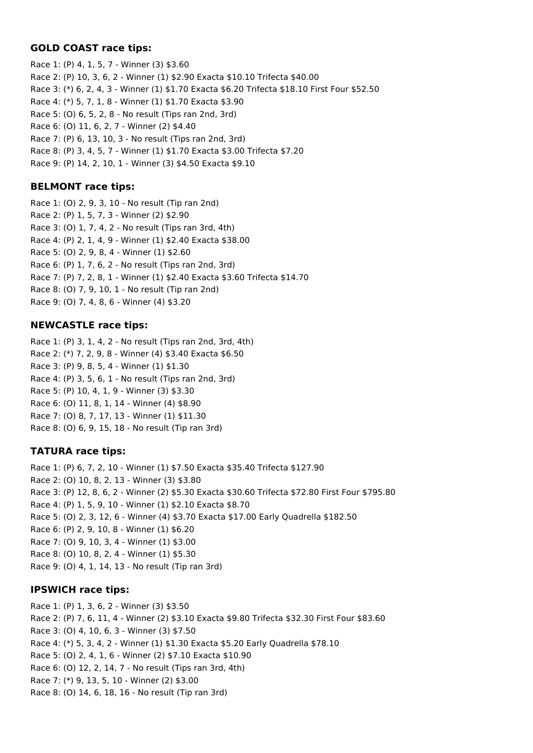# **GOLD COAST race tips:**

Race 1: (P) 4, 1, 5, 7 - Winner (3) \$3.60 Race 2: (P) 10, 3, 6, 2 - Winner (1) \$2.90 Exacta \$10.10 Trifecta \$40.00 Race 3: (\*) 6, 2, 4, 3 - Winner (1) \$1.70 Exacta \$6.20 Trifecta \$18.10 First Four \$52.50 Race 4: (\*) 5, 7, 1, 8 - Winner (1) \$1.70 Exacta \$3.90 Race 5: (O) 6, 5, 2, 8 - No result (Tips ran 2nd, 3rd) Race 6: (O) 11, 6, 2, 7 - Winner (2) \$4.40 Race 7: (P) 6, 13, 10, 3 - No result (Tips ran 2nd, 3rd) Race 8: (P) 3, 4, 5, 7 - Winner (1) \$1.70 Exacta \$3.00 Trifecta \$7.20 Race 9: (P) 14, 2, 10, 1 - Winner (3) \$4.50 Exacta \$9.10

# **BELMONT race tips:**

Race 1: (O) 2, 9, 3, 10 - No result (Tip ran 2nd) Race 2: (P) 1, 5, 7, 3 - Winner (2) \$2.90 Race 3: (O) 1, 7, 4, 2 - No result (Tips ran 3rd, 4th) Race 4: (P) 2, 1, 4, 9 - Winner (1) \$2.40 Exacta \$38.00 Race 5: (O) 2, 9, 8, 4 - Winner (1) \$2.60 Race 6: (P) 1, 7, 6, 2 - No result (Tips ran 2nd, 3rd) Race 7: (P) 7, 2, 8, 1 - Winner (1) \$2.40 Exacta \$3.60 Trifecta \$14.70 Race 8: (O) 7, 9, 10, 1 - No result (Tip ran 2nd) Race 9: (O) 7, 4, 8, 6 - Winner (4) \$3.20

# **NEWCASTLE race tips:**

Race 1: (P) 3, 1, 4, 2 - No result (Tips ran 2nd, 3rd, 4th) Race 2: (\*) 7, 2, 9, 8 - Winner (4) \$3.40 Exacta \$6.50 Race 3: (P) 9, 8, 5, 4 - Winner (1) \$1.30 Race 4: (P) 3, 5, 6, 1 - No result (Tips ran 2nd, 3rd) Race 5: (P) 10, 4, 1, 9 - Winner (3) \$3.30 Race 6: (O) 11, 8, 1, 14 - Winner (4) \$8.90 Race 7: (O) 8, 7, 17, 13 - Winner (1) \$11.30 Race 8: (O) 6, 9, 15, 18 - No result (Tip ran 3rd)

# **TATURA race tips:**

Race 1: (P) 6, 7, 2, 10 - Winner (1) \$7.50 Exacta \$35.40 Trifecta \$127.90 Race 2: (O) 10, 8, 2, 13 - Winner (3) \$3.80 Race 3: (P) 12, 8, 6, 2 - Winner (2) \$5.30 Exacta \$30.60 Trifecta \$72.80 First Four \$795.80 Race 4: (P) 1, 5, 9, 10 - Winner (1) \$2.10 Exacta \$8.70 Race 5: (O) 2, 3, 12, 6 - Winner (4) \$3.70 Exacta \$17.00 Early Quadrella \$182.50 Race 6: (P) 2, 9, 10, 8 - Winner (1) \$6.20 Race 7: (O) 9, 10, 3, 4 - Winner (1) \$3.00 Race 8: (O) 10, 8, 2, 4 - Winner (1) \$5.30 Race 9: (O) 4, 1, 14, 13 - No result (Tip ran 3rd)

# **IPSWICH race tips:**

Race 1: (P) 1, 3, 6, 2 - Winner (3) \$3.50 Race 2: (P) 7, 6, 11, 4 - Winner (2) \$3.10 Exacta \$9.80 Trifecta \$32.30 First Four \$83.60 Race 3: (O) 4, 10, 6, 3 - Winner (3) \$7.50 Race 4: (\*) 5, 3, 4, 2 - Winner (1) \$1.30 Exacta \$5.20 Early Quadrella \$78.10 Race 5: (O) 2, 4, 1, 6 - Winner (2) \$7.10 Exacta \$10.90 Race 6: (O) 12, 2, 14, 7 - No result (Tips ran 3rd, 4th) Race 7: (\*) 9, 13, 5, 10 - Winner (2) \$3.00 Race 8: (O) 14, 6, 18, 16 - No result (Tip ran 3rd)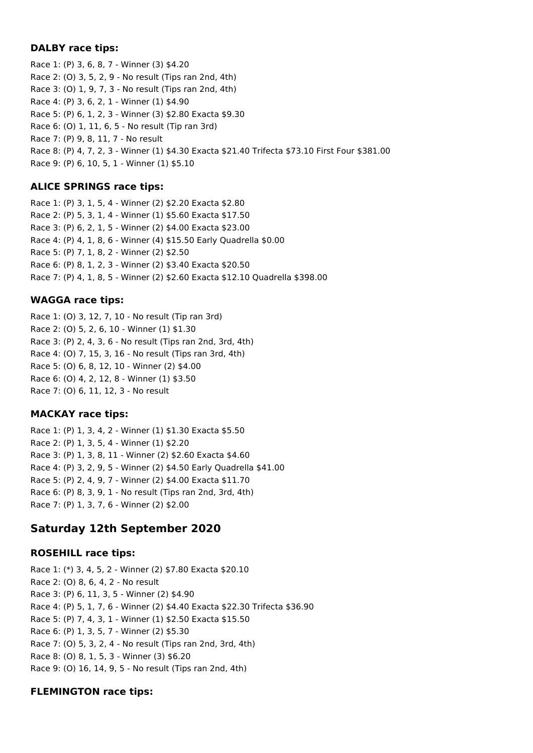### **DALBY race tips:**

Race 1: (P) 3, 6, 8, 7 - Winner (3) \$4.20 Race 2: (O) 3, 5, 2, 9 - No result (Tips ran 2nd, 4th) Race 3: (O) 1, 9, 7, 3 - No result (Tips ran 2nd, 4th) Race 4: (P) 3, 6, 2, 1 - Winner (1) \$4.90 Race 5: (P) 6, 1, 2, 3 - Winner (3) \$2.80 Exacta \$9.30 Race 6: (O) 1, 11, 6, 5 - No result (Tip ran 3rd) Race 7: (P) 9, 8, 11, 7 - No result Race 8: (P) 4, 7, 2, 3 - Winner (1) \$4.30 Exacta \$21.40 Trifecta \$73.10 First Four \$381.00 Race 9: (P) 6, 10, 5, 1 - Winner (1) \$5.10

# **ALICE SPRINGS race tips:**

Race 1: (P) 3, 1, 5, 4 - Winner (2) \$2.20 Exacta \$2.80 Race 2: (P) 5, 3, 1, 4 - Winner (1) \$5.60 Exacta \$17.50 Race 3: (P) 6, 2, 1, 5 - Winner (2) \$4.00 Exacta \$23.00 Race 4: (P) 4, 1, 8, 6 - Winner (4) \$15.50 Early Quadrella \$0.00 Race 5: (P) 7, 1, 8, 2 - Winner (2) \$2.50 Race 6: (P) 8, 1, 2, 3 - Winner (2) \$3.40 Exacta \$20.50 Race 7: (P) 4, 1, 8, 5 - Winner (2) \$2.60 Exacta \$12.10 Quadrella \$398.00

# **WAGGA race tips:**

Race 1: (O) 3, 12, 7, 10 - No result (Tip ran 3rd) Race 2: (O) 5, 2, 6, 10 - Winner (1) \$1.30 Race 3: (P) 2, 4, 3, 6 - No result (Tips ran 2nd, 3rd, 4th) Race 4: (O) 7, 15, 3, 16 - No result (Tips ran 3rd, 4th) Race 5: (O) 6, 8, 12, 10 - Winner (2) \$4.00 Race 6: (O) 4, 2, 12, 8 - Winner (1) \$3.50 Race 7: (O) 6, 11, 12, 3 - No result

# **MACKAY race tips:**

Race 1: (P) 1, 3, 4, 2 - Winner (1) \$1.30 Exacta \$5.50 Race 2: (P) 1, 3, 5, 4 - Winner (1) \$2.20 Race 3: (P) 1, 3, 8, 11 - Winner (2) \$2.60 Exacta \$4.60 Race 4: (P) 3, 2, 9, 5 - Winner (2) \$4.50 Early Quadrella \$41.00 Race 5: (P) 2, 4, 9, 7 - Winner (2) \$4.00 Exacta \$11.70 Race 6: (P) 8, 3, 9, 1 - No result (Tips ran 2nd, 3rd, 4th) Race 7: (P) 1, 3, 7, 6 - Winner (2) \$2.00

# **Saturday 12th September 2020**

### **ROSEHILL race tips:**

Race 1: (\*) 3, 4, 5, 2 - Winner (2) \$7.80 Exacta \$20.10 Race 2: (O) 8, 6, 4, 2 - No result Race 3: (P) 6, 11, 3, 5 - Winner (2) \$4.90 Race 4: (P) 5, 1, 7, 6 - Winner (2) \$4.40 Exacta \$22.30 Trifecta \$36.90 Race 5: (P) 7, 4, 3, 1 - Winner (1) \$2.50 Exacta \$15.50 Race 6: (P) 1, 3, 5, 7 - Winner (2) \$5.30 Race 7: (O) 5, 3, 2, 4 - No result (Tips ran 2nd, 3rd, 4th) Race 8: (O) 8, 1, 5, 3 - Winner (3) \$6.20 Race 9: (O) 16, 14, 9, 5 - No result (Tips ran 2nd, 4th)

# **FLEMINGTON race tips:**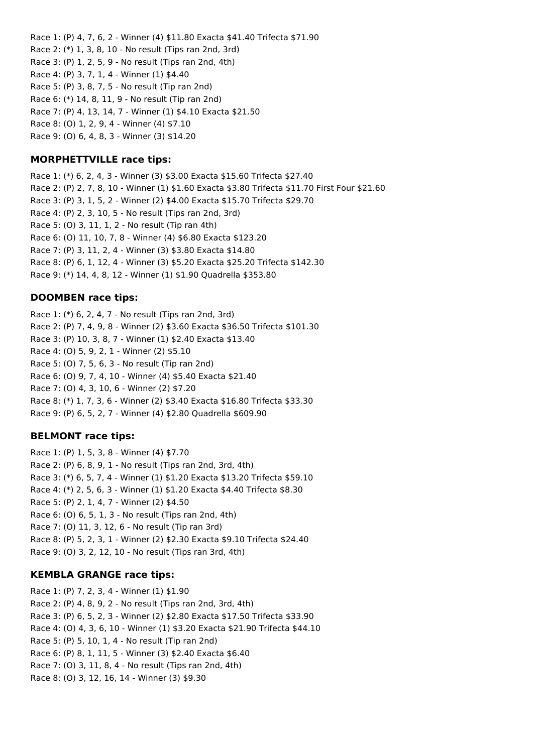Race 1: (P) 4, 7, 6, 2 - Winner (4) \$11.80 Exacta \$41.40 Trifecta \$71.90 Race 2: (\*) 1, 3, 8, 10 - No result (Tips ran 2nd, 3rd) Race 3: (P) 1, 2, 5, 9 - No result (Tips ran 2nd, 4th) Race 4: (P) 3, 7, 1, 4 - Winner (1) \$4.40 Race 5: (P) 3, 8, 7, 5 - No result (Tip ran 2nd) Race 6: (\*) 14, 8, 11, 9 - No result (Tip ran 2nd) Race 7: (P) 4, 13, 14, 7 - Winner (1) \$4.10 Exacta \$21.50 Race 8: (O) 1, 2, 9, 4 - Winner (4) \$7.10 Race 9: (O) 6, 4, 8, 3 - Winner (3) \$14.20

## **MORPHETTVILLE race tips:**

Race 1: (\*) 6, 2, 4, 3 - Winner (3) \$3.00 Exacta \$15.60 Trifecta \$27.40 Race 2: (P) 2, 7, 8, 10 - Winner (1) \$1.60 Exacta \$3.80 Trifecta \$11.70 First Four \$21.60 Race 3: (P) 3, 1, 5, 2 - Winner (2) \$4.00 Exacta \$15.70 Trifecta \$29.70 Race 4: (P) 2, 3, 10, 5 - No result (Tips ran 2nd, 3rd) Race 5: (O) 3, 11, 1, 2 - No result (Tip ran 4th) Race 6: (O) 11, 10, 7, 8 - Winner (4) \$6.80 Exacta \$123.20 Race 7: (P) 3, 11, 2, 4 - Winner (3) \$3.80 Exacta \$14.80 Race 8: (P) 6, 1, 12, 4 - Winner (3) \$5.20 Exacta \$25.20 Trifecta \$142.30 Race 9: (\*) 14, 4, 8, 12 - Winner (1) \$1.90 Quadrella \$353.80

### **DOOMBEN race tips:**

Race 1: (\*) 6, 2, 4, 7 - No result (Tips ran 2nd, 3rd) Race 2: (P) 7, 4, 9, 8 - Winner (2) \$3.60 Exacta \$36.50 Trifecta \$101.30 Race 3: (P) 10, 3, 8, 7 - Winner (1) \$2.40 Exacta \$13.40 Race 4: (O) 5, 9, 2, 1 - Winner (2) \$5.10 Race 5: (O) 7, 5, 6, 3 - No result (Tip ran 2nd) Race 6: (O) 9, 7, 4, 10 - Winner (4) \$5.40 Exacta \$21.40 Race 7: (O) 4, 3, 10, 6 - Winner (2) \$7.20 Race 8: (\*) 1, 7, 3, 6 - Winner (2) \$3.40 Exacta \$16.80 Trifecta \$33.30 Race 9: (P) 6, 5, 2, 7 - Winner (4) \$2.80 Quadrella \$609.90

### **BELMONT race tips:**

Race 1: (P) 1, 5, 3, 8 - Winner (4) \$7.70 Race 2: (P) 6, 8, 9, 1 - No result (Tips ran 2nd, 3rd, 4th) Race 3: (\*) 6, 5, 7, 4 - Winner (1) \$1.20 Exacta \$13.20 Trifecta \$59.10 Race 4: (\*) 2, 5, 6, 3 - Winner (1) \$1.20 Exacta \$4.40 Trifecta \$8.30 Race 5: (P) 2, 1, 4, 7 - Winner (2) \$4.50 Race 6: (O) 6, 5, 1, 3 - No result (Tips ran 2nd, 4th) Race 7: (O) 11, 3, 12, 6 - No result (Tip ran 3rd) Race 8: (P) 5, 2, 3, 1 - Winner (2) \$2.30 Exacta \$9.10 Trifecta \$24.40 Race 9: (O) 3, 2, 12, 10 - No result (Tips ran 3rd, 4th)

### **KEMBLA GRANGE race tips:**

Race 1: (P) 7, 2, 3, 4 - Winner (1) \$1.90 Race 2: (P) 4, 8, 9, 2 - No result (Tips ran 2nd, 3rd, 4th) Race 3: (P) 6, 5, 2, 3 - Winner (2) \$2.80 Exacta \$17.50 Trifecta \$33.90 Race 4: (O) 4, 3, 6, 10 - Winner (1) \$3.20 Exacta \$21.90 Trifecta \$44.10 Race 5: (P) 5, 10, 1, 4 - No result (Tip ran 2nd) Race 6: (P) 8, 1, 11, 5 - Winner (3) \$2.40 Exacta \$6.40 Race 7: (O) 3, 11, 8, 4 - No result (Tips ran 2nd, 4th) Race 8: (O) 3, 12, 16, 14 - Winner (3) \$9.30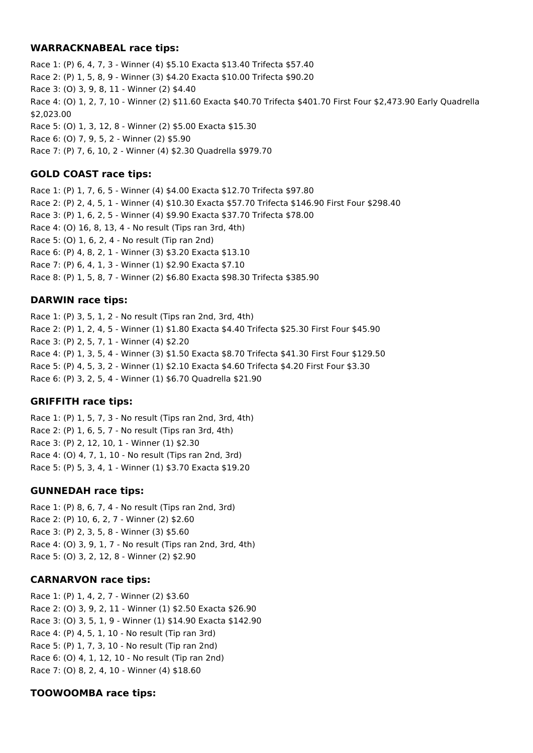### **WARRACKNABEAL race tips:**

Race 1: (P) 6, 4, 7, 3 - Winner (4) \$5.10 Exacta \$13.40 Trifecta \$57.40 Race 2: (P) 1, 5, 8, 9 - Winner (3) \$4.20 Exacta \$10.00 Trifecta \$90.20 Race 3: (O) 3, 9, 8, 11 - Winner (2) \$4.40 Race 4: (O) 1, 2, 7, 10 - Winner (2) \$11.60 Exacta \$40.70 Trifecta \$401.70 First Four \$2,473.90 Early Quadrella \$2,023.00 Race 5: (O) 1, 3, 12, 8 - Winner (2) \$5.00 Exacta \$15.30 Race 6: (O) 7, 9, 5, 2 - Winner (2) \$5.90 Race 7: (P) 7, 6, 10, 2 - Winner (4) \$2.30 Quadrella \$979.70

# **GOLD COAST race tips:**

Race 1: (P) 1, 7, 6, 5 - Winner (4) \$4.00 Exacta \$12.70 Trifecta \$97.80 Race 2: (P) 2, 4, 5, 1 - Winner (4) \$10.30 Exacta \$57.70 Trifecta \$146.90 First Four \$298.40 Race 3: (P) 1, 6, 2, 5 - Winner (4) \$9.90 Exacta \$37.70 Trifecta \$78.00 Race 4: (O) 16, 8, 13, 4 - No result (Tips ran 3rd, 4th) Race 5: (O) 1, 6, 2, 4 - No result (Tip ran 2nd) Race 6: (P) 4, 8, 2, 1 - Winner (3) \$3.20 Exacta \$13.10 Race 7: (P) 6, 4, 1, 3 - Winner (1) \$2.90 Exacta \$7.10 Race 8: (P) 1, 5, 8, 7 - Winner (2) \$6.80 Exacta \$98.30 Trifecta \$385.90

# **DARWIN race tips:**

Race 1: (P) 3, 5, 1, 2 - No result (Tips ran 2nd, 3rd, 4th) Race 2: (P) 1, 2, 4, 5 - Winner (1) \$1.80 Exacta \$4.40 Trifecta \$25.30 First Four \$45.90 Race 3: (P) 2, 5, 7, 1 - Winner (4) \$2.20 Race 4: (P) 1, 3, 5, 4 - Winner (3) \$1.50 Exacta \$8.70 Trifecta \$41.30 First Four \$129.50 Race 5: (P) 4, 5, 3, 2 - Winner (1) \$2.10 Exacta \$4.60 Trifecta \$4.20 First Four \$3.30 Race 6: (P) 3, 2, 5, 4 - Winner (1) \$6.70 Quadrella \$21.90

# **GRIFFITH race tips:**

Race 1: (P) 1, 5, 7, 3 - No result (Tips ran 2nd, 3rd, 4th) Race 2: (P) 1, 6, 5, 7 - No result (Tips ran 3rd, 4th) Race 3: (P) 2, 12, 10, 1 - Winner (1) \$2.30 Race 4: (O) 4, 7, 1, 10 - No result (Tips ran 2nd, 3rd) Race 5: (P) 5, 3, 4, 1 - Winner (1) \$3.70 Exacta \$19.20

# **GUNNEDAH race tips:**

Race 1: (P) 8, 6, 7, 4 - No result (Tips ran 2nd, 3rd) Race 2: (P) 10, 6, 2, 7 - Winner (2) \$2.60 Race 3: (P) 2, 3, 5, 8 - Winner (3) \$5.60 Race 4: (O) 3, 9, 1, 7 - No result (Tips ran 2nd, 3rd, 4th) Race 5: (O) 3, 2, 12, 8 - Winner (2) \$2.90

# **CARNARVON race tips:**

Race 1: (P) 1, 4, 2, 7 - Winner (2) \$3.60 Race 2: (O) 3, 9, 2, 11 - Winner (1) \$2.50 Exacta \$26.90 Race 3: (O) 3, 5, 1, 9 - Winner (1) \$14.90 Exacta \$142.90 Race 4: (P) 4, 5, 1, 10 - No result (Tip ran 3rd) Race 5: (P) 1, 7, 3, 10 - No result (Tip ran 2nd) Race 6: (O) 4, 1, 12, 10 - No result (Tip ran 2nd) Race 7: (O) 8, 2, 4, 10 - Winner (4) \$18.60

# **TOOWOOMBA race tips:**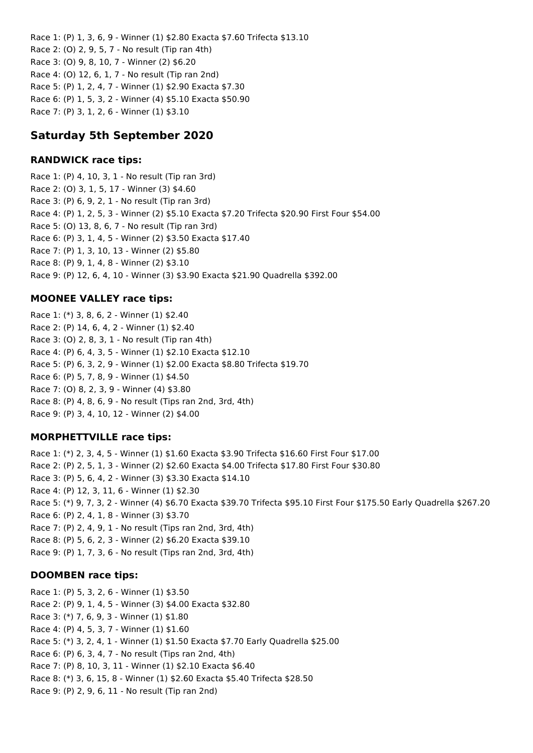Race 1: (P) 1, 3, 6, 9 - Winner (1) \$2.80 Exacta \$7.60 Trifecta \$13.10 Race 2: (O) 2, 9, 5, 7 - No result (Tip ran 4th) Race 3: (O) 9, 8, 10, 7 - Winner (2) \$6.20 Race 4: (O) 12, 6, 1, 7 - No result (Tip ran 2nd) Race 5: (P) 1, 2, 4, 7 - Winner (1) \$2.90 Exacta \$7.30 Race 6: (P) 1, 5, 3, 2 - Winner (4) \$5.10 Exacta \$50.90 Race 7: (P) 3, 1, 2, 6 - Winner (1) \$3.10

# **Saturday 5th September 2020**

# **RANDWICK race tips:**

Race 1: (P) 4, 10, 3, 1 - No result (Tip ran 3rd) Race 2: (O) 3, 1, 5, 17 - Winner (3) \$4.60 Race 3: (P) 6, 9, 2, 1 - No result (Tip ran 3rd) Race 4: (P) 1, 2, 5, 3 - Winner (2) \$5.10 Exacta \$7.20 Trifecta \$20.90 First Four \$54.00 Race 5: (O) 13, 8, 6, 7 - No result (Tip ran 3rd) Race 6: (P) 3, 1, 4, 5 - Winner (2) \$3.50 Exacta \$17.40 Race 7: (P) 1, 3, 10, 13 - Winner (2) \$5.80 Race 8: (P) 9, 1, 4, 8 - Winner (2) \$3.10 Race 9: (P) 12, 6, 4, 10 - Winner (3) \$3.90 Exacta \$21.90 Quadrella \$392.00

# **MOONEE VALLEY race tips:**

Race 1: (\*) 3, 8, 6, 2 - Winner (1) \$2.40 Race 2: (P) 14, 6, 4, 2 - Winner (1) \$2.40 Race 3: (O) 2, 8, 3, 1 - No result (Tip ran 4th) Race 4: (P) 6, 4, 3, 5 - Winner (1) \$2.10 Exacta \$12.10 Race 5: (P) 6, 3, 2, 9 - Winner (1) \$2.00 Exacta \$8.80 Trifecta \$19.70 Race 6: (P) 5, 7, 8, 9 - Winner (1) \$4.50 Race 7: (O) 8, 2, 3, 9 - Winner (4) \$3.80 Race 8: (P) 4, 8, 6, 9 - No result (Tips ran 2nd, 3rd, 4th) Race 9: (P) 3, 4, 10, 12 - Winner (2) \$4.00

# **MORPHETTVILLE race tips:**

Race 1: (\*) 2, 3, 4, 5 - Winner (1) \$1.60 Exacta \$3.90 Trifecta \$16.60 First Four \$17.00 Race 2: (P) 2, 5, 1, 3 - Winner (2) \$2.60 Exacta \$4.00 Trifecta \$17.80 First Four \$30.80 Race 3: (P) 5, 6, 4, 2 - Winner (3) \$3.30 Exacta \$14.10 Race 4: (P) 12, 3, 11, 6 - Winner (1) \$2.30 Race 5: (\*) 9, 7, 3, 2 - Winner (4) \$6.70 Exacta \$39.70 Trifecta \$95.10 First Four \$175.50 Early Quadrella \$267.20 Race 6: (P) 2, 4, 1, 8 - Winner (3) \$3.70 Race 7: (P) 2, 4, 9, 1 - No result (Tips ran 2nd, 3rd, 4th) Race 8: (P) 5, 6, 2, 3 - Winner (2) \$6.20 Exacta \$39.10 Race 9: (P) 1, 7, 3, 6 - No result (Tips ran 2nd, 3rd, 4th)

# **DOOMBEN race tips:**

Race 1: (P) 5, 3, 2, 6 - Winner (1) \$3.50 Race 2: (P) 9, 1, 4, 5 - Winner (3) \$4.00 Exacta \$32.80 Race 3: (\*) 7, 6, 9, 3 - Winner (1) \$1.80 Race 4: (P) 4, 5, 3, 7 - Winner (1) \$1.60 Race 5: (\*) 3, 2, 4, 1 - Winner (1) \$1.50 Exacta \$7.70 Early Quadrella \$25.00 Race 6: (P) 6, 3, 4, 7 - No result (Tips ran 2nd, 4th) Race 7: (P) 8, 10, 3, 11 - Winner (1) \$2.10 Exacta \$6.40 Race 8: (\*) 3, 6, 15, 8 - Winner (1) \$2.60 Exacta \$5.40 Trifecta \$28.50 Race 9: (P) 2, 9, 6, 11 - No result (Tip ran 2nd)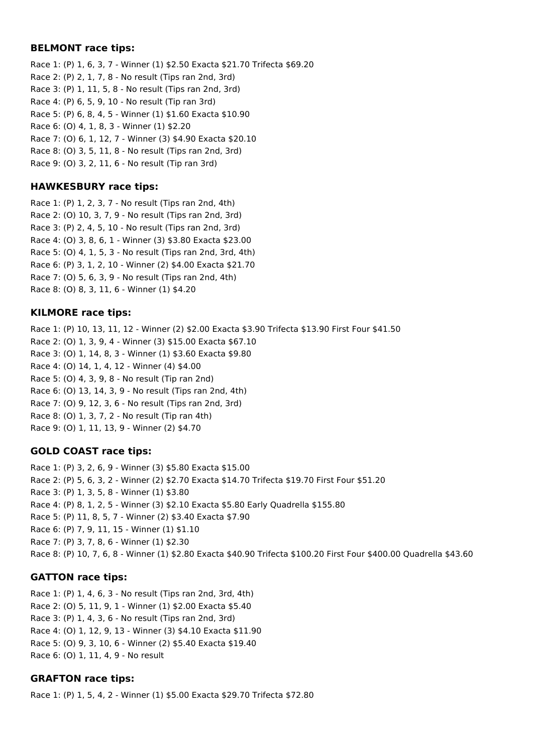### **BELMONT race tips:**

Race 1: (P) 1, 6, 3, 7 - Winner (1) \$2.50 Exacta \$21.70 Trifecta \$69.20 Race 2: (P) 2, 1, 7, 8 - No result (Tips ran 2nd, 3rd) Race 3: (P) 1, 11, 5, 8 - No result (Tips ran 2nd, 3rd) Race 4: (P) 6, 5, 9, 10 - No result (Tip ran 3rd) Race 5: (P) 6, 8, 4, 5 - Winner (1) \$1.60 Exacta \$10.90 Race 6: (O) 4, 1, 8, 3 - Winner (1) \$2.20 Race 7: (O) 6, 1, 12, 7 - Winner (3) \$4.90 Exacta \$20.10 Race 8: (O) 3, 5, 11, 8 - No result (Tips ran 2nd, 3rd) Race 9: (O) 3, 2, 11, 6 - No result (Tip ran 3rd)

### **HAWKESBURY race tips:**

Race 1: (P) 1, 2, 3, 7 - No result (Tips ran 2nd, 4th) Race 2: (O) 10, 3, 7, 9 - No result (Tips ran 2nd, 3rd) Race 3: (P) 2, 4, 5, 10 - No result (Tips ran 2nd, 3rd) Race 4: (O) 3, 8, 6, 1 - Winner (3) \$3.80 Exacta \$23.00 Race 5: (O) 4, 1, 5, 3 - No result (Tips ran 2nd, 3rd, 4th) Race 6: (P) 3, 1, 2, 10 - Winner (2) \$4.00 Exacta \$21.70 Race 7: (O) 5, 6, 3, 9 - No result (Tips ran 2nd, 4th) Race 8: (O) 8, 3, 11, 6 - Winner (1) \$4.20

### **KILMORE race tips:**

Race 1: (P) 10, 13, 11, 12 - Winner (2) \$2.00 Exacta \$3.90 Trifecta \$13.90 First Four \$41.50 Race 2: (O) 1, 3, 9, 4 - Winner (3) \$15.00 Exacta \$67.10 Race 3: (O) 1, 14, 8, 3 - Winner (1) \$3.60 Exacta \$9.80 Race 4: (O) 14, 1, 4, 12 - Winner (4) \$4.00 Race 5: (O) 4, 3, 9, 8 - No result (Tip ran 2nd) Race 6: (O) 13, 14, 3, 9 - No result (Tips ran 2nd, 4th) Race 7: (O) 9, 12, 3, 6 - No result (Tips ran 2nd, 3rd) Race 8: (O) 1, 3, 7, 2 - No result (Tip ran 4th) Race 9: (O) 1, 11, 13, 9 - Winner (2) \$4.70

# **GOLD COAST race tips:**

Race 1: (P) 3, 2, 6, 9 - Winner (3) \$5.80 Exacta \$15.00 Race 2: (P) 5, 6, 3, 2 - Winner (2) \$2.70 Exacta \$14.70 Trifecta \$19.70 First Four \$51.20 Race 3: (P) 1, 3, 5, 8 - Winner (1) \$3.80 Race 4: (P) 8, 1, 2, 5 - Winner (3) \$2.10 Exacta \$5.80 Early Quadrella \$155.80 Race 5: (P) 11, 8, 5, 7 - Winner (2) \$3.40 Exacta \$7.90 Race 6: (P) 7, 9, 11, 15 - Winner (1) \$1.10 Race 7: (P) 3, 7, 8, 6 - Winner (1) \$2.30 Race 8: (P) 10, 7, 6, 8 - Winner (1) \$2.80 Exacta \$40.90 Trifecta \$100.20 First Four \$400.00 Quadrella \$43.60

# **GATTON race tips:**

Race 1: (P) 1, 4, 6, 3 - No result (Tips ran 2nd, 3rd, 4th) Race 2: (O) 5, 11, 9, 1 - Winner (1) \$2.00 Exacta \$5.40 Race 3: (P) 1, 4, 3, 6 - No result (Tips ran 2nd, 3rd) Race 4: (O) 1, 12, 9, 13 - Winner (3) \$4.10 Exacta \$11.90 Race 5: (O) 9, 3, 10, 6 - Winner (2) \$5.40 Exacta \$19.40 Race 6: (O) 1, 11, 4, 9 - No result

# **GRAFTON race tips:**

Race 1: (P) 1, 5, 4, 2 - Winner (1) \$5.00 Exacta \$29.70 Trifecta \$72.80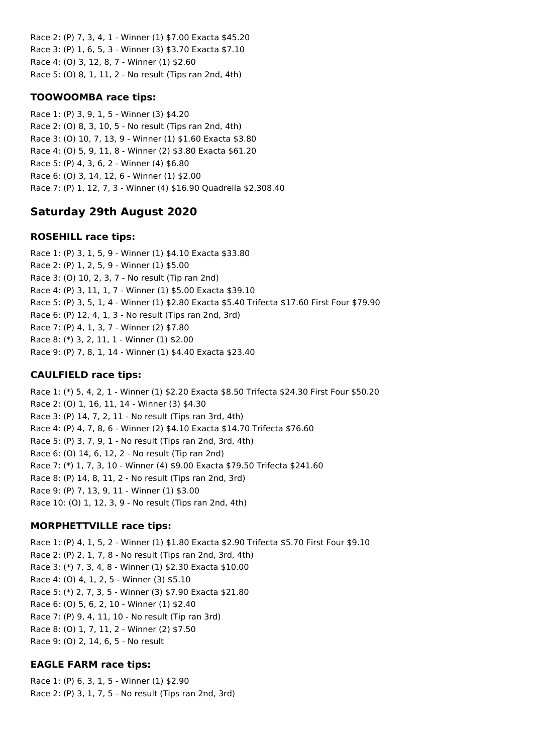Race 2: (P) 7, 3, 4, 1 - Winner (1) \$7.00 Exacta \$45.20 Race 3: (P) 1, 6, 5, 3 - Winner (3) \$3.70 Exacta \$7.10 Race 4: (O) 3, 12, 8, 7 - Winner (1) \$2.60 Race 5: (O) 8, 1, 11, 2 - No result (Tips ran 2nd, 4th)

## **TOOWOOMBA race tips:**

Race 1: (P) 3, 9, 1, 5 - Winner (3) \$4.20 Race 2: (O) 8, 3, 10, 5 - No result (Tips ran 2nd, 4th) Race 3: (O) 10, 7, 13, 9 - Winner (1) \$1.60 Exacta \$3.80 Race 4: (O) 5, 9, 11, 8 - Winner (2) \$3.80 Exacta \$61.20 Race 5: (P) 4, 3, 6, 2 - Winner (4) \$6.80 Race 6: (O) 3, 14, 12, 6 - Winner (1) \$2.00 Race 7: (P) 1, 12, 7, 3 - Winner (4) \$16.90 Quadrella \$2,308.40

# **Saturday 29th August 2020**

### **ROSEHILL race tips:**

Race 1: (P) 3, 1, 5, 9 - Winner (1) \$4.10 Exacta \$33.80 Race 2: (P) 1, 2, 5, 9 - Winner (1) \$5.00 Race 3: (O) 10, 2, 3, 7 - No result (Tip ran 2nd) Race 4: (P) 3, 11, 1, 7 - Winner (1) \$5.00 Exacta \$39.10 Race 5: (P) 3, 5, 1, 4 - Winner (1) \$2.80 Exacta \$5.40 Trifecta \$17.60 First Four \$79.90 Race 6: (P) 12, 4, 1, 3 - No result (Tips ran 2nd, 3rd) Race 7: (P) 4, 1, 3, 7 - Winner (2) \$7.80 Race 8: (\*) 3, 2, 11, 1 - Winner (1) \$2.00 Race 9: (P) 7, 8, 1, 14 - Winner (1) \$4.40 Exacta \$23.40

# **CAULFIELD race tips:**

Race 1: (\*) 5, 4, 2, 1 - Winner (1) \$2.20 Exacta \$8.50 Trifecta \$24.30 First Four \$50.20 Race 2: (O) 1, 16, 11, 14 - Winner (3) \$4.30 Race 3: (P) 14, 7, 2, 11 - No result (Tips ran 3rd, 4th) Race 4: (P) 4, 7, 8, 6 - Winner (2) \$4.10 Exacta \$14.70 Trifecta \$76.60 Race 5: (P) 3, 7, 9, 1 - No result (Tips ran 2nd, 3rd, 4th) Race 6: (O) 14, 6, 12, 2 - No result (Tip ran 2nd) Race 7: (\*) 1, 7, 3, 10 - Winner (4) \$9.00 Exacta \$79.50 Trifecta \$241.60 Race 8: (P) 14, 8, 11, 2 - No result (Tips ran 2nd, 3rd) Race 9: (P) 7, 13, 9, 11 - Winner (1) \$3.00 Race 10: (O) 1, 12, 3, 9 - No result (Tips ran 2nd, 4th)

# **MORPHETTVILLE race tips:**

Race 1: (P) 4, 1, 5, 2 - Winner (1) \$1.80 Exacta \$2.90 Trifecta \$5.70 First Four \$9.10 Race 2: (P) 2, 1, 7, 8 - No result (Tips ran 2nd, 3rd, 4th) Race 3: (\*) 7, 3, 4, 8 - Winner (1) \$2.30 Exacta \$10.00 Race 4: (O) 4, 1, 2, 5 - Winner (3) \$5.10 Race 5: (\*) 2, 7, 3, 5 - Winner (3) \$7.90 Exacta \$21.80 Race 6: (O) 5, 6, 2, 10 - Winner (1) \$2.40 Race 7: (P) 9, 4, 11, 10 - No result (Tip ran 3rd) Race 8: (O) 1, 7, 11, 2 - Winner (2) \$7.50 Race 9: (O) 2, 14, 6, 5 - No result

# **EAGLE FARM race tips:**

Race 1: (P) 6, 3, 1, 5 - Winner (1) \$2.90 Race 2: (P) 3, 1, 7, 5 - No result (Tips ran 2nd, 3rd)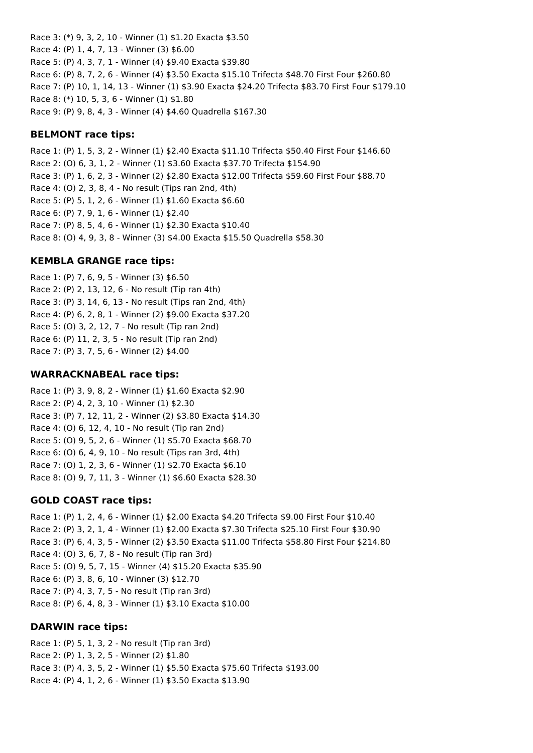Race 3: (\*) 9, 3, 2, 10 - Winner (1) \$1.20 Exacta \$3.50 Race 4: (P) 1, 4, 7, 13 - Winner (3) \$6.00 Race 5: (P) 4, 3, 7, 1 - Winner (4) \$9.40 Exacta \$39.80 Race 6: (P) 8, 7, 2, 6 - Winner (4) \$3.50 Exacta \$15.10 Trifecta \$48.70 First Four \$260.80 Race 7: (P) 10, 1, 14, 13 - Winner (1) \$3.90 Exacta \$24.20 Trifecta \$83.70 First Four \$179.10 Race 8: (\*) 10, 5, 3, 6 - Winner (1) \$1.80 Race 9: (P) 9, 8, 4, 3 - Winner (4) \$4.60 Quadrella \$167.30

### **BELMONT race tips:**

Race 1: (P) 1, 5, 3, 2 - Winner (1) \$2.40 Exacta \$11.10 Trifecta \$50.40 First Four \$146.60 Race 2: (O) 6, 3, 1, 2 - Winner (1) \$3.60 Exacta \$37.70 Trifecta \$154.90 Race 3: (P) 1, 6, 2, 3 - Winner (2) \$2.80 Exacta \$12.00 Trifecta \$59.60 First Four \$88.70 Race 4: (O) 2, 3, 8, 4 - No result (Tips ran 2nd, 4th) Race 5: (P) 5, 1, 2, 6 - Winner (1) \$1.60 Exacta \$6.60 Race 6: (P) 7, 9, 1, 6 - Winner (1) \$2.40 Race 7: (P) 8, 5, 4, 6 - Winner (1) \$2.30 Exacta \$10.40 Race 8: (O) 4, 9, 3, 8 - Winner (3) \$4.00 Exacta \$15.50 Quadrella \$58.30

### **KEMBLA GRANGE race tips:**

Race 1: (P) 7, 6, 9, 5 - Winner (3) \$6.50 Race 2: (P) 2, 13, 12, 6 - No result (Tip ran 4th) Race 3: (P) 3, 14, 6, 13 - No result (Tips ran 2nd, 4th) Race 4: (P) 6, 2, 8, 1 - Winner (2) \$9.00 Exacta \$37.20 Race 5: (O) 3, 2, 12, 7 - No result (Tip ran 2nd) Race 6: (P) 11, 2, 3, 5 - No result (Tip ran 2nd) Race 7: (P) 3, 7, 5, 6 - Winner (2) \$4.00

### **WARRACKNABEAL race tips:**

Race 1: (P) 3, 9, 8, 2 - Winner (1) \$1.60 Exacta \$2.90 Race 2: (P) 4, 2, 3, 10 - Winner (1) \$2.30 Race 3: (P) 7, 12, 11, 2 - Winner (2) \$3.80 Exacta \$14.30 Race 4: (O) 6, 12, 4, 10 - No result (Tip ran 2nd) Race 5: (O) 9, 5, 2, 6 - Winner (1) \$5.70 Exacta \$68.70 Race 6: (O) 6, 4, 9, 10 - No result (Tips ran 3rd, 4th) Race 7: (O) 1, 2, 3, 6 - Winner (1) \$2.70 Exacta \$6.10 Race 8: (O) 9, 7, 11, 3 - Winner (1) \$6.60 Exacta \$28.30

# **GOLD COAST race tips:**

Race 1: (P) 1, 2, 4, 6 - Winner (1) \$2.00 Exacta \$4.20 Trifecta \$9.00 First Four \$10.40 Race 2: (P) 3, 2, 1, 4 - Winner (1) \$2.00 Exacta \$7.30 Trifecta \$25.10 First Four \$30.90 Race 3: (P) 6, 4, 3, 5 - Winner (2) \$3.50 Exacta \$11.00 Trifecta \$58.80 First Four \$214.80 Race 4: (O) 3, 6, 7, 8 - No result (Tip ran 3rd) Race 5: (O) 9, 5, 7, 15 - Winner (4) \$15.20 Exacta \$35.90 Race 6: (P) 3, 8, 6, 10 - Winner (3) \$12.70 Race 7: (P) 4, 3, 7, 5 - No result (Tip ran 3rd) Race 8: (P) 6, 4, 8, 3 - Winner (1) \$3.10 Exacta \$10.00

### **DARWIN race tips:**

Race 1: (P) 5, 1, 3, 2 - No result (Tip ran 3rd) Race 2: (P) 1, 3, 2, 5 - Winner (2) \$1.80 Race 3: (P) 4, 3, 5, 2 - Winner (1) \$5.50 Exacta \$75.60 Trifecta \$193.00 Race 4: (P) 4, 1, 2, 6 - Winner (1) \$3.50 Exacta \$13.90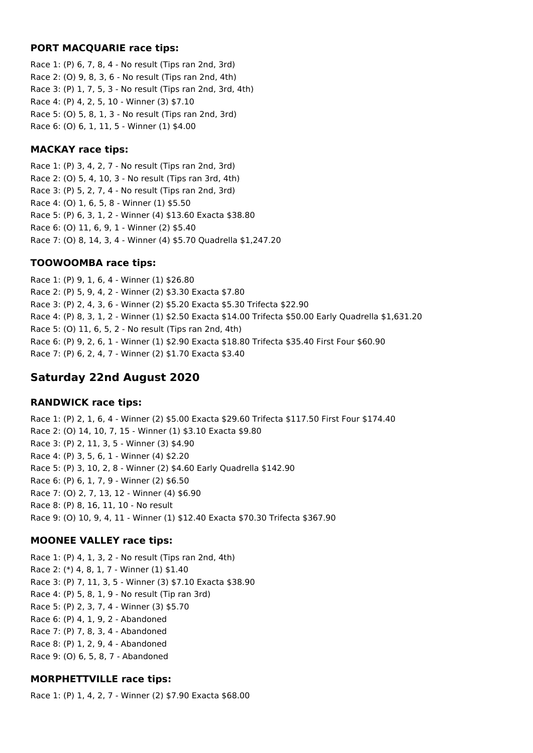### **PORT MACQUARIE race tips:**

Race 1: (P) 6, 7, 8, 4 - No result (Tips ran 2nd, 3rd) Race 2: (O) 9, 8, 3, 6 - No result (Tips ran 2nd, 4th) Race 3: (P) 1, 7, 5, 3 - No result (Tips ran 2nd, 3rd, 4th) Race 4: (P) 4, 2, 5, 10 - Winner (3) \$7.10 Race 5: (O) 5, 8, 1, 3 - No result (Tips ran 2nd, 3rd) Race 6: (O) 6, 1, 11, 5 - Winner (1) \$4.00

# **MACKAY race tips:**

Race 1: (P) 3, 4, 2, 7 - No result (Tips ran 2nd, 3rd) Race 2: (O) 5, 4, 10, 3 - No result (Tips ran 3rd, 4th) Race 3: (P) 5, 2, 7, 4 - No result (Tips ran 2nd, 3rd) Race 4: (O) 1, 6, 5, 8 - Winner (1) \$5.50 Race 5: (P) 6, 3, 1, 2 - Winner (4) \$13.60 Exacta \$38.80 Race 6: (O) 11, 6, 9, 1 - Winner (2) \$5.40 Race 7: (O) 8, 14, 3, 4 - Winner (4) \$5.70 Quadrella \$1,247.20

# **TOOWOOMBA race tips:**

Race 1: (P) 9, 1, 6, 4 - Winner (1) \$26.80 Race 2: (P) 5, 9, 4, 2 - Winner (2) \$3.30 Exacta \$7.80 Race 3: (P) 2, 4, 3, 6 - Winner (2) \$5.20 Exacta \$5.30 Trifecta \$22.90 Race 4: (P) 8, 3, 1, 2 - Winner (1) \$2.50 Exacta \$14.00 Trifecta \$50.00 Early Quadrella \$1,631.20 Race 5: (O) 11, 6, 5, 2 - No result (Tips ran 2nd, 4th) Race 6: (P) 9, 2, 6, 1 - Winner (1) \$2.90 Exacta \$18.80 Trifecta \$35.40 First Four \$60.90 Race 7: (P) 6, 2, 4, 7 - Winner (2) \$1.70 Exacta \$3.40

# **Saturday 22nd August 2020**

# **RANDWICK race tips:**

Race 1: (P) 2, 1, 6, 4 - Winner (2) \$5.00 Exacta \$29.60 Trifecta \$117.50 First Four \$174.40 Race 2: (O) 14, 10, 7, 15 - Winner (1) \$3.10 Exacta \$9.80 Race 3: (P) 2, 11, 3, 5 - Winner (3) \$4.90 Race 4: (P) 3, 5, 6, 1 - Winner (4) \$2.20 Race 5: (P) 3, 10, 2, 8 - Winner (2) \$4.60 Early Quadrella \$142.90 Race 6: (P) 6, 1, 7, 9 - Winner (2) \$6.50 Race 7: (O) 2, 7, 13, 12 - Winner (4) \$6.90 Race 8: (P) 8, 16, 11, 10 - No result Race 9: (O) 10, 9, 4, 11 - Winner (1) \$12.40 Exacta \$70.30 Trifecta \$367.90

# **MOONEE VALLEY race tips:**

Race 1: (P) 4, 1, 3, 2 - No result (Tips ran 2nd, 4th) Race 2: (\*) 4, 8, 1, 7 - Winner (1) \$1.40 Race 3: (P) 7, 11, 3, 5 - Winner (3) \$7.10 Exacta \$38.90 Race 4: (P) 5, 8, 1, 9 - No result (Tip ran 3rd) Race 5: (P) 2, 3, 7, 4 - Winner (3) \$5.70 Race 6: (P) 4, 1, 9, 2 - Abandoned Race 7: (P) 7, 8, 3, 4 - Abandoned Race 8: (P) 1, 2, 9, 4 - Abandoned Race 9: (O) 6, 5, 8, 7 - Abandoned

# **MORPHETTVILLE race tips:**

Race 1: (P) 1, 4, 2, 7 - Winner (2) \$7.90 Exacta \$68.00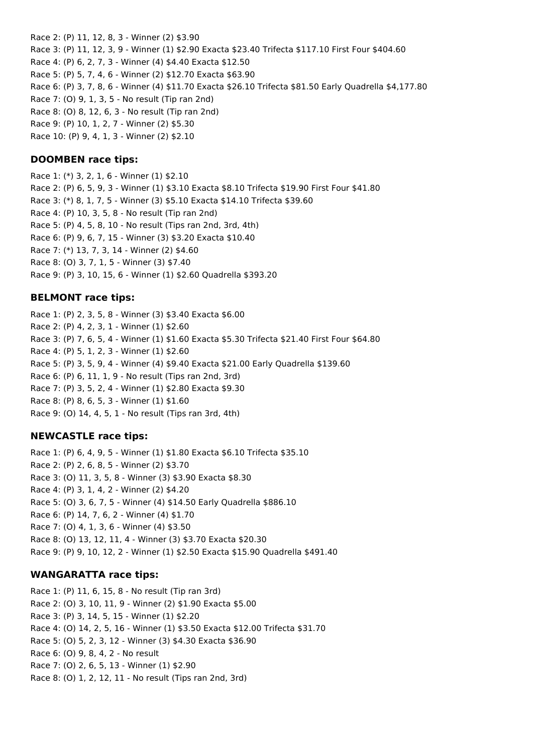Race 2: (P) 11, 12, 8, 3 - Winner (2) \$3.90 Race 3: (P) 11, 12, 3, 9 - Winner (1) \$2.90 Exacta \$23.40 Trifecta \$117.10 First Four \$404.60 Race 4: (P) 6, 2, 7, 3 - Winner (4) \$4.40 Exacta \$12.50 Race 5: (P) 5, 7, 4, 6 - Winner (2) \$12.70 Exacta \$63.90 Race 6: (P) 3, 7, 8, 6 - Winner (4) \$11.70 Exacta \$26.10 Trifecta \$81.50 Early Quadrella \$4,177.80 Race 7: (O) 9, 1, 3, 5 - No result (Tip ran 2nd) Race 8: (O) 8, 12, 6, 3 - No result (Tip ran 2nd) Race 9: (P) 10, 1, 2, 7 - Winner (2) \$5.30 Race 10: (P) 9, 4, 1, 3 - Winner (2) \$2.10

**DOOMBEN race tips:**

Race 1: (\*) 3, 2, 1, 6 - Winner (1) \$2.10 Race 2: (P) 6, 5, 9, 3 - Winner (1) \$3.10 Exacta \$8.10 Trifecta \$19.90 First Four \$41.80 Race 3: (\*) 8, 1, 7, 5 - Winner (3) \$5.10 Exacta \$14.10 Trifecta \$39.60 Race 4: (P) 10, 3, 5, 8 - No result (Tip ran 2nd) Race 5: (P) 4, 5, 8, 10 - No result (Tips ran 2nd, 3rd, 4th) Race 6: (P) 9, 6, 7, 15 - Winner (3) \$3.20 Exacta \$10.40 Race 7: (\*) 13, 7, 3, 14 - Winner (2) \$4.60 Race 8: (O) 3, 7, 1, 5 - Winner (3) \$7.40 Race 9: (P) 3, 10, 15, 6 - Winner (1) \$2.60 Quadrella \$393.20

### **BELMONT race tips:**

Race 1: (P) 2, 3, 5, 8 - Winner (3) \$3.40 Exacta \$6.00 Race 2: (P) 4, 2, 3, 1 - Winner (1) \$2.60 Race 3: (P) 7, 6, 5, 4 - Winner (1) \$1.60 Exacta \$5.30 Trifecta \$21.40 First Four \$64.80 Race 4: (P) 5, 1, 2, 3 - Winner (1) \$2.60 Race 5: (P) 3, 5, 9, 4 - Winner (4) \$9.40 Exacta \$21.00 Early Quadrella \$139.60 Race 6: (P) 6, 11, 1, 9 - No result (Tips ran 2nd, 3rd) Race 7: (P) 3, 5, 2, 4 - Winner (1) \$2.80 Exacta \$9.30 Race 8: (P) 8, 6, 5, 3 - Winner (1) \$1.60 Race 9: (O) 14, 4, 5, 1 - No result (Tips ran 3rd, 4th)

### **NEWCASTLE race tips:**

Race 1: (P) 6, 4, 9, 5 - Winner (1) \$1.80 Exacta \$6.10 Trifecta \$35.10 Race 2: (P) 2, 6, 8, 5 - Winner (2) \$3.70 Race 3: (O) 11, 3, 5, 8 - Winner (3) \$3.90 Exacta \$8.30 Race 4: (P) 3, 1, 4, 2 - Winner (2) \$4.20 Race 5: (O) 3, 6, 7, 5 - Winner (4) \$14.50 Early Quadrella \$886.10 Race 6: (P) 14, 7, 6, 2 - Winner (4) \$1.70 Race 7: (O) 4, 1, 3, 6 - Winner (4) \$3.50 Race 8: (O) 13, 12, 11, 4 - Winner (3) \$3.70 Exacta \$20.30 Race 9: (P) 9, 10, 12, 2 - Winner (1) \$2.50 Exacta \$15.90 Quadrella \$491.40

### **WANGARATTA race tips:**

Race 1: (P) 11, 6, 15, 8 - No result (Tip ran 3rd) Race 2: (O) 3, 10, 11, 9 - Winner (2) \$1.90 Exacta \$5.00 Race 3: (P) 3, 14, 5, 15 - Winner (1) \$2.20 Race 4: (O) 14, 2, 5, 16 - Winner (1) \$3.50 Exacta \$12.00 Trifecta \$31.70 Race 5: (O) 5, 2, 3, 12 - Winner (3) \$4.30 Exacta \$36.90 Race 6: (O) 9, 8, 4, 2 - No result Race 7: (O) 2, 6, 5, 13 - Winner (1) \$2.90 Race 8: (O) 1, 2, 12, 11 - No result (Tips ran 2nd, 3rd)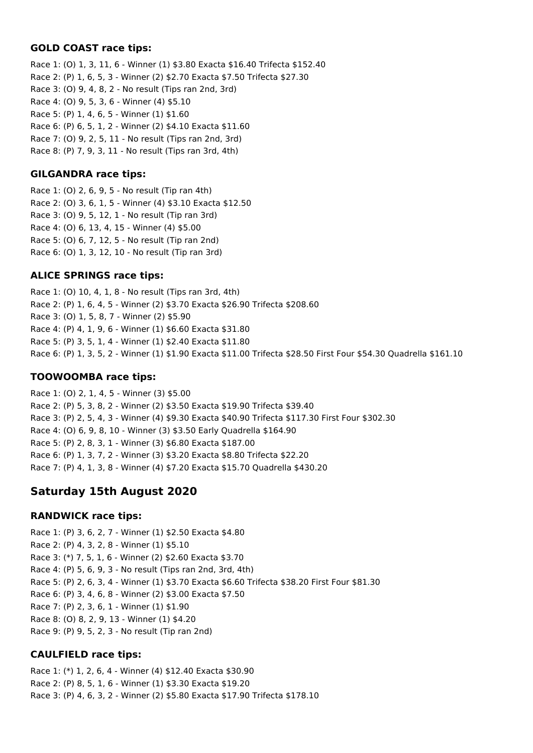## **GOLD COAST race tips:**

Race 1: (O) 1, 3, 11, 6 - Winner (1) \$3.80 Exacta \$16.40 Trifecta \$152.40 Race 2: (P) 1, 6, 5, 3 - Winner (2) \$2.70 Exacta \$7.50 Trifecta \$27.30 Race 3: (O) 9, 4, 8, 2 - No result (Tips ran 2nd, 3rd) Race 4: (O) 9, 5, 3, 6 - Winner (4) \$5.10 Race 5: (P) 1, 4, 6, 5 - Winner (1) \$1.60 Race 6: (P) 6, 5, 1, 2 - Winner (2) \$4.10 Exacta \$11.60 Race 7: (O) 9, 2, 5, 11 - No result (Tips ran 2nd, 3rd) Race 8: (P) 7, 9, 3, 11 - No result (Tips ran 3rd, 4th)

## **GILGANDRA race tips:**

Race 1: (O) 2, 6, 9, 5 - No result (Tip ran 4th) Race 2: (O) 3, 6, 1, 5 - Winner (4) \$3.10 Exacta \$12.50 Race 3: (O) 9, 5, 12, 1 - No result (Tip ran 3rd) Race 4: (O) 6, 13, 4, 15 - Winner (4) \$5.00 Race 5: (O) 6, 7, 12, 5 - No result (Tip ran 2nd) Race 6: (O) 1, 3, 12, 10 - No result (Tip ran 3rd)

# **ALICE SPRINGS race tips:**

Race 1: (O) 10, 4, 1, 8 - No result (Tips ran 3rd, 4th) Race 2: (P) 1, 6, 4, 5 - Winner (2) \$3.70 Exacta \$26.90 Trifecta \$208.60 Race 3: (O) 1, 5, 8, 7 - Winner (2) \$5.90 Race 4: (P) 4, 1, 9, 6 - Winner (1) \$6.60 Exacta \$31.80 Race 5: (P) 3, 5, 1, 4 - Winner (1) \$2.40 Exacta \$11.80 Race 6: (P) 1, 3, 5, 2 - Winner (1) \$1.90 Exacta \$11.00 Trifecta \$28.50 First Four \$54.30 Quadrella \$161.10

### **TOOWOOMBA race tips:**

Race 1: (O) 2, 1, 4, 5 - Winner (3) \$5.00 Race 2: (P) 5, 3, 8, 2 - Winner (2) \$3.50 Exacta \$19.90 Trifecta \$39.40 Race 3: (P) 2, 5, 4, 3 - Winner (4) \$9.30 Exacta \$40.90 Trifecta \$117.30 First Four \$302.30 Race 4: (O) 6, 9, 8, 10 - Winner (3) \$3.50 Early Quadrella \$164.90 Race 5: (P) 2, 8, 3, 1 - Winner (3) \$6.80 Exacta \$187.00 Race 6: (P) 1, 3, 7, 2 - Winner (3) \$3.20 Exacta \$8.80 Trifecta \$22.20 Race 7: (P) 4, 1, 3, 8 - Winner (4) \$7.20 Exacta \$15.70 Quadrella \$430.20

# **Saturday 15th August 2020**

### **RANDWICK race tips:**

Race 1: (P) 3, 6, 2, 7 - Winner (1) \$2.50 Exacta \$4.80 Race 2: (P) 4, 3, 2, 8 - Winner (1) \$5.10 Race 3: (\*) 7, 5, 1, 6 - Winner (2) \$2.60 Exacta \$3.70 Race 4: (P) 5, 6, 9, 3 - No result (Tips ran 2nd, 3rd, 4th) Race 5: (P) 2, 6, 3, 4 - Winner (1) \$3.70 Exacta \$6.60 Trifecta \$38.20 First Four \$81.30 Race 6: (P) 3, 4, 6, 8 - Winner (2) \$3.00 Exacta \$7.50 Race 7: (P) 2, 3, 6, 1 - Winner (1) \$1.90 Race 8: (O) 8, 2, 9, 13 - Winner (1) \$4.20 Race 9: (P) 9, 5, 2, 3 - No result (Tip ran 2nd)

# **CAULFIELD race tips:**

Race 1: (\*) 1, 2, 6, 4 - Winner (4) \$12.40 Exacta \$30.90 Race 2: (P) 8, 5, 1, 6 - Winner (1) \$3.30 Exacta \$19.20 Race 3: (P) 4, 6, 3, 2 - Winner (2) \$5.80 Exacta \$17.90 Trifecta \$178.10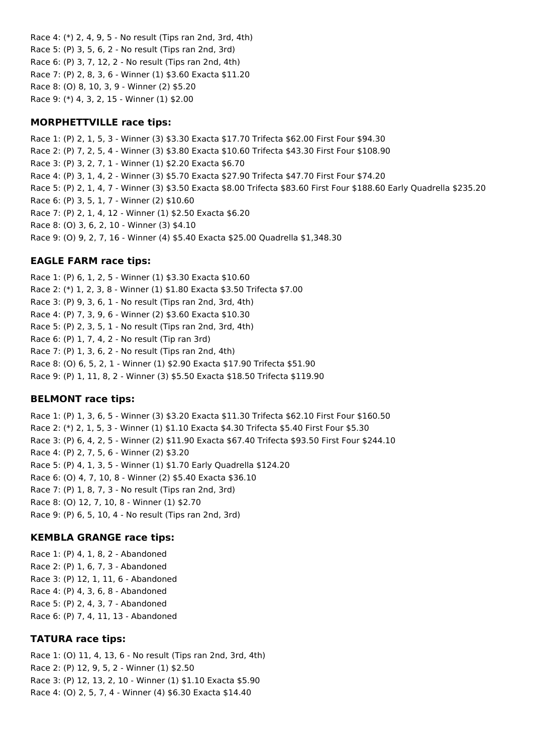Race 4: (\*) 2, 4, 9, 5 - No result (Tips ran 2nd, 3rd, 4th) Race 5: (P) 3, 5, 6, 2 - No result (Tips ran 2nd, 3rd) Race 6: (P) 3, 7, 12, 2 - No result (Tips ran 2nd, 4th) Race 7: (P) 2, 8, 3, 6 - Winner (1) \$3.60 Exacta \$11.20 Race 8: (O) 8, 10, 3, 9 - Winner (2) \$5.20 Race 9: (\*) 4, 3, 2, 15 - Winner (1) \$2.00

### **MORPHETTVILLE race tips:**

Race 1: (P) 2, 1, 5, 3 - Winner (3) \$3.30 Exacta \$17.70 Trifecta \$62.00 First Four \$94.30 Race 2: (P) 7, 2, 5, 4 - Winner (3) \$3.80 Exacta \$10.60 Trifecta \$43.30 First Four \$108.90 Race 3: (P) 3, 2, 7, 1 - Winner (1) \$2.20 Exacta \$6.70 Race 4: (P) 3, 1, 4, 2 - Winner (3) \$5.70 Exacta \$27.90 Trifecta \$47.70 First Four \$74.20 Race 5: (P) 2, 1, 4, 7 - Winner (3) \$3.50 Exacta \$8.00 Trifecta \$83.60 First Four \$188.60 Early Quadrella \$235.20 Race 6: (P) 3, 5, 1, 7 - Winner (2) \$10.60 Race 7: (P) 2, 1, 4, 12 - Winner (1) \$2.50 Exacta \$6.20 Race 8: (O) 3, 6, 2, 10 - Winner (3) \$4.10 Race 9: (O) 9, 2, 7, 16 - Winner (4) \$5.40 Exacta \$25.00 Quadrella \$1,348.30

# **EAGLE FARM race tips:**

Race 1: (P) 6, 1, 2, 5 - Winner (1) \$3.30 Exacta \$10.60 Race 2: (\*) 1, 2, 3, 8 - Winner (1) \$1.80 Exacta \$3.50 Trifecta \$7.00 Race 3: (P) 9, 3, 6, 1 - No result (Tips ran 2nd, 3rd, 4th) Race 4: (P) 7, 3, 9, 6 - Winner (2) \$3.60 Exacta \$10.30 Race 5: (P) 2, 3, 5, 1 - No result (Tips ran 2nd, 3rd, 4th) Race 6: (P) 1, 7, 4, 2 - No result (Tip ran 3rd) Race 7: (P) 1, 3, 6, 2 - No result (Tips ran 2nd, 4th) Race 8: (O) 6, 5, 2, 1 - Winner (1) \$2.90 Exacta \$17.90 Trifecta \$51.90 Race 9: (P) 1, 11, 8, 2 - Winner (3) \$5.50 Exacta \$18.50 Trifecta \$119.90

# **BELMONT race tips:**

Race 1: (P) 1, 3, 6, 5 - Winner (3) \$3.20 Exacta \$11.30 Trifecta \$62.10 First Four \$160.50 Race 2: (\*) 2, 1, 5, 3 - Winner (1) \$1.10 Exacta \$4.30 Trifecta \$5.40 First Four \$5.30 Race 3: (P) 6, 4, 2, 5 - Winner (2) \$11.90 Exacta \$67.40 Trifecta \$93.50 First Four \$244.10 Race 4: (P) 2, 7, 5, 6 - Winner (2) \$3.20 Race 5: (P) 4, 1, 3, 5 - Winner (1) \$1.70 Early Quadrella \$124.20 Race 6: (O) 4, 7, 10, 8 - Winner (2) \$5.40 Exacta \$36.10 Race 7: (P) 1, 8, 7, 3 - No result (Tips ran 2nd, 3rd) Race 8: (O) 12, 7, 10, 8 - Winner (1) \$2.70 Race 9: (P) 6, 5, 10, 4 - No result (Tips ran 2nd, 3rd)

### **KEMBLA GRANGE race tips:**

Race 1: (P) 4, 1, 8, 2 - Abandoned Race 2: (P) 1, 6, 7, 3 - Abandoned Race 3: (P) 12, 1, 11, 6 - Abandoned Race 4: (P) 4, 3, 6, 8 - Abandoned Race 5: (P) 2, 4, 3, 7 - Abandoned Race 6: (P) 7, 4, 11, 13 - Abandoned

### **TATURA race tips:**

Race 1: (O) 11, 4, 13, 6 - No result (Tips ran 2nd, 3rd, 4th) Race 2: (P) 12, 9, 5, 2 - Winner (1) \$2.50 Race 3: (P) 12, 13, 2, 10 - Winner (1) \$1.10 Exacta \$5.90 Race 4: (O) 2, 5, 7, 4 - Winner (4) \$6.30 Exacta \$14.40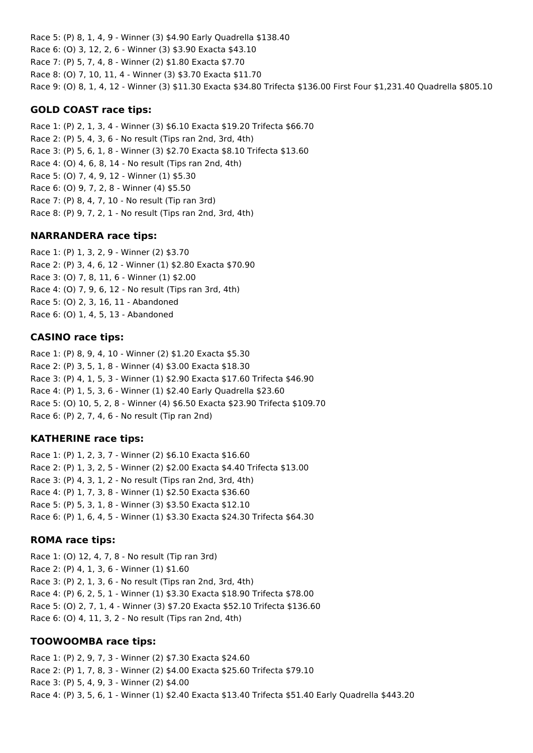Race 5: (P) 8, 1, 4, 9 - Winner (3) \$4.90 Early Quadrella \$138.40 Race 6: (O) 3, 12, 2, 6 - Winner (3) \$3.90 Exacta \$43.10 Race 7: (P) 5, 7, 4, 8 - Winner (2) \$1.80 Exacta \$7.70 Race 8: (O) 7, 10, 11, 4 - Winner (3) \$3.70 Exacta \$11.70 Race 9: (O) 8, 1, 4, 12 - Winner (3) \$11.30 Exacta \$34.80 Trifecta \$136.00 First Four \$1,231.40 Quadrella \$805.10

### **GOLD COAST race tips:**

Race 1: (P) 2, 1, 3, 4 - Winner (3) \$6.10 Exacta \$19.20 Trifecta \$66.70 Race 2: (P) 5, 4, 3, 6 - No result (Tips ran 2nd, 3rd, 4th) Race 3: (P) 5, 6, 1, 8 - Winner (3) \$2.70 Exacta \$8.10 Trifecta \$13.60 Race 4: (O) 4, 6, 8, 14 - No result (Tips ran 2nd, 4th) Race 5: (O) 7, 4, 9, 12 - Winner (1) \$5.30 Race 6: (O) 9, 7, 2, 8 - Winner (4) \$5.50 Race 7: (P) 8, 4, 7, 10 - No result (Tip ran 3rd) Race 8: (P) 9, 7, 2, 1 - No result (Tips ran 2nd, 3rd, 4th)

#### **NARRANDERA race tips:**

Race 1: (P) 1, 3, 2, 9 - Winner (2) \$3.70 Race 2: (P) 3, 4, 6, 12 - Winner (1) \$2.80 Exacta \$70.90 Race 3: (O) 7, 8, 11, 6 - Winner (1) \$2.00 Race 4: (O) 7, 9, 6, 12 - No result (Tips ran 3rd, 4th) Race 5: (O) 2, 3, 16, 11 - Abandoned Race 6: (O) 1, 4, 5, 13 - Abandoned

#### **CASINO race tips:**

Race 1: (P) 8, 9, 4, 10 - Winner (2) \$1.20 Exacta \$5.30 Race 2: (P) 3, 5, 1, 8 - Winner (4) \$3.00 Exacta \$18.30 Race 3: (P) 4, 1, 5, 3 - Winner (1) \$2.90 Exacta \$17.60 Trifecta \$46.90 Race 4: (P) 1, 5, 3, 6 - Winner (1) \$2.40 Early Quadrella \$23.60 Race 5: (O) 10, 5, 2, 8 - Winner (4) \$6.50 Exacta \$23.90 Trifecta \$109.70 Race 6: (P) 2, 7, 4, 6 - No result (Tip ran 2nd)

#### **KATHERINE race tips:**

Race 1: (P) 1, 2, 3, 7 - Winner (2) \$6.10 Exacta \$16.60 Race 2: (P) 1, 3, 2, 5 - Winner (2) \$2.00 Exacta \$4.40 Trifecta \$13.00 Race 3: (P) 4, 3, 1, 2 - No result (Tips ran 2nd, 3rd, 4th) Race 4: (P) 1, 7, 3, 8 - Winner (1) \$2.50 Exacta \$36.60 Race 5: (P) 5, 3, 1, 8 - Winner (3) \$3.50 Exacta \$12.10 Race 6: (P) 1, 6, 4, 5 - Winner (1) \$3.30 Exacta \$24.30 Trifecta \$64.30

#### **ROMA race tips:**

Race 1: (O) 12, 4, 7, 8 - No result (Tip ran 3rd) Race 2: (P) 4, 1, 3, 6 - Winner (1) \$1.60 Race 3: (P) 2, 1, 3, 6 - No result (Tips ran 2nd, 3rd, 4th) Race 4: (P) 6, 2, 5, 1 - Winner (1) \$3.30 Exacta \$18.90 Trifecta \$78.00 Race 5: (O) 2, 7, 1, 4 - Winner (3) \$7.20 Exacta \$52.10 Trifecta \$136.60 Race 6: (O) 4, 11, 3, 2 - No result (Tips ran 2nd, 4th)

#### **TOOWOOMBA race tips:**

Race 1: (P) 2, 9, 7, 3 - Winner (2) \$7.30 Exacta \$24.60 Race 2: (P) 1, 7, 8, 3 - Winner (2) \$4.00 Exacta \$25.60 Trifecta \$79.10 Race 3: (P) 5, 4, 9, 3 - Winner (2) \$4.00 Race 4: (P) 3, 5, 6, 1 - Winner (1) \$2.40 Exacta \$13.40 Trifecta \$51.40 Early Quadrella \$443.20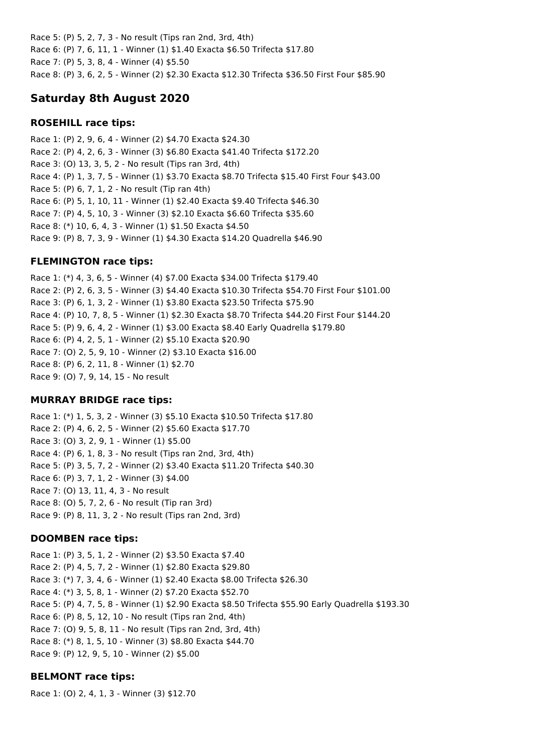Race 5: (P) 5, 2, 7, 3 - No result (Tips ran 2nd, 3rd, 4th) Race 6: (P) 7, 6, 11, 1 - Winner (1) \$1.40 Exacta \$6.50 Trifecta \$17.80 Race 7: (P) 5, 3, 8, 4 - Winner (4) \$5.50 Race 8: (P) 3, 6, 2, 5 - Winner (2) \$2.30 Exacta \$12.30 Trifecta \$36.50 First Four \$85.90

# **Saturday 8th August 2020**

### **ROSEHILL race tips:**

Race 1: (P) 2, 9, 6, 4 - Winner (2) \$4.70 Exacta \$24.30 Race 2: (P) 4, 2, 6, 3 - Winner (3) \$6.80 Exacta \$41.40 Trifecta \$172.20 Race 3: (O) 13, 3, 5, 2 - No result (Tips ran 3rd, 4th) Race 4: (P) 1, 3, 7, 5 - Winner (1) \$3.70 Exacta \$8.70 Trifecta \$15.40 First Four \$43.00 Race 5: (P) 6, 7, 1, 2 - No result (Tip ran 4th) Race 6: (P) 5, 1, 10, 11 - Winner (1) \$2.40 Exacta \$9.40 Trifecta \$46.30 Race 7: (P) 4, 5, 10, 3 - Winner (3) \$2.10 Exacta \$6.60 Trifecta \$35.60 Race 8: (\*) 10, 6, 4, 3 - Winner (1) \$1.50 Exacta \$4.50 Race 9: (P) 8, 7, 3, 9 - Winner (1) \$4.30 Exacta \$14.20 Quadrella \$46.90

### **FLEMINGTON race tips:**

Race 1: (\*) 4, 3, 6, 5 - Winner (4) \$7.00 Exacta \$34.00 Trifecta \$179.40 Race 2: (P) 2, 6, 3, 5 - Winner (3) \$4.40 Exacta \$10.30 Trifecta \$54.70 First Four \$101.00 Race 3: (P) 6, 1, 3, 2 - Winner (1) \$3.80 Exacta \$23.50 Trifecta \$75.90 Race 4: (P) 10, 7, 8, 5 - Winner (1) \$2.30 Exacta \$8.70 Trifecta \$44.20 First Four \$144.20 Race 5: (P) 9, 6, 4, 2 - Winner (1) \$3.00 Exacta \$8.40 Early Quadrella \$179.80 Race 6: (P) 4, 2, 5, 1 - Winner (2) \$5.10 Exacta \$20.90 Race 7: (O) 2, 5, 9, 10 - Winner (2) \$3.10 Exacta \$16.00 Race 8: (P) 6, 2, 11, 8 - Winner (1) \$2.70 Race 9: (O) 7, 9, 14, 15 - No result

### **MURRAY BRIDGE race tips:**

Race 1: (\*) 1, 5, 3, 2 - Winner (3) \$5.10 Exacta \$10.50 Trifecta \$17.80 Race 2: (P) 4, 6, 2, 5 - Winner (2) \$5.60 Exacta \$17.70 Race 3: (O) 3, 2, 9, 1 - Winner (1) \$5.00 Race 4: (P) 6, 1, 8, 3 - No result (Tips ran 2nd, 3rd, 4th) Race 5: (P) 3, 5, 7, 2 - Winner (2) \$3.40 Exacta \$11.20 Trifecta \$40.30 Race 6: (P) 3, 7, 1, 2 - Winner (3) \$4.00 Race 7: (O) 13, 11, 4, 3 - No result Race 8: (O) 5, 7, 2, 6 - No result (Tip ran 3rd) Race 9: (P) 8, 11, 3, 2 - No result (Tips ran 2nd, 3rd)

### **DOOMBEN race tips:**

Race 1: (P) 3, 5, 1, 2 - Winner (2) \$3.50 Exacta \$7.40 Race 2: (P) 4, 5, 7, 2 - Winner (1) \$2.80 Exacta \$29.80 Race 3: (\*) 7, 3, 4, 6 - Winner (1) \$2.40 Exacta \$8.00 Trifecta \$26.30 Race 4: (\*) 3, 5, 8, 1 - Winner (2) \$7.20 Exacta \$52.70 Race 5: (P) 4, 7, 5, 8 - Winner (1) \$2.90 Exacta \$8.50 Trifecta \$55.90 Early Quadrella \$193.30 Race 6: (P) 8, 5, 12, 10 - No result (Tips ran 2nd, 4th) Race 7: (O) 9, 5, 8, 11 - No result (Tips ran 2nd, 3rd, 4th) Race 8: (\*) 8, 1, 5, 10 - Winner (3) \$8.80 Exacta \$44.70 Race 9: (P) 12, 9, 5, 10 - Winner (2) \$5.00

# **BELMONT race tips:**

Race 1: (O) 2, 4, 1, 3 - Winner (3) \$12.70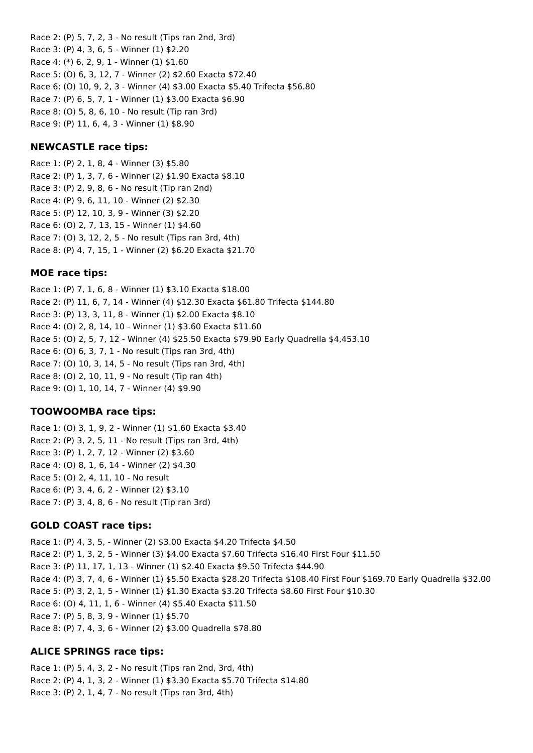Race 2: (P) 5, 7, 2, 3 - No result (Tips ran 2nd, 3rd) Race 3: (P) 4, 3, 6, 5 - Winner (1) \$2.20 Race 4: (\*) 6, 2, 9, 1 - Winner (1) \$1.60 Race 5: (O) 6, 3, 12, 7 - Winner (2) \$2.60 Exacta \$72.40 Race 6: (O) 10, 9, 2, 3 - Winner (4) \$3.00 Exacta \$5.40 Trifecta \$56.80 Race 7: (P) 6, 5, 7, 1 - Winner (1) \$3.00 Exacta \$6.90 Race 8: (O) 5, 8, 6, 10 - No result (Tip ran 3rd) Race 9: (P) 11, 6, 4, 3 - Winner (1) \$8.90

### **NEWCASTLE race tips:**

Race 1: (P) 2, 1, 8, 4 - Winner (3) \$5.80 Race 2: (P) 1, 3, 7, 6 - Winner (2) \$1.90 Exacta \$8.10 Race 3: (P) 2, 9, 8, 6 - No result (Tip ran 2nd) Race 4: (P) 9, 6, 11, 10 - Winner (2) \$2.30 Race 5: (P) 12, 10, 3, 9 - Winner (3) \$2.20 Race 6: (O) 2, 7, 13, 15 - Winner (1) \$4.60 Race 7: (O) 3, 12, 2, 5 - No result (Tips ran 3rd, 4th) Race 8: (P) 4, 7, 15, 1 - Winner (2) \$6.20 Exacta \$21.70

# **MOE race tips:**

Race 1: (P) 7, 1, 6, 8 - Winner (1) \$3.10 Exacta \$18.00 Race 2: (P) 11, 6, 7, 14 - Winner (4) \$12.30 Exacta \$61.80 Trifecta \$144.80 Race 3: (P) 13, 3, 11, 8 - Winner (1) \$2.00 Exacta \$8.10 Race 4: (O) 2, 8, 14, 10 - Winner (1) \$3.60 Exacta \$11.60 Race 5: (O) 2, 5, 7, 12 - Winner (4) \$25.50 Exacta \$79.90 Early Quadrella \$4,453.10 Race 6: (O) 6, 3, 7, 1 - No result (Tips ran 3rd, 4th) Race 7: (O) 10, 3, 14, 5 - No result (Tips ran 3rd, 4th) Race 8: (O) 2, 10, 11, 9 - No result (Tip ran 4th) Race 9: (O) 1, 10, 14, 7 - Winner (4) \$9.90

# **TOOWOOMBA race tips:**

Race 1: (O) 3, 1, 9, 2 - Winner (1) \$1.60 Exacta \$3.40 Race 2: (P) 3, 2, 5, 11 - No result (Tips ran 3rd, 4th) Race 3: (P) 1, 2, 7, 12 - Winner (2) \$3.60 Race 4: (O) 8, 1, 6, 14 - Winner (2) \$4.30 Race 5: (O) 2, 4, 11, 10 - No result Race 6: (P) 3, 4, 6, 2 - Winner (2) \$3.10 Race 7: (P) 3, 4, 8, 6 - No result (Tip ran 3rd)

# **GOLD COAST race tips:**

Race 1: (P) 4, 3, 5, - Winner (2) \$3.00 Exacta \$4.20 Trifecta \$4.50 Race 2: (P) 1, 3, 2, 5 - Winner (3) \$4.00 Exacta \$7.60 Trifecta \$16.40 First Four \$11.50 Race 3: (P) 11, 17, 1, 13 - Winner (1) \$2.40 Exacta \$9.50 Trifecta \$44.90 Race 4: (P) 3, 7, 4, 6 - Winner (1) \$5.50 Exacta \$28.20 Trifecta \$108.40 First Four \$169.70 Early Quadrella \$32.00 Race 5: (P) 3, 2, 1, 5 - Winner (1) \$1.30 Exacta \$3.20 Trifecta \$8.60 First Four \$10.30 Race 6: (O) 4, 11, 1, 6 - Winner (4) \$5.40 Exacta \$11.50 Race 7: (P) 5, 8, 3, 9 - Winner (1) \$5.70 Race 8: (P) 7, 4, 3, 6 - Winner (2) \$3.00 Quadrella \$78.80

# **ALICE SPRINGS race tips:**

Race 1: (P) 5, 4, 3, 2 - No result (Tips ran 2nd, 3rd, 4th) Race 2: (P) 4, 1, 3, 2 - Winner (1) \$3.30 Exacta \$5.70 Trifecta \$14.80 Race 3: (P) 2, 1, 4, 7 - No result (Tips ran 3rd, 4th)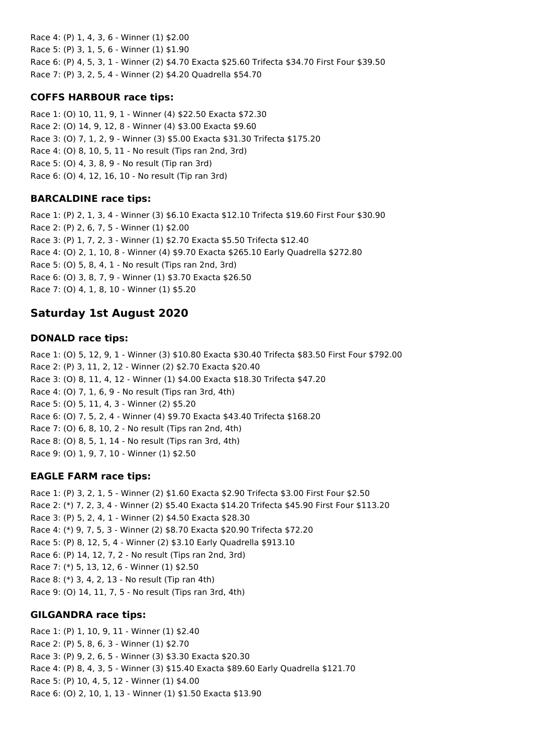Race 4: (P) 1, 4, 3, 6 - Winner (1) \$2.00 Race 5: (P) 3, 1, 5, 6 - Winner (1) \$1.90 Race 6: (P) 4, 5, 3, 1 - Winner (2) \$4.70 Exacta \$25.60 Trifecta \$34.70 First Four \$39.50 Race 7: (P) 3, 2, 5, 4 - Winner (2) \$4.20 Quadrella \$54.70

# **COFFS HARBOUR race tips:**

Race 1: (O) 10, 11, 9, 1 - Winner (4) \$22.50 Exacta \$72.30 Race 2: (O) 14, 9, 12, 8 - Winner (4) \$3.00 Exacta \$9.60 Race 3: (O) 7, 1, 2, 9 - Winner (3) \$5.00 Exacta \$31.30 Trifecta \$175.20 Race 4: (O) 8, 10, 5, 11 - No result (Tips ran 2nd, 3rd) Race 5: (O) 4, 3, 8, 9 - No result (Tip ran 3rd) Race 6: (O) 4, 12, 16, 10 - No result (Tip ran 3rd)

# **BARCALDINE race tips:**

Race 1: (P) 2, 1, 3, 4 - Winner (3) \$6.10 Exacta \$12.10 Trifecta \$19.60 First Four \$30.90 Race 2: (P) 2, 6, 7, 5 - Winner (1) \$2.00 Race 3: (P) 1, 7, 2, 3 - Winner (1) \$2.70 Exacta \$5.50 Trifecta \$12.40 Race 4: (O) 2, 1, 10, 8 - Winner (4) \$9.70 Exacta \$265.10 Early Quadrella \$272.80 Race 5: (O) 5, 8, 4, 1 - No result (Tips ran 2nd, 3rd) Race 6: (O) 3, 8, 7, 9 - Winner (1) \$3.70 Exacta \$26.50 Race 7: (O) 4, 1, 8, 10 - Winner (1) \$5.20

# **Saturday 1st August 2020**

# **DONALD race tips:**

Race 1: (O) 5, 12, 9, 1 - Winner (3) \$10.80 Exacta \$30.40 Trifecta \$83.50 First Four \$792.00 Race 2: (P) 3, 11, 2, 12 - Winner (2) \$2.70 Exacta \$20.40 Race 3: (O) 8, 11, 4, 12 - Winner (1) \$4.00 Exacta \$18.30 Trifecta \$47.20 Race 4: (O) 7, 1, 6, 9 - No result (Tips ran 3rd, 4th) Race 5: (O) 5, 11, 4, 3 - Winner (2) \$5.20 Race 6: (O) 7, 5, 2, 4 - Winner (4) \$9.70 Exacta \$43.40 Trifecta \$168.20 Race 7: (O) 6, 8, 10, 2 - No result (Tips ran 2nd, 4th) Race 8: (O) 8, 5, 1, 14 - No result (Tips ran 3rd, 4th) Race 9: (O) 1, 9, 7, 10 - Winner (1) \$2.50

# **EAGLE FARM race tips:**

Race 1: (P) 3, 2, 1, 5 - Winner (2) \$1.60 Exacta \$2.90 Trifecta \$3.00 First Four \$2.50 Race 2: (\*) 7, 2, 3, 4 - Winner (2) \$5.40 Exacta \$14.20 Trifecta \$45.90 First Four \$113.20 Race 3: (P) 5, 2, 4, 1 - Winner (2) \$4.50 Exacta \$28.30 Race 4: (\*) 9, 7, 5, 3 - Winner (2) \$8.70 Exacta \$20.90 Trifecta \$72.20 Race 5: (P) 8, 12, 5, 4 - Winner (2) \$3.10 Early Quadrella \$913.10 Race 6: (P) 14, 12, 7, 2 - No result (Tips ran 2nd, 3rd) Race 7: (\*) 5, 13, 12, 6 - Winner (1) \$2.50 Race 8: (\*) 3, 4, 2, 13 - No result (Tip ran 4th) Race 9: (O) 14, 11, 7, 5 - No result (Tips ran 3rd, 4th)

# **GILGANDRA race tips:**

Race 1: (P) 1, 10, 9, 11 - Winner (1) \$2.40 Race 2: (P) 5, 8, 6, 3 - Winner (1) \$2.70 Race 3: (P) 9, 2, 6, 5 - Winner (3) \$3.30 Exacta \$20.30 Race 4: (P) 8, 4, 3, 5 - Winner (3) \$15.40 Exacta \$89.60 Early Quadrella \$121.70 Race 5: (P) 10, 4, 5, 12 - Winner (1) \$4.00 Race 6: (O) 2, 10, 1, 13 - Winner (1) \$1.50 Exacta \$13.90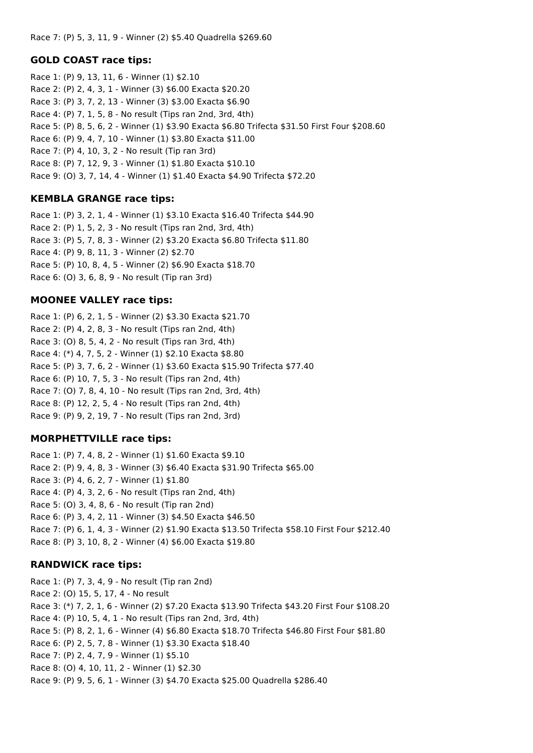### **GOLD COAST race tips:**

Race 1: (P) 9, 13, 11, 6 - Winner (1) \$2.10 Race 2: (P) 2, 4, 3, 1 - Winner (3) \$6.00 Exacta \$20.20 Race 3: (P) 3, 7, 2, 13 - Winner (3) \$3.00 Exacta \$6.90 Race 4: (P) 7, 1, 5, 8 - No result (Tips ran 2nd, 3rd, 4th) Race 5: (P) 8, 5, 6, 2 - Winner (1) \$3.90 Exacta \$6.80 Trifecta \$31.50 First Four \$208.60 Race 6: (P) 9, 4, 7, 10 - Winner (1) \$3.80 Exacta \$11.00 Race 7: (P) 4, 10, 3, 2 - No result (Tip ran 3rd) Race 8: (P) 7, 12, 9, 3 - Winner (1) \$1.80 Exacta \$10.10 Race 9: (O) 3, 7, 14, 4 - Winner (1) \$1.40 Exacta \$4.90 Trifecta \$72.20

### **KEMBLA GRANGE race tips:**

Race 1: (P) 3, 2, 1, 4 - Winner (1) \$3.10 Exacta \$16.40 Trifecta \$44.90 Race 2: (P) 1, 5, 2, 3 - No result (Tips ran 2nd, 3rd, 4th) Race 3: (P) 5, 7, 8, 3 - Winner (2) \$3.20 Exacta \$6.80 Trifecta \$11.80 Race 4: (P) 9, 8, 11, 3 - Winner (2) \$2.70 Race 5: (P) 10, 8, 4, 5 - Winner (2) \$6.90 Exacta \$18.70 Race 6: (O) 3, 6, 8, 9 - No result (Tip ran 3rd)

### **MOONEE VALLEY race tips:**

Race 1: (P) 6, 2, 1, 5 - Winner (2) \$3.30 Exacta \$21.70 Race 2: (P) 4, 2, 8, 3 - No result (Tips ran 2nd, 4th) Race 3: (O) 8, 5, 4, 2 - No result (Tips ran 3rd, 4th) Race 4: (\*) 4, 7, 5, 2 - Winner (1) \$2.10 Exacta \$8.80 Race 5: (P) 3, 7, 6, 2 - Winner (1) \$3.60 Exacta \$15.90 Trifecta \$77.40 Race 6: (P) 10, 7, 5, 3 - No result (Tips ran 2nd, 4th) Race 7: (O) 7, 8, 4, 10 - No result (Tips ran 2nd, 3rd, 4th) Race 8: (P) 12, 2, 5, 4 - No result (Tips ran 2nd, 4th) Race 9: (P) 9, 2, 19, 7 - No result (Tips ran 2nd, 3rd)

### **MORPHETTVILLE race tips:**

Race 1: (P) 7, 4, 8, 2 - Winner (1) \$1.60 Exacta \$9.10 Race 2: (P) 9, 4, 8, 3 - Winner (3) \$6.40 Exacta \$31.90 Trifecta \$65.00 Race 3: (P) 4, 6, 2, 7 - Winner (1) \$1.80 Race 4: (P) 4, 3, 2, 6 - No result (Tips ran 2nd, 4th) Race 5: (O) 3, 4, 8, 6 - No result (Tip ran 2nd) Race 6: (P) 3, 4, 2, 11 - Winner (3) \$4.50 Exacta \$46.50 Race 7: (P) 6, 1, 4, 3 - Winner (2) \$1.90 Exacta \$13.50 Trifecta \$58.10 First Four \$212.40 Race 8: (P) 3, 10, 8, 2 - Winner (4) \$6.00 Exacta \$19.80

### **RANDWICK race tips:**

Race 1: (P) 7, 3, 4, 9 - No result (Tip ran 2nd) Race 2: (O) 15, 5, 17, 4 - No result Race 3: (\*) 7, 2, 1, 6 - Winner (2) \$7.20 Exacta \$13.90 Trifecta \$43.20 First Four \$108.20 Race 4: (P) 10, 5, 4, 1 - No result (Tips ran 2nd, 3rd, 4th) Race 5: (P) 8, 2, 1, 6 - Winner (4) \$6.80 Exacta \$18.70 Trifecta \$46.80 First Four \$81.80 Race 6: (P) 2, 5, 7, 8 - Winner (1) \$3.30 Exacta \$18.40 Race 7: (P) 2, 4, 7, 9 - Winner (1) \$5.10 Race 8: (O) 4, 10, 11, 2 - Winner (1) \$2.30 Race 9: (P) 9, 5, 6, 1 - Winner (3) \$4.70 Exacta \$25.00 Quadrella \$286.40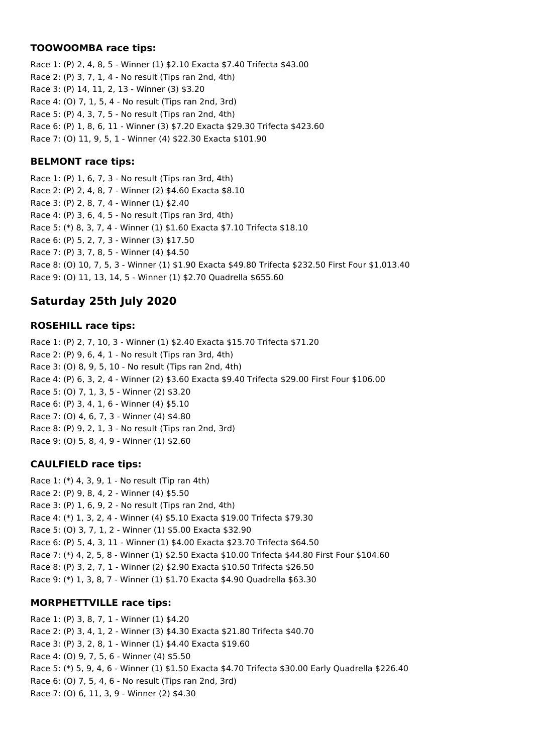# **TOOWOOMBA race tips:**

Race 1: (P) 2, 4, 8, 5 - Winner (1) \$2.10 Exacta \$7.40 Trifecta \$43.00 Race 2: (P) 3, 7, 1, 4 - No result (Tips ran 2nd, 4th) Race 3: (P) 14, 11, 2, 13 - Winner (3) \$3.20 Race 4: (O) 7, 1, 5, 4 - No result (Tips ran 2nd, 3rd) Race 5: (P) 4, 3, 7, 5 - No result (Tips ran 2nd, 4th) Race 6: (P) 1, 8, 6, 11 - Winner (3) \$7.20 Exacta \$29.30 Trifecta \$423.60 Race 7: (O) 11, 9, 5, 1 - Winner (4) \$22.30 Exacta \$101.90

# **BELMONT race tips:**

Race 1: (P) 1, 6, 7, 3 - No result (Tips ran 3rd, 4th) Race 2: (P) 2, 4, 8, 7 - Winner (2) \$4.60 Exacta \$8.10 Race 3: (P) 2, 8, 7, 4 - Winner (1) \$2.40 Race 4: (P) 3, 6, 4, 5 - No result (Tips ran 3rd, 4th) Race 5: (\*) 8, 3, 7, 4 - Winner (1) \$1.60 Exacta \$7.10 Trifecta \$18.10 Race 6: (P) 5, 2, 7, 3 - Winner (3) \$17.50 Race 7: (P) 3, 7, 8, 5 - Winner (4) \$4.50 Race 8: (O) 10, 7, 5, 3 - Winner (1) \$1.90 Exacta \$49.80 Trifecta \$232.50 First Four \$1,013.40 Race 9: (O) 11, 13, 14, 5 - Winner (1) \$2.70 Quadrella \$655.60

# **Saturday 25th July 2020**

# **ROSEHILL race tips:**

Race 1: (P) 2, 7, 10, 3 - Winner (1) \$2.40 Exacta \$15.70 Trifecta \$71.20 Race 2: (P) 9, 6, 4, 1 - No result (Tips ran 3rd, 4th) Race 3: (O) 8, 9, 5, 10 - No result (Tips ran 2nd, 4th) Race 4: (P) 6, 3, 2, 4 - Winner (2) \$3.60 Exacta \$9.40 Trifecta \$29.00 First Four \$106.00 Race 5: (O) 7, 1, 3, 5 - Winner (2) \$3.20 Race 6: (P) 3, 4, 1, 6 - Winner (4) \$5.10 Race 7: (O) 4, 6, 7, 3 - Winner (4) \$4.80 Race 8: (P) 9, 2, 1, 3 - No result (Tips ran 2nd, 3rd) Race 9: (O) 5, 8, 4, 9 - Winner (1) \$2.60

# **CAULFIELD race tips:**

Race 1: (\*) 4, 3, 9, 1 - No result (Tip ran 4th) Race 2: (P) 9, 8, 4, 2 - Winner (4) \$5.50 Race 3: (P) 1, 6, 9, 2 - No result (Tips ran 2nd, 4th) Race 4: (\*) 1, 3, 2, 4 - Winner (4) \$5.10 Exacta \$19.00 Trifecta \$79.30 Race 5: (O) 3, 7, 1, 2 - Winner (1) \$5.00 Exacta \$32.90 Race 6: (P) 5, 4, 3, 11 - Winner (1) \$4.00 Exacta \$23.70 Trifecta \$64.50 Race 7: (\*) 4, 2, 5, 8 - Winner (1) \$2.50 Exacta \$10.00 Trifecta \$44.80 First Four \$104.60 Race 8: (P) 3, 2, 7, 1 - Winner (2) \$2.90 Exacta \$10.50 Trifecta \$26.50 Race 9: (\*) 1, 3, 8, 7 - Winner (1) \$1.70 Exacta \$4.90 Quadrella \$63.30

# **MORPHETTVILLE race tips:**

Race 1: (P) 3, 8, 7, 1 - Winner (1) \$4.20 Race 2: (P) 3, 4, 1, 2 - Winner (3) \$4.30 Exacta \$21.80 Trifecta \$40.70 Race 3: (P) 3, 2, 8, 1 - Winner (1) \$4.40 Exacta \$19.60 Race 4: (O) 9, 7, 5, 6 - Winner (4) \$5.50 Race 5: (\*) 5, 9, 4, 6 - Winner (1) \$1.50 Exacta \$4.70 Trifecta \$30.00 Early Quadrella \$226.40 Race 6: (O) 7, 5, 4, 6 - No result (Tips ran 2nd, 3rd) Race 7: (O) 6, 11, 3, 9 - Winner (2) \$4.30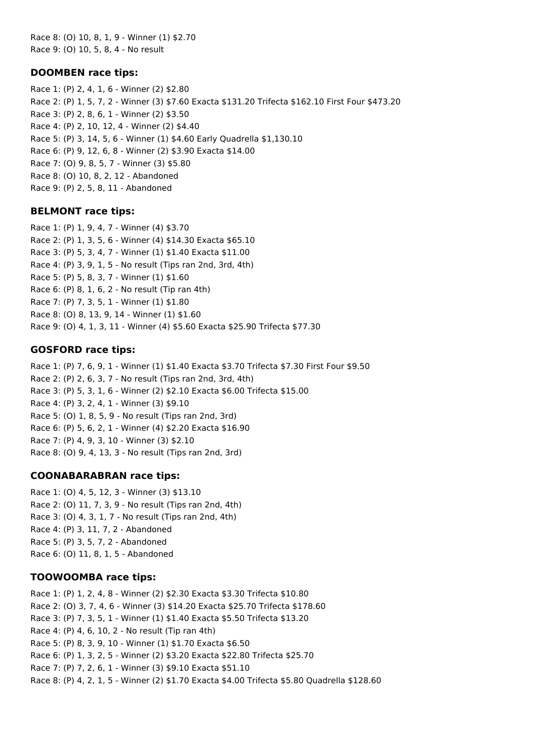Race 8: (O) 10, 8, 1, 9 - Winner (1) \$2.70 Race 9: (O) 10, 5, 8, 4 - No result

### **DOOMBEN race tips:**

Race 1: (P) 2, 4, 1, 6 - Winner (2) \$2.80 Race 2: (P) 1, 5, 7, 2 - Winner (3) \$7.60 Exacta \$131.20 Trifecta \$162.10 First Four \$473.20 Race 3: (P) 2, 8, 6, 1 - Winner (2) \$3.50 Race 4: (P) 2, 10, 12, 4 - Winner (2) \$4.40 Race 5: (P) 3, 14, 5, 6 - Winner (1) \$4.60 Early Quadrella \$1,130.10 Race 6: (P) 9, 12, 6, 8 - Winner (2) \$3.90 Exacta \$14.00 Race 7: (O) 9, 8, 5, 7 - Winner (3) \$5.80 Race 8: (O) 10, 8, 2, 12 - Abandoned Race 9: (P) 2, 5, 8, 11 - Abandoned

### **BELMONT race tips:**

Race 1: (P) 1, 9, 4, 7 - Winner (4) \$3.70 Race 2: (P) 1, 3, 5, 6 - Winner (4) \$14.30 Exacta \$65.10 Race 3: (P) 5, 3, 4, 7 - Winner (1) \$1.40 Exacta \$11.00 Race 4: (P) 3, 9, 1, 5 - No result (Tips ran 2nd, 3rd, 4th) Race 5: (P) 5, 8, 3, 7 - Winner (1) \$1.60 Race 6: (P) 8, 1, 6, 2 - No result (Tip ran 4th) Race 7: (P) 7, 3, 5, 1 - Winner (1) \$1.80 Race 8: (O) 8, 13, 9, 14 - Winner (1) \$1.60 Race 9: (O) 4, 1, 3, 11 - Winner (4) \$5.60 Exacta \$25.90 Trifecta \$77.30

### **GOSFORD race tips:**

Race 1: (P) 7, 6, 9, 1 - Winner (1) \$1.40 Exacta \$3.70 Trifecta \$7.30 First Four \$9.50 Race 2: (P) 2, 6, 3, 7 - No result (Tips ran 2nd, 3rd, 4th) Race 3: (P) 5, 3, 1, 6 - Winner (2) \$2.10 Exacta \$6.00 Trifecta \$15.00 Race 4: (P) 3, 2, 4, 1 - Winner (3) \$9.10 Race 5: (O) 1, 8, 5, 9 - No result (Tips ran 2nd, 3rd) Race 6: (P) 5, 6, 2, 1 - Winner (4) \$2.20 Exacta \$16.90 Race 7: (P) 4, 9, 3, 10 - Winner (3) \$2.10 Race 8: (O) 9, 4, 13, 3 - No result (Tips ran 2nd, 3rd)

# **COONABARABRAN race tips:**

Race 1: (O) 4, 5, 12, 3 - Winner (3) \$13.10 Race 2: (O) 11, 7, 3, 9 - No result (Tips ran 2nd, 4th) Race 3: (O) 4, 3, 1, 7 - No result (Tips ran 2nd, 4th) Race 4: (P) 3, 11, 7, 2 - Abandoned Race 5: (P) 3, 5, 7, 2 - Abandoned Race 6: (O) 11, 8, 1, 5 - Abandoned

### **TOOWOOMBA race tips:**

Race 1: (P) 1, 2, 4, 8 - Winner (2) \$2.30 Exacta \$3.30 Trifecta \$10.80 Race 2: (O) 3, 7, 4, 6 - Winner (3) \$14.20 Exacta \$25.70 Trifecta \$178.60 Race 3: (P) 7, 3, 5, 1 - Winner (1) \$1.40 Exacta \$5.50 Trifecta \$13.20 Race 4: (P) 4, 6, 10, 2 - No result (Tip ran 4th) Race 5: (P) 8, 3, 9, 10 - Winner (1) \$1.70 Exacta \$6.50 Race 6: (P) 1, 3, 2, 5 - Winner (2) \$3.20 Exacta \$22.80 Trifecta \$25.70 Race 7: (P) 7, 2, 6, 1 - Winner (3) \$9.10 Exacta \$51.10 Race 8: (P) 4, 2, 1, 5 - Winner (2) \$1.70 Exacta \$4.00 Trifecta \$5.80 Quadrella \$128.60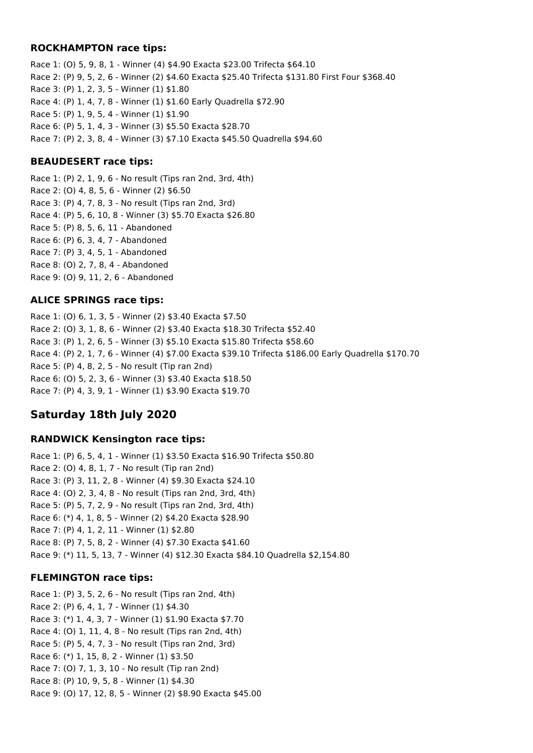#### **ROCKHAMPTON race tips:**

Race 1: (O) 5, 9, 8, 1 - Winner (4) \$4.90 Exacta \$23.00 Trifecta \$64.10 Race 2: (P) 9, 5, 2, 6 - Winner (2) \$4.60 Exacta \$25.40 Trifecta \$131.80 First Four \$368.40 Race 3: (P) 1, 2, 3, 5 - Winner (1) \$1.80 Race 4: (P) 1, 4, 7, 8 - Winner (1) \$1.60 Early Quadrella \$72.90 Race 5: (P) 1, 9, 5, 4 - Winner (1) \$1.90 Race 6: (P) 5, 1, 4, 3 - Winner (3) \$5.50 Exacta \$28.70 Race 7: (P) 2, 3, 8, 4 - Winner (3) \$7.10 Exacta \$45.50 Quadrella \$94.60

### **BEAUDESERT race tips:**

Race 1: (P) 2, 1, 9, 6 - No result (Tips ran 2nd, 3rd, 4th) Race 2: (O) 4, 8, 5, 6 - Winner (2) \$6.50 Race 3: (P) 4, 7, 8, 3 - No result (Tips ran 2nd, 3rd) Race 4: (P) 5, 6, 10, 8 - Winner (3) \$5.70 Exacta \$26.80 Race 5: (P) 8, 5, 6, 11 - Abandoned Race 6: (P) 6, 3, 4, 7 - Abandoned Race 7: (P) 3, 4, 5, 1 - Abandoned Race 8: (O) 2, 7, 8, 4 - Abandoned Race 9: (O) 9, 11, 2, 6 - Abandoned

### **ALICE SPRINGS race tips:**

Race 1: (O) 6, 1, 3, 5 - Winner (2) \$3.40 Exacta \$7.50 Race 2: (O) 3, 1, 8, 6 - Winner (2) \$3.40 Exacta \$18.30 Trifecta \$52.40 Race 3: (P) 1, 2, 6, 5 - Winner (3) \$5.10 Exacta \$15.80 Trifecta \$58.60 Race 4: (P) 2, 1, 7, 6 - Winner (4) \$7.00 Exacta \$39.10 Trifecta \$186.00 Early Quadrella \$170.70 Race 5: (P) 4, 8, 2, 5 - No result (Tip ran 2nd) Race 6: (O) 5, 2, 3, 6 - Winner (3) \$3.40 Exacta \$18.50 Race 7: (P) 4, 3, 9, 1 - Winner (1) \$3.90 Exacta \$19.70

# **Saturday 18th July 2020**

### **RANDWICK Kensington race tips:**

Race 1: (P) 6, 5, 4, 1 - Winner (1) \$3.50 Exacta \$16.90 Trifecta \$50.80 Race 2: (O) 4, 8, 1, 7 - No result (Tip ran 2nd) Race 3: (P) 3, 11, 2, 8 - Winner (4) \$9.30 Exacta \$24.10 Race 4: (O) 2, 3, 4, 8 - No result (Tips ran 2nd, 3rd, 4th) Race 5: (P) 5, 7, 2, 9 - No result (Tips ran 2nd, 3rd, 4th) Race 6: (\*) 4, 1, 8, 5 - Winner (2) \$4.20 Exacta \$28.90 Race 7: (P) 4, 1, 2, 11 - Winner (1) \$2.80 Race 8: (P) 7, 5, 8, 2 - Winner (4) \$7.30 Exacta \$41.60 Race 9: (\*) 11, 5, 13, 7 - Winner (4) \$12.30 Exacta \$84.10 Quadrella \$2,154.80

### **FLEMINGTON race tips:**

Race 1: (P) 3, 5, 2, 6 - No result (Tips ran 2nd, 4th) Race 2: (P) 6, 4, 1, 7 - Winner (1) \$4.30 Race 3: (\*) 1, 4, 3, 7 - Winner (1) \$1.90 Exacta \$7.70 Race 4: (O) 1, 11, 4, 8 - No result (Tips ran 2nd, 4th) Race 5: (P) 5, 4, 7, 3 - No result (Tips ran 2nd, 3rd) Race 6: (\*) 1, 15, 8, 2 - Winner (1) \$3.50 Race 7: (O) 7, 1, 3, 10 - No result (Tip ran 2nd) Race 8: (P) 10, 9, 5, 8 - Winner (1) \$4.30 Race 9: (O) 17, 12, 8, 5 - Winner (2) \$8.90 Exacta \$45.00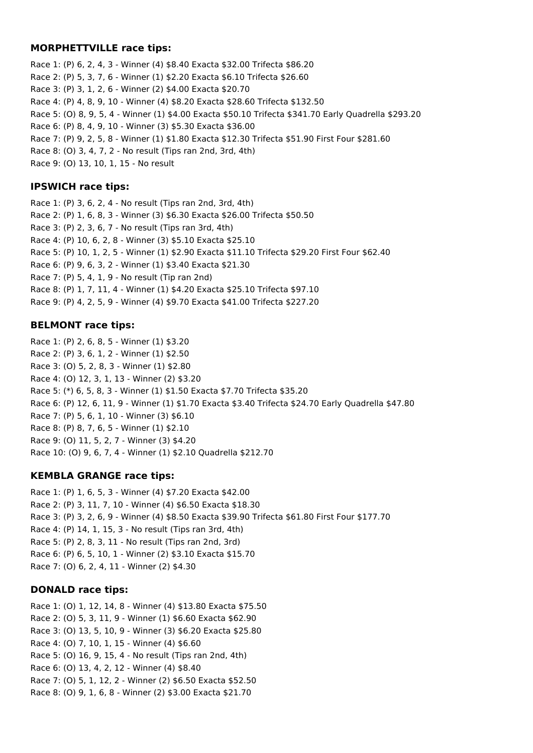### **MORPHETTVILLE race tips:**

Race 1: (P) 6, 2, 4, 3 - Winner (4) \$8.40 Exacta \$32.00 Trifecta \$86.20 Race 2: (P) 5, 3, 7, 6 - Winner (1) \$2.20 Exacta \$6.10 Trifecta \$26.60 Race 3: (P) 3, 1, 2, 6 - Winner (2) \$4.00 Exacta \$20.70 Race 4: (P) 4, 8, 9, 10 - Winner (4) \$8.20 Exacta \$28.60 Trifecta \$132.50 Race 5: (O) 8, 9, 5, 4 - Winner (1) \$4.00 Exacta \$50.10 Trifecta \$341.70 Early Quadrella \$293.20 Race 6: (P) 8, 4, 9, 10 - Winner (3) \$5.30 Exacta \$36.00 Race 7: (P) 9, 2, 5, 8 - Winner (1) \$1.80 Exacta \$12.30 Trifecta \$51.90 First Four \$281.60 Race 8: (O) 3, 4, 7, 2 - No result (Tips ran 2nd, 3rd, 4th) Race 9: (O) 13, 10, 1, 15 - No result

# **IPSWICH race tips:**

Race 1: (P) 3, 6, 2, 4 - No result (Tips ran 2nd, 3rd, 4th) Race 2: (P) 1, 6, 8, 3 - Winner (3) \$6.30 Exacta \$26.00 Trifecta \$50.50 Race 3: (P) 2, 3, 6, 7 - No result (Tips ran 3rd, 4th) Race 4: (P) 10, 6, 2, 8 - Winner (3) \$5.10 Exacta \$25.10 Race 5: (P) 10, 1, 2, 5 - Winner (1) \$2.90 Exacta \$11.10 Trifecta \$29.20 First Four \$62.40 Race 6: (P) 9, 6, 3, 2 - Winner (1) \$3.40 Exacta \$21.30 Race 7: (P) 5, 4, 1, 9 - No result (Tip ran 2nd) Race 8: (P) 1, 7, 11, 4 - Winner (1) \$4.20 Exacta \$25.10 Trifecta \$97.10 Race 9: (P) 4, 2, 5, 9 - Winner (4) \$9.70 Exacta \$41.00 Trifecta \$227.20

# **BELMONT race tips:**

Race 1: (P) 2, 6, 8, 5 - Winner (1) \$3.20 Race 2: (P) 3, 6, 1, 2 - Winner (1) \$2.50 Race 3: (O) 5, 2, 8, 3 - Winner (1) \$2.80 Race 4: (O) 12, 3, 1, 13 - Winner (2) \$3.20 Race 5: (\*) 6, 5, 8, 3 - Winner (1) \$1.50 Exacta \$7.70 Trifecta \$35.20 Race 6: (P) 12, 6, 11, 9 - Winner (1) \$1.70 Exacta \$3.40 Trifecta \$24.70 Early Quadrella \$47.80 Race 7: (P) 5, 6, 1, 10 - Winner (3) \$6.10 Race 8: (P) 8, 7, 6, 5 - Winner (1) \$2.10 Race 9: (O) 11, 5, 2, 7 - Winner (3) \$4.20 Race 10: (O) 9, 6, 7, 4 - Winner (1) \$2.10 Quadrella \$212.70

# **KEMBLA GRANGE race tips:**

Race 1: (P) 1, 6, 5, 3 - Winner (4) \$7.20 Exacta \$42.00 Race 2: (P) 3, 11, 7, 10 - Winner (4) \$6.50 Exacta \$18.30 Race 3: (P) 3, 2, 6, 9 - Winner (4) \$8.50 Exacta \$39.90 Trifecta \$61.80 First Four \$177.70 Race 4: (P) 14, 1, 15, 3 - No result (Tips ran 3rd, 4th) Race 5: (P) 2, 8, 3, 11 - No result (Tips ran 2nd, 3rd) Race 6: (P) 6, 5, 10, 1 - Winner (2) \$3.10 Exacta \$15.70 Race 7: (O) 6, 2, 4, 11 - Winner (2) \$4.30

# **DONALD race tips:**

Race 1: (O) 1, 12, 14, 8 - Winner (4) \$13.80 Exacta \$75.50 Race 2: (O) 5, 3, 11, 9 - Winner (1) \$6.60 Exacta \$62.90 Race 3: (O) 13, 5, 10, 9 - Winner (3) \$6.20 Exacta \$25.80 Race 4: (O) 7, 10, 1, 15 - Winner (4) \$6.60 Race 5: (O) 16, 9, 15, 4 - No result (Tips ran 2nd, 4th) Race 6: (O) 13, 4, 2, 12 - Winner (4) \$8.40 Race 7: (O) 5, 1, 12, 2 - Winner (2) \$6.50 Exacta \$52.50 Race 8: (O) 9, 1, 6, 8 - Winner (2) \$3.00 Exacta \$21.70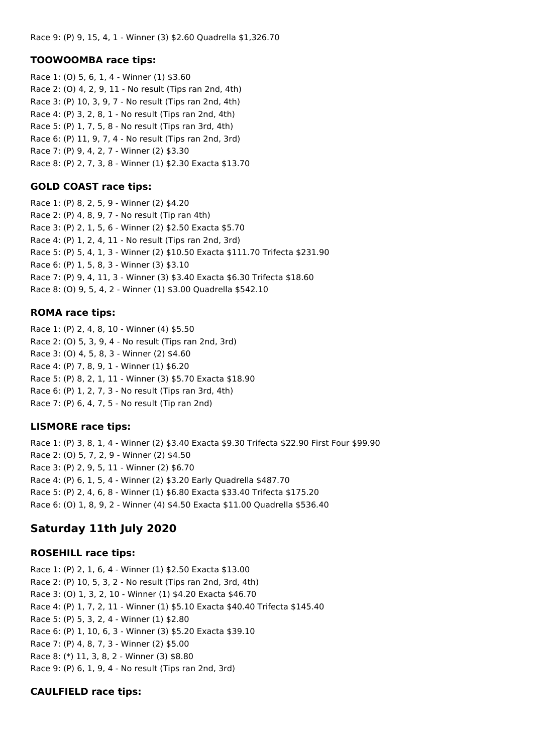#### **TOOWOOMBA race tips:**

Race 1: (O) 5, 6, 1, 4 - Winner (1) \$3.60 Race 2: (O) 4, 2, 9, 11 - No result (Tips ran 2nd, 4th) Race 3: (P) 10, 3, 9, 7 - No result (Tips ran 2nd, 4th) Race 4: (P) 3, 2, 8, 1 - No result (Tips ran 2nd, 4th) Race 5: (P) 1, 7, 5, 8 - No result (Tips ran 3rd, 4th) Race 6: (P) 11, 9, 7, 4 - No result (Tips ran 2nd, 3rd) Race 7: (P) 9, 4, 2, 7 - Winner (2) \$3.30 Race 8: (P) 2, 7, 3, 8 - Winner (1) \$2.30 Exacta \$13.70

### **GOLD COAST race tips:**

Race 1: (P) 8, 2, 5, 9 - Winner (2) \$4.20 Race 2: (P) 4, 8, 9, 7 - No result (Tip ran 4th) Race 3: (P) 2, 1, 5, 6 - Winner (2) \$2.50 Exacta \$5.70 Race 4: (P) 1, 2, 4, 11 - No result (Tips ran 2nd, 3rd) Race 5: (P) 5, 4, 1, 3 - Winner (2) \$10.50 Exacta \$111.70 Trifecta \$231.90 Race 6: (P) 1, 5, 8, 3 - Winner (3) \$3.10 Race 7: (P) 9, 4, 11, 3 - Winner (3) \$3.40 Exacta \$6.30 Trifecta \$18.60 Race 8: (O) 9, 5, 4, 2 - Winner (1) \$3.00 Quadrella \$542.10

#### **ROMA race tips:**

Race 1: (P) 2, 4, 8, 10 - Winner (4) \$5.50 Race 2: (O) 5, 3, 9, 4 - No result (Tips ran 2nd, 3rd) Race 3: (O) 4, 5, 8, 3 - Winner (2) \$4.60 Race 4: (P) 7, 8, 9, 1 - Winner (1) \$6.20 Race 5: (P) 8, 2, 1, 11 - Winner (3) \$5.70 Exacta \$18.90 Race 6: (P) 1, 2, 7, 3 - No result (Tips ran 3rd, 4th) Race 7: (P) 6, 4, 7, 5 - No result (Tip ran 2nd)

### **LISMORE race tips:**

Race 1: (P) 3, 8, 1, 4 - Winner (2) \$3.40 Exacta \$9.30 Trifecta \$22.90 First Four \$99.90 Race 2: (O) 5, 7, 2, 9 - Winner (2) \$4.50 Race 3: (P) 2, 9, 5, 11 - Winner (2) \$6.70 Race 4: (P) 6, 1, 5, 4 - Winner (2) \$3.20 Early Quadrella \$487.70 Race 5: (P) 2, 4, 6, 8 - Winner (1) \$6.80 Exacta \$33.40 Trifecta \$175.20 Race 6: (O) 1, 8, 9, 2 - Winner (4) \$4.50 Exacta \$11.00 Quadrella \$536.40

# **Saturday 11th July 2020**

### **ROSEHILL race tips:**

Race 1: (P) 2, 1, 6, 4 - Winner (1) \$2.50 Exacta \$13.00 Race 2: (P) 10, 5, 3, 2 - No result (Tips ran 2nd, 3rd, 4th) Race 3: (O) 1, 3, 2, 10 - Winner (1) \$4.20 Exacta \$46.70 Race 4: (P) 1, 7, 2, 11 - Winner (1) \$5.10 Exacta \$40.40 Trifecta \$145.40 Race 5: (P) 5, 3, 2, 4 - Winner (1) \$2.80 Race 6: (P) 1, 10, 6, 3 - Winner (3) \$5.20 Exacta \$39.10 Race 7: (P) 4, 8, 7, 3 - Winner (2) \$5.00 Race 8: (\*) 11, 3, 8, 2 - Winner (3) \$8.80 Race 9: (P) 6, 1, 9, 4 - No result (Tips ran 2nd, 3rd)

### **CAULFIELD race tips:**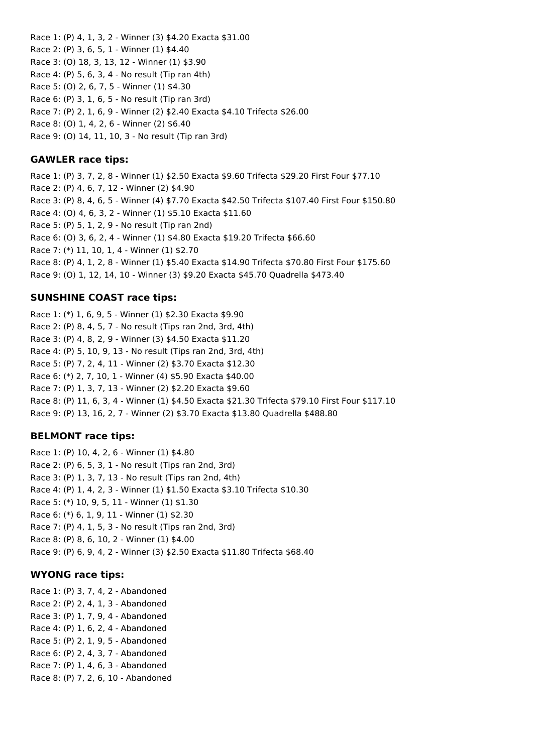Race 1: (P) 4, 1, 3, 2 - Winner (3) \$4.20 Exacta \$31.00 Race 2: (P) 3, 6, 5, 1 - Winner (1) \$4.40 Race 3: (O) 18, 3, 13, 12 - Winner (1) \$3.90 Race 4: (P) 5, 6, 3, 4 - No result (Tip ran 4th) Race 5: (O) 2, 6, 7, 5 - Winner (1) \$4.30 Race 6: (P) 3, 1, 6, 5 - No result (Tip ran 3rd) Race 7: (P) 2, 1, 6, 9 - Winner (2) \$2.40 Exacta \$4.10 Trifecta \$26.00 Race 8: (O) 1, 4, 2, 6 - Winner (2) \$6.40 Race 9: (O) 14, 11, 10, 3 - No result (Tip ran 3rd)

### **GAWLER race tips:**

Race 1: (P) 3, 7, 2, 8 - Winner (1) \$2.50 Exacta \$9.60 Trifecta \$29.20 First Four \$77.10 Race 2: (P) 4, 6, 7, 12 - Winner (2) \$4.90 Race 3: (P) 8, 4, 6, 5 - Winner (4) \$7.70 Exacta \$42.50 Trifecta \$107.40 First Four \$150.80 Race 4: (O) 4, 6, 3, 2 - Winner (1) \$5.10 Exacta \$11.60 Race 5: (P) 5, 1, 2, 9 - No result (Tip ran 2nd) Race 6: (O) 3, 6, 2, 4 - Winner (1) \$4.80 Exacta \$19.20 Trifecta \$66.60 Race 7: (\*) 11, 10, 1, 4 - Winner (1) \$2.70 Race 8: (P) 4, 1, 2, 8 - Winner (1) \$5.40 Exacta \$14.90 Trifecta \$70.80 First Four \$175.60 Race 9: (O) 1, 12, 14, 10 - Winner (3) \$9.20 Exacta \$45.70 Quadrella \$473.40

### **SUNSHINE COAST race tips:**

Race 1: (\*) 1, 6, 9, 5 - Winner (1) \$2.30 Exacta \$9.90 Race 2: (P) 8, 4, 5, 7 - No result (Tips ran 2nd, 3rd, 4th) Race 3: (P) 4, 8, 2, 9 - Winner (3) \$4.50 Exacta \$11.20 Race 4: (P) 5, 10, 9, 13 - No result (Tips ran 2nd, 3rd, 4th) Race 5: (P) 7, 2, 4, 11 - Winner (2) \$3.70 Exacta \$12.30 Race 6: (\*) 2, 7, 10, 1 - Winner (4) \$5.90 Exacta \$40.00 Race 7: (P) 1, 3, 7, 13 - Winner (2) \$2.20 Exacta \$9.60 Race 8: (P) 11, 6, 3, 4 - Winner (1) \$4.50 Exacta \$21.30 Trifecta \$79.10 First Four \$117.10 Race 9: (P) 13, 16, 2, 7 - Winner (2) \$3.70 Exacta \$13.80 Quadrella \$488.80

### **BELMONT race tips:**

Race 1: (P) 10, 4, 2, 6 - Winner (1) \$4.80 Race 2: (P) 6, 5, 3, 1 - No result (Tips ran 2nd, 3rd) Race 3: (P) 1, 3, 7, 13 - No result (Tips ran 2nd, 4th) Race 4: (P) 1, 4, 2, 3 - Winner (1) \$1.50 Exacta \$3.10 Trifecta \$10.30 Race 5: (\*) 10, 9, 5, 11 - Winner (1) \$1.30 Race 6: (\*) 6, 1, 9, 11 - Winner (1) \$2.30 Race 7: (P) 4, 1, 5, 3 - No result (Tips ran 2nd, 3rd) Race 8: (P) 8, 6, 10, 2 - Winner (1) \$4.00 Race 9: (P) 6, 9, 4, 2 - Winner (3) \$2.50 Exacta \$11.80 Trifecta \$68.40

### **WYONG race tips:**

Race 1: (P) 3, 7, 4, 2 - Abandoned Race 2: (P) 2, 4, 1, 3 - Abandoned Race 3: (P) 1, 7, 9, 4 - Abandoned Race 4: (P) 1, 6, 2, 4 - Abandoned Race 5: (P) 2, 1, 9, 5 - Abandoned Race 6: (P) 2, 4, 3, 7 - Abandoned Race 7: (P) 1, 4, 6, 3 - Abandoned Race 8: (P) 7, 2, 6, 10 - Abandoned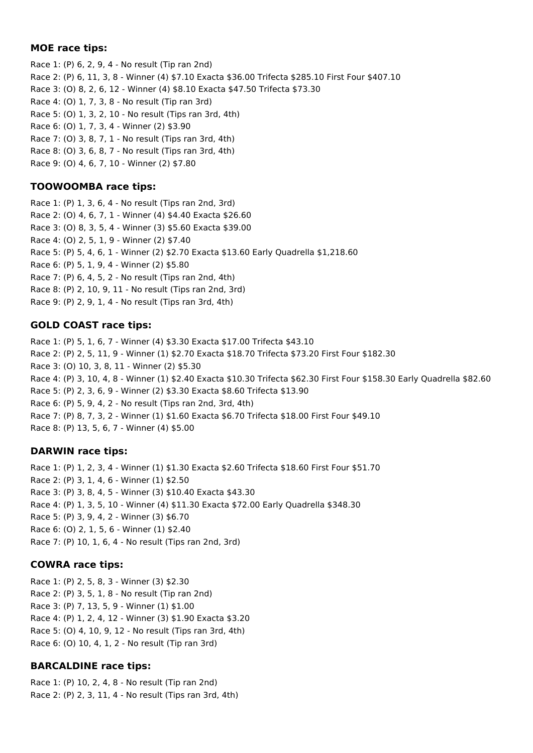### **MOE race tips:**

Race 1: (P) 6, 2, 9, 4 - No result (Tip ran 2nd) Race 2: (P) 6, 11, 3, 8 - Winner (4) \$7.10 Exacta \$36.00 Trifecta \$285.10 First Four \$407.10 Race 3: (O) 8, 2, 6, 12 - Winner (4) \$8.10 Exacta \$47.50 Trifecta \$73.30 Race 4: (O) 1, 7, 3, 8 - No result (Tip ran 3rd) Race 5: (O) 1, 3, 2, 10 - No result (Tips ran 3rd, 4th) Race 6: (O) 1, 7, 3, 4 - Winner (2) \$3.90 Race 7: (O) 3, 8, 7, 1 - No result (Tips ran 3rd, 4th) Race 8: (O) 3, 6, 8, 7 - No result (Tips ran 3rd, 4th) Race 9: (O) 4, 6, 7, 10 - Winner (2) \$7.80

# **TOOWOOMBA race tips:**

Race 1: (P) 1, 3, 6, 4 - No result (Tips ran 2nd, 3rd) Race 2: (O) 4, 6, 7, 1 - Winner (4) \$4.40 Exacta \$26.60 Race 3: (O) 8, 3, 5, 4 - Winner (3) \$5.60 Exacta \$39.00 Race 4: (O) 2, 5, 1, 9 - Winner (2) \$7.40 Race 5: (P) 5, 4, 6, 1 - Winner (2) \$2.70 Exacta \$13.60 Early Quadrella \$1,218.60 Race 6: (P) 5, 1, 9, 4 - Winner (2) \$5.80 Race 7: (P) 6, 4, 5, 2 - No result (Tips ran 2nd, 4th) Race 8: (P) 2, 10, 9, 11 - No result (Tips ran 2nd, 3rd) Race 9: (P) 2, 9, 1, 4 - No result (Tips ran 3rd, 4th)

# **GOLD COAST race tips:**

Race 1: (P) 5, 1, 6, 7 - Winner (4) \$3.30 Exacta \$17.00 Trifecta \$43.10 Race 2: (P) 2, 5, 11, 9 - Winner (1) \$2.70 Exacta \$18.70 Trifecta \$73.20 First Four \$182.30 Race 3: (O) 10, 3, 8, 11 - Winner (2) \$5.30 Race 4: (P) 3, 10, 4, 8 - Winner (1) \$2.40 Exacta \$10.30 Trifecta \$62.30 First Four \$158.30 Early Quadrella \$82.60 Race 5: (P) 2, 3, 6, 9 - Winner (2) \$3.30 Exacta \$8.60 Trifecta \$13.90 Race 6: (P) 5, 9, 4, 2 - No result (Tips ran 2nd, 3rd, 4th) Race 7: (P) 8, 7, 3, 2 - Winner (1) \$1.60 Exacta \$6.70 Trifecta \$18.00 First Four \$49.10 Race 8: (P) 13, 5, 6, 7 - Winner (4) \$5.00

# **DARWIN race tips:**

Race 1: (P) 1, 2, 3, 4 - Winner (1) \$1.30 Exacta \$2.60 Trifecta \$18.60 First Four \$51.70 Race 2: (P) 3, 1, 4, 6 - Winner (1) \$2.50 Race 3: (P) 3, 8, 4, 5 - Winner (3) \$10.40 Exacta \$43.30 Race 4: (P) 1, 3, 5, 10 - Winner (4) \$11.30 Exacta \$72.00 Early Quadrella \$348.30 Race 5: (P) 3, 9, 4, 2 - Winner (3) \$6.70 Race 6: (O) 2, 1, 5, 6 - Winner (1) \$2.40 Race 7: (P) 10, 1, 6, 4 - No result (Tips ran 2nd, 3rd)

# **COWRA race tips:**

Race 1: (P) 2, 5, 8, 3 - Winner (3) \$2.30 Race 2: (P) 3, 5, 1, 8 - No result (Tip ran 2nd) Race 3: (P) 7, 13, 5, 9 - Winner (1) \$1.00 Race 4: (P) 1, 2, 4, 12 - Winner (3) \$1.90 Exacta \$3.20 Race 5: (O) 4, 10, 9, 12 - No result (Tips ran 3rd, 4th) Race 6: (O) 10, 4, 1, 2 - No result (Tip ran 3rd)

# **BARCALDINE race tips:**

Race 1: (P) 10, 2, 4, 8 - No result (Tip ran 2nd) Race 2: (P) 2, 3, 11, 4 - No result (Tips ran 3rd, 4th)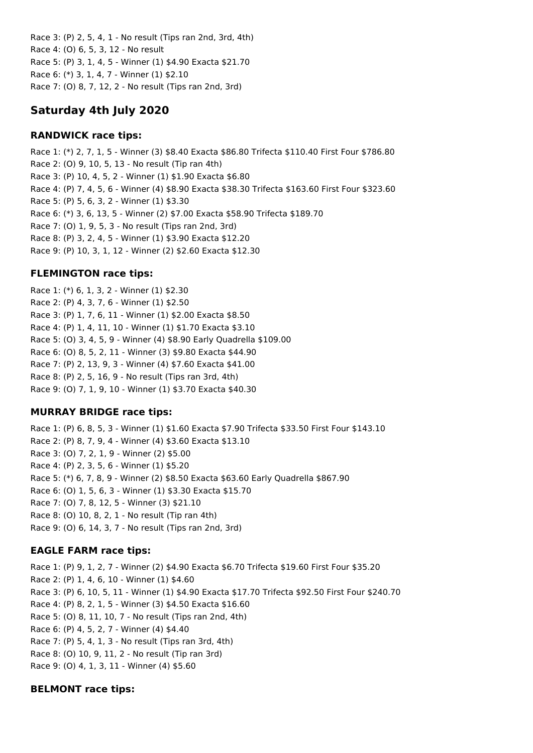Race 3: (P) 2, 5, 4, 1 - No result (Tips ran 2nd, 3rd, 4th) Race 4: (O) 6, 5, 3, 12 - No result Race 5: (P) 3, 1, 4, 5 - Winner (1) \$4.90 Exacta \$21.70 Race 6: (\*) 3, 1, 4, 7 - Winner (1) \$2.10 Race 7: (O) 8, 7, 12, 2 - No result (Tips ran 2nd, 3rd)

# **Saturday 4th July 2020**

# **RANDWICK race tips:**

Race 1: (\*) 2, 7, 1, 5 - Winner (3) \$8.40 Exacta \$86.80 Trifecta \$110.40 First Four \$786.80 Race 2: (O) 9, 10, 5, 13 - No result (Tip ran 4th) Race 3: (P) 10, 4, 5, 2 - Winner (1) \$1.90 Exacta \$6.80 Race 4: (P) 7, 4, 5, 6 - Winner (4) \$8.90 Exacta \$38.30 Trifecta \$163.60 First Four \$323.60 Race 5: (P) 5, 6, 3, 2 - Winner (1) \$3.30 Race 6: (\*) 3, 6, 13, 5 - Winner (2) \$7.00 Exacta \$58.90 Trifecta \$189.70 Race 7: (O) 1, 9, 5, 3 - No result (Tips ran 2nd, 3rd) Race 8: (P) 3, 2, 4, 5 - Winner (1) \$3.90 Exacta \$12.20 Race 9: (P) 10, 3, 1, 12 - Winner (2) \$2.60 Exacta \$12.30

# **FLEMINGTON race tips:**

Race 1: (\*) 6, 1, 3, 2 - Winner (1) \$2.30 Race 2: (P) 4, 3, 7, 6 - Winner (1) \$2.50 Race 3: (P) 1, 7, 6, 11 - Winner (1) \$2.00 Exacta \$8.50 Race 4: (P) 1, 4, 11, 10 - Winner (1) \$1.70 Exacta \$3.10 Race 5: (O) 3, 4, 5, 9 - Winner (4) \$8.90 Early Quadrella \$109.00 Race 6: (O) 8, 5, 2, 11 - Winner (3) \$9.80 Exacta \$44.90 Race 7: (P) 2, 13, 9, 3 - Winner (4) \$7.60 Exacta \$41.00 Race 8: (P) 2, 5, 16, 9 - No result (Tips ran 3rd, 4th) Race 9: (O) 7, 1, 9, 10 - Winner (1) \$3.70 Exacta \$40.30

# **MURRAY BRIDGE race tips:**

Race 1: (P) 6, 8, 5, 3 - Winner (1) \$1.60 Exacta \$7.90 Trifecta \$33.50 First Four \$143.10 Race 2: (P) 8, 7, 9, 4 - Winner (4) \$3.60 Exacta \$13.10 Race 3: (O) 7, 2, 1, 9 - Winner (2) \$5.00 Race 4: (P) 2, 3, 5, 6 - Winner (1) \$5.20 Race 5: (\*) 6, 7, 8, 9 - Winner (2) \$8.50 Exacta \$63.60 Early Quadrella \$867.90 Race 6: (O) 1, 5, 6, 3 - Winner (1) \$3.30 Exacta \$15.70 Race 7: (O) 7, 8, 12, 5 - Winner (3) \$21.10 Race 8: (O) 10, 8, 2, 1 - No result (Tip ran 4th) Race 9: (O) 6, 14, 3, 7 - No result (Tips ran 2nd, 3rd)

# **EAGLE FARM race tips:**

Race 1: (P) 9, 1, 2, 7 - Winner (2) \$4.90 Exacta \$6.70 Trifecta \$19.60 First Four \$35.20 Race 2: (P) 1, 4, 6, 10 - Winner (1) \$4.60 Race 3: (P) 6, 10, 5, 11 - Winner (1) \$4.90 Exacta \$17.70 Trifecta \$92.50 First Four \$240.70 Race 4: (P) 8, 2, 1, 5 - Winner (3) \$4.50 Exacta \$16.60 Race 5: (O) 8, 11, 10, 7 - No result (Tips ran 2nd, 4th) Race 6: (P) 4, 5, 2, 7 - Winner (4) \$4.40 Race 7: (P) 5, 4, 1, 3 - No result (Tips ran 3rd, 4th) Race 8: (O) 10, 9, 11, 2 - No result (Tip ran 3rd) Race 9: (O) 4, 1, 3, 11 - Winner (4) \$5.60

# **BELMONT race tips:**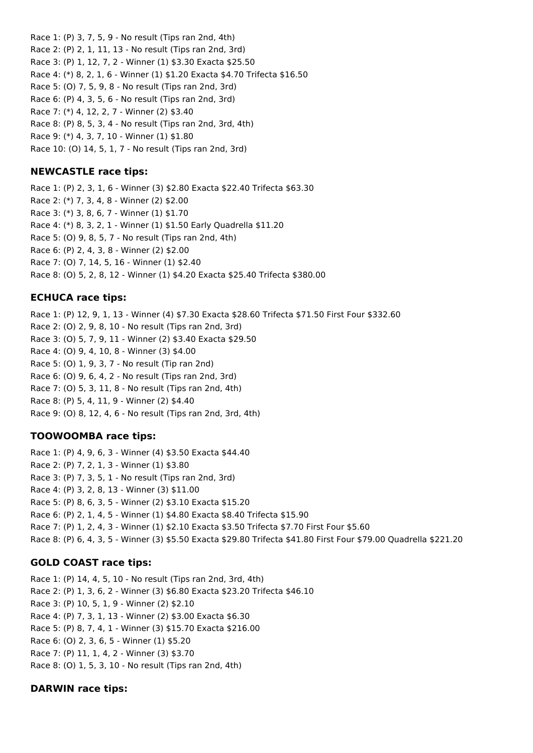Race 1: (P) 3, 7, 5, 9 - No result (Tips ran 2nd, 4th) Race 2: (P) 2, 1, 11, 13 - No result (Tips ran 2nd, 3rd) Race 3: (P) 1, 12, 7, 2 - Winner (1) \$3.30 Exacta \$25.50 Race 4: (\*) 8, 2, 1, 6 - Winner (1) \$1.20 Exacta \$4.70 Trifecta \$16.50 Race 5: (O) 7, 5, 9, 8 - No result (Tips ran 2nd, 3rd) Race 6: (P) 4, 3, 5, 6 - No result (Tips ran 2nd, 3rd) Race 7: (\*) 4, 12, 2, 7 - Winner (2) \$3.40 Race 8: (P) 8, 5, 3, 4 - No result (Tips ran 2nd, 3rd, 4th) Race 9: (\*) 4, 3, 7, 10 - Winner (1) \$1.80 Race 10: (O) 14, 5, 1, 7 - No result (Tips ran 2nd, 3rd)

# **NEWCASTLE race tips:**

Race 1: (P) 2, 3, 1, 6 - Winner (3) \$2.80 Exacta \$22.40 Trifecta \$63.30 Race 2: (\*) 7, 3, 4, 8 - Winner (2) \$2.00 Race 3: (\*) 3, 8, 6, 7 - Winner (1) \$1.70 Race 4: (\*) 8, 3, 2, 1 - Winner (1) \$1.50 Early Quadrella \$11.20 Race 5: (O) 9, 8, 5, 7 - No result (Tips ran 2nd, 4th) Race 6: (P) 2, 4, 3, 8 - Winner (2) \$2.00 Race 7: (O) 7, 14, 5, 16 - Winner (1) \$2.40 Race 8: (O) 5, 2, 8, 12 - Winner (1) \$4.20 Exacta \$25.40 Trifecta \$380.00

# **ECHUCA race tips:**

Race 1: (P) 12, 9, 1, 13 - Winner (4) \$7.30 Exacta \$28.60 Trifecta \$71.50 First Four \$332.60 Race 2: (O) 2, 9, 8, 10 - No result (Tips ran 2nd, 3rd) Race 3: (O) 5, 7, 9, 11 - Winner (2) \$3.40 Exacta \$29.50 Race 4: (O) 9, 4, 10, 8 - Winner (3) \$4.00 Race 5: (O) 1, 9, 3, 7 - No result (Tip ran 2nd) Race 6: (O) 9, 6, 4, 2 - No result (Tips ran 2nd, 3rd) Race 7: (O) 5, 3, 11, 8 - No result (Tips ran 2nd, 4th) Race 8: (P) 5, 4, 11, 9 - Winner (2) \$4.40 Race 9: (O) 8, 12, 4, 6 - No result (Tips ran 2nd, 3rd, 4th)

# **TOOWOOMBA race tips:**

Race 1: (P) 4, 9, 6, 3 - Winner (4) \$3.50 Exacta \$44.40 Race 2: (P) 7, 2, 1, 3 - Winner (1) \$3.80 Race 3: (P) 7, 3, 5, 1 - No result (Tips ran 2nd, 3rd) Race 4: (P) 3, 2, 8, 13 - Winner (3) \$11.00 Race 5: (P) 8, 6, 3, 5 - Winner (2) \$3.10 Exacta \$15.20 Race 6: (P) 2, 1, 4, 5 - Winner (1) \$4.80 Exacta \$8.40 Trifecta \$15.90 Race 7: (P) 1, 2, 4, 3 - Winner (1) \$2.10 Exacta \$3.50 Trifecta \$7.70 First Four \$5.60 Race 8: (P) 6, 4, 3, 5 - Winner (3) \$5.50 Exacta \$29.80 Trifecta \$41.80 First Four \$79.00 Quadrella \$221.20

# **GOLD COAST race tips:**

Race 1: (P) 14, 4, 5, 10 - No result (Tips ran 2nd, 3rd, 4th) Race 2: (P) 1, 3, 6, 2 - Winner (3) \$6.80 Exacta \$23.20 Trifecta \$46.10 Race 3: (P) 10, 5, 1, 9 - Winner (2) \$2.10 Race 4: (P) 7, 3, 1, 13 - Winner (2) \$3.00 Exacta \$6.30 Race 5: (P) 8, 7, 4, 1 - Winner (3) \$15.70 Exacta \$216.00 Race 6: (O) 2, 3, 6, 5 - Winner (1) \$5.20 Race 7: (P) 11, 1, 4, 2 - Winner (3) \$3.70 Race 8: (O) 1, 5, 3, 10 - No result (Tips ran 2nd, 4th)

# **DARWIN race tips:**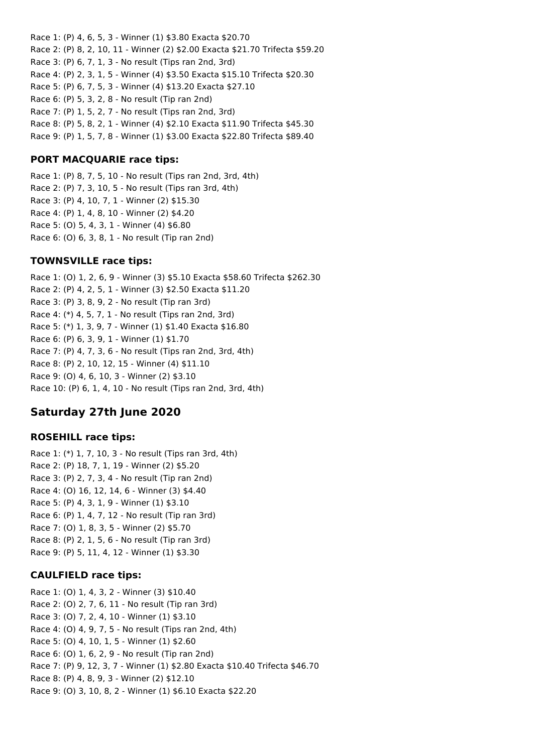Race 1: (P) 4, 6, 5, 3 - Winner (1) \$3.80 Exacta \$20.70 Race 2: (P) 8, 2, 10, 11 - Winner (2) \$2.00 Exacta \$21.70 Trifecta \$59.20 Race 3: (P) 6, 7, 1, 3 - No result (Tips ran 2nd, 3rd) Race 4: (P) 2, 3, 1, 5 - Winner (4) \$3.50 Exacta \$15.10 Trifecta \$20.30 Race 5: (P) 6, 7, 5, 3 - Winner (4) \$13.20 Exacta \$27.10 Race 6: (P) 5, 3, 2, 8 - No result (Tip ran 2nd) Race 7: (P) 1, 5, 2, 7 - No result (Tips ran 2nd, 3rd) Race 8: (P) 5, 8, 2, 1 - Winner (4) \$2.10 Exacta \$11.90 Trifecta \$45.30 Race 9: (P) 1, 5, 7, 8 - Winner (1) \$3.00 Exacta \$22.80 Trifecta \$89.40

# **PORT MACQUARIE race tips:**

Race 1: (P) 8, 7, 5, 10 - No result (Tips ran 2nd, 3rd, 4th) Race 2: (P) 7, 3, 10, 5 - No result (Tips ran 3rd, 4th) Race 3: (P) 4, 10, 7, 1 - Winner (2) \$15.30 Race 4: (P) 1, 4, 8, 10 - Winner (2) \$4.20 Race 5: (O) 5, 4, 3, 1 - Winner (4) \$6.80 Race 6: (O) 6, 3, 8, 1 - No result (Tip ran 2nd)

### **TOWNSVILLE race tips:**

Race 1: (O) 1, 2, 6, 9 - Winner (3) \$5.10 Exacta \$58.60 Trifecta \$262.30 Race 2: (P) 4, 2, 5, 1 - Winner (3) \$2.50 Exacta \$11.20 Race 3: (P) 3, 8, 9, 2 - No result (Tip ran 3rd) Race 4: (\*) 4, 5, 7, 1 - No result (Tips ran 2nd, 3rd) Race 5: (\*) 1, 3, 9, 7 - Winner (1) \$1.40 Exacta \$16.80 Race 6: (P) 6, 3, 9, 1 - Winner (1) \$1.70 Race 7: (P) 4, 7, 3, 6 - No result (Tips ran 2nd, 3rd, 4th) Race 8: (P) 2, 10, 12, 15 - Winner (4) \$11.10 Race 9: (O) 4, 6, 10, 3 - Winner (2) \$3.10 Race 10: (P) 6, 1, 4, 10 - No result (Tips ran 2nd, 3rd, 4th)

# **Saturday 27th June 2020**

### **ROSEHILL race tips:**

Race 1: (\*) 1, 7, 10, 3 - No result (Tips ran 3rd, 4th) Race 2: (P) 18, 7, 1, 19 - Winner (2) \$5.20 Race 3: (P) 2, 7, 3, 4 - No result (Tip ran 2nd) Race 4: (O) 16, 12, 14, 6 - Winner (3) \$4.40 Race 5: (P) 4, 3, 1, 9 - Winner (1) \$3.10 Race 6: (P) 1, 4, 7, 12 - No result (Tip ran 3rd) Race 7: (O) 1, 8, 3, 5 - Winner (2) \$5.70 Race 8: (P) 2, 1, 5, 6 - No result (Tip ran 3rd) Race 9: (P) 5, 11, 4, 12 - Winner (1) \$3.30

### **CAULFIELD race tips:**

Race 1: (O) 1, 4, 3, 2 - Winner (3) \$10.40 Race 2: (O) 2, 7, 6, 11 - No result (Tip ran 3rd) Race 3: (O) 7, 2, 4, 10 - Winner (1) \$3.10 Race 4: (O) 4, 9, 7, 5 - No result (Tips ran 2nd, 4th) Race 5: (O) 4, 10, 1, 5 - Winner (1) \$2.60 Race 6: (O) 1, 6, 2, 9 - No result (Tip ran 2nd) Race 7: (P) 9, 12, 3, 7 - Winner (1) \$2.80 Exacta \$10.40 Trifecta \$46.70 Race 8: (P) 4, 8, 9, 3 - Winner (2) \$12.10 Race 9: (O) 3, 10, 8, 2 - Winner (1) \$6.10 Exacta \$22.20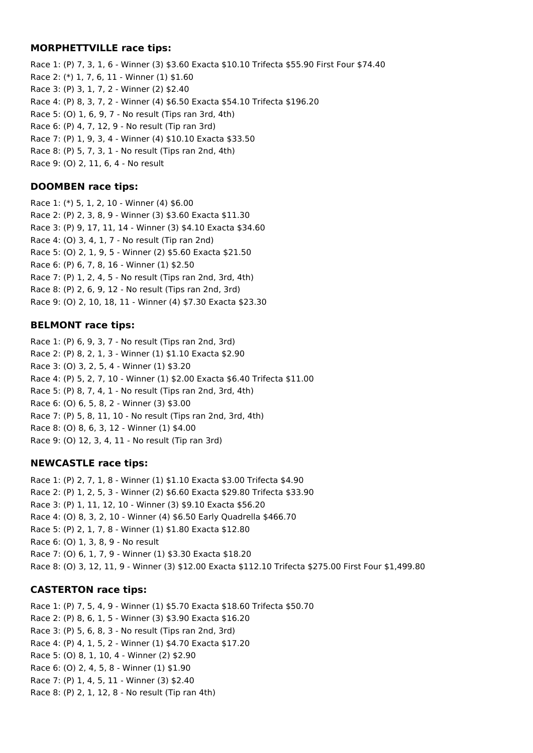# **MORPHETTVILLE race tips:**

Race 1: (P) 7, 3, 1, 6 - Winner (3) \$3.60 Exacta \$10.10 Trifecta \$55.90 First Four \$74.40 Race 2: (\*) 1, 7, 6, 11 - Winner (1) \$1.60 Race 3: (P) 3, 1, 7, 2 - Winner (2) \$2.40 Race 4: (P) 8, 3, 7, 2 - Winner (4) \$6.50 Exacta \$54.10 Trifecta \$196.20 Race 5: (O) 1, 6, 9, 7 - No result (Tips ran 3rd, 4th) Race 6: (P) 4, 7, 12, 9 - No result (Tip ran 3rd) Race 7: (P) 1, 9, 3, 4 - Winner (4) \$10.10 Exacta \$33.50 Race 8: (P) 5, 7, 3, 1 - No result (Tips ran 2nd, 4th) Race 9: (O) 2, 11, 6, 4 - No result

# **DOOMBEN race tips:**

Race 1: (\*) 5, 1, 2, 10 - Winner (4) \$6.00 Race 2: (P) 2, 3, 8, 9 - Winner (3) \$3.60 Exacta \$11.30 Race 3: (P) 9, 17, 11, 14 - Winner (3) \$4.10 Exacta \$34.60 Race 4: (O) 3, 4, 1, 7 - No result (Tip ran 2nd) Race 5: (O) 2, 1, 9, 5 - Winner (2) \$5.60 Exacta \$21.50 Race 6: (P) 6, 7, 8, 16 - Winner (1) \$2.50 Race 7: (P) 1, 2, 4, 5 - No result (Tips ran 2nd, 3rd, 4th) Race 8: (P) 2, 6, 9, 12 - No result (Tips ran 2nd, 3rd) Race 9: (O) 2, 10, 18, 11 - Winner (4) \$7.30 Exacta \$23.30

# **BELMONT race tips:**

Race 1: (P) 6, 9, 3, 7 - No result (Tips ran 2nd, 3rd) Race 2: (P) 8, 2, 1, 3 - Winner (1) \$1.10 Exacta \$2.90 Race 3: (O) 3, 2, 5, 4 - Winner (1) \$3.20 Race 4: (P) 5, 2, 7, 10 - Winner (1) \$2.00 Exacta \$6.40 Trifecta \$11.00 Race 5: (P) 8, 7, 4, 1 - No result (Tips ran 2nd, 3rd, 4th) Race 6: (O) 6, 5, 8, 2 - Winner (3) \$3.00 Race 7: (P) 5, 8, 11, 10 - No result (Tips ran 2nd, 3rd, 4th) Race 8: (O) 8, 6, 3, 12 - Winner (1) \$4.00 Race 9: (O) 12, 3, 4, 11 - No result (Tip ran 3rd)

# **NEWCASTLE race tips:**

Race 1: (P) 2, 7, 1, 8 - Winner (1) \$1.10 Exacta \$3.00 Trifecta \$4.90 Race 2: (P) 1, 2, 5, 3 - Winner (2) \$6.60 Exacta \$29.80 Trifecta \$33.90 Race 3: (P) 1, 11, 12, 10 - Winner (3) \$9.10 Exacta \$56.20 Race 4: (O) 8, 3, 2, 10 - Winner (4) \$6.50 Early Quadrella \$466.70 Race 5: (P) 2, 1, 7, 8 - Winner (1) \$1.80 Exacta \$12.80 Race 6: (O) 1, 3, 8, 9 - No result Race 7: (O) 6, 1, 7, 9 - Winner (1) \$3.30 Exacta \$18.20 Race 8: (O) 3, 12, 11, 9 - Winner (3) \$12.00 Exacta \$112.10 Trifecta \$275.00 First Four \$1,499.80

# **CASTERTON race tips:**

Race 1: (P) 7, 5, 4, 9 - Winner (1) \$5.70 Exacta \$18.60 Trifecta \$50.70 Race 2: (P) 8, 6, 1, 5 - Winner (3) \$3.90 Exacta \$16.20 Race 3: (P) 5, 6, 8, 3 - No result (Tips ran 2nd, 3rd) Race 4: (P) 4, 1, 5, 2 - Winner (1) \$4.70 Exacta \$17.20 Race 5: (O) 8, 1, 10, 4 - Winner (2) \$2.90 Race 6: (O) 2, 4, 5, 8 - Winner (1) \$1.90 Race 7: (P) 1, 4, 5, 11 - Winner (3) \$2.40 Race 8: (P) 2, 1, 12, 8 - No result (Tip ran 4th)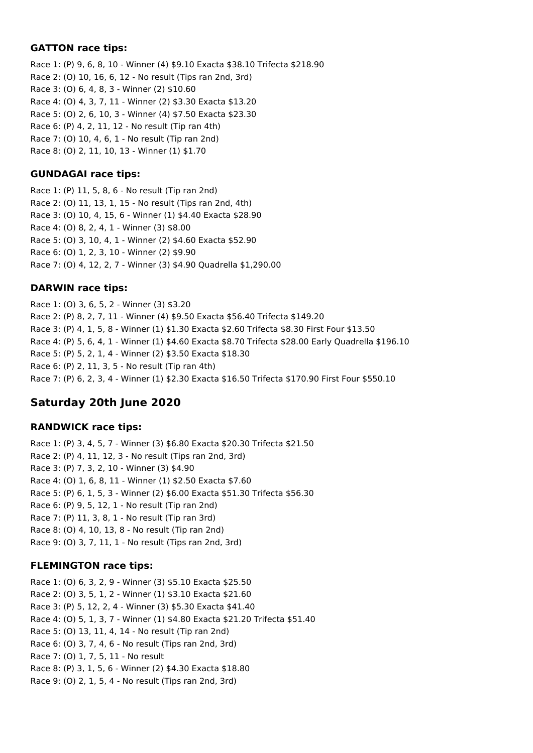### **GATTON race tips:**

Race 1: (P) 9, 6, 8, 10 - Winner (4) \$9.10 Exacta \$38.10 Trifecta \$218.90 Race 2: (O) 10, 16, 6, 12 - No result (Tips ran 2nd, 3rd) Race 3: (O) 6, 4, 8, 3 - Winner (2) \$10.60 Race 4: (O) 4, 3, 7, 11 - Winner (2) \$3.30 Exacta \$13.20 Race 5: (O) 2, 6, 10, 3 - Winner (4) \$7.50 Exacta \$23.30 Race 6: (P) 4, 2, 11, 12 - No result (Tip ran 4th) Race 7: (O) 10, 4, 6, 1 - No result (Tip ran 2nd) Race 8: (O) 2, 11, 10, 13 - Winner (1) \$1.70

# **GUNDAGAI race tips:**

Race 1: (P) 11, 5, 8, 6 - No result (Tip ran 2nd) Race 2: (O) 11, 13, 1, 15 - No result (Tips ran 2nd, 4th) Race 3: (O) 10, 4, 15, 6 - Winner (1) \$4.40 Exacta \$28.90 Race 4: (O) 8, 2, 4, 1 - Winner (3) \$8.00 Race 5: (O) 3, 10, 4, 1 - Winner (2) \$4.60 Exacta \$52.90 Race 6: (O) 1, 2, 3, 10 - Winner (2) \$9.90 Race 7: (O) 4, 12, 2, 7 - Winner (3) \$4.90 Quadrella \$1,290.00

# **DARWIN race tips:**

Race 1: (O) 3, 6, 5, 2 - Winner (3) \$3.20 Race 2: (P) 8, 2, 7, 11 - Winner (4) \$9.50 Exacta \$56.40 Trifecta \$149.20 Race 3: (P) 4, 1, 5, 8 - Winner (1) \$1.30 Exacta \$2.60 Trifecta \$8.30 First Four \$13.50 Race 4: (P) 5, 6, 4, 1 - Winner (1) \$4.60 Exacta \$8.70 Trifecta \$28.00 Early Quadrella \$196.10 Race 5: (P) 5, 2, 1, 4 - Winner (2) \$3.50 Exacta \$18.30 Race 6: (P) 2, 11, 3, 5 - No result (Tip ran 4th) Race 7: (P) 6, 2, 3, 4 - Winner (1) \$2.30 Exacta \$16.50 Trifecta \$170.90 First Four \$550.10

# **Saturday 20th June 2020**

# **RANDWICK race tips:**

Race 1: (P) 3, 4, 5, 7 - Winner (3) \$6.80 Exacta \$20.30 Trifecta \$21.50 Race 2: (P) 4, 11, 12, 3 - No result (Tips ran 2nd, 3rd) Race 3: (P) 7, 3, 2, 10 - Winner (3) \$4.90 Race 4: (O) 1, 6, 8, 11 - Winner (1) \$2.50 Exacta \$7.60 Race 5: (P) 6, 1, 5, 3 - Winner (2) \$6.00 Exacta \$51.30 Trifecta \$56.30 Race 6: (P) 9, 5, 12, 1 - No result (Tip ran 2nd) Race 7: (P) 11, 3, 8, 1 - No result (Tip ran 3rd) Race 8: (O) 4, 10, 13, 8 - No result (Tip ran 2nd) Race 9: (O) 3, 7, 11, 1 - No result (Tips ran 2nd, 3rd)

# **FLEMINGTON race tips:**

Race 1: (O) 6, 3, 2, 9 - Winner (3) \$5.10 Exacta \$25.50 Race 2: (O) 3, 5, 1, 2 - Winner (1) \$3.10 Exacta \$21.60 Race 3: (P) 5, 12, 2, 4 - Winner (3) \$5.30 Exacta \$41.40 Race 4: (O) 5, 1, 3, 7 - Winner (1) \$4.80 Exacta \$21.20 Trifecta \$51.40 Race 5: (O) 13, 11, 4, 14 - No result (Tip ran 2nd) Race 6: (O) 3, 7, 4, 6 - No result (Tips ran 2nd, 3rd) Race 7: (O) 1, 7, 5, 11 - No result Race 8: (P) 3, 1, 5, 6 - Winner (2) \$4.30 Exacta \$18.80 Race 9: (O) 2, 1, 5, 4 - No result (Tips ran 2nd, 3rd)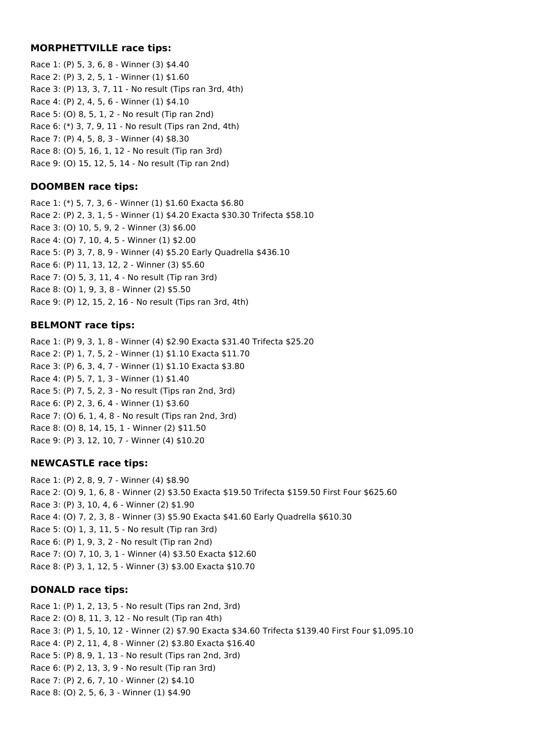### **MORPHETTVILLE race tips:**

Race 1: (P) 5, 3, 6, 8 - Winner (3) \$4.40 Race 2: (P) 3, 2, 5, 1 - Winner (1) \$1.60 Race 3: (P) 13, 3, 7, 11 - No result (Tips ran 3rd, 4th) Race 4: (P) 2, 4, 5, 6 - Winner (1) \$4.10 Race 5: (O) 8, 5, 1, 2 - No result (Tip ran 2nd) Race 6: (\*) 3, 7, 9, 11 - No result (Tips ran 2nd, 4th) Race 7: (P) 4, 5, 8, 3 - Winner (4) \$8.30 Race 8: (O) 5, 16, 1, 12 - No result (Tip ran 3rd) Race 9: (O) 15, 12, 5, 14 - No result (Tip ran 2nd)

### **DOOMBEN race tips:**

Race 1: (\*) 5, 7, 3, 6 - Winner (1) \$1.60 Exacta \$6.80 Race 2: (P) 2, 3, 1, 5 - Winner (1) \$4.20 Exacta \$30.30 Trifecta \$58.10 Race 3: (O) 10, 5, 9, 2 - Winner (3) \$6.00 Race 4: (O) 7, 10, 4, 5 - Winner (1) \$2.00 Race 5: (P) 3, 7, 8, 9 - Winner (4) \$5.20 Early Quadrella \$436.10 Race 6: (P) 11, 13, 12, 2 - Winner (3) \$5.60 Race 7: (O) 5, 3, 11, 4 - No result (Tip ran 3rd) Race 8: (O) 1, 9, 3, 8 - Winner (2) \$5.50 Race 9: (P) 12, 15, 2, 16 - No result (Tips ran 3rd, 4th)

### **BELMONT race tips:**

Race 1: (P) 9, 3, 1, 8 - Winner (4) \$2.90 Exacta \$31.40 Trifecta \$25.20 Race 2: (P) 1, 7, 5, 2 - Winner (1) \$1.10 Exacta \$11.70 Race 3: (P) 6, 3, 4, 7 - Winner (1) \$1.10 Exacta \$3.80 Race 4: (P) 5, 7, 1, 3 - Winner (1) \$1.40 Race 5: (P) 7, 5, 2, 3 - No result (Tips ran 2nd, 3rd) Race 6: (P) 2, 3, 6, 4 - Winner (1) \$3.60 Race 7: (O) 6, 1, 4, 8 - No result (Tips ran 2nd, 3rd) Race 8: (O) 8, 14, 15, 1 - Winner (2) \$11.50 Race 9: (P) 3, 12, 10, 7 - Winner (4) \$10.20

# **NEWCASTLE race tips:**

Race 1: (P) 2, 8, 9, 7 - Winner (4) \$8.90 Race 2: (O) 9, 1, 6, 8 - Winner (2) \$3.50 Exacta \$19.50 Trifecta \$159.50 First Four \$625.60 Race 3: (P) 3, 10, 4, 6 - Winner (2) \$1.90 Race 4: (O) 7, 2, 3, 8 - Winner (3) \$5.90 Exacta \$41.60 Early Quadrella \$610.30 Race 5: (O) 1, 3, 11, 5 - No result (Tip ran 3rd) Race 6: (P) 1, 9, 3, 2 - No result (Tip ran 2nd) Race 7: (O) 7, 10, 3, 1 - Winner (4) \$3.50 Exacta \$12.60 Race 8: (P) 3, 1, 12, 5 - Winner (3) \$3.00 Exacta \$10.70

# **DONALD race tips:**

Race 1: (P) 1, 2, 13, 5 - No result (Tips ran 2nd, 3rd) Race 2: (O) 8, 11, 3, 12 - No result (Tip ran 4th) Race 3: (P) 1, 5, 10, 12 - Winner (2) \$7.90 Exacta \$34.60 Trifecta \$139.40 First Four \$1,095.10 Race 4: (P) 2, 11, 4, 8 - Winner (2) \$3.80 Exacta \$16.40 Race 5: (P) 8, 9, 1, 13 - No result (Tips ran 2nd, 3rd) Race 6: (P) 2, 13, 3, 9 - No result (Tip ran 3rd) Race 7: (P) 2, 6, 7, 10 - Winner (2) \$4.10 Race 8: (O) 2, 5, 6, 3 - Winner (1) \$4.90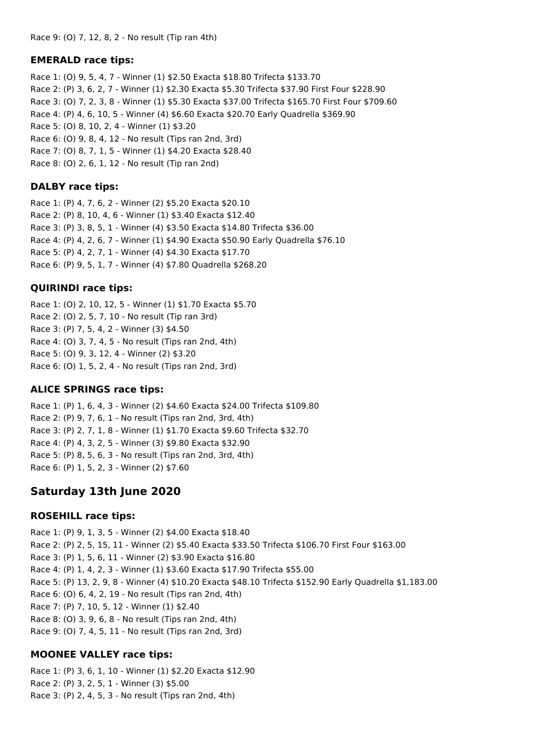# **EMERALD race tips:**

Race 1: (O) 9, 5, 4, 7 - Winner (1) \$2.50 Exacta \$18.80 Trifecta \$133.70 Race 2: (P) 3, 6, 2, 7 - Winner (1) \$2.30 Exacta \$5.30 Trifecta \$37.90 First Four \$228.90 Race 3: (O) 7, 2, 3, 8 - Winner (1) \$5.30 Exacta \$37.00 Trifecta \$165.70 First Four \$709.60 Race 4: (P) 4, 6, 10, 5 - Winner (4) \$6.60 Exacta \$20.70 Early Quadrella \$369.90 Race 5: (O) 8, 10, 2, 4 - Winner (1) \$3.20 Race 6: (O) 9, 8, 4, 12 - No result (Tips ran 2nd, 3rd) Race 7: (O) 8, 7, 1, 5 - Winner (1) \$4.20 Exacta \$28.40 Race 8: (O) 2, 6, 1, 12 - No result (Tip ran 2nd)

# **DALBY race tips:**

Race 1: (P) 4, 7, 6, 2 - Winner (2) \$5.20 Exacta \$20.10 Race 2: (P) 8, 10, 4, 6 - Winner (1) \$3.40 Exacta \$12.40 Race 3: (P) 3, 8, 5, 1 - Winner (4) \$3.50 Exacta \$14.80 Trifecta \$36.00 Race 4: (P) 4, 2, 6, 7 - Winner (1) \$4.90 Exacta \$50.90 Early Quadrella \$76.10 Race 5: (P) 4, 2, 7, 1 - Winner (4) \$4.30 Exacta \$17.70 Race 6: (P) 9, 5, 1, 7 - Winner (4) \$7.80 Quadrella \$268.20

# **QUIRINDI race tips:**

Race 1: (O) 2, 10, 12, 5 - Winner (1) \$1.70 Exacta \$5.70 Race 2: (O) 2, 5, 7, 10 - No result (Tip ran 3rd) Race 3: (P) 7, 5, 4, 2 - Winner (3) \$4.50 Race 4: (O) 3, 7, 4, 5 - No result (Tips ran 2nd, 4th) Race 5: (O) 9, 3, 12, 4 - Winner (2) \$3.20 Race 6: (O) 1, 5, 2, 4 - No result (Tips ran 2nd, 3rd)

# **ALICE SPRINGS race tips:**

Race 1: (P) 1, 6, 4, 3 - Winner (2) \$4.60 Exacta \$24.00 Trifecta \$109.80 Race 2: (P) 9, 7, 6, 1 - No result (Tips ran 2nd, 3rd, 4th) Race 3: (P) 2, 7, 1, 8 - Winner (1) \$1.70 Exacta \$9.60 Trifecta \$32.70 Race 4: (P) 4, 3, 2, 5 - Winner (3) \$9.80 Exacta \$32.90 Race 5: (P) 8, 5, 6, 3 - No result (Tips ran 2nd, 3rd, 4th) Race 6: (P) 1, 5, 2, 3 - Winner (2) \$7.60

# **Saturday 13th June 2020**

# **ROSEHILL race tips:**

Race 1: (P) 9, 1, 3, 5 - Winner (2) \$4.00 Exacta \$18.40 Race 2: (P) 2, 5, 15, 11 - Winner (2) \$5.40 Exacta \$33.50 Trifecta \$106.70 First Four \$163.00 Race 3: (P) 1, 5, 6, 11 - Winner (2) \$3.90 Exacta \$16.80 Race 4: (P) 1, 4, 2, 3 - Winner (1) \$3.60 Exacta \$17.90 Trifecta \$55.00 Race 5: (P) 13, 2, 9, 8 - Winner (4) \$10.20 Exacta \$48.10 Trifecta \$152.90 Early Quadrella \$1,183.00 Race 6: (O) 6, 4, 2, 19 - No result (Tips ran 2nd, 4th) Race 7: (P) 7, 10, 5, 12 - Winner (1) \$2.40 Race 8: (O) 3, 9, 6, 8 - No result (Tips ran 2nd, 4th) Race 9: (O) 7, 4, 5, 11 - No result (Tips ran 2nd, 3rd)

# **MOONEE VALLEY race tips:**

Race 1: (P) 3, 6, 1, 10 - Winner (1) \$2.20 Exacta \$12.90 Race 2: (P) 3, 2, 5, 1 - Winner (3) \$5.00 Race 3: (P) 2, 4, 5, 3 - No result (Tips ran 2nd, 4th)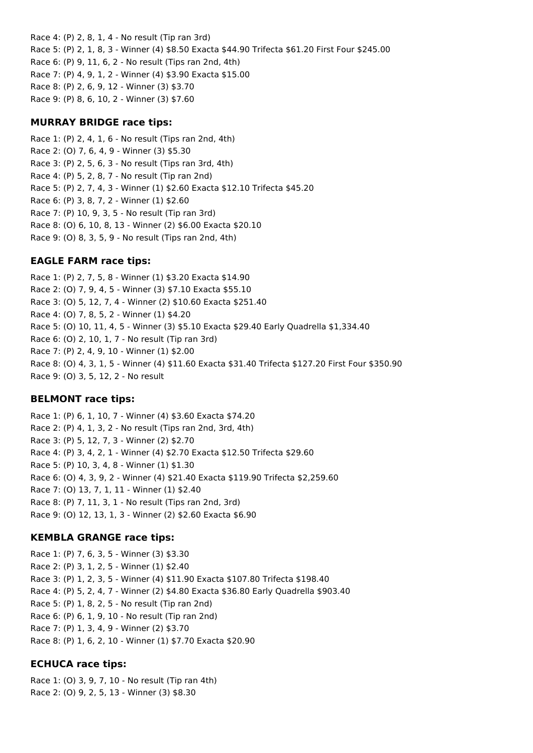Race 4: (P) 2, 8, 1, 4 - No result (Tip ran 3rd) Race 5: (P) 2, 1, 8, 3 - Winner (4) \$8.50 Exacta \$44.90 Trifecta \$61.20 First Four \$245.00 Race 6: (P) 9, 11, 6, 2 - No result (Tips ran 2nd, 4th) Race 7: (P) 4, 9, 1, 2 - Winner (4) \$3.90 Exacta \$15.00 Race 8: (P) 2, 6, 9, 12 - Winner (3) \$3.70 Race 9: (P) 8, 6, 10, 2 - Winner (3) \$7.60

### **MURRAY BRIDGE race tips:**

Race 1: (P) 2, 4, 1, 6 - No result (Tips ran 2nd, 4th) Race 2: (O) 7, 6, 4, 9 - Winner (3) \$5.30 Race 3: (P) 2, 5, 6, 3 - No result (Tips ran 3rd, 4th) Race 4: (P) 5, 2, 8, 7 - No result (Tip ran 2nd) Race 5: (P) 2, 7, 4, 3 - Winner (1) \$2.60 Exacta \$12.10 Trifecta \$45.20 Race 6: (P) 3, 8, 7, 2 - Winner (1) \$2.60 Race 7: (P) 10, 9, 3, 5 - No result (Tip ran 3rd) Race 8: (O) 6, 10, 8, 13 - Winner (2) \$6.00 Exacta \$20.10 Race 9: (O) 8, 3, 5, 9 - No result (Tips ran 2nd, 4th)

# **EAGLE FARM race tips:**

Race 1: (P) 2, 7, 5, 8 - Winner (1) \$3.20 Exacta \$14.90 Race 2: (O) 7, 9, 4, 5 - Winner (3) \$7.10 Exacta \$55.10 Race 3: (O) 5, 12, 7, 4 - Winner (2) \$10.60 Exacta \$251.40 Race 4: (O) 7, 8, 5, 2 - Winner (1) \$4.20 Race 5: (O) 10, 11, 4, 5 - Winner (3) \$5.10 Exacta \$29.40 Early Quadrella \$1,334.40 Race 6: (O) 2, 10, 1, 7 - No result (Tip ran 3rd) Race 7: (P) 2, 4, 9, 10 - Winner (1) \$2.00 Race 8: (O) 4, 3, 1, 5 - Winner (4) \$11.60 Exacta \$31.40 Trifecta \$127.20 First Four \$350.90 Race 9: (O) 3, 5, 12, 2 - No result

# **BELMONT race tips:**

Race 1: (P) 6, 1, 10, 7 - Winner (4) \$3.60 Exacta \$74.20 Race 2: (P) 4, 1, 3, 2 - No result (Tips ran 2nd, 3rd, 4th) Race 3: (P) 5, 12, 7, 3 - Winner (2) \$2.70 Race 4: (P) 3, 4, 2, 1 - Winner (4) \$2.70 Exacta \$12.50 Trifecta \$29.60 Race 5: (P) 10, 3, 4, 8 - Winner (1) \$1.30 Race 6: (O) 4, 3, 9, 2 - Winner (4) \$21.40 Exacta \$119.90 Trifecta \$2,259.60 Race 7: (O) 13, 7, 1, 11 - Winner (1) \$2.40 Race 8: (P) 7, 11, 3, 1 - No result (Tips ran 2nd, 3rd) Race 9: (O) 12, 13, 1, 3 - Winner (2) \$2.60 Exacta \$6.90

# **KEMBLA GRANGE race tips:**

Race 1: (P) 7, 6, 3, 5 - Winner (3) \$3.30 Race 2: (P) 3, 1, 2, 5 - Winner (1) \$2.40 Race 3: (P) 1, 2, 3, 5 - Winner (4) \$11.90 Exacta \$107.80 Trifecta \$198.40 Race 4: (P) 5, 2, 4, 7 - Winner (2) \$4.80 Exacta \$36.80 Early Quadrella \$903.40 Race 5: (P) 1, 8, 2, 5 - No result (Tip ran 2nd) Race 6: (P) 6, 1, 9, 10 - No result (Tip ran 2nd) Race 7: (P) 1, 3, 4, 9 - Winner (2) \$3.70 Race 8: (P) 1, 6, 2, 10 - Winner (1) \$7.70 Exacta \$20.90

# **ECHUCA race tips:**

Race 1: (O) 3, 9, 7, 10 - No result (Tip ran 4th) Race 2: (O) 9, 2, 5, 13 - Winner (3) \$8.30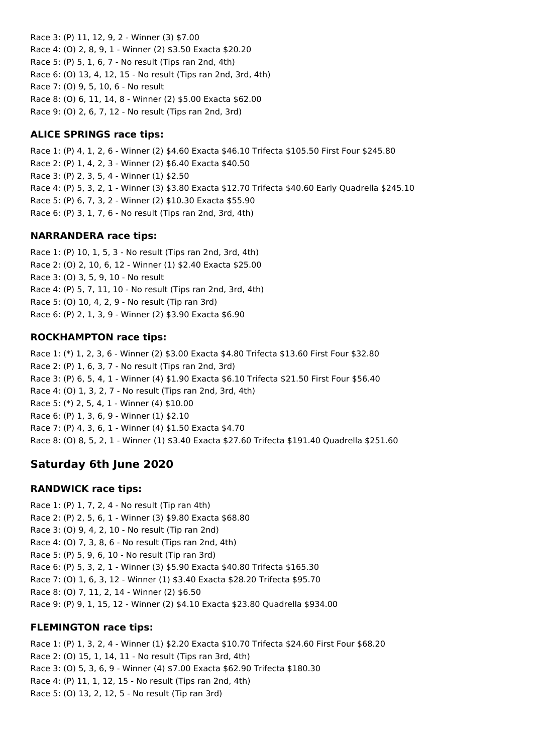Race 3: (P) 11, 12, 9, 2 - Winner (3) \$7.00 Race 4: (O) 2, 8, 9, 1 - Winner (2) \$3.50 Exacta \$20.20 Race 5: (P) 5, 1, 6, 7 - No result (Tips ran 2nd, 4th) Race 6: (O) 13, 4, 12, 15 - No result (Tips ran 2nd, 3rd, 4th) Race 7: (O) 9, 5, 10, 6 - No result Race 8: (O) 6, 11, 14, 8 - Winner (2) \$5.00 Exacta \$62.00 Race 9: (O) 2, 6, 7, 12 - No result (Tips ran 2nd, 3rd)

# **ALICE SPRINGS race tips:**

Race 1: (P) 4, 1, 2, 6 - Winner (2) \$4.60 Exacta \$46.10 Trifecta \$105.50 First Four \$245.80 Race 2: (P) 1, 4, 2, 3 - Winner (2) \$6.40 Exacta \$40.50 Race 3: (P) 2, 3, 5, 4 - Winner (1) \$2.50 Race 4: (P) 5, 3, 2, 1 - Winner (3) \$3.80 Exacta \$12.70 Trifecta \$40.60 Early Quadrella \$245.10 Race 5: (P) 6, 7, 3, 2 - Winner (2) \$10.30 Exacta \$55.90 Race 6: (P) 3, 1, 7, 6 - No result (Tips ran 2nd, 3rd, 4th)

# **NARRANDERA race tips:**

Race 1: (P) 10, 1, 5, 3 - No result (Tips ran 2nd, 3rd, 4th) Race 2: (O) 2, 10, 6, 12 - Winner (1) \$2.40 Exacta \$25.00 Race 3: (O) 3, 5, 9, 10 - No result Race 4: (P) 5, 7, 11, 10 - No result (Tips ran 2nd, 3rd, 4th) Race 5: (O) 10, 4, 2, 9 - No result (Tip ran 3rd) Race 6: (P) 2, 1, 3, 9 - Winner (2) \$3.90 Exacta \$6.90

# **ROCKHAMPTON race tips:**

Race 1: (\*) 1, 2, 3, 6 - Winner (2) \$3.00 Exacta \$4.80 Trifecta \$13.60 First Four \$32.80 Race 2: (P) 1, 6, 3, 7 - No result (Tips ran 2nd, 3rd) Race 3: (P) 6, 5, 4, 1 - Winner (4) \$1.90 Exacta \$6.10 Trifecta \$21.50 First Four \$56.40 Race 4: (O) 1, 3, 2, 7 - No result (Tips ran 2nd, 3rd, 4th) Race 5: (\*) 2, 5, 4, 1 - Winner (4) \$10.00 Race 6: (P) 1, 3, 6, 9 - Winner (1) \$2.10 Race 7: (P) 4, 3, 6, 1 - Winner (4) \$1.50 Exacta \$4.70 Race 8: (O) 8, 5, 2, 1 - Winner (1) \$3.40 Exacta \$27.60 Trifecta \$191.40 Quadrella \$251.60

# **Saturday 6th June 2020**

# **RANDWICK race tips:**

Race 1: (P) 1, 7, 2, 4 - No result (Tip ran 4th) Race 2: (P) 2, 5, 6, 1 - Winner (3) \$9.80 Exacta \$68.80 Race 3: (O) 9, 4, 2, 10 - No result (Tip ran 2nd) Race 4: (O) 7, 3, 8, 6 - No result (Tips ran 2nd, 4th) Race 5: (P) 5, 9, 6, 10 - No result (Tip ran 3rd) Race 6: (P) 5, 3, 2, 1 - Winner (3) \$5.90 Exacta \$40.80 Trifecta \$165.30 Race 7: (O) 1, 6, 3, 12 - Winner (1) \$3.40 Exacta \$28.20 Trifecta \$95.70 Race 8: (O) 7, 11, 2, 14 - Winner (2) \$6.50 Race 9: (P) 9, 1, 15, 12 - Winner (2) \$4.10 Exacta \$23.80 Quadrella \$934.00

# **FLEMINGTON race tips:**

Race 1: (P) 1, 3, 2, 4 - Winner (1) \$2.20 Exacta \$10.70 Trifecta \$24.60 First Four \$68.20 Race 2: (O) 15, 1, 14, 11 - No result (Tips ran 3rd, 4th) Race 3: (O) 5, 3, 6, 9 - Winner (4) \$7.00 Exacta \$62.90 Trifecta \$180.30 Race 4: (P) 11, 1, 12, 15 - No result (Tips ran 2nd, 4th) Race 5: (O) 13, 2, 12, 5 - No result (Tip ran 3rd)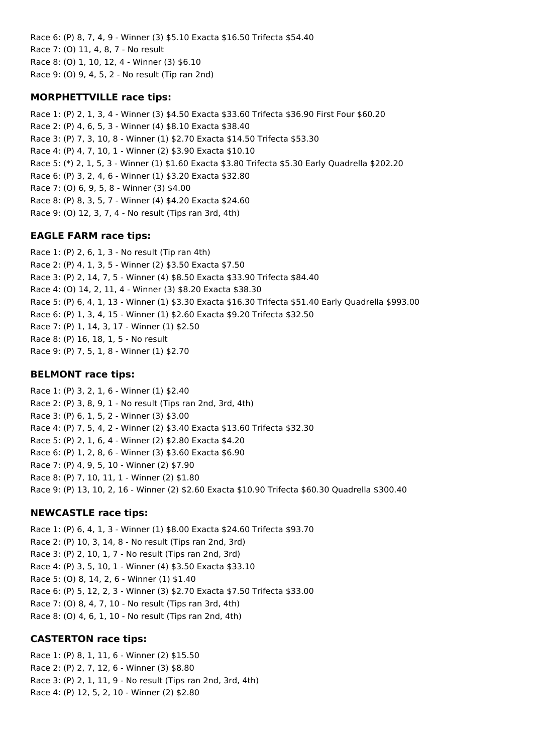Race 6: (P) 8, 7, 4, 9 - Winner (3) \$5.10 Exacta \$16.50 Trifecta \$54.40 Race 7: (O) 11, 4, 8, 7 - No result Race 8: (O) 1, 10, 12, 4 - Winner (3) \$6.10 Race 9: (O) 9, 4, 5, 2 - No result (Tip ran 2nd)

# **MORPHETTVILLE race tips:**

Race 1: (P) 2, 1, 3, 4 - Winner (3) \$4.50 Exacta \$33.60 Trifecta \$36.90 First Four \$60.20 Race 2: (P) 4, 6, 5, 3 - Winner (4) \$8.10 Exacta \$38.40 Race 3: (P) 7, 3, 10, 8 - Winner (1) \$2.70 Exacta \$14.50 Trifecta \$53.30 Race 4: (P) 4, 7, 10, 1 - Winner (2) \$3.90 Exacta \$10.10 Race 5: (\*) 2, 1, 5, 3 - Winner (1) \$1.60 Exacta \$3.80 Trifecta \$5.30 Early Quadrella \$202.20 Race 6: (P) 3, 2, 4, 6 - Winner (1) \$3.20 Exacta \$32.80 Race 7: (O) 6, 9, 5, 8 - Winner (3) \$4.00 Race 8: (P) 8, 3, 5, 7 - Winner (4) \$4.20 Exacta \$24.60 Race 9: (O) 12, 3, 7, 4 - No result (Tips ran 3rd, 4th)

# **EAGLE FARM race tips:**

Race 1: (P) 2, 6, 1, 3 - No result (Tip ran 4th) Race 2: (P) 4, 1, 3, 5 - Winner (2) \$3.50 Exacta \$7.50 Race 3: (P) 2, 14, 7, 5 - Winner (4) \$8.50 Exacta \$33.90 Trifecta \$84.40 Race 4: (O) 14, 2, 11, 4 - Winner (3) \$8.20 Exacta \$38.30 Race 5: (P) 6, 4, 1, 13 - Winner (1) \$3.30 Exacta \$16.30 Trifecta \$51.40 Early Quadrella \$993.00 Race 6: (P) 1, 3, 4, 15 - Winner (1) \$2.60 Exacta \$9.20 Trifecta \$32.50 Race 7: (P) 1, 14, 3, 17 - Winner (1) \$2.50 Race 8: (P) 16, 18, 1, 5 - No result Race 9: (P) 7, 5, 1, 8 - Winner (1) \$2.70

### **BELMONT race tips:**

Race 1: (P) 3, 2, 1, 6 - Winner (1) \$2.40 Race 2: (P) 3, 8, 9, 1 - No result (Tips ran 2nd, 3rd, 4th) Race 3: (P) 6, 1, 5, 2 - Winner (3) \$3.00 Race 4: (P) 7, 5, 4, 2 - Winner (2) \$3.40 Exacta \$13.60 Trifecta \$32.30 Race 5: (P) 2, 1, 6, 4 - Winner (2) \$2.80 Exacta \$4.20 Race 6: (P) 1, 2, 8, 6 - Winner (3) \$3.60 Exacta \$6.90 Race 7: (P) 4, 9, 5, 10 - Winner (2) \$7.90 Race 8: (P) 7, 10, 11, 1 - Winner (2) \$1.80 Race 9: (P) 13, 10, 2, 16 - Winner (2) \$2.60 Exacta \$10.90 Trifecta \$60.30 Quadrella \$300.40

# **NEWCASTLE race tips:**

Race 1: (P) 6, 4, 1, 3 - Winner (1) \$8.00 Exacta \$24.60 Trifecta \$93.70 Race 2: (P) 10, 3, 14, 8 - No result (Tips ran 2nd, 3rd) Race 3: (P) 2, 10, 1, 7 - No result (Tips ran 2nd, 3rd) Race 4: (P) 3, 5, 10, 1 - Winner (4) \$3.50 Exacta \$33.10 Race 5: (O) 8, 14, 2, 6 - Winner (1) \$1.40 Race 6: (P) 5, 12, 2, 3 - Winner (3) \$2.70 Exacta \$7.50 Trifecta \$33.00 Race 7: (O) 8, 4, 7, 10 - No result (Tips ran 3rd, 4th) Race 8: (O) 4, 6, 1, 10 - No result (Tips ran 2nd, 4th)

### **CASTERTON race tips:**

Race 1: (P) 8, 1, 11, 6 - Winner (2) \$15.50 Race 2: (P) 2, 7, 12, 6 - Winner (3) \$8.80 Race 3: (P) 2, 1, 11, 9 - No result (Tips ran 2nd, 3rd, 4th) Race 4: (P) 12, 5, 2, 10 - Winner (2) \$2.80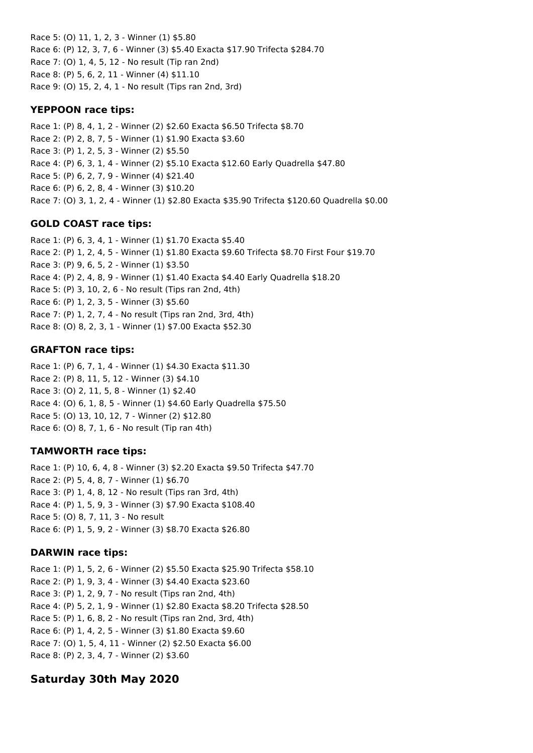Race 5: (O) 11, 1, 2, 3 - Winner (1) \$5.80 Race 6: (P) 12, 3, 7, 6 - Winner (3) \$5.40 Exacta \$17.90 Trifecta \$284.70 Race 7: (O) 1, 4, 5, 12 - No result (Tip ran 2nd) Race 8: (P) 5, 6, 2, 11 - Winner (4) \$11.10 Race 9: (O) 15, 2, 4, 1 - No result (Tips ran 2nd, 3rd)

### **YEPPOON race tips:**

Race 1: (P) 8, 4, 1, 2 - Winner (2) \$2.60 Exacta \$6.50 Trifecta \$8.70 Race 2: (P) 2, 8, 7, 5 - Winner (1) \$1.90 Exacta \$3.60 Race 3: (P) 1, 2, 5, 3 - Winner (2) \$5.50 Race 4: (P) 6, 3, 1, 4 - Winner (2) \$5.10 Exacta \$12.60 Early Quadrella \$47.80 Race 5: (P) 6, 2, 7, 9 - Winner (4) \$21.40 Race 6: (P) 6, 2, 8, 4 - Winner (3) \$10.20 Race 7: (O) 3, 1, 2, 4 - Winner (1) \$2.80 Exacta \$35.90 Trifecta \$120.60 Quadrella \$0.00

# **GOLD COAST race tips:**

Race 1: (P) 6, 3, 4, 1 - Winner (1) \$1.70 Exacta \$5.40 Race 2: (P) 1, 2, 4, 5 - Winner (1) \$1.80 Exacta \$9.60 Trifecta \$8.70 First Four \$19.70 Race 3: (P) 9, 6, 5, 2 - Winner (1) \$3.50 Race 4: (P) 2, 4, 8, 9 - Winner (1) \$1.40 Exacta \$4.40 Early Quadrella \$18.20 Race 5: (P) 3, 10, 2, 6 - No result (Tips ran 2nd, 4th) Race 6: (P) 1, 2, 3, 5 - Winner (3) \$5.60 Race 7: (P) 1, 2, 7, 4 - No result (Tips ran 2nd, 3rd, 4th) Race 8: (O) 8, 2, 3, 1 - Winner (1) \$7.00 Exacta \$52.30

# **GRAFTON race tips:**

Race 1: (P) 6, 7, 1, 4 - Winner (1) \$4.30 Exacta \$11.30 Race 2: (P) 8, 11, 5, 12 - Winner (3) \$4.10 Race 3: (O) 2, 11, 5, 8 - Winner (1) \$2.40 Race 4: (O) 6, 1, 8, 5 - Winner (1) \$4.60 Early Quadrella \$75.50 Race 5: (O) 13, 10, 12, 7 - Winner (2) \$12.80 Race 6: (O) 8, 7, 1, 6 - No result (Tip ran 4th)

# **TAMWORTH race tips:**

Race 1: (P) 10, 6, 4, 8 - Winner (3) \$2.20 Exacta \$9.50 Trifecta \$47.70 Race 2: (P) 5, 4, 8, 7 - Winner (1) \$6.70 Race 3: (P) 1, 4, 8, 12 - No result (Tips ran 3rd, 4th) Race 4: (P) 1, 5, 9, 3 - Winner (3) \$7.90 Exacta \$108.40 Race 5: (O) 8, 7, 11, 3 - No result Race 6: (P) 1, 5, 9, 2 - Winner (3) \$8.70 Exacta \$26.80

# **DARWIN race tips:**

Race 1: (P) 1, 5, 2, 6 - Winner (2) \$5.50 Exacta \$25.90 Trifecta \$58.10 Race 2: (P) 1, 9, 3, 4 - Winner (3) \$4.40 Exacta \$23.60 Race 3: (P) 1, 2, 9, 7 - No result (Tips ran 2nd, 4th) Race 4: (P) 5, 2, 1, 9 - Winner (1) \$2.80 Exacta \$8.20 Trifecta \$28.50 Race 5: (P) 1, 6, 8, 2 - No result (Tips ran 2nd, 3rd, 4th) Race 6: (P) 1, 4, 2, 5 - Winner (3) \$1.80 Exacta \$9.60 Race 7: (O) 1, 5, 4, 11 - Winner (2) \$2.50 Exacta \$6.00 Race 8: (P) 2, 3, 4, 7 - Winner (2) \$3.60

# **Saturday 30th May 2020**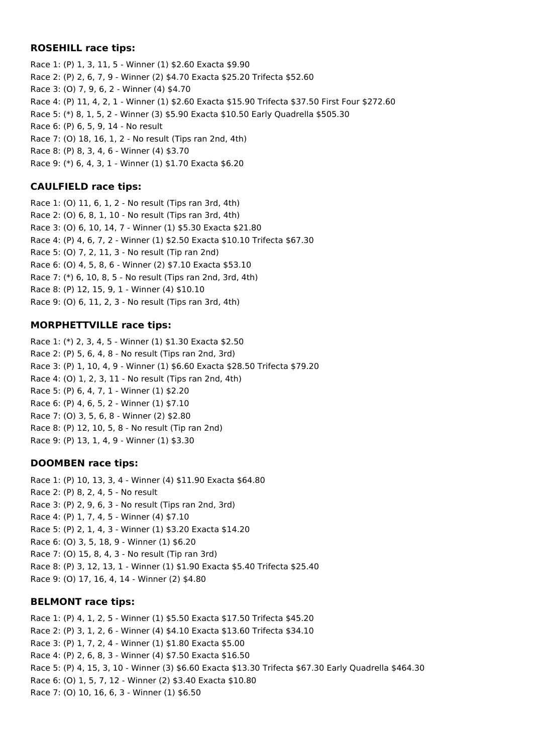## **ROSEHILL race tips:**

Race 1: (P) 1, 3, 11, 5 - Winner (1) \$2.60 Exacta \$9.90 Race 2: (P) 2, 6, 7, 9 - Winner (2) \$4.70 Exacta \$25.20 Trifecta \$52.60 Race 3: (O) 7, 9, 6, 2 - Winner (4) \$4.70 Race 4: (P) 11, 4, 2, 1 - Winner (1) \$2.60 Exacta \$15.90 Trifecta \$37.50 First Four \$272.60 Race 5: (\*) 8, 1, 5, 2 - Winner (3) \$5.90 Exacta \$10.50 Early Quadrella \$505.30 Race 6: (P) 6, 5, 9, 14 - No result Race 7: (O) 18, 16, 1, 2 - No result (Tips ran 2nd, 4th) Race 8: (P) 8, 3, 4, 6 - Winner (4) \$3.70 Race 9: (\*) 6, 4, 3, 1 - Winner (1) \$1.70 Exacta \$6.20

# **CAULFIELD race tips:**

Race 1: (O) 11, 6, 1, 2 - No result (Tips ran 3rd, 4th) Race 2: (O) 6, 8, 1, 10 - No result (Tips ran 3rd, 4th) Race 3: (O) 6, 10, 14, 7 - Winner (1) \$5.30 Exacta \$21.80 Race 4: (P) 4, 6, 7, 2 - Winner (1) \$2.50 Exacta \$10.10 Trifecta \$67.30 Race 5: (O) 7, 2, 11, 3 - No result (Tip ran 2nd) Race 6: (O) 4, 5, 8, 6 - Winner (2) \$7.10 Exacta \$53.10 Race 7: (\*) 6, 10, 8, 5 - No result (Tips ran 2nd, 3rd, 4th) Race 8: (P) 12, 15, 9, 1 - Winner (4) \$10.10 Race 9: (O) 6, 11, 2, 3 - No result (Tips ran 3rd, 4th)

# **MORPHETTVILLE race tips:**

Race 1: (\*) 2, 3, 4, 5 - Winner (1) \$1.30 Exacta \$2.50 Race 2: (P) 5, 6, 4, 8 - No result (Tips ran 2nd, 3rd) Race 3: (P) 1, 10, 4, 9 - Winner (1) \$6.60 Exacta \$28.50 Trifecta \$79.20 Race 4: (O) 1, 2, 3, 11 - No result (Tips ran 2nd, 4th) Race 5: (P) 6, 4, 7, 1 - Winner (1) \$2.20 Race 6: (P) 4, 6, 5, 2 - Winner (1) \$7.10 Race 7: (O) 3, 5, 6, 8 - Winner (2) \$2.80 Race 8: (P) 12, 10, 5, 8 - No result (Tip ran 2nd) Race 9: (P) 13, 1, 4, 9 - Winner (1) \$3.30

### **DOOMBEN race tips:**

Race 1: (P) 10, 13, 3, 4 - Winner (4) \$11.90 Exacta \$64.80 Race 2: (P) 8, 2, 4, 5 - No result Race 3: (P) 2, 9, 6, 3 - No result (Tips ran 2nd, 3rd) Race 4: (P) 1, 7, 4, 5 - Winner (4) \$7.10 Race 5: (P) 2, 1, 4, 3 - Winner (1) \$3.20 Exacta \$14.20 Race 6: (O) 3, 5, 18, 9 - Winner (1) \$6.20 Race 7: (O) 15, 8, 4, 3 - No result (Tip ran 3rd) Race 8: (P) 3, 12, 13, 1 - Winner (1) \$1.90 Exacta \$5.40 Trifecta \$25.40 Race 9: (O) 17, 16, 4, 14 - Winner (2) \$4.80

### **BELMONT race tips:**

Race 1: (P) 4, 1, 2, 5 - Winner (1) \$5.50 Exacta \$17.50 Trifecta \$45.20 Race 2: (P) 3, 1, 2, 6 - Winner (4) \$4.10 Exacta \$13.60 Trifecta \$34.10 Race 3: (P) 1, 7, 2, 4 - Winner (1) \$1.80 Exacta \$5.00 Race 4: (P) 2, 6, 8, 3 - Winner (4) \$7.50 Exacta \$16.50 Race 5: (P) 4, 15, 3, 10 - Winner (3) \$6.60 Exacta \$13.30 Trifecta \$67.30 Early Quadrella \$464.30 Race 6: (O) 1, 5, 7, 12 - Winner (2) \$3.40 Exacta \$10.80 Race 7: (O) 10, 16, 6, 3 - Winner (1) \$6.50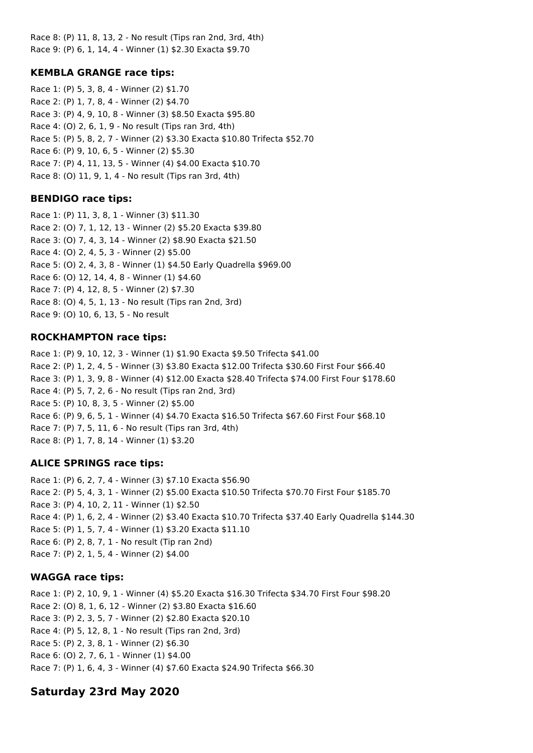Race 8: (P) 11, 8, 13, 2 - No result (Tips ran 2nd, 3rd, 4th) Race 9: (P) 6, 1, 14, 4 - Winner (1) \$2.30 Exacta \$9.70

# **KEMBLA GRANGE race tips:**

Race 1: (P) 5, 3, 8, 4 - Winner (2) \$1.70 Race 2: (P) 1, 7, 8, 4 - Winner (2) \$4.70 Race 3: (P) 4, 9, 10, 8 - Winner (3) \$8.50 Exacta \$95.80 Race 4: (O) 2, 6, 1, 9 - No result (Tips ran 3rd, 4th) Race 5: (P) 5, 8, 2, 7 - Winner (2) \$3.30 Exacta \$10.80 Trifecta \$52.70 Race 6: (P) 9, 10, 6, 5 - Winner (2) \$5.30 Race 7: (P) 4, 11, 13, 5 - Winner (4) \$4.00 Exacta \$10.70 Race 8: (O) 11, 9, 1, 4 - No result (Tips ran 3rd, 4th)

# **BENDIGO race tips:**

Race 1: (P) 11, 3, 8, 1 - Winner (3) \$11.30 Race 2: (O) 7, 1, 12, 13 - Winner (2) \$5.20 Exacta \$39.80 Race 3: (O) 7, 4, 3, 14 - Winner (2) \$8.90 Exacta \$21.50 Race 4: (O) 2, 4, 5, 3 - Winner (2) \$5.00 Race 5: (O) 2, 4, 3, 8 - Winner (1) \$4.50 Early Quadrella \$969.00 Race 6: (O) 12, 14, 4, 8 - Winner (1) \$4.60 Race 7: (P) 4, 12, 8, 5 - Winner (2) \$7.30 Race 8: (O) 4, 5, 1, 13 - No result (Tips ran 2nd, 3rd) Race 9: (O) 10, 6, 13, 5 - No result

# **ROCKHAMPTON race tips:**

Race 1: (P) 9, 10, 12, 3 - Winner (1) \$1.90 Exacta \$9.50 Trifecta \$41.00 Race 2: (P) 1, 2, 4, 5 - Winner (3) \$3.80 Exacta \$12.00 Trifecta \$30.60 First Four \$66.40 Race 3: (P) 1, 3, 9, 8 - Winner (4) \$12.00 Exacta \$28.40 Trifecta \$74.00 First Four \$178.60 Race 4: (P) 5, 7, 2, 6 - No result (Tips ran 2nd, 3rd) Race 5: (P) 10, 8, 3, 5 - Winner (2) \$5.00 Race 6: (P) 9, 6, 5, 1 - Winner (4) \$4.70 Exacta \$16.50 Trifecta \$67.60 First Four \$68.10 Race 7: (P) 7, 5, 11, 6 - No result (Tips ran 3rd, 4th) Race 8: (P) 1, 7, 8, 14 - Winner (1) \$3.20

# **ALICE SPRINGS race tips:**

Race 1: (P) 6, 2, 7, 4 - Winner (3) \$7.10 Exacta \$56.90 Race 2: (P) 5, 4, 3, 1 - Winner (2) \$5.00 Exacta \$10.50 Trifecta \$70.70 First Four \$185.70 Race 3: (P) 4, 10, 2, 11 - Winner (1) \$2.50 Race 4: (P) 1, 6, 2, 4 - Winner (2) \$3.40 Exacta \$10.70 Trifecta \$37.40 Early Quadrella \$144.30 Race 5: (P) 1, 5, 7, 4 - Winner (1) \$3.20 Exacta \$11.10 Race 6: (P) 2, 8, 7, 1 - No result (Tip ran 2nd) Race 7: (P) 2, 1, 5, 4 - Winner (2) \$4.00

# **WAGGA race tips:**

Race 1: (P) 2, 10, 9, 1 - Winner (4) \$5.20 Exacta \$16.30 Trifecta \$34.70 First Four \$98.20 Race 2: (O) 8, 1, 6, 12 - Winner (2) \$3.80 Exacta \$16.60 Race 3: (P) 2, 3, 5, 7 - Winner (2) \$2.80 Exacta \$20.10 Race 4: (P) 5, 12, 8, 1 - No result (Tips ran 2nd, 3rd) Race 5: (P) 2, 3, 8, 1 - Winner (2) \$6.30 Race 6: (O) 2, 7, 6, 1 - Winner (1) \$4.00 Race 7: (P) 1, 6, 4, 3 - Winner (4) \$7.60 Exacta \$24.90 Trifecta \$66.30

# **Saturday 23rd May 2020**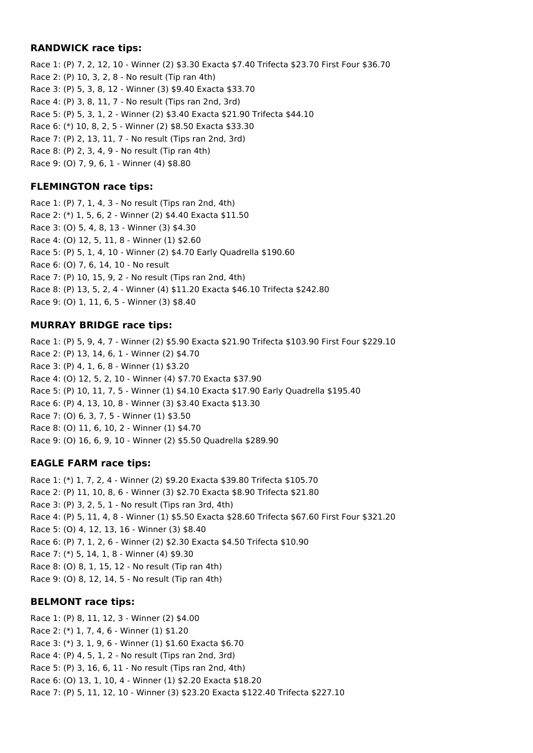# **RANDWICK race tips:**

Race 1: (P) 7, 2, 12, 10 - Winner (2) \$3.30 Exacta \$7.40 Trifecta \$23.70 First Four \$36.70 Race 2: (P) 10, 3, 2, 8 - No result (Tip ran 4th) Race 3: (P) 5, 3, 8, 12 - Winner (3) \$9.40 Exacta \$33.70 Race 4: (P) 3, 8, 11, 7 - No result (Tips ran 2nd, 3rd) Race 5: (P) 5, 3, 1, 2 - Winner (2) \$3.40 Exacta \$21.90 Trifecta \$44.10 Race 6: (\*) 10, 8, 2, 5 - Winner (2) \$8.50 Exacta \$33.30 Race 7: (P) 2, 13, 11, 7 - No result (Tips ran 2nd, 3rd) Race 8: (P) 2, 3, 4, 9 - No result (Tip ran 4th) Race 9: (O) 7, 9, 6, 1 - Winner (4) \$8.80

# **FLEMINGTON race tips:**

Race 1: (P) 7, 1, 4, 3 - No result (Tips ran 2nd, 4th) Race 2: (\*) 1, 5, 6, 2 - Winner (2) \$4.40 Exacta \$11.50 Race 3: (O) 5, 4, 8, 13 - Winner (3) \$4.30 Race 4: (O) 12, 5, 11, 8 - Winner (1) \$2.60 Race 5: (P) 5, 1, 4, 10 - Winner (2) \$4.70 Early Quadrella \$190.60 Race 6: (O) 7, 6, 14, 10 - No result Race 7: (P) 10, 15, 9, 2 - No result (Tips ran 2nd, 4th) Race 8: (P) 13, 5, 2, 4 - Winner (4) \$11.20 Exacta \$46.10 Trifecta \$242.80 Race 9: (O) 1, 11, 6, 5 - Winner (3) \$8.40

# **MURRAY BRIDGE race tips:**

Race 1: (P) 5, 9, 4, 7 - Winner (2) \$5.90 Exacta \$21.90 Trifecta \$103.90 First Four \$229.10 Race 2: (P) 13, 14, 6, 1 - Winner (2) \$4.70 Race 3: (P) 4, 1, 6, 8 - Winner (1) \$3.20 Race 4: (O) 12, 5, 2, 10 - Winner (4) \$7.70 Exacta \$37.90 Race 5: (P) 10, 11, 7, 5 - Winner (1) \$4.10 Exacta \$17.90 Early Quadrella \$195.40 Race 6: (P) 4, 13, 10, 8 - Winner (3) \$3.40 Exacta \$13.30 Race 7: (O) 6, 3, 7, 5 - Winner (1) \$3.50 Race 8: (O) 11, 6, 10, 2 - Winner (1) \$4.70 Race 9: (O) 16, 6, 9, 10 - Winner (2) \$5.50 Quadrella \$289.90

# **EAGLE FARM race tips:**

Race 1: (\*) 1, 7, 2, 4 - Winner (2) \$9.20 Exacta \$39.80 Trifecta \$105.70 Race 2: (P) 11, 10, 8, 6 - Winner (3) \$2.70 Exacta \$8.90 Trifecta \$21.80 Race 3: (P) 3, 2, 5, 1 - No result (Tips ran 3rd, 4th) Race 4: (P) 5, 11, 4, 8 - Winner (1) \$5.50 Exacta \$28.60 Trifecta \$67.60 First Four \$321.20 Race 5: (O) 4, 12, 13, 16 - Winner (3) \$8.40 Race 6: (P) 7, 1, 2, 6 - Winner (2) \$2.30 Exacta \$4.50 Trifecta \$10.90 Race 7: (\*) 5, 14, 1, 8 - Winner (4) \$9.30 Race 8: (O) 8, 1, 15, 12 - No result (Tip ran 4th) Race 9: (O) 8, 12, 14, 5 - No result (Tip ran 4th)

# **BELMONT race tips:**

Race 1: (P) 8, 11, 12, 3 - Winner (2) \$4.00 Race 2: (\*) 1, 7, 4, 6 - Winner (1) \$1.20 Race 3: (\*) 3, 1, 9, 6 - Winner (1) \$1.60 Exacta \$6.70 Race 4: (P) 4, 5, 1, 2 - No result (Tips ran 2nd, 3rd) Race 5: (P) 3, 16, 6, 11 - No result (Tips ran 2nd, 4th) Race 6: (O) 13, 1, 10, 4 - Winner (1) \$2.20 Exacta \$18.20 Race 7: (P) 5, 11, 12, 10 - Winner (3) \$23.20 Exacta \$122.40 Trifecta \$227.10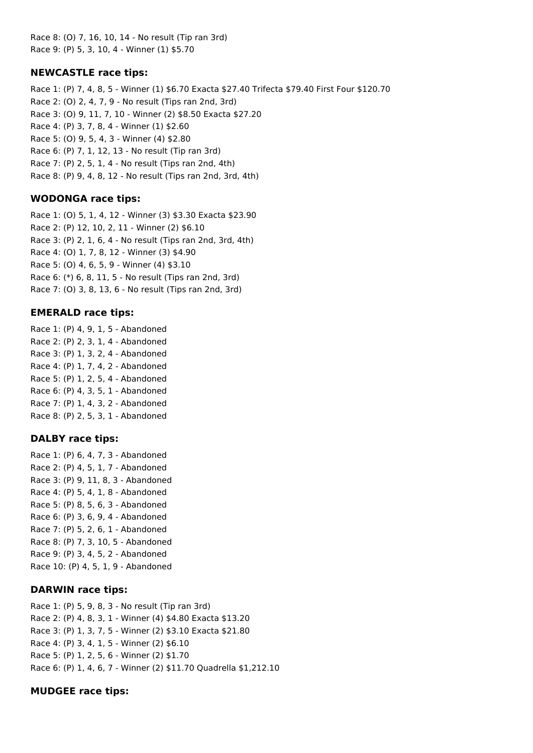Race 8: (O) 7, 16, 10, 14 - No result (Tip ran 3rd) Race 9: (P) 5, 3, 10, 4 - Winner (1) \$5.70

### **NEWCASTLE race tips:**

Race 1: (P) 7, 4, 8, 5 - Winner (1) \$6.70 Exacta \$27.40 Trifecta \$79.40 First Four \$120.70 Race 2: (O) 2, 4, 7, 9 - No result (Tips ran 2nd, 3rd) Race 3: (O) 9, 11, 7, 10 - Winner (2) \$8.50 Exacta \$27.20 Race 4: (P) 3, 7, 8, 4 - Winner (1) \$2.60 Race 5: (O) 9, 5, 4, 3 - Winner (4) \$2.80 Race 6: (P) 7, 1, 12, 13 - No result (Tip ran 3rd) Race 7: (P) 2, 5, 1, 4 - No result (Tips ran 2nd, 4th) Race 8: (P) 9, 4, 8, 12 - No result (Tips ran 2nd, 3rd, 4th)

### **WODONGA race tips:**

Race 1: (O) 5, 1, 4, 12 - Winner (3) \$3.30 Exacta \$23.90 Race 2: (P) 12, 10, 2, 11 - Winner (2) \$6.10 Race 3: (P) 2, 1, 6, 4 - No result (Tips ran 2nd, 3rd, 4th) Race 4: (O) 1, 7, 8, 12 - Winner (3) \$4.90 Race 5: (O) 4, 6, 5, 9 - Winner (4) \$3.10 Race 6: (\*) 6, 8, 11, 5 - No result (Tips ran 2nd, 3rd) Race 7: (O) 3, 8, 13, 6 - No result (Tips ran 2nd, 3rd)

#### **EMERALD race tips:**

Race 1: (P) 4, 9, 1, 5 - Abandoned Race 2: (P) 2, 3, 1, 4 - Abandoned Race 3: (P) 1, 3, 2, 4 - Abandoned Race 4: (P) 1, 7, 4, 2 - Abandoned Race 5: (P) 1, 2, 5, 4 - Abandoned Race 6: (P) 4, 3, 5, 1 - Abandoned Race 7: (P) 1, 4, 3, 2 - Abandoned Race 8: (P) 2, 5, 3, 1 - Abandoned

#### **DALBY race tips:**

Race 1: (P) 6, 4, 7, 3 - Abandoned Race 2: (P) 4, 5, 1, 7 - Abandoned Race 3: (P) 9, 11, 8, 3 - Abandoned Race 4: (P) 5, 4, 1, 8 - Abandoned Race 5: (P) 8, 5, 6, 3 - Abandoned Race 6: (P) 3, 6, 9, 4 - Abandoned Race 7: (P) 5, 2, 6, 1 - Abandoned Race 8: (P) 7, 3, 10, 5 - Abandoned Race 9: (P) 3, 4, 5, 2 - Abandoned Race 10: (P) 4, 5, 1, 9 - Abandoned

#### **DARWIN race tips:**

Race 1: (P) 5, 9, 8, 3 - No result (Tip ran 3rd) Race 2: (P) 4, 8, 3, 1 - Winner (4) \$4.80 Exacta \$13.20 Race 3: (P) 1, 3, 7, 5 - Winner (2) \$3.10 Exacta \$21.80 Race 4: (P) 3, 4, 1, 5 - Winner (2) \$6.10 Race 5: (P) 1, 2, 5, 6 - Winner (2) \$1.70 Race 6: (P) 1, 4, 6, 7 - Winner (2) \$11.70 Quadrella \$1,212.10

#### **MUDGEE race tips:**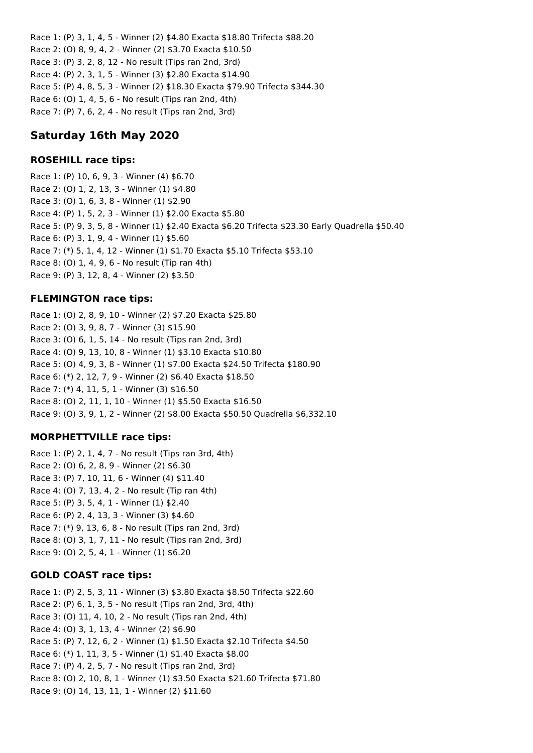Race 1: (P) 3, 1, 4, 5 - Winner (2) \$4.80 Exacta \$18.80 Trifecta \$88.20 Race 2: (O) 8, 9, 4, 2 - Winner (2) \$3.70 Exacta \$10.50 Race 3: (P) 3, 2, 8, 12 - No result (Tips ran 2nd, 3rd) Race 4: (P) 2, 3, 1, 5 - Winner (3) \$2.80 Exacta \$14.90 Race 5: (P) 4, 8, 5, 3 - Winner (2) \$18.30 Exacta \$79.90 Trifecta \$344.30 Race 6: (O) 1, 4, 5, 6 - No result (Tips ran 2nd, 4th) Race 7: (P) 7, 6, 2, 4 - No result (Tips ran 2nd, 3rd)

# **Saturday 16th May 2020**

# **ROSEHILL race tips:**

Race 1: (P) 10, 6, 9, 3 - Winner (4) \$6.70 Race 2: (O) 1, 2, 13, 3 - Winner (1) \$4.80 Race 3: (O) 1, 6, 3, 8 - Winner (1) \$2.90 Race 4: (P) 1, 5, 2, 3 - Winner (1) \$2.00 Exacta \$5.80 Race 5: (P) 9, 3, 5, 8 - Winner (1) \$2.40 Exacta \$6.20 Trifecta \$23.30 Early Quadrella \$50.40 Race 6: (P) 3, 1, 9, 4 - Winner (1) \$5.60 Race 7: (\*) 5, 1, 4, 12 - Winner (1) \$1.70 Exacta \$5.10 Trifecta \$53.10 Race 8: (O) 1, 4, 9, 6 - No result (Tip ran 4th) Race 9: (P) 3, 12, 8, 4 - Winner (2) \$3.50

# **FLEMINGTON race tips:**

Race 1: (O) 2, 8, 9, 10 - Winner (2) \$7.20 Exacta \$25.80 Race 2: (O) 3, 9, 8, 7 - Winner (3) \$15.90 Race 3: (O) 6, 1, 5, 14 - No result (Tips ran 2nd, 3rd) Race 4: (O) 9, 13, 10, 8 - Winner (1) \$3.10 Exacta \$10.80 Race 5: (O) 4, 9, 3, 8 - Winner (1) \$7.00 Exacta \$24.50 Trifecta \$180.90 Race 6: (\*) 2, 12, 7, 9 - Winner (2) \$6.40 Exacta \$18.50 Race 7: (\*) 4, 11, 5, 1 - Winner (3) \$16.50 Race 8: (O) 2, 11, 1, 10 - Winner (1) \$5.50 Exacta \$16.50 Race 9: (O) 3, 9, 1, 2 - Winner (2) \$8.00 Exacta \$50.50 Quadrella \$6,332.10

# **MORPHETTVILLE race tips:**

Race 1: (P) 2, 1, 4, 7 - No result (Tips ran 3rd, 4th) Race 2: (O) 6, 2, 8, 9 - Winner (2) \$6.30 Race 3: (P) 7, 10, 11, 6 - Winner (4) \$11.40 Race 4: (O) 7, 13, 4, 2 - No result (Tip ran 4th) Race 5: (P) 3, 5, 4, 1 - Winner (1) \$2.40 Race 6: (P) 2, 4, 13, 3 - Winner (3) \$4.60 Race 7: (\*) 9, 13, 6, 8 - No result (Tips ran 2nd, 3rd) Race 8: (O) 3, 1, 7, 11 - No result (Tips ran 2nd, 3rd) Race 9: (O) 2, 5, 4, 1 - Winner (1) \$6.20

# **GOLD COAST race tips:**

Race 1: (P) 2, 5, 3, 11 - Winner (3) \$3.80 Exacta \$8.50 Trifecta \$22.60 Race 2: (P) 6, 1, 3, 5 - No result (Tips ran 2nd, 3rd, 4th) Race 3: (O) 11, 4, 10, 2 - No result (Tips ran 2nd, 4th) Race 4: (O) 3, 1, 13, 4 - Winner (2) \$6.90 Race 5: (P) 7, 12, 6, 2 - Winner (1) \$1.50 Exacta \$2.10 Trifecta \$4.50 Race 6: (\*) 1, 11, 3, 5 - Winner (1) \$1.40 Exacta \$8.00 Race 7: (P) 4, 2, 5, 7 - No result (Tips ran 2nd, 3rd) Race 8: (O) 2, 10, 8, 1 - Winner (1) \$3.50 Exacta \$21.60 Trifecta \$71.80 Race 9: (O) 14, 13, 11, 1 - Winner (2) \$11.60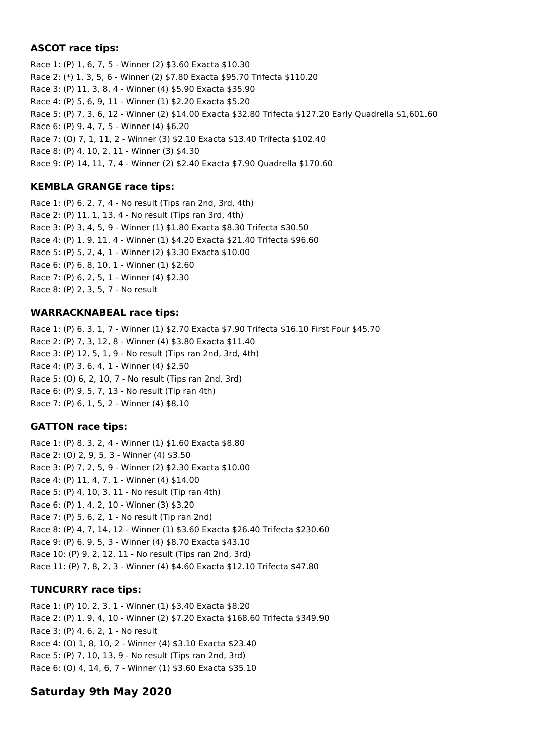# **ASCOT race tips:**

Race 1: (P) 1, 6, 7, 5 - Winner (2) \$3.60 Exacta \$10.30 Race 2: (\*) 1, 3, 5, 6 - Winner (2) \$7.80 Exacta \$95.70 Trifecta \$110.20 Race 3: (P) 11, 3, 8, 4 - Winner (4) \$5.90 Exacta \$35.90 Race 4: (P) 5, 6, 9, 11 - Winner (1) \$2.20 Exacta \$5.20 Race 5: (P) 7, 3, 6, 12 - Winner (2) \$14.00 Exacta \$32.80 Trifecta \$127.20 Early Quadrella \$1,601.60 Race 6: (P) 9, 4, 7, 5 - Winner (4) \$6.20 Race 7: (O) 7, 1, 11, 2 - Winner (3) \$2.10 Exacta \$13.40 Trifecta \$102.40 Race 8: (P) 4, 10, 2, 11 - Winner (3) \$4.30 Race 9: (P) 14, 11, 7, 4 - Winner (2) \$2.40 Exacta \$7.90 Quadrella \$170.60

# **KEMBLA GRANGE race tips:**

Race 1: (P) 6, 2, 7, 4 - No result (Tips ran 2nd, 3rd, 4th) Race 2: (P) 11, 1, 13, 4 - No result (Tips ran 3rd, 4th) Race 3: (P) 3, 4, 5, 9 - Winner (1) \$1.80 Exacta \$8.30 Trifecta \$30.50 Race 4: (P) 1, 9, 11, 4 - Winner (1) \$4.20 Exacta \$21.40 Trifecta \$96.60 Race 5: (P) 5, 2, 4, 1 - Winner (2) \$3.30 Exacta \$10.00 Race 6: (P) 6, 8, 10, 1 - Winner (1) \$2.60 Race 7: (P) 6, 2, 5, 1 - Winner (4) \$2.30 Race 8: (P) 2, 3, 5, 7 - No result

# **WARRACKNABEAL race tips:**

Race 1: (P) 6, 3, 1, 7 - Winner (1) \$2.70 Exacta \$7.90 Trifecta \$16.10 First Four \$45.70 Race 2: (P) 7, 3, 12, 8 - Winner (4) \$3.80 Exacta \$11.40 Race 3: (P) 12, 5, 1, 9 - No result (Tips ran 2nd, 3rd, 4th) Race 4: (P) 3, 6, 4, 1 - Winner (4) \$2.50 Race 5: (O) 6, 2, 10, 7 - No result (Tips ran 2nd, 3rd) Race 6: (P) 9, 5, 7, 13 - No result (Tip ran 4th) Race 7: (P) 6, 1, 5, 2 - Winner (4) \$8.10

# **GATTON race tips:**

Race 1: (P) 8, 3, 2, 4 - Winner (1) \$1.60 Exacta \$8.80 Race 2: (O) 2, 9, 5, 3 - Winner (4) \$3.50 Race 3: (P) 7, 2, 5, 9 - Winner (2) \$2.30 Exacta \$10.00 Race 4: (P) 11, 4, 7, 1 - Winner (4) \$14.00 Race 5: (P) 4, 10, 3, 11 - No result (Tip ran 4th) Race 6: (P) 1, 4, 2, 10 - Winner (3) \$3.20 Race 7: (P) 5, 6, 2, 1 - No result (Tip ran 2nd) Race 8: (P) 4, 7, 14, 12 - Winner (1) \$3.60 Exacta \$26.40 Trifecta \$230.60 Race 9: (P) 6, 9, 5, 3 - Winner (4) \$8.70 Exacta \$43.10 Race 10: (P) 9, 2, 12, 11 - No result (Tips ran 2nd, 3rd) Race 11: (P) 7, 8, 2, 3 - Winner (4) \$4.60 Exacta \$12.10 Trifecta \$47.80

# **TUNCURRY race tips:**

Race 1: (P) 10, 2, 3, 1 - Winner (1) \$3.40 Exacta \$8.20 Race 2: (P) 1, 9, 4, 10 - Winner (2) \$7.20 Exacta \$168.60 Trifecta \$349.90 Race 3: (P) 4, 6, 2, 1 - No result Race 4: (O) 1, 8, 10, 2 - Winner (4) \$3.10 Exacta \$23.40 Race 5: (P) 7, 10, 13, 9 - No result (Tips ran 2nd, 3rd) Race 6: (O) 4, 14, 6, 7 - Winner (1) \$3.60 Exacta \$35.10

# **Saturday 9th May 2020**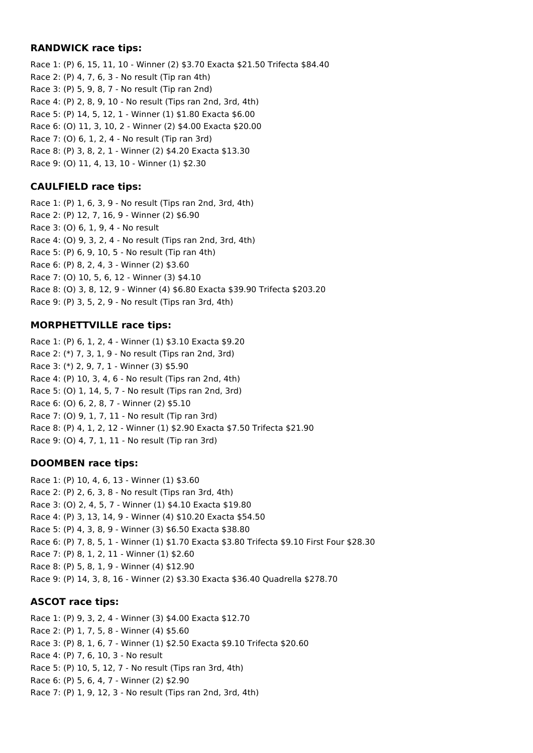### **RANDWICK race tips:**

Race 1: (P) 6, 15, 11, 10 - Winner (2) \$3.70 Exacta \$21.50 Trifecta \$84.40 Race 2: (P) 4, 7, 6, 3 - No result (Tip ran 4th) Race 3: (P) 5, 9, 8, 7 - No result (Tip ran 2nd) Race 4: (P) 2, 8, 9, 10 - No result (Tips ran 2nd, 3rd, 4th) Race 5: (P) 14, 5, 12, 1 - Winner (1) \$1.80 Exacta \$6.00 Race 6: (O) 11, 3, 10, 2 - Winner (2) \$4.00 Exacta \$20.00 Race 7: (O) 6, 1, 2, 4 - No result (Tip ran 3rd) Race 8: (P) 3, 8, 2, 1 - Winner (2) \$4.20 Exacta \$13.30 Race 9: (O) 11, 4, 13, 10 - Winner (1) \$2.30

# **CAULFIELD race tips:**

Race 1: (P) 1, 6, 3, 9 - No result (Tips ran 2nd, 3rd, 4th) Race 2: (P) 12, 7, 16, 9 - Winner (2) \$6.90 Race 3: (O) 6, 1, 9, 4 - No result Race 4: (O) 9, 3, 2, 4 - No result (Tips ran 2nd, 3rd, 4th) Race 5: (P) 6, 9, 10, 5 - No result (Tip ran 4th) Race 6: (P) 8, 2, 4, 3 - Winner (2) \$3.60 Race 7: (O) 10, 5, 6, 12 - Winner (3) \$4.10 Race 8: (O) 3, 8, 12, 9 - Winner (4) \$6.80 Exacta \$39.90 Trifecta \$203.20 Race 9: (P) 3, 5, 2, 9 - No result (Tips ran 3rd, 4th)

# **MORPHETTVILLE race tips:**

Race 1: (P) 6, 1, 2, 4 - Winner (1) \$3.10 Exacta \$9.20 Race 2: (\*) 7, 3, 1, 9 - No result (Tips ran 2nd, 3rd) Race 3: (\*) 2, 9, 7, 1 - Winner (3) \$5.90 Race 4: (P) 10, 3, 4, 6 - No result (Tips ran 2nd, 4th) Race 5: (O) 1, 14, 5, 7 - No result (Tips ran 2nd, 3rd) Race 6: (O) 6, 2, 8, 7 - Winner (2) \$5.10 Race 7: (O) 9, 1, 7, 11 - No result (Tip ran 3rd) Race 8: (P) 4, 1, 2, 12 - Winner (1) \$2.90 Exacta \$7.50 Trifecta \$21.90 Race 9: (O) 4, 7, 1, 11 - No result (Tip ran 3rd)

# **DOOMBEN race tips:**

Race 1: (P) 10, 4, 6, 13 - Winner (1) \$3.60 Race 2: (P) 2, 6, 3, 8 - No result (Tips ran 3rd, 4th) Race 3: (O) 2, 4, 5, 7 - Winner (1) \$4.10 Exacta \$19.80 Race 4: (P) 3, 13, 14, 9 - Winner (4) \$10.20 Exacta \$54.50 Race 5: (P) 4, 3, 8, 9 - Winner (3) \$6.50 Exacta \$38.80 Race 6: (P) 7, 8, 5, 1 - Winner (1) \$1.70 Exacta \$3.80 Trifecta \$9.10 First Four \$28.30 Race 7: (P) 8, 1, 2, 11 - Winner (1) \$2.60 Race 8: (P) 5, 8, 1, 9 - Winner (4) \$12.90 Race 9: (P) 14, 3, 8, 16 - Winner (2) \$3.30 Exacta \$36.40 Quadrella \$278.70

# **ASCOT race tips:**

Race 1: (P) 9, 3, 2, 4 - Winner (3) \$4.00 Exacta \$12.70 Race 2: (P) 1, 7, 5, 8 - Winner (4) \$5.60 Race 3: (P) 8, 1, 6, 7 - Winner (1) \$2.50 Exacta \$9.10 Trifecta \$20.60 Race 4: (P) 7, 6, 10, 3 - No result Race 5: (P) 10, 5, 12, 7 - No result (Tips ran 3rd, 4th) Race 6: (P) 5, 6, 4, 7 - Winner (2) \$2.90 Race 7: (P) 1, 9, 12, 3 - No result (Tips ran 2nd, 3rd, 4th)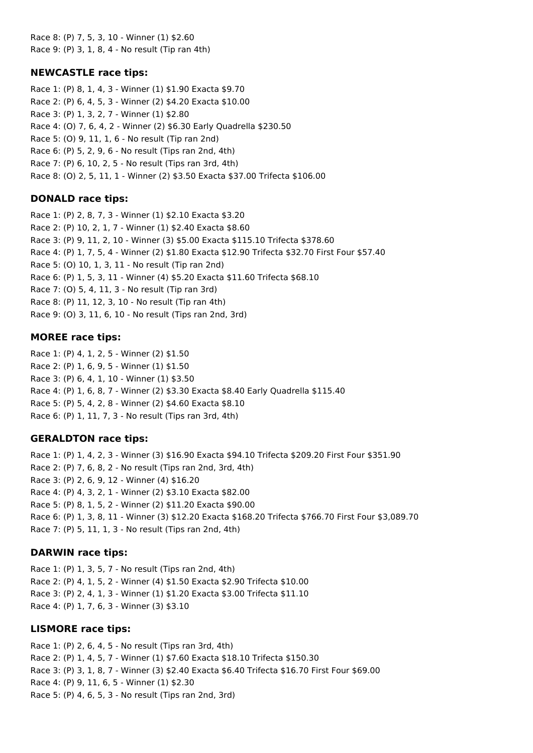Race 8: (P) 7, 5, 3, 10 - Winner (1) \$2.60 Race 9: (P) 3, 1, 8, 4 - No result (Tip ran 4th)

### **NEWCASTLE race tips:**

Race 1: (P) 8, 1, 4, 3 - Winner (1) \$1.90 Exacta \$9.70 Race 2: (P) 6, 4, 5, 3 - Winner (2) \$4.20 Exacta \$10.00 Race 3: (P) 1, 3, 2, 7 - Winner (1) \$2.80 Race 4: (O) 7, 6, 4, 2 - Winner (2) \$6.30 Early Quadrella \$230.50 Race 5: (O) 9, 11, 1, 6 - No result (Tip ran 2nd) Race 6: (P) 5, 2, 9, 6 - No result (Tips ran 2nd, 4th) Race 7: (P) 6, 10, 2, 5 - No result (Tips ran 3rd, 4th) Race 8: (O) 2, 5, 11, 1 - Winner (2) \$3.50 Exacta \$37.00 Trifecta \$106.00

### **DONALD race tips:**

Race 1: (P) 2, 8, 7, 3 - Winner (1) \$2.10 Exacta \$3.20 Race 2: (P) 10, 2, 1, 7 - Winner (1) \$2.40 Exacta \$8.60 Race 3: (P) 9, 11, 2, 10 - Winner (3) \$5.00 Exacta \$115.10 Trifecta \$378.60 Race 4: (P) 1, 7, 5, 4 - Winner (2) \$1.80 Exacta \$12.90 Trifecta \$32.70 First Four \$57.40 Race 5: (O) 10, 1, 3, 11 - No result (Tip ran 2nd) Race 6: (P) 1, 5, 3, 11 - Winner (4) \$5.20 Exacta \$11.60 Trifecta \$68.10 Race 7: (O) 5, 4, 11, 3 - No result (Tip ran 3rd) Race 8: (P) 11, 12, 3, 10 - No result (Tip ran 4th) Race 9: (O) 3, 11, 6, 10 - No result (Tips ran 2nd, 3rd)

#### **MOREE race tips:**

Race 1: (P) 4, 1, 2, 5 - Winner (2) \$1.50 Race 2: (P) 1, 6, 9, 5 - Winner (1) \$1.50 Race 3: (P) 6, 4, 1, 10 - Winner (1) \$3.50 Race 4: (P) 1, 6, 8, 7 - Winner (2) \$3.30 Exacta \$8.40 Early Quadrella \$115.40 Race 5: (P) 5, 4, 2, 8 - Winner (2) \$4.60 Exacta \$8.10 Race 6: (P) 1, 11, 7, 3 - No result (Tips ran 3rd, 4th)

#### **GERALDTON race tips:**

Race 1: (P) 1, 4, 2, 3 - Winner (3) \$16.90 Exacta \$94.10 Trifecta \$209.20 First Four \$351.90 Race 2: (P) 7, 6, 8, 2 - No result (Tips ran 2nd, 3rd, 4th) Race 3: (P) 2, 6, 9, 12 - Winner (4) \$16.20 Race 4: (P) 4, 3, 2, 1 - Winner (2) \$3.10 Exacta \$82.00 Race 5: (P) 8, 1, 5, 2 - Winner (2) \$11.20 Exacta \$90.00 Race 6: (P) 1, 3, 8, 11 - Winner (3) \$12.20 Exacta \$168.20 Trifecta \$766.70 First Four \$3,089.70 Race 7: (P) 5, 11, 1, 3 - No result (Tips ran 2nd, 4th)

# **DARWIN race tips:**

Race 1: (P) 1, 3, 5, 7 - No result (Tips ran 2nd, 4th) Race 2: (P) 4, 1, 5, 2 - Winner (4) \$1.50 Exacta \$2.90 Trifecta \$10.00 Race 3: (P) 2, 4, 1, 3 - Winner (1) \$1.20 Exacta \$3.00 Trifecta \$11.10 Race 4: (P) 1, 7, 6, 3 - Winner (3) \$3.10

# **LISMORE race tips:**

Race 1: (P) 2, 6, 4, 5 - No result (Tips ran 3rd, 4th) Race 2: (P) 1, 4, 5, 7 - Winner (1) \$7.60 Exacta \$18.10 Trifecta \$150.30 Race 3: (P) 3, 1, 8, 7 - Winner (3) \$2.40 Exacta \$6.40 Trifecta \$16.70 First Four \$69.00 Race 4: (P) 9, 11, 6, 5 - Winner (1) \$2.30 Race 5: (P) 4, 6, 5, 3 - No result (Tips ran 2nd, 3rd)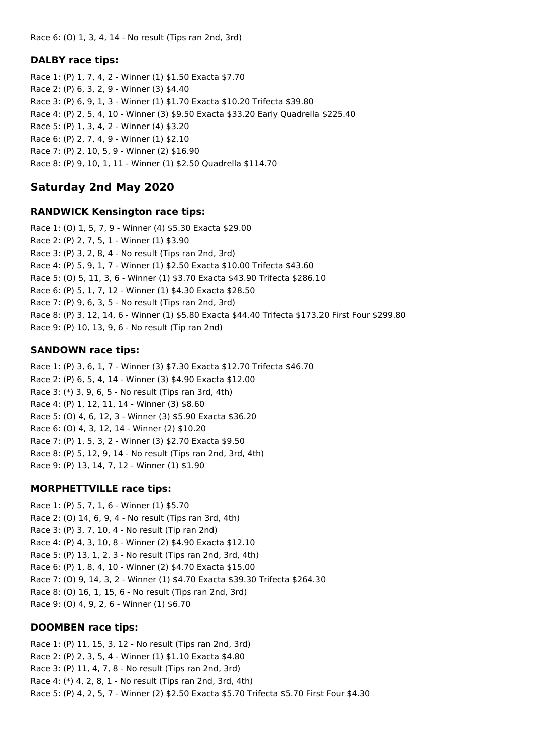Race 6: (O) 1, 3, 4, 14 - No result (Tips ran 2nd, 3rd)

### **DALBY race tips:**

Race 1: (P) 1, 7, 4, 2 - Winner (1) \$1.50 Exacta \$7.70 Race 2: (P) 6, 3, 2, 9 - Winner (3) \$4.40 Race 3: (P) 6, 9, 1, 3 - Winner (1) \$1.70 Exacta \$10.20 Trifecta \$39.80 Race 4: (P) 2, 5, 4, 10 - Winner (3) \$9.50 Exacta \$33.20 Early Quadrella \$225.40 Race 5: (P) 1, 3, 4, 2 - Winner (4) \$3.20 Race 6: (P) 2, 7, 4, 9 - Winner (1) \$2.10 Race 7: (P) 2, 10, 5, 9 - Winner (2) \$16.90 Race 8: (P) 9, 10, 1, 11 - Winner (1) \$2.50 Quadrella \$114.70

# **Saturday 2nd May 2020**

#### **RANDWICK Kensington race tips:**

Race 1: (O) 1, 5, 7, 9 - Winner (4) \$5.30 Exacta \$29.00 Race 2: (P) 2, 7, 5, 1 - Winner (1) \$3.90 Race 3: (P) 3, 2, 8, 4 - No result (Tips ran 2nd, 3rd) Race 4: (P) 5, 9, 1, 7 - Winner (1) \$2.50 Exacta \$10.00 Trifecta \$43.60 Race 5: (O) 5, 11, 3, 6 - Winner (1) \$3.70 Exacta \$43.90 Trifecta \$286.10 Race 6: (P) 5, 1, 7, 12 - Winner (1) \$4.30 Exacta \$28.50 Race 7: (P) 9, 6, 3, 5 - No result (Tips ran 2nd, 3rd) Race 8: (P) 3, 12, 14, 6 - Winner (1) \$5.80 Exacta \$44.40 Trifecta \$173.20 First Four \$299.80 Race 9: (P) 10, 13, 9, 6 - No result (Tip ran 2nd)

# **SANDOWN race tips:**

Race 1: (P) 3, 6, 1, 7 - Winner (3) \$7.30 Exacta \$12.70 Trifecta \$46.70 Race 2: (P) 6, 5, 4, 14 - Winner (3) \$4.90 Exacta \$12.00 Race 3: (\*) 3, 9, 6, 5 - No result (Tips ran 3rd, 4th) Race 4: (P) 1, 12, 11, 14 - Winner (3) \$8.60 Race 5: (O) 4, 6, 12, 3 - Winner (3) \$5.90 Exacta \$36.20 Race 6: (O) 4, 3, 12, 14 - Winner (2) \$10.20 Race 7: (P) 1, 5, 3, 2 - Winner (3) \$2.70 Exacta \$9.50 Race 8: (P) 5, 12, 9, 14 - No result (Tips ran 2nd, 3rd, 4th) Race 9: (P) 13, 14, 7, 12 - Winner (1) \$1.90

# **MORPHETTVILLE race tips:**

Race 1: (P) 5, 7, 1, 6 - Winner (1) \$5.70 Race 2: (O) 14, 6, 9, 4 - No result (Tips ran 3rd, 4th) Race 3: (P) 3, 7, 10, 4 - No result (Tip ran 2nd) Race 4: (P) 4, 3, 10, 8 - Winner (2) \$4.90 Exacta \$12.10 Race 5: (P) 13, 1, 2, 3 - No result (Tips ran 2nd, 3rd, 4th) Race 6: (P) 1, 8, 4, 10 - Winner (2) \$4.70 Exacta \$15.00 Race 7: (O) 9, 14, 3, 2 - Winner (1) \$4.70 Exacta \$39.30 Trifecta \$264.30 Race 8: (O) 16, 1, 15, 6 - No result (Tips ran 2nd, 3rd) Race 9: (O) 4, 9, 2, 6 - Winner (1) \$6.70

# **DOOMBEN race tips:**

Race 1: (P) 11, 15, 3, 12 - No result (Tips ran 2nd, 3rd) Race 2: (P) 2, 3, 5, 4 - Winner (1) \$1.10 Exacta \$4.80 Race 3: (P) 11, 4, 7, 8 - No result (Tips ran 2nd, 3rd) Race 4: (\*) 4, 2, 8, 1 - No result (Tips ran 2nd, 3rd, 4th) Race 5: (P) 4, 2, 5, 7 - Winner (2) \$2.50 Exacta \$5.70 Trifecta \$5.70 First Four \$4.30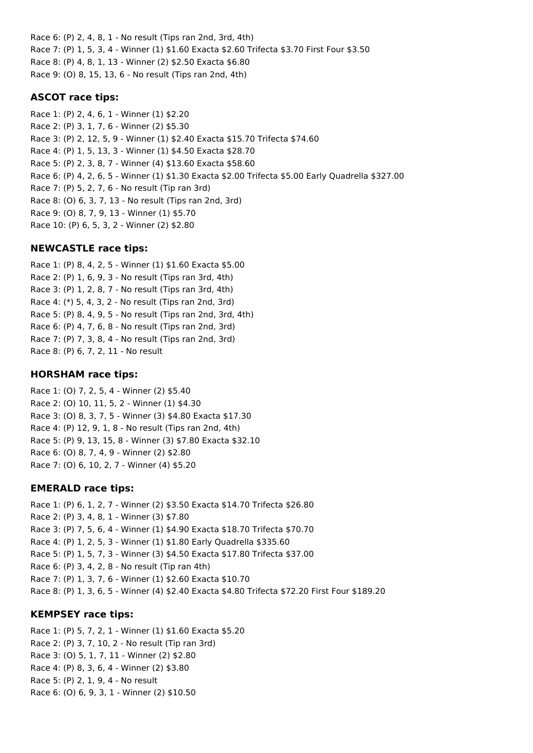Race 6: (P) 2, 4, 8, 1 - No result (Tips ran 2nd, 3rd, 4th) Race 7: (P) 1, 5, 3, 4 - Winner (1) \$1.60 Exacta \$2.60 Trifecta \$3.70 First Four \$3.50 Race 8: (P) 4, 8, 1, 13 - Winner (2) \$2.50 Exacta \$6.80 Race 9: (O) 8, 15, 13, 6 - No result (Tips ran 2nd, 4th)

# **ASCOT race tips:**

Race 1: (P) 2, 4, 6, 1 - Winner (1) \$2.20 Race 2: (P) 3, 1, 7, 6 - Winner (2) \$5.30 Race 3: (P) 2, 12, 5, 9 - Winner (1) \$2.40 Exacta \$15.70 Trifecta \$74.60 Race 4: (P) 1, 5, 13, 3 - Winner (1) \$4.50 Exacta \$28.70 Race 5: (P) 2, 3, 8, 7 - Winner (4) \$13.60 Exacta \$58.60 Race 6: (P) 4, 2, 6, 5 - Winner (1) \$1.30 Exacta \$2.00 Trifecta \$5.00 Early Quadrella \$327.00 Race 7: (P) 5, 2, 7, 6 - No result (Tip ran 3rd) Race 8: (O) 6, 3, 7, 13 - No result (Tips ran 2nd, 3rd) Race 9: (O) 8, 7, 9, 13 - Winner (1) \$5.70 Race 10: (P) 6, 5, 3, 2 - Winner (2) \$2.80

# **NEWCASTLE race tips:**

Race 1: (P) 8, 4, 2, 5 - Winner (1) \$1.60 Exacta \$5.00 Race 2: (P) 1, 6, 9, 3 - No result (Tips ran 3rd, 4th) Race 3: (P) 1, 2, 8, 7 - No result (Tips ran 3rd, 4th) Race 4: (\*) 5, 4, 3, 2 - No result (Tips ran 2nd, 3rd) Race 5: (P) 8, 4, 9, 5 - No result (Tips ran 2nd, 3rd, 4th) Race 6: (P) 4, 7, 6, 8 - No result (Tips ran 2nd, 3rd) Race 7: (P) 7, 3, 8, 4 - No result (Tips ran 2nd, 3rd) Race 8: (P) 6, 7, 2, 11 - No result

# **HORSHAM race tips:**

Race 1: (O) 7, 2, 5, 4 - Winner (2) \$5.40 Race 2: (O) 10, 11, 5, 2 - Winner (1) \$4.30 Race 3: (O) 8, 3, 7, 5 - Winner (3) \$4.80 Exacta \$17.30 Race 4: (P) 12, 9, 1, 8 - No result (Tips ran 2nd, 4th) Race 5: (P) 9, 13, 15, 8 - Winner (3) \$7.80 Exacta \$32.10 Race 6: (O) 8, 7, 4, 9 - Winner (2) \$2.80 Race 7: (O) 6, 10, 2, 7 - Winner (4) \$5.20

# **EMERALD race tips:**

Race 1: (P) 6, 1, 2, 7 - Winner (2) \$3.50 Exacta \$14.70 Trifecta \$26.80 Race 2: (P) 3, 4, 8, 1 - Winner (3) \$7.80 Race 3: (P) 7, 5, 6, 4 - Winner (1) \$4.90 Exacta \$18.70 Trifecta \$70.70 Race 4: (P) 1, 2, 5, 3 - Winner (1) \$1.80 Early Quadrella \$335.60 Race 5: (P) 1, 5, 7, 3 - Winner (3) \$4.50 Exacta \$17.80 Trifecta \$37.00 Race 6: (P) 3, 4, 2, 8 - No result (Tip ran 4th) Race 7: (P) 1, 3, 7, 6 - Winner (1) \$2.60 Exacta \$10.70 Race 8: (P) 1, 3, 6, 5 - Winner (4) \$2.40 Exacta \$4.80 Trifecta \$72.20 First Four \$189.20

# **KEMPSEY race tips:**

Race 1: (P) 5, 7, 2, 1 - Winner (1) \$1.60 Exacta \$5.20 Race 2: (P) 3, 7, 10, 2 - No result (Tip ran 3rd) Race 3: (O) 5, 1, 7, 11 - Winner (2) \$2.80 Race 4: (P) 8, 3, 6, 4 - Winner (2) \$3.80 Race 5: (P) 2, 1, 9, 4 - No result Race 6: (O) 6, 9, 3, 1 - Winner (2) \$10.50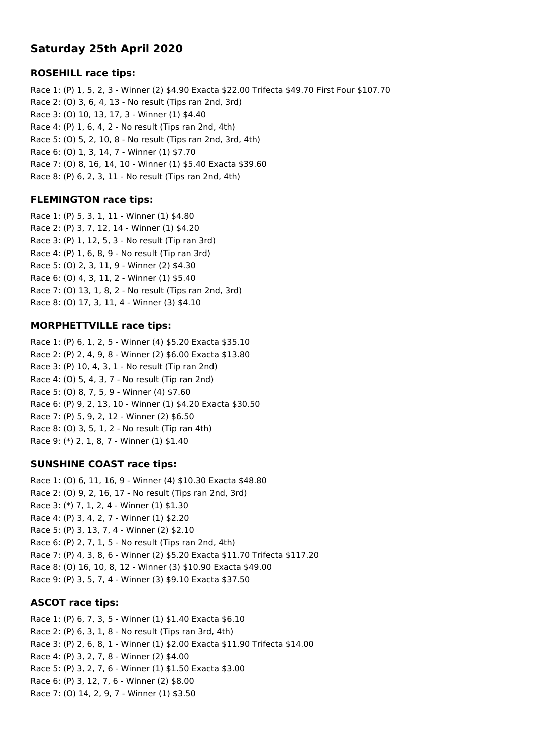# **Saturday 25th April 2020**

### **ROSEHILL race tips:**

Race 1: (P) 1, 5, 2, 3 - Winner (2) \$4.90 Exacta \$22.00 Trifecta \$49.70 First Four \$107.70 Race 2: (O) 3, 6, 4, 13 - No result (Tips ran 2nd, 3rd) Race 3: (O) 10, 13, 17, 3 - Winner (1) \$4.40 Race 4: (P) 1, 6, 4, 2 - No result (Tips ran 2nd, 4th) Race 5: (O) 5, 2, 10, 8 - No result (Tips ran 2nd, 3rd, 4th) Race 6: (O) 1, 3, 14, 7 - Winner (1) \$7.70 Race 7: (O) 8, 16, 14, 10 - Winner (1) \$5.40 Exacta \$39.60 Race 8: (P) 6, 2, 3, 11 - No result (Tips ran 2nd, 4th)

# **FLEMINGTON race tips:**

Race 1: (P) 5, 3, 1, 11 - Winner (1) \$4.80 Race 2: (P) 3, 7, 12, 14 - Winner (1) \$4.20 Race 3: (P) 1, 12, 5, 3 - No result (Tip ran 3rd) Race 4: (P) 1, 6, 8, 9 - No result (Tip ran 3rd) Race 5: (O) 2, 3, 11, 9 - Winner (2) \$4.30 Race 6: (O) 4, 3, 11, 2 - Winner (1) \$5.40 Race 7: (O) 13, 1, 8, 2 - No result (Tips ran 2nd, 3rd) Race 8: (O) 17, 3, 11, 4 - Winner (3) \$4.10

### **MORPHETTVILLE race tips:**

Race 1: (P) 6, 1, 2, 5 - Winner (4) \$5.20 Exacta \$35.10 Race 2: (P) 2, 4, 9, 8 - Winner (2) \$6.00 Exacta \$13.80 Race 3: (P) 10, 4, 3, 1 - No result (Tip ran 2nd) Race 4: (O) 5, 4, 3, 7 - No result (Tip ran 2nd) Race 5: (O) 8, 7, 5, 9 - Winner (4) \$7.60 Race 6: (P) 9, 2, 13, 10 - Winner (1) \$4.20 Exacta \$30.50 Race 7: (P) 5, 9, 2, 12 - Winner (2) \$6.50 Race 8: (O) 3, 5, 1, 2 - No result (Tip ran 4th) Race 9: (\*) 2, 1, 8, 7 - Winner (1) \$1.40

#### **SUNSHINE COAST race tips:**

Race 1: (O) 6, 11, 16, 9 - Winner (4) \$10.30 Exacta \$48.80 Race 2: (O) 9, 2, 16, 17 - No result (Tips ran 2nd, 3rd) Race 3: (\*) 7, 1, 2, 4 - Winner (1) \$1.30 Race 4: (P) 3, 4, 2, 7 - Winner (1) \$2.20 Race 5: (P) 3, 13, 7, 4 - Winner (2) \$2.10 Race 6: (P) 2, 7, 1, 5 - No result (Tips ran 2nd, 4th) Race 7: (P) 4, 3, 8, 6 - Winner (2) \$5.20 Exacta \$11.70 Trifecta \$117.20 Race 8: (O) 16, 10, 8, 12 - Winner (3) \$10.90 Exacta \$49.00 Race 9: (P) 3, 5, 7, 4 - Winner (3) \$9.10 Exacta \$37.50

#### **ASCOT race tips:**

Race 1: (P) 6, 7, 3, 5 - Winner (1) \$1.40 Exacta \$6.10 Race 2: (P) 6, 3, 1, 8 - No result (Tips ran 3rd, 4th) Race 3: (P) 2, 6, 8, 1 - Winner (1) \$2.00 Exacta \$11.90 Trifecta \$14.00 Race 4: (P) 3, 2, 7, 8 - Winner (2) \$4.00 Race 5: (P) 3, 2, 7, 6 - Winner (1) \$1.50 Exacta \$3.00 Race 6: (P) 3, 12, 7, 6 - Winner (2) \$8.00 Race 7: (O) 14, 2, 9, 7 - Winner (1) \$3.50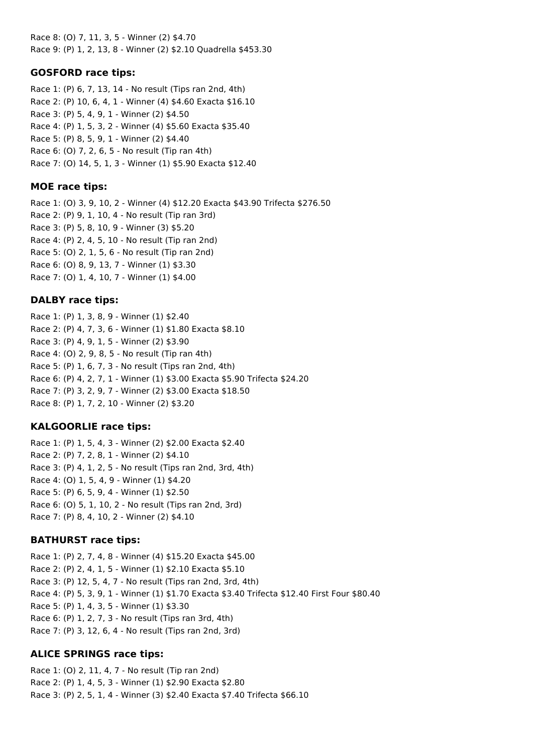Race 8: (O) 7, 11, 3, 5 - Winner (2) \$4.70 Race 9: (P) 1, 2, 13, 8 - Winner (2) \$2.10 Quadrella \$453.30

### **GOSFORD race tips:**

Race 1: (P) 6, 7, 13, 14 - No result (Tips ran 2nd, 4th) Race 2: (P) 10, 6, 4, 1 - Winner (4) \$4.60 Exacta \$16.10 Race 3: (P) 5, 4, 9, 1 - Winner (2) \$4.50 Race 4: (P) 1, 5, 3, 2 - Winner (4) \$5.60 Exacta \$35.40 Race 5: (P) 8, 5, 9, 1 - Winner (2) \$4.40 Race 6: (O) 7, 2, 6, 5 - No result (Tip ran 4th) Race 7: (O) 14, 5, 1, 3 - Winner (1) \$5.90 Exacta \$12.40

#### **MOE race tips:**

Race 1: (O) 3, 9, 10, 2 - Winner (4) \$12.20 Exacta \$43.90 Trifecta \$276.50 Race 2: (P) 9, 1, 10, 4 - No result (Tip ran 3rd) Race 3: (P) 5, 8, 10, 9 - Winner (3) \$5.20 Race 4: (P) 2, 4, 5, 10 - No result (Tip ran 2nd) Race 5: (O) 2, 1, 5, 6 - No result (Tip ran 2nd) Race 6: (O) 8, 9, 13, 7 - Winner (1) \$3.30 Race 7: (O) 1, 4, 10, 7 - Winner (1) \$4.00

### **DALBY race tips:**

Race 1: (P) 1, 3, 8, 9 - Winner (1) \$2.40 Race 2: (P) 4, 7, 3, 6 - Winner (1) \$1.80 Exacta \$8.10 Race 3: (P) 4, 9, 1, 5 - Winner (2) \$3.90 Race 4: (O) 2, 9, 8, 5 - No result (Tip ran 4th) Race 5: (P) 1, 6, 7, 3 - No result (Tips ran 2nd, 4th) Race 6: (P) 4, 2, 7, 1 - Winner (1) \$3.00 Exacta \$5.90 Trifecta \$24.20 Race 7: (P) 3, 2, 9, 7 - Winner (2) \$3.00 Exacta \$18.50 Race 8: (P) 1, 7, 2, 10 - Winner (2) \$3.20

# **KALGOORLIE race tips:**

Race 1: (P) 1, 5, 4, 3 - Winner (2) \$2.00 Exacta \$2.40 Race 2: (P) 7, 2, 8, 1 - Winner (2) \$4.10 Race 3: (P) 4, 1, 2, 5 - No result (Tips ran 2nd, 3rd, 4th) Race 4: (O) 1, 5, 4, 9 - Winner (1) \$4.20 Race 5: (P) 6, 5, 9, 4 - Winner (1) \$2.50 Race 6: (O) 5, 1, 10, 2 - No result (Tips ran 2nd, 3rd) Race 7: (P) 8, 4, 10, 2 - Winner (2) \$4.10

# **BATHURST race tips:**

Race 1: (P) 2, 7, 4, 8 - Winner (4) \$15.20 Exacta \$45.00 Race 2: (P) 2, 4, 1, 5 - Winner (1) \$2.10 Exacta \$5.10 Race 3: (P) 12, 5, 4, 7 - No result (Tips ran 2nd, 3rd, 4th) Race 4: (P) 5, 3, 9, 1 - Winner (1) \$1.70 Exacta \$3.40 Trifecta \$12.40 First Four \$80.40 Race 5: (P) 1, 4, 3, 5 - Winner (1) \$3.30 Race 6: (P) 1, 2, 7, 3 - No result (Tips ran 3rd, 4th) Race 7: (P) 3, 12, 6, 4 - No result (Tips ran 2nd, 3rd)

# **ALICE SPRINGS race tips:**

Race 1: (O) 2, 11, 4, 7 - No result (Tip ran 2nd) Race 2: (P) 1, 4, 5, 3 - Winner (1) \$2.90 Exacta \$2.80 Race 3: (P) 2, 5, 1, 4 - Winner (3) \$2.40 Exacta \$7.40 Trifecta \$66.10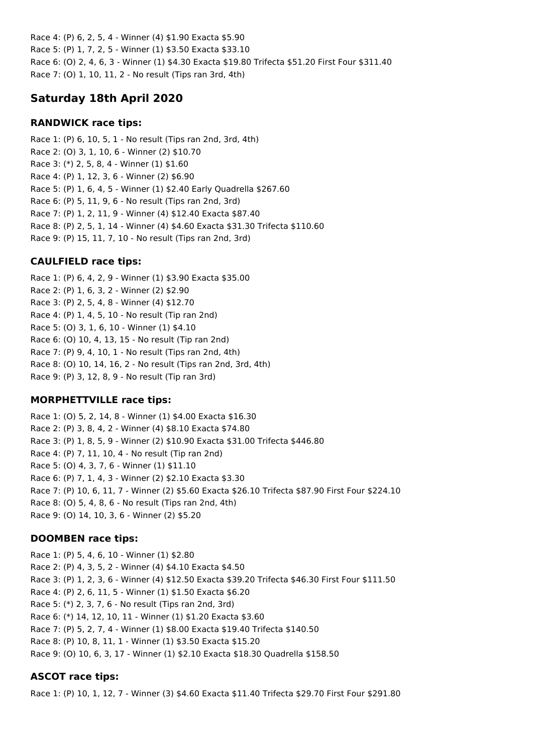Race 4: (P) 6, 2, 5, 4 - Winner (4) \$1.90 Exacta \$5.90 Race 5: (P) 1, 7, 2, 5 - Winner (1) \$3.50 Exacta \$33.10 Race 6: (O) 2, 4, 6, 3 - Winner (1) \$4.30 Exacta \$19.80 Trifecta \$51.20 First Four \$311.40 Race 7: (O) 1, 10, 11, 2 - No result (Tips ran 3rd, 4th)

# **Saturday 18th April 2020**

# **RANDWICK race tips:**

Race 1: (P) 6, 10, 5, 1 - No result (Tips ran 2nd, 3rd, 4th) Race 2: (O) 3, 1, 10, 6 - Winner (2) \$10.70 Race 3: (\*) 2, 5, 8, 4 - Winner (1) \$1.60 Race 4: (P) 1, 12, 3, 6 - Winner (2) \$6.90 Race 5: (P) 1, 6, 4, 5 - Winner (1) \$2.40 Early Quadrella \$267.60 Race 6: (P) 5, 11, 9, 6 - No result (Tips ran 2nd, 3rd) Race 7: (P) 1, 2, 11, 9 - Winner (4) \$12.40 Exacta \$87.40 Race 8: (P) 2, 5, 1, 14 - Winner (4) \$4.60 Exacta \$31.30 Trifecta \$110.60 Race 9: (P) 15, 11, 7, 10 - No result (Tips ran 2nd, 3rd)

# **CAULFIELD race tips:**

Race 1: (P) 6, 4, 2, 9 - Winner (1) \$3.90 Exacta \$35.00 Race 2: (P) 1, 6, 3, 2 - Winner (2) \$2.90 Race 3: (P) 2, 5, 4, 8 - Winner (4) \$12.70 Race 4: (P) 1, 4, 5, 10 - No result (Tip ran 2nd) Race 5: (O) 3, 1, 6, 10 - Winner (1) \$4.10 Race 6: (O) 10, 4, 13, 15 - No result (Tip ran 2nd) Race 7: (P) 9, 4, 10, 1 - No result (Tips ran 2nd, 4th) Race 8: (O) 10, 14, 16, 2 - No result (Tips ran 2nd, 3rd, 4th) Race 9: (P) 3, 12, 8, 9 - No result (Tip ran 3rd)

# **MORPHETTVILLE race tips:**

Race 1: (O) 5, 2, 14, 8 - Winner (1) \$4.00 Exacta \$16.30 Race 2: (P) 3, 8, 4, 2 - Winner (4) \$8.10 Exacta \$74.80 Race 3: (P) 1, 8, 5, 9 - Winner (2) \$10.90 Exacta \$31.00 Trifecta \$446.80 Race 4: (P) 7, 11, 10, 4 - No result (Tip ran 2nd) Race 5: (O) 4, 3, 7, 6 - Winner (1) \$11.10 Race 6: (P) 7, 1, 4, 3 - Winner (2) \$2.10 Exacta \$3.30 Race 7: (P) 10, 6, 11, 7 - Winner (2) \$5.60 Exacta \$26.10 Trifecta \$87.90 First Four \$224.10 Race 8: (O) 5, 4, 8, 6 - No result (Tips ran 2nd, 4th) Race 9: (O) 14, 10, 3, 6 - Winner (2) \$5.20

# **DOOMBEN race tips:**

Race 1: (P) 5, 4, 6, 10 - Winner (1) \$2.80 Race 2: (P) 4, 3, 5, 2 - Winner (4) \$4.10 Exacta \$4.50 Race 3: (P) 1, 2, 3, 6 - Winner (4) \$12.50 Exacta \$39.20 Trifecta \$46.30 First Four \$111.50 Race 4: (P) 2, 6, 11, 5 - Winner (1) \$1.50 Exacta \$6.20 Race 5: (\*) 2, 3, 7, 6 - No result (Tips ran 2nd, 3rd) Race 6: (\*) 14, 12, 10, 11 - Winner (1) \$1.20 Exacta \$3.60 Race 7: (P) 5, 2, 7, 4 - Winner (1) \$8.00 Exacta \$19.40 Trifecta \$140.50 Race 8: (P) 10, 8, 11, 1 - Winner (1) \$3.50 Exacta \$15.20 Race 9: (O) 10, 6, 3, 17 - Winner (1) \$2.10 Exacta \$18.30 Quadrella \$158.50

# **ASCOT race tips:**

Race 1: (P) 10, 1, 12, 7 - Winner (3) \$4.60 Exacta \$11.40 Trifecta \$29.70 First Four \$291.80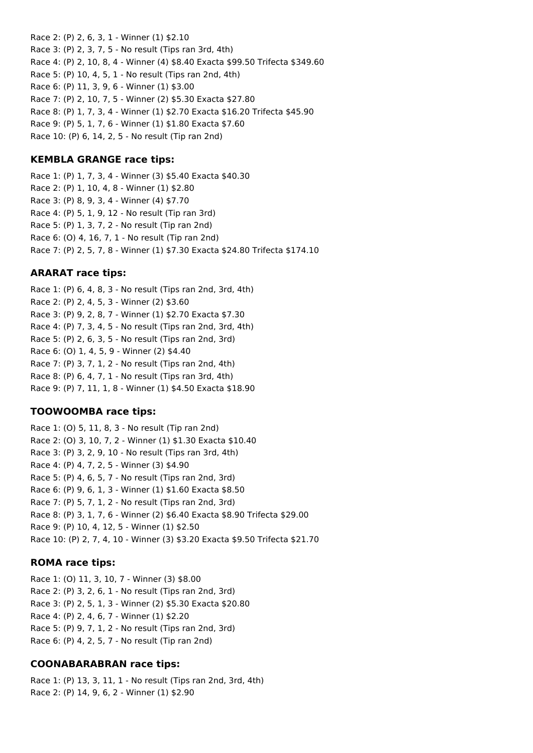Race 2: (P) 2, 6, 3, 1 - Winner (1) \$2.10 Race 3: (P) 2, 3, 7, 5 - No result (Tips ran 3rd, 4th) Race 4: (P) 2, 10, 8, 4 - Winner (4) \$8.40 Exacta \$99.50 Trifecta \$349.60 Race 5: (P) 10, 4, 5, 1 - No result (Tips ran 2nd, 4th) Race 6: (P) 11, 3, 9, 6 - Winner (1) \$3.00 Race 7: (P) 2, 10, 7, 5 - Winner (2) \$5.30 Exacta \$27.80 Race 8: (P) 1, 7, 3, 4 - Winner (1) \$2.70 Exacta \$16.20 Trifecta \$45.90 Race 9: (P) 5, 1, 7, 6 - Winner (1) \$1.80 Exacta \$7.60 Race 10: (P) 6, 14, 2, 5 - No result (Tip ran 2nd)

### **KEMBLA GRANGE race tips:**

Race 1: (P) 1, 7, 3, 4 - Winner (3) \$5.40 Exacta \$40.30 Race 2: (P) 1, 10, 4, 8 - Winner (1) \$2.80 Race 3: (P) 8, 9, 3, 4 - Winner (4) \$7.70 Race 4: (P) 5, 1, 9, 12 - No result (Tip ran 3rd) Race 5: (P) 1, 3, 7, 2 - No result (Tip ran 2nd) Race 6: (O) 4, 16, 7, 1 - No result (Tip ran 2nd) Race 7: (P) 2, 5, 7, 8 - Winner (1) \$7.30 Exacta \$24.80 Trifecta \$174.10

# **ARARAT race tips:**

Race 1: (P) 6, 4, 8, 3 - No result (Tips ran 2nd, 3rd, 4th) Race 2: (P) 2, 4, 5, 3 - Winner (2) \$3.60 Race 3: (P) 9, 2, 8, 7 - Winner (1) \$2.70 Exacta \$7.30 Race 4: (P) 7, 3, 4, 5 - No result (Tips ran 2nd, 3rd, 4th) Race 5: (P) 2, 6, 3, 5 - No result (Tips ran 2nd, 3rd) Race 6: (O) 1, 4, 5, 9 - Winner (2) \$4.40 Race 7: (P) 3, 7, 1, 2 - No result (Tips ran 2nd, 4th) Race 8: (P) 6, 4, 7, 1 - No result (Tips ran 3rd, 4th) Race 9: (P) 7, 11, 1, 8 - Winner (1) \$4.50 Exacta \$18.90

#### **TOOWOOMBA race tips:**

Race 1: (O) 5, 11, 8, 3 - No result (Tip ran 2nd) Race 2: (O) 3, 10, 7, 2 - Winner (1) \$1.30 Exacta \$10.40 Race 3: (P) 3, 2, 9, 10 - No result (Tips ran 3rd, 4th) Race 4: (P) 4, 7, 2, 5 - Winner (3) \$4.90 Race 5: (P) 4, 6, 5, 7 - No result (Tips ran 2nd, 3rd) Race 6: (P) 9, 6, 1, 3 - Winner (1) \$1.60 Exacta \$8.50 Race 7: (P) 5, 7, 1, 2 - No result (Tips ran 2nd, 3rd) Race 8: (P) 3, 1, 7, 6 - Winner (2) \$6.40 Exacta \$8.90 Trifecta \$29.00 Race 9: (P) 10, 4, 12, 5 - Winner (1) \$2.50 Race 10: (P) 2, 7, 4, 10 - Winner (3) \$3.20 Exacta \$9.50 Trifecta \$21.70

#### **ROMA race tips:**

Race 1: (O) 11, 3, 10, 7 - Winner (3) \$8.00 Race 2: (P) 3, 2, 6, 1 - No result (Tips ran 2nd, 3rd) Race 3: (P) 2, 5, 1, 3 - Winner (2) \$5.30 Exacta \$20.80 Race 4: (P) 2, 4, 6, 7 - Winner (1) \$2.20 Race 5: (P) 9, 7, 1, 2 - No result (Tips ran 2nd, 3rd) Race 6: (P) 4, 2, 5, 7 - No result (Tip ran 2nd)

#### **COONABARABRAN race tips:**

Race 1: (P) 13, 3, 11, 1 - No result (Tips ran 2nd, 3rd, 4th) Race 2: (P) 14, 9, 6, 2 - Winner (1) \$2.90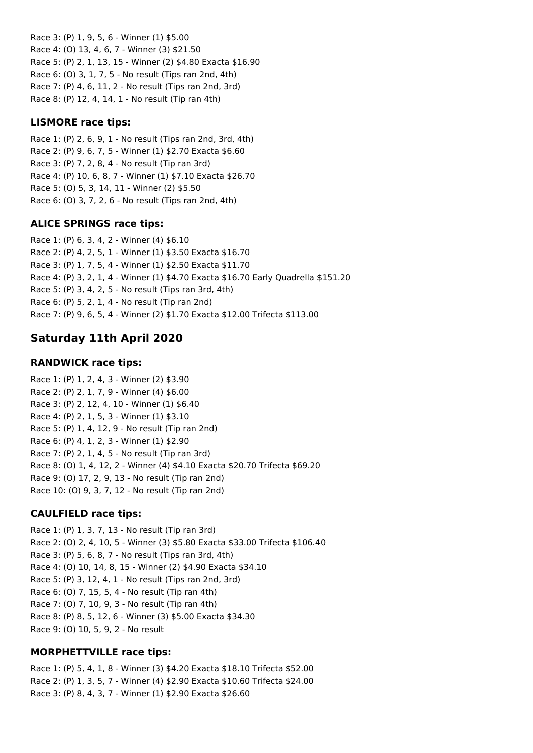Race 3: (P) 1, 9, 5, 6 - Winner (1) \$5.00 Race 4: (O) 13, 4, 6, 7 - Winner (3) \$21.50 Race 5: (P) 2, 1, 13, 15 - Winner (2) \$4.80 Exacta \$16.90 Race 6: (O) 3, 1, 7, 5 - No result (Tips ran 2nd, 4th) Race 7: (P) 4, 6, 11, 2 - No result (Tips ran 2nd, 3rd) Race 8: (P) 12, 4, 14, 1 - No result (Tip ran 4th)

### **LISMORE race tips:**

Race 1: (P) 2, 6, 9, 1 - No result (Tips ran 2nd, 3rd, 4th) Race 2: (P) 9, 6, 7, 5 - Winner (1) \$2.70 Exacta \$6.60 Race 3: (P) 7, 2, 8, 4 - No result (Tip ran 3rd) Race 4: (P) 10, 6, 8, 7 - Winner (1) \$7.10 Exacta \$26.70 Race 5: (O) 5, 3, 14, 11 - Winner (2) \$5.50 Race 6: (O) 3, 7, 2, 6 - No result (Tips ran 2nd, 4th)

### **ALICE SPRINGS race tips:**

Race 1: (P) 6, 3, 4, 2 - Winner (4) \$6.10 Race 2: (P) 4, 2, 5, 1 - Winner (1) \$3.50 Exacta \$16.70 Race 3: (P) 1, 7, 5, 4 - Winner (1) \$2.50 Exacta \$11.70 Race 4: (P) 3, 2, 1, 4 - Winner (1) \$4.70 Exacta \$16.70 Early Quadrella \$151.20 Race 5: (P) 3, 4, 2, 5 - No result (Tips ran 3rd, 4th) Race 6: (P) 5, 2, 1, 4 - No result (Tip ran 2nd) Race 7: (P) 9, 6, 5, 4 - Winner (2) \$1.70 Exacta \$12.00 Trifecta \$113.00

# **Saturday 11th April 2020**

#### **RANDWICK race tips:**

Race 1: (P) 1, 2, 4, 3 - Winner (2) \$3.90 Race 2: (P) 2, 1, 7, 9 - Winner (4) \$6.00 Race 3: (P) 2, 12, 4, 10 - Winner (1) \$6.40 Race 4: (P) 2, 1, 5, 3 - Winner (1) \$3.10 Race 5: (P) 1, 4, 12, 9 - No result (Tip ran 2nd) Race 6: (P) 4, 1, 2, 3 - Winner (1) \$2.90 Race 7: (P) 2, 1, 4, 5 - No result (Tip ran 3rd) Race 8: (O) 1, 4, 12, 2 - Winner (4) \$4.10 Exacta \$20.70 Trifecta \$69.20 Race 9: (O) 17, 2, 9, 13 - No result (Tip ran 2nd) Race 10: (O) 9, 3, 7, 12 - No result (Tip ran 2nd)

#### **CAULFIELD race tips:**

Race 1: (P) 1, 3, 7, 13 - No result (Tip ran 3rd) Race 2: (O) 2, 4, 10, 5 - Winner (3) \$5.80 Exacta \$33.00 Trifecta \$106.40 Race 3: (P) 5, 6, 8, 7 - No result (Tips ran 3rd, 4th) Race 4: (O) 10, 14, 8, 15 - Winner (2) \$4.90 Exacta \$34.10 Race 5: (P) 3, 12, 4, 1 - No result (Tips ran 2nd, 3rd) Race 6: (O) 7, 15, 5, 4 - No result (Tip ran 4th) Race 7: (O) 7, 10, 9, 3 - No result (Tip ran 4th) Race 8: (P) 8, 5, 12, 6 - Winner (3) \$5.00 Exacta \$34.30 Race 9: (O) 10, 5, 9, 2 - No result

# **MORPHETTVILLE race tips:**

Race 1: (P) 5, 4, 1, 8 - Winner (3) \$4.20 Exacta \$18.10 Trifecta \$52.00 Race 2: (P) 1, 3, 5, 7 - Winner (4) \$2.90 Exacta \$10.60 Trifecta \$24.00 Race 3: (P) 8, 4, 3, 7 - Winner (1) \$2.90 Exacta \$26.60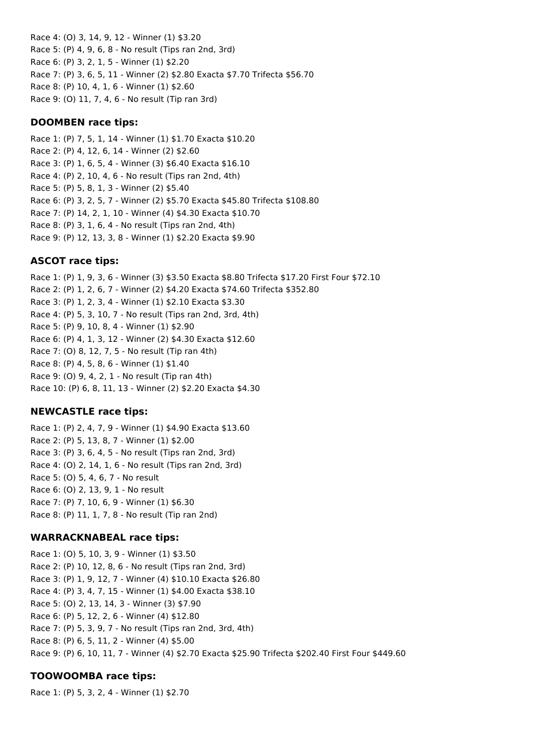Race 4: (O) 3, 14, 9, 12 - Winner (1) \$3.20 Race 5: (P) 4, 9, 6, 8 - No result (Tips ran 2nd, 3rd) Race 6: (P) 3, 2, 1, 5 - Winner (1) \$2.20 Race 7: (P) 3, 6, 5, 11 - Winner (2) \$2.80 Exacta \$7.70 Trifecta \$56.70 Race 8: (P) 10, 4, 1, 6 - Winner (1) \$2.60 Race 9: (O) 11, 7, 4, 6 - No result (Tip ran 3rd)

### **DOOMBEN race tips:**

Race 1: (P) 7, 5, 1, 14 - Winner (1) \$1.70 Exacta \$10.20 Race 2: (P) 4, 12, 6, 14 - Winner (2) \$2.60 Race 3: (P) 1, 6, 5, 4 - Winner (3) \$6.40 Exacta \$16.10 Race 4: (P) 2, 10, 4, 6 - No result (Tips ran 2nd, 4th) Race 5: (P) 5, 8, 1, 3 - Winner (2) \$5.40 Race 6: (P) 3, 2, 5, 7 - Winner (2) \$5.70 Exacta \$45.80 Trifecta \$108.80 Race 7: (P) 14, 2, 1, 10 - Winner (4) \$4.30 Exacta \$10.70 Race 8: (P) 3, 1, 6, 4 - No result (Tips ran 2nd, 4th) Race 9: (P) 12, 13, 3, 8 - Winner (1) \$2.20 Exacta \$9.90

# **ASCOT race tips:**

Race 1: (P) 1, 9, 3, 6 - Winner (3) \$3.50 Exacta \$8.80 Trifecta \$17.20 First Four \$72.10 Race 2: (P) 1, 2, 6, 7 - Winner (2) \$4.20 Exacta \$74.60 Trifecta \$352.80 Race 3: (P) 1, 2, 3, 4 - Winner (1) \$2.10 Exacta \$3.30 Race 4: (P) 5, 3, 10, 7 - No result (Tips ran 2nd, 3rd, 4th) Race 5: (P) 9, 10, 8, 4 - Winner (1) \$2.90 Race 6: (P) 4, 1, 3, 12 - Winner (2) \$4.30 Exacta \$12.60 Race 7: (O) 8, 12, 7, 5 - No result (Tip ran 4th) Race 8: (P) 4, 5, 8, 6 - Winner (1) \$1.40 Race 9: (O) 9, 4, 2, 1 - No result (Tip ran 4th) Race 10: (P) 6, 8, 11, 13 - Winner (2) \$2.20 Exacta \$4.30

#### **NEWCASTLE race tips:**

Race 1: (P) 2, 4, 7, 9 - Winner (1) \$4.90 Exacta \$13.60 Race 2: (P) 5, 13, 8, 7 - Winner (1) \$2.00 Race 3: (P) 3, 6, 4, 5 - No result (Tips ran 2nd, 3rd) Race 4: (O) 2, 14, 1, 6 - No result (Tips ran 2nd, 3rd) Race 5: (O) 5, 4, 6, 7 - No result Race 6: (O) 2, 13, 9, 1 - No result Race 7: (P) 7, 10, 6, 9 - Winner (1) \$6.30 Race 8: (P) 11, 1, 7, 8 - No result (Tip ran 2nd)

# **WARRACKNABEAL race tips:**

Race 1: (O) 5, 10, 3, 9 - Winner (1) \$3.50 Race 2: (P) 10, 12, 8, 6 - No result (Tips ran 2nd, 3rd) Race 3: (P) 1, 9, 12, 7 - Winner (4) \$10.10 Exacta \$26.80 Race 4: (P) 3, 4, 7, 15 - Winner (1) \$4.00 Exacta \$38.10 Race 5: (O) 2, 13, 14, 3 - Winner (3) \$7.90 Race 6: (P) 5, 12, 2, 6 - Winner (4) \$12.80 Race 7: (P) 5, 3, 9, 7 - No result (Tips ran 2nd, 3rd, 4th) Race 8: (P) 6, 5, 11, 2 - Winner (4) \$5.00 Race 9: (P) 6, 10, 11, 7 - Winner (4) \$2.70 Exacta \$25.90 Trifecta \$202.40 First Four \$449.60

# **TOOWOOMBA race tips:**

Race 1: (P) 5, 3, 2, 4 - Winner (1) \$2.70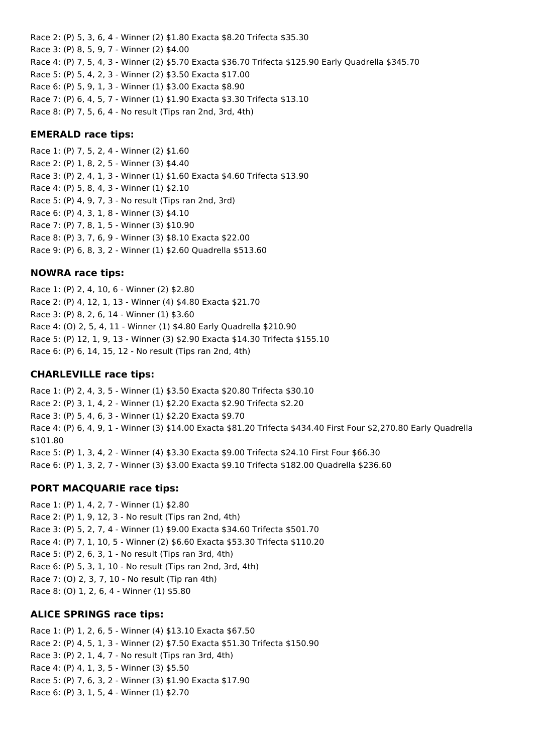Race 2: (P) 5, 3, 6, 4 - Winner (2) \$1.80 Exacta \$8.20 Trifecta \$35.30 Race 3: (P) 8, 5, 9, 7 - Winner (2) \$4.00 Race 4: (P) 7, 5, 4, 3 - Winner (2) \$5.70 Exacta \$36.70 Trifecta \$125.90 Early Quadrella \$345.70 Race 5: (P) 5, 4, 2, 3 - Winner (2) \$3.50 Exacta \$17.00 Race 6: (P) 5, 9, 1, 3 - Winner (1) \$3.00 Exacta \$8.90 Race 7: (P) 6, 4, 5, 7 - Winner (1) \$1.90 Exacta \$3.30 Trifecta \$13.10 Race 8: (P) 7, 5, 6, 4 - No result (Tips ran 2nd, 3rd, 4th)

#### **EMERALD race tips:**

Race 1: (P) 7, 5, 2, 4 - Winner (2) \$1.60 Race 2: (P) 1, 8, 2, 5 - Winner (3) \$4.40 Race 3: (P) 2, 4, 1, 3 - Winner (1) \$1.60 Exacta \$4.60 Trifecta \$13.90 Race 4: (P) 5, 8, 4, 3 - Winner (1) \$2.10 Race 5: (P) 4, 9, 7, 3 - No result (Tips ran 2nd, 3rd) Race 6: (P) 4, 3, 1, 8 - Winner (3) \$4.10 Race 7: (P) 7, 8, 1, 5 - Winner (3) \$10.90 Race 8: (P) 3, 7, 6, 9 - Winner (3) \$8.10 Exacta \$22.00 Race 9: (P) 6, 8, 3, 2 - Winner (1) \$2.60 Quadrella \$513.60

#### **NOWRA race tips:**

Race 1: (P) 2, 4, 10, 6 - Winner (2) \$2.80 Race 2: (P) 4, 12, 1, 13 - Winner (4) \$4.80 Exacta \$21.70 Race 3: (P) 8, 2, 6, 14 - Winner (1) \$3.60 Race 4: (O) 2, 5, 4, 11 - Winner (1) \$4.80 Early Quadrella \$210.90 Race 5: (P) 12, 1, 9, 13 - Winner (3) \$2.90 Exacta \$14.30 Trifecta \$155.10 Race 6: (P) 6, 14, 15, 12 - No result (Tips ran 2nd, 4th)

#### **CHARLEVILLE race tips:**

Race 1: (P) 2, 4, 3, 5 - Winner (1) \$3.50 Exacta \$20.80 Trifecta \$30.10 Race 2: (P) 3, 1, 4, 2 - Winner (1) \$2.20 Exacta \$2.90 Trifecta \$2.20 Race 3: (P) 5, 4, 6, 3 - Winner (1) \$2.20 Exacta \$9.70 Race 4: (P) 6, 4, 9, 1 - Winner (3) \$14.00 Exacta \$81.20 Trifecta \$434.40 First Four \$2,270.80 Early Quadrella \$101.80 Race 5: (P) 1, 3, 4, 2 - Winner (4) \$3.30 Exacta \$9.00 Trifecta \$24.10 First Four \$66.30 Race 6: (P) 1, 3, 2, 7 - Winner (3) \$3.00 Exacta \$9.10 Trifecta \$182.00 Quadrella \$236.60

#### **PORT MACQUARIE race tips:**

Race 1: (P) 1, 4, 2, 7 - Winner (1) \$2.80 Race 2: (P) 1, 9, 12, 3 - No result (Tips ran 2nd, 4th) Race 3: (P) 5, 2, 7, 4 - Winner (1) \$9.00 Exacta \$34.60 Trifecta \$501.70 Race 4: (P) 7, 1, 10, 5 - Winner (2) \$6.60 Exacta \$53.30 Trifecta \$110.20 Race 5: (P) 2, 6, 3, 1 - No result (Tips ran 3rd, 4th) Race 6: (P) 5, 3, 1, 10 - No result (Tips ran 2nd, 3rd, 4th) Race 7: (O) 2, 3, 7, 10 - No result (Tip ran 4th) Race 8: (O) 1, 2, 6, 4 - Winner (1) \$5.80

#### **ALICE SPRINGS race tips:**

Race 1: (P) 1, 2, 6, 5 - Winner (4) \$13.10 Exacta \$67.50 Race 2: (P) 4, 5, 1, 3 - Winner (2) \$7.50 Exacta \$51.30 Trifecta \$150.90 Race 3: (P) 2, 1, 4, 7 - No result (Tips ran 3rd, 4th) Race 4: (P) 4, 1, 3, 5 - Winner (3) \$5.50 Race 5: (P) 7, 6, 3, 2 - Winner (3) \$1.90 Exacta \$17.90 Race 6: (P) 3, 1, 5, 4 - Winner (1) \$2.70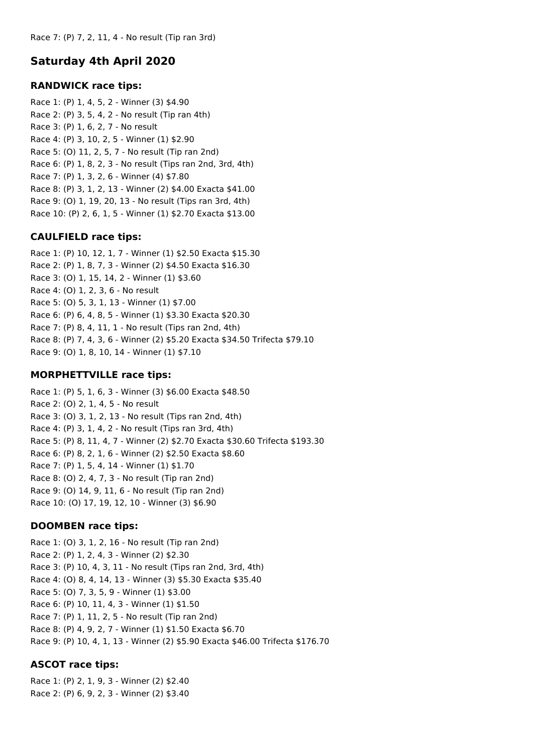# **Saturday 4th April 2020**

### **RANDWICK race tips:**

Race 1: (P) 1, 4, 5, 2 - Winner (3) \$4.90 Race 2: (P) 3, 5, 4, 2 - No result (Tip ran 4th) Race 3: (P) 1, 6, 2, 7 - No result Race 4: (P) 3, 10, 2, 5 - Winner (1) \$2.90 Race 5: (O) 11, 2, 5, 7 - No result (Tip ran 2nd) Race 6: (P) 1, 8, 2, 3 - No result (Tips ran 2nd, 3rd, 4th) Race 7: (P) 1, 3, 2, 6 - Winner (4) \$7.80 Race 8: (P) 3, 1, 2, 13 - Winner (2) \$4.00 Exacta \$41.00 Race 9: (O) 1, 19, 20, 13 - No result (Tips ran 3rd, 4th) Race 10: (P) 2, 6, 1, 5 - Winner (1) \$2.70 Exacta \$13.00

### **CAULFIELD race tips:**

Race 1: (P) 10, 12, 1, 7 - Winner (1) \$2.50 Exacta \$15.30 Race 2: (P) 1, 8, 7, 3 - Winner (2) \$4.50 Exacta \$16.30 Race 3: (O) 1, 15, 14, 2 - Winner (1) \$3.60 Race 4: (O) 1, 2, 3, 6 - No result Race 5: (O) 5, 3, 1, 13 - Winner (1) \$7.00 Race 6: (P) 6, 4, 8, 5 - Winner (1) \$3.30 Exacta \$20.30 Race 7: (P) 8, 4, 11, 1 - No result (Tips ran 2nd, 4th) Race 8: (P) 7, 4, 3, 6 - Winner (2) \$5.20 Exacta \$34.50 Trifecta \$79.10 Race 9: (O) 1, 8, 10, 14 - Winner (1) \$7.10

#### **MORPHETTVILLE race tips:**

Race 1: (P) 5, 1, 6, 3 - Winner (3) \$6.00 Exacta \$48.50 Race 2: (O) 2, 1, 4, 5 - No result Race 3: (O) 3, 1, 2, 13 - No result (Tips ran 2nd, 4th) Race 4: (P) 3, 1, 4, 2 - No result (Tips ran 3rd, 4th) Race 5: (P) 8, 11, 4, 7 - Winner (2) \$2.70 Exacta \$30.60 Trifecta \$193.30 Race 6: (P) 8, 2, 1, 6 - Winner (2) \$2.50 Exacta \$8.60 Race 7: (P) 1, 5, 4, 14 - Winner (1) \$1.70 Race 8: (O) 2, 4, 7, 3 - No result (Tip ran 2nd) Race 9: (O) 14, 9, 11, 6 - No result (Tip ran 2nd) Race 10: (O) 17, 19, 12, 10 - Winner (3) \$6.90

#### **DOOMBEN race tips:**

Race 1: (O) 3, 1, 2, 16 - No result (Tip ran 2nd) Race 2: (P) 1, 2, 4, 3 - Winner (2) \$2.30 Race 3: (P) 10, 4, 3, 11 - No result (Tips ran 2nd, 3rd, 4th) Race 4: (O) 8, 4, 14, 13 - Winner (3) \$5.30 Exacta \$35.40 Race 5: (O) 7, 3, 5, 9 - Winner (1) \$3.00 Race 6: (P) 10, 11, 4, 3 - Winner (1) \$1.50 Race 7: (P) 1, 11, 2, 5 - No result (Tip ran 2nd) Race 8: (P) 4, 9, 2, 7 - Winner (1) \$1.50 Exacta \$6.70 Race 9: (P) 10, 4, 1, 13 - Winner (2) \$5.90 Exacta \$46.00 Trifecta \$176.70

# **ASCOT race tips:**

Race 1: (P) 2, 1, 9, 3 - Winner (2) \$2.40 Race 2: (P) 6, 9, 2, 3 - Winner (2) \$3.40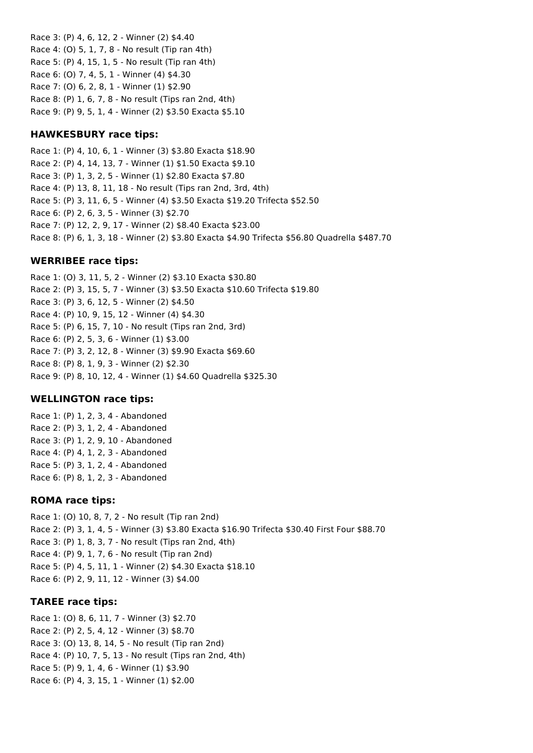Race 3: (P) 4, 6, 12, 2 - Winner (2) \$4.40 Race 4: (O) 5, 1, 7, 8 - No result (Tip ran 4th) Race 5: (P) 4, 15, 1, 5 - No result (Tip ran 4th) Race 6: (O) 7, 4, 5, 1 - Winner (4) \$4.30 Race 7: (O) 6, 2, 8, 1 - Winner (1) \$2.90 Race 8: (P) 1, 6, 7, 8 - No result (Tips ran 2nd, 4th) Race 9: (P) 9, 5, 1, 4 - Winner (2) \$3.50 Exacta \$5.10

# **HAWKESBURY race tips:**

Race 1: (P) 4, 10, 6, 1 - Winner (3) \$3.80 Exacta \$18.90 Race 2: (P) 4, 14, 13, 7 - Winner (1) \$1.50 Exacta \$9.10 Race 3: (P) 1, 3, 2, 5 - Winner (1) \$2.80 Exacta \$7.80 Race 4: (P) 13, 8, 11, 18 - No result (Tips ran 2nd, 3rd, 4th) Race 5: (P) 3, 11, 6, 5 - Winner (4) \$3.50 Exacta \$19.20 Trifecta \$52.50 Race 6: (P) 2, 6, 3, 5 - Winner (3) \$2.70 Race 7: (P) 12, 2, 9, 17 - Winner (2) \$8.40 Exacta \$23.00 Race 8: (P) 6, 1, 3, 18 - Winner (2) \$3.80 Exacta \$4.90 Trifecta \$56.80 Quadrella \$487.70

### **WERRIBEE race tips:**

Race 1: (O) 3, 11, 5, 2 - Winner (2) \$3.10 Exacta \$30.80 Race 2: (P) 3, 15, 5, 7 - Winner (3) \$3.50 Exacta \$10.60 Trifecta \$19.80 Race 3: (P) 3, 6, 12, 5 - Winner (2) \$4.50 Race 4: (P) 10, 9, 15, 12 - Winner (4) \$4.30 Race 5: (P) 6, 15, 7, 10 - No result (Tips ran 2nd, 3rd) Race 6: (P) 2, 5, 3, 6 - Winner (1) \$3.00 Race 7: (P) 3, 2, 12, 8 - Winner (3) \$9.90 Exacta \$69.60 Race 8: (P) 8, 1, 9, 3 - Winner (2) \$2.30 Race 9: (P) 8, 10, 12, 4 - Winner (1) \$4.60 Quadrella \$325.30

# **WELLINGTON race tips:**

Race 1: (P) 1, 2, 3, 4 - Abandoned Race 2: (P) 3, 1, 2, 4 - Abandoned Race 3: (P) 1, 2, 9, 10 - Abandoned Race 4: (P) 4, 1, 2, 3 - Abandoned Race 5: (P) 3, 1, 2, 4 - Abandoned Race 6: (P) 8, 1, 2, 3 - Abandoned

#### **ROMA race tips:**

Race 1: (O) 10, 8, 7, 2 - No result (Tip ran 2nd) Race 2: (P) 3, 1, 4, 5 - Winner (3) \$3.80 Exacta \$16.90 Trifecta \$30.40 First Four \$88.70 Race 3: (P) 1, 8, 3, 7 - No result (Tips ran 2nd, 4th) Race 4: (P) 9, 1, 7, 6 - No result (Tip ran 2nd) Race 5: (P) 4, 5, 11, 1 - Winner (2) \$4.30 Exacta \$18.10 Race 6: (P) 2, 9, 11, 12 - Winner (3) \$4.00

#### **TAREE race tips:**

Race 1: (O) 8, 6, 11, 7 - Winner (3) \$2.70 Race 2: (P) 2, 5, 4, 12 - Winner (3) \$8.70 Race 3: (O) 13, 8, 14, 5 - No result (Tip ran 2nd) Race 4: (P) 10, 7, 5, 13 - No result (Tips ran 2nd, 4th) Race 5: (P) 9, 1, 4, 6 - Winner (1) \$3.90 Race 6: (P) 4, 3, 15, 1 - Winner (1) \$2.00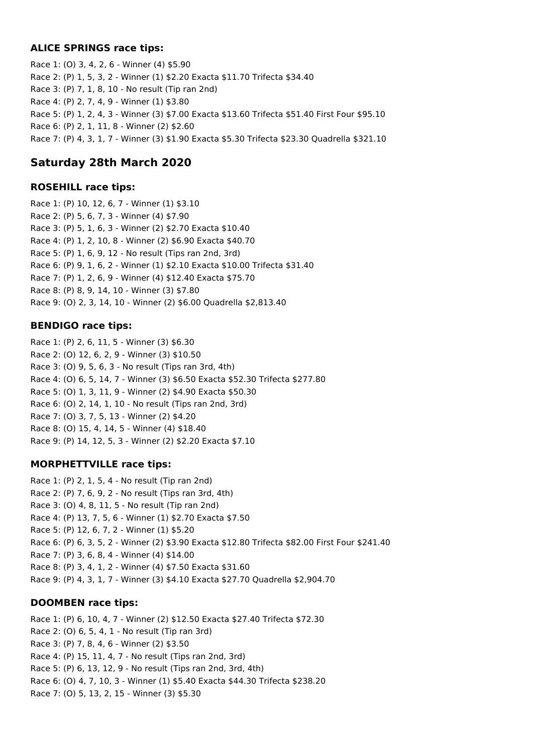# **ALICE SPRINGS race tips:**

Race 1: (O) 3, 4, 2, 6 - Winner (4) \$5.90 Race 2: (P) 1, 5, 3, 2 - Winner (1) \$2.20 Exacta \$11.70 Trifecta \$34.40 Race 3: (P) 7, 1, 8, 10 - No result (Tip ran 2nd) Race 4: (P) 2, 7, 4, 9 - Winner (1) \$3.80 Race 5: (P) 1, 2, 4, 3 - Winner (3) \$7.00 Exacta \$13.60 Trifecta \$51.40 First Four \$95.10 Race 6: (P) 2, 1, 11, 8 - Winner (2) \$2.60 Race 7: (P) 4, 3, 1, 7 - Winner (3) \$1.90 Exacta \$5.30 Trifecta \$23.30 Quadrella \$321.10

# **Saturday 28th March 2020**

### **ROSEHILL race tips:**

Race 1: (P) 10, 12, 6, 7 - Winner (1) \$3.10 Race 2: (P) 5, 6, 7, 3 - Winner (4) \$7.90 Race 3: (P) 5, 1, 6, 3 - Winner (2) \$2.70 Exacta \$10.40 Race 4: (P) 1, 2, 10, 8 - Winner (2) \$6.90 Exacta \$40.70 Race 5: (P) 1, 6, 9, 12 - No result (Tips ran 2nd, 3rd) Race 6: (P) 9, 1, 6, 2 - Winner (1) \$2.10 Exacta \$10.00 Trifecta \$31.40 Race 7: (P) 1, 2, 6, 9 - Winner (4) \$12.40 Exacta \$75.70 Race 8: (P) 8, 9, 14, 10 - Winner (3) \$7.80 Race 9: (O) 2, 3, 14, 10 - Winner (2) \$6.00 Quadrella \$2,813.40

# **BENDIGO race tips:**

Race 1: (P) 2, 6, 11, 5 - Winner (3) \$6.30 Race 2: (O) 12, 6, 2, 9 - Winner (3) \$10.50 Race 3: (O) 9, 5, 6, 3 - No result (Tips ran 3rd, 4th) Race 4: (O) 6, 5, 14, 7 - Winner (3) \$6.50 Exacta \$52.30 Trifecta \$277.80 Race 5: (O) 1, 3, 11, 9 - Winner (2) \$4.90 Exacta \$50.30 Race 6: (O) 2, 14, 1, 10 - No result (Tips ran 2nd, 3rd) Race 7: (O) 3, 7, 5, 13 - Winner (2) \$4.20 Race 8: (O) 15, 4, 14, 5 - Winner (4) \$18.40 Race 9: (P) 14, 12, 5, 3 - Winner (2) \$2.20 Exacta \$7.10

# **MORPHETTVILLE race tips:**

Race 1: (P) 2, 1, 5, 4 - No result (Tip ran 2nd) Race 2: (P) 7, 6, 9, 2 - No result (Tips ran 3rd, 4th) Race 3: (O) 4, 8, 11, 5 - No result (Tip ran 2nd) Race 4: (P) 13, 7, 5, 6 - Winner (1) \$2.70 Exacta \$7.50 Race 5: (P) 12, 6, 7, 2 - Winner (1) \$5.20 Race 6: (P) 6, 3, 5, 2 - Winner (2) \$3.90 Exacta \$12.80 Trifecta \$82.00 First Four \$241.40 Race 7: (P) 3, 6, 8, 4 - Winner (4) \$14.00 Race 8: (P) 3, 4, 1, 2 - Winner (4) \$7.50 Exacta \$31.60 Race 9: (P) 4, 3, 1, 7 - Winner (3) \$4.10 Exacta \$27.70 Quadrella \$2,904.70

# **DOOMBEN race tips:**

Race 1: (P) 6, 10, 4, 7 - Winner (2) \$12.50 Exacta \$27.40 Trifecta \$72.30 Race 2: (O) 6, 5, 4, 1 - No result (Tip ran 3rd) Race 3: (P) 7, 8, 4, 6 - Winner (2) \$3.50 Race 4: (P) 15, 11, 4, 7 - No result (Tips ran 2nd, 3rd) Race 5: (P) 6, 13, 12, 9 - No result (Tips ran 2nd, 3rd, 4th) Race 6: (O) 4, 7, 10, 3 - Winner (1) \$5.40 Exacta \$44.30 Trifecta \$238.20 Race 7: (O) 5, 13, 2, 15 - Winner (3) \$5.30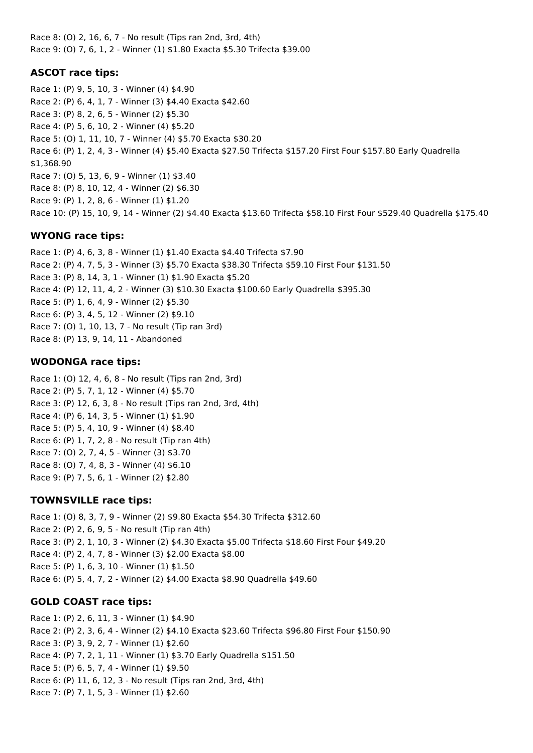Race 8: (O) 2, 16, 6, 7 - No result (Tips ran 2nd, 3rd, 4th) Race 9: (O) 7, 6, 1, 2 - Winner (1) \$1.80 Exacta \$5.30 Trifecta \$39.00

# **ASCOT race tips:**

Race 1: (P) 9, 5, 10, 3 - Winner (4) \$4.90 Race 2: (P) 6, 4, 1, 7 - Winner (3) \$4.40 Exacta \$42.60 Race 3: (P) 8, 2, 6, 5 - Winner (2) \$5.30 Race 4: (P) 5, 6, 10, 2 - Winner (4) \$5.20 Race 5: (O) 1, 11, 10, 7 - Winner (4) \$5.70 Exacta \$30.20 Race 6: (P) 1, 2, 4, 3 - Winner (4) \$5.40 Exacta \$27.50 Trifecta \$157.20 First Four \$157.80 Early Quadrella \$1,368.90 Race 7: (O) 5, 13, 6, 9 - Winner (1) \$3.40 Race 8: (P) 8, 10, 12, 4 - Winner (2) \$6.30 Race 9: (P) 1, 2, 8, 6 - Winner (1) \$1.20 Race 10: (P) 15, 10, 9, 14 - Winner (2) \$4.40 Exacta \$13.60 Trifecta \$58.10 First Four \$529.40 Quadrella \$175.40

# **WYONG race tips:**

Race 1: (P) 4, 6, 3, 8 - Winner (1) \$1.40 Exacta \$4.40 Trifecta \$7.90 Race 2: (P) 4, 7, 5, 3 - Winner (3) \$5.70 Exacta \$38.30 Trifecta \$59.10 First Four \$131.50 Race 3: (P) 8, 14, 3, 1 - Winner (1) \$1.90 Exacta \$5.20 Race 4: (P) 12, 11, 4, 2 - Winner (3) \$10.30 Exacta \$100.60 Early Quadrella \$395.30 Race 5: (P) 1, 6, 4, 9 - Winner (2) \$5.30 Race 6: (P) 3, 4, 5, 12 - Winner (2) \$9.10 Race 7: (O) 1, 10, 13, 7 - No result (Tip ran 3rd) Race 8: (P) 13, 9, 14, 11 - Abandoned

# **WODONGA race tips:**

Race 1: (O) 12, 4, 6, 8 - No result (Tips ran 2nd, 3rd) Race 2: (P) 5, 7, 1, 12 - Winner (4) \$5.70 Race 3: (P) 12, 6, 3, 8 - No result (Tips ran 2nd, 3rd, 4th) Race 4: (P) 6, 14, 3, 5 - Winner (1) \$1.90 Race 5: (P) 5, 4, 10, 9 - Winner (4) \$8.40 Race 6: (P) 1, 7, 2, 8 - No result (Tip ran 4th) Race 7: (O) 2, 7, 4, 5 - Winner (3) \$3.70 Race 8: (O) 7, 4, 8, 3 - Winner (4) \$6.10 Race 9: (P) 7, 5, 6, 1 - Winner (2) \$2.80

# **TOWNSVILLE race tips:**

Race 1: (O) 8, 3, 7, 9 - Winner (2) \$9.80 Exacta \$54.30 Trifecta \$312.60 Race 2: (P) 2, 6, 9, 5 - No result (Tip ran 4th) Race 3: (P) 2, 1, 10, 3 - Winner (2) \$4.30 Exacta \$5.00 Trifecta \$18.60 First Four \$49.20 Race 4: (P) 2, 4, 7, 8 - Winner (3) \$2.00 Exacta \$8.00 Race 5: (P) 1, 6, 3, 10 - Winner (1) \$1.50 Race 6: (P) 5, 4, 7, 2 - Winner (2) \$4.00 Exacta \$8.90 Quadrella \$49.60

# **GOLD COAST race tips:**

Race 1: (P) 2, 6, 11, 3 - Winner (1) \$4.90 Race 2: (P) 2, 3, 6, 4 - Winner (2) \$4.10 Exacta \$23.60 Trifecta \$96.80 First Four \$150.90 Race 3: (P) 3, 9, 2, 7 - Winner (1) \$2.60 Race 4: (P) 7, 2, 1, 11 - Winner (1) \$3.70 Early Quadrella \$151.50 Race 5: (P) 6, 5, 7, 4 - Winner (1) \$9.50 Race 6: (P) 11, 6, 12, 3 - No result (Tips ran 2nd, 3rd, 4th) Race 7: (P) 7, 1, 5, 3 - Winner (1) \$2.60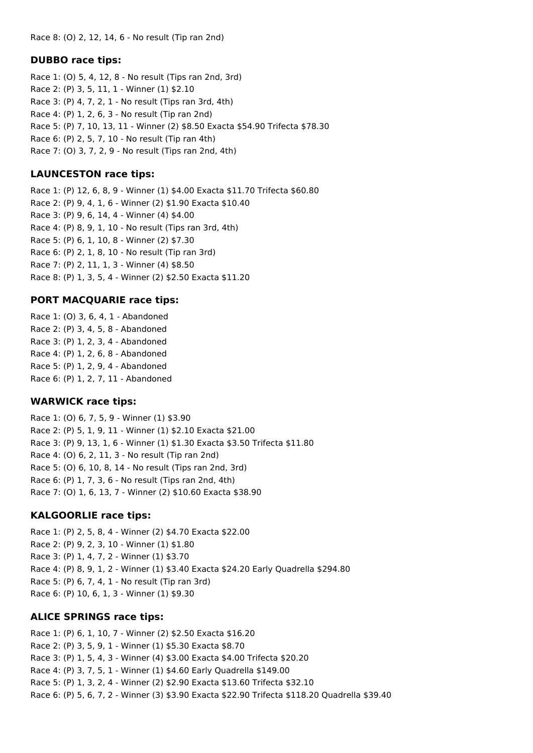#### **DUBBO race tips:**

Race 1: (O) 5, 4, 12, 8 - No result (Tips ran 2nd, 3rd) Race 2: (P) 3, 5, 11, 1 - Winner (1) \$2.10 Race 3: (P) 4, 7, 2, 1 - No result (Tips ran 3rd, 4th) Race 4: (P) 1, 2, 6, 3 - No result (Tip ran 2nd) Race 5: (P) 7, 10, 13, 11 - Winner (2) \$8.50 Exacta \$54.90 Trifecta \$78.30 Race 6: (P) 2, 5, 7, 10 - No result (Tip ran 4th) Race 7: (O) 3, 7, 2, 9 - No result (Tips ran 2nd, 4th)

# **LAUNCESTON race tips:**

Race 1: (P) 12, 6, 8, 9 - Winner (1) \$4.00 Exacta \$11.70 Trifecta \$60.80 Race 2: (P) 9, 4, 1, 6 - Winner (2) \$1.90 Exacta \$10.40 Race 3: (P) 9, 6, 14, 4 - Winner (4) \$4.00 Race 4: (P) 8, 9, 1, 10 - No result (Tips ran 3rd, 4th) Race 5: (P) 6, 1, 10, 8 - Winner (2) \$7.30 Race 6: (P) 2, 1, 8, 10 - No result (Tip ran 3rd) Race 7: (P) 2, 11, 1, 3 - Winner (4) \$8.50 Race 8: (P) 1, 3, 5, 4 - Winner (2) \$2.50 Exacta \$11.20

# **PORT MACQUARIE race tips:**

Race 1: (O) 3, 6, 4, 1 - Abandoned Race 2: (P) 3, 4, 5, 8 - Abandoned Race 3: (P) 1, 2, 3, 4 - Abandoned Race 4: (P) 1, 2, 6, 8 - Abandoned Race 5: (P) 1, 2, 9, 4 - Abandoned Race 6: (P) 1, 2, 7, 11 - Abandoned

#### **WARWICK race tips:**

Race 1: (O) 6, 7, 5, 9 - Winner (1) \$3.90 Race 2: (P) 5, 1, 9, 11 - Winner (1) \$2.10 Exacta \$21.00 Race 3: (P) 9, 13, 1, 6 - Winner (1) \$1.30 Exacta \$3.50 Trifecta \$11.80 Race 4: (O) 6, 2, 11, 3 - No result (Tip ran 2nd) Race 5: (O) 6, 10, 8, 14 - No result (Tips ran 2nd, 3rd) Race 6: (P) 1, 7, 3, 6 - No result (Tips ran 2nd, 4th) Race 7: (O) 1, 6, 13, 7 - Winner (2) \$10.60 Exacta \$38.90

#### **KALGOORLIE race tips:**

Race 1: (P) 2, 5, 8, 4 - Winner (2) \$4.70 Exacta \$22.00 Race 2: (P) 9, 2, 3, 10 - Winner (1) \$1.80 Race 3: (P) 1, 4, 7, 2 - Winner (1) \$3.70 Race 4: (P) 8, 9, 1, 2 - Winner (1) \$3.40 Exacta \$24.20 Early Quadrella \$294.80 Race 5: (P) 6, 7, 4, 1 - No result (Tip ran 3rd) Race 6: (P) 10, 6, 1, 3 - Winner (1) \$9.30

#### **ALICE SPRINGS race tips:**

Race 1: (P) 6, 1, 10, 7 - Winner (2) \$2.50 Exacta \$16.20 Race 2: (P) 3, 5, 9, 1 - Winner (1) \$5.30 Exacta \$8.70 Race 3: (P) 1, 5, 4, 3 - Winner (4) \$3.00 Exacta \$4.00 Trifecta \$20.20 Race 4: (P) 3, 7, 5, 1 - Winner (1) \$4.60 Early Quadrella \$149.00 Race 5: (P) 1, 3, 2, 4 - Winner (2) \$2.90 Exacta \$13.60 Trifecta \$32.10 Race 6: (P) 5, 6, 7, 2 - Winner (3) \$3.90 Exacta \$22.90 Trifecta \$118.20 Quadrella \$39.40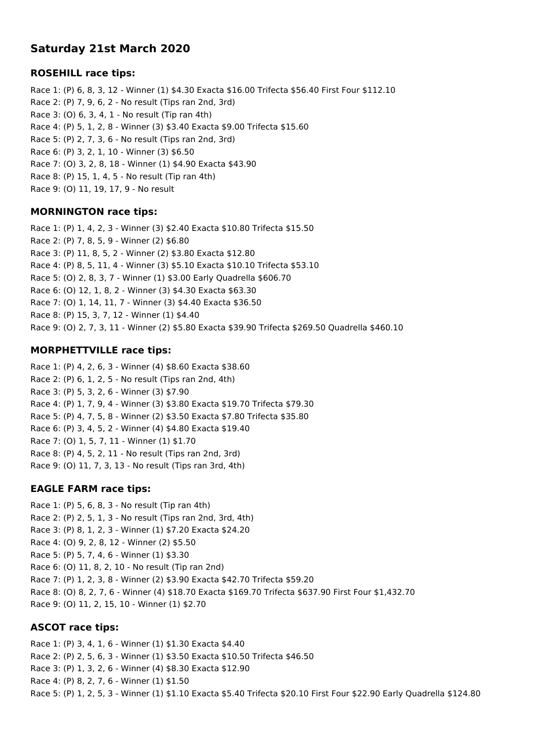# **Saturday 21st March 2020**

# **ROSEHILL race tips:**

Race 1: (P) 6, 8, 3, 12 - Winner (1) \$4.30 Exacta \$16.00 Trifecta \$56.40 First Four \$112.10 Race 2: (P) 7, 9, 6, 2 - No result (Tips ran 2nd, 3rd) Race 3: (O) 6, 3, 4, 1 - No result (Tip ran 4th) Race 4: (P) 5, 1, 2, 8 - Winner (3) \$3.40 Exacta \$9.00 Trifecta \$15.60 Race 5: (P) 2, 7, 3, 6 - No result (Tips ran 2nd, 3rd) Race 6: (P) 3, 2, 1, 10 - Winner (3) \$6.50 Race 7: (O) 3, 2, 8, 18 - Winner (1) \$4.90 Exacta \$43.90 Race 8: (P) 15, 1, 4, 5 - No result (Tip ran 4th) Race 9: (O) 11, 19, 17, 9 - No result

### **MORNINGTON race tips:**

Race 1: (P) 1, 4, 2, 3 - Winner (3) \$2.40 Exacta \$10.80 Trifecta \$15.50 Race 2: (P) 7, 8, 5, 9 - Winner (2) \$6.80 Race 3: (P) 11, 8, 5, 2 - Winner (2) \$3.80 Exacta \$12.80 Race 4: (P) 8, 5, 11, 4 - Winner (3) \$5.10 Exacta \$10.10 Trifecta \$53.10 Race 5: (O) 2, 8, 3, 7 - Winner (1) \$3.00 Early Quadrella \$606.70 Race 6: (O) 12, 1, 8, 2 - Winner (3) \$4.30 Exacta \$63.30 Race 7: (O) 1, 14, 11, 7 - Winner (3) \$4.40 Exacta \$36.50 Race 8: (P) 15, 3, 7, 12 - Winner (1) \$4.40 Race 9: (O) 2, 7, 3, 11 - Winner (2) \$5.80 Exacta \$39.90 Trifecta \$269.50 Quadrella \$460.10

# **MORPHETTVILLE race tips:**

Race 1: (P) 4, 2, 6, 3 - Winner (4) \$8.60 Exacta \$38.60 Race 2: (P) 6, 1, 2, 5 - No result (Tips ran 2nd, 4th) Race 3: (P) 5, 3, 2, 6 - Winner (3) \$7.90 Race 4: (P) 1, 7, 9, 4 - Winner (3) \$3.80 Exacta \$19.70 Trifecta \$79.30 Race 5: (P) 4, 7, 5, 8 - Winner (2) \$3.50 Exacta \$7.80 Trifecta \$35.80 Race 6: (P) 3, 4, 5, 2 - Winner (4) \$4.80 Exacta \$19.40 Race 7: (O) 1, 5, 7, 11 - Winner (1) \$1.70 Race 8: (P) 4, 5, 2, 11 - No result (Tips ran 2nd, 3rd) Race 9: (O) 11, 7, 3, 13 - No result (Tips ran 3rd, 4th)

# **EAGLE FARM race tips:**

Race 1: (P) 5, 6, 8, 3 - No result (Tip ran 4th) Race 2: (P) 2, 5, 1, 3 - No result (Tips ran 2nd, 3rd, 4th) Race 3: (P) 8, 1, 2, 3 - Winner (1) \$7.20 Exacta \$24.20 Race 4: (O) 9, 2, 8, 12 - Winner (2) \$5.50 Race 5: (P) 5, 7, 4, 6 - Winner (1) \$3.30 Race 6: (O) 11, 8, 2, 10 - No result (Tip ran 2nd) Race 7: (P) 1, 2, 3, 8 - Winner (2) \$3.90 Exacta \$42.70 Trifecta \$59.20 Race 8: (O) 8, 2, 7, 6 - Winner (4) \$18.70 Exacta \$169.70 Trifecta \$637.90 First Four \$1,432.70 Race 9: (O) 11, 2, 15, 10 - Winner (1) \$2.70

# **ASCOT race tips:**

Race 1: (P) 3, 4, 1, 6 - Winner (1) \$1.30 Exacta \$4.40 Race 2: (P) 2, 5, 6, 3 - Winner (1) \$3.50 Exacta \$10.50 Trifecta \$46.50 Race 3: (P) 1, 3, 2, 6 - Winner (4) \$8.30 Exacta \$12.90 Race 4: (P) 8, 2, 7, 6 - Winner (1) \$1.50 Race 5: (P) 1, 2, 5, 3 - Winner (1) \$1.10 Exacta \$5.40 Trifecta \$20.10 First Four \$22.90 Early Quadrella \$124.80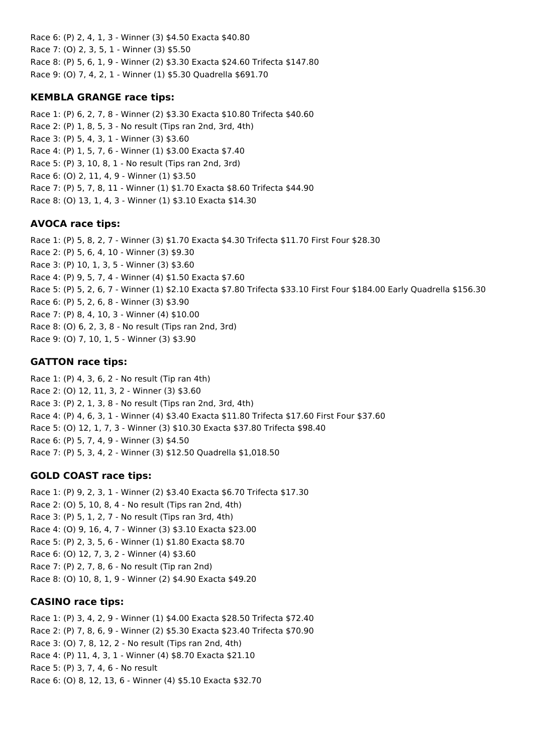Race 6: (P) 2, 4, 1, 3 - Winner (3) \$4.50 Exacta \$40.80 Race 7: (O) 2, 3, 5, 1 - Winner (3) \$5.50 Race 8: (P) 5, 6, 1, 9 - Winner (2) \$3.30 Exacta \$24.60 Trifecta \$147.80 Race 9: (O) 7, 4, 2, 1 - Winner (1) \$5.30 Quadrella \$691.70

# **KEMBLA GRANGE race tips:**

Race 1: (P) 6, 2, 7, 8 - Winner (2) \$3.30 Exacta \$10.80 Trifecta \$40.60 Race 2: (P) 1, 8, 5, 3 - No result (Tips ran 2nd, 3rd, 4th) Race 3: (P) 5, 4, 3, 1 - Winner (3) \$3.60 Race 4: (P) 1, 5, 7, 6 - Winner (1) \$3.00 Exacta \$7.40 Race 5: (P) 3, 10, 8, 1 - No result (Tips ran 2nd, 3rd) Race 6: (O) 2, 11, 4, 9 - Winner (1) \$3.50 Race 7: (P) 5, 7, 8, 11 - Winner (1) \$1.70 Exacta \$8.60 Trifecta \$44.90 Race 8: (O) 13, 1, 4, 3 - Winner (1) \$3.10 Exacta \$14.30

# **AVOCA race tips:**

Race 1: (P) 5, 8, 2, 7 - Winner (3) \$1.70 Exacta \$4.30 Trifecta \$11.70 First Four \$28.30 Race 2: (P) 5, 6, 4, 10 - Winner (3) \$9.30 Race 3: (P) 10, 1, 3, 5 - Winner (3) \$3.60 Race 4: (P) 9, 5, 7, 4 - Winner (4) \$1.50 Exacta \$7.60 Race 5: (P) 5, 2, 6, 7 - Winner (1) \$2.10 Exacta \$7.80 Trifecta \$33.10 First Four \$184.00 Early Quadrella \$156.30 Race 6: (P) 5, 2, 6, 8 - Winner (3) \$3.90 Race 7: (P) 8, 4, 10, 3 - Winner (4) \$10.00 Race 8: (O) 6, 2, 3, 8 - No result (Tips ran 2nd, 3rd) Race 9: (O) 7, 10, 1, 5 - Winner (3) \$3.90

# **GATTON race tips:**

Race 1: (P) 4, 3, 6, 2 - No result (Tip ran 4th) Race 2: (O) 12, 11, 3, 2 - Winner (3) \$3.60 Race 3: (P) 2, 1, 3, 8 - No result (Tips ran 2nd, 3rd, 4th) Race 4: (P) 4, 6, 3, 1 - Winner (4) \$3.40 Exacta \$11.80 Trifecta \$17.60 First Four \$37.60 Race 5: (O) 12, 1, 7, 3 - Winner (3) \$10.30 Exacta \$37.80 Trifecta \$98.40 Race 6: (P) 5, 7, 4, 9 - Winner (3) \$4.50 Race 7: (P) 5, 3, 4, 2 - Winner (3) \$12.50 Quadrella \$1,018.50

# **GOLD COAST race tips:**

Race 1: (P) 9, 2, 3, 1 - Winner (2) \$3.40 Exacta \$6.70 Trifecta \$17.30 Race 2: (O) 5, 10, 8, 4 - No result (Tips ran 2nd, 4th) Race 3: (P) 5, 1, 2, 7 - No result (Tips ran 3rd, 4th) Race 4: (O) 9, 16, 4, 7 - Winner (3) \$3.10 Exacta \$23.00 Race 5: (P) 2, 3, 5, 6 - Winner (1) \$1.80 Exacta \$8.70 Race 6: (O) 12, 7, 3, 2 - Winner (4) \$3.60 Race 7: (P) 2, 7, 8, 6 - No result (Tip ran 2nd) Race 8: (O) 10, 8, 1, 9 - Winner (2) \$4.90 Exacta \$49.20

# **CASINO race tips:**

Race 1: (P) 3, 4, 2, 9 - Winner (1) \$4.00 Exacta \$28.50 Trifecta \$72.40 Race 2: (P) 7, 8, 6, 9 - Winner (2) \$5.30 Exacta \$23.40 Trifecta \$70.90 Race 3: (O) 7, 8, 12, 2 - No result (Tips ran 2nd, 4th) Race 4: (P) 11, 4, 3, 1 - Winner (4) \$8.70 Exacta \$21.10 Race 5: (P) 3, 7, 4, 6 - No result Race 6: (O) 8, 12, 13, 6 - Winner (4) \$5.10 Exacta \$32.70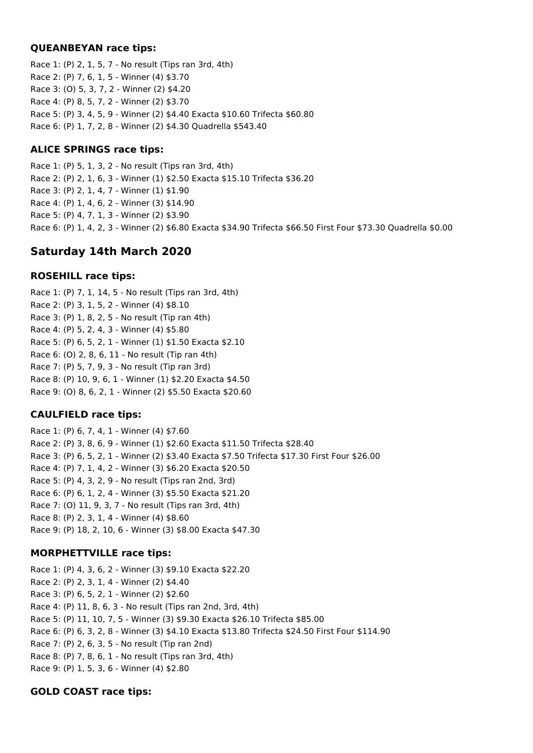#### **QUEANBEYAN race tips:**

Race 1: (P) 2, 1, 5, 7 - No result (Tips ran 3rd, 4th) Race 2: (P) 7, 6, 1, 5 - Winner (4) \$3.70 Race 3: (O) 5, 3, 7, 2 - Winner (2) \$4.20 Race 4: (P) 8, 5, 7, 2 - Winner (2) \$3.70 Race 5: (P) 3, 4, 5, 9 - Winner (2) \$4.40 Exacta \$10.60 Trifecta \$60.80 Race 6: (P) 1, 7, 2, 8 - Winner (2) \$4.30 Quadrella \$543.40

# **ALICE SPRINGS race tips:**

Race 1: (P) 5, 1, 3, 2 - No result (Tips ran 3rd, 4th) Race 2: (P) 2, 1, 6, 3 - Winner (1) \$2.50 Exacta \$15.10 Trifecta \$36.20 Race 3: (P) 2, 1, 4, 7 - Winner (1) \$1.90 Race 4: (P) 1, 4, 6, 2 - Winner (3) \$14.90 Race 5: (P) 4, 7, 1, 3 - Winner (2) \$3.90 Race 6: (P) 1, 4, 2, 3 - Winner (2) \$6.80 Exacta \$34.90 Trifecta \$66.50 First Four \$73.30 Quadrella \$0.00

# **Saturday 14th March 2020**

# **ROSEHILL race tips:**

Race 1: (P) 7, 1, 14, 5 - No result (Tips ran 3rd, 4th) Race 2: (P) 3, 1, 5, 2 - Winner (4) \$8.10 Race 3: (P) 1, 8, 2, 5 - No result (Tip ran 4th) Race 4: (P) 5, 2, 4, 3 - Winner (4) \$5.80 Race 5: (P) 6, 5, 2, 1 - Winner (1) \$1.50 Exacta \$2.10 Race 6: (O) 2, 8, 6, 11 - No result (Tip ran 4th) Race 7: (P) 5, 7, 9, 3 - No result (Tip ran 3rd) Race 8: (P) 10, 9, 6, 1 - Winner (1) \$2.20 Exacta \$4.50 Race 9: (O) 8, 6, 2, 1 - Winner (2) \$5.50 Exacta \$20.60

# **CAULFIELD race tips:**

Race 1: (P) 6, 7, 4, 1 - Winner (4) \$7.60 Race 2: (P) 3, 8, 6, 9 - Winner (1) \$2.60 Exacta \$11.50 Trifecta \$28.40 Race 3: (P) 6, 5, 2, 1 - Winner (2) \$3.40 Exacta \$7.50 Trifecta \$17.30 First Four \$26.00 Race 4: (P) 7, 1, 4, 2 - Winner (3) \$6.20 Exacta \$20.50 Race 5: (P) 4, 3, 2, 9 - No result (Tips ran 2nd, 3rd) Race 6: (P) 6, 1, 2, 4 - Winner (3) \$5.50 Exacta \$21.20 Race 7: (O) 11, 9, 3, 7 - No result (Tips ran 3rd, 4th) Race 8: (P) 2, 3, 1, 4 - Winner (4) \$8.60 Race 9: (P) 18, 2, 10, 6 - Winner (3) \$8.00 Exacta \$47.30

# **MORPHETTVILLE race tips:**

Race 1: (P) 4, 3, 6, 2 - Winner (3) \$9.10 Exacta \$22.20 Race 2: (P) 2, 3, 1, 4 - Winner (2) \$4.40 Race 3: (P) 6, 5, 2, 1 - Winner (2) \$2.60 Race 4: (P) 11, 8, 6, 3 - No result (Tips ran 2nd, 3rd, 4th) Race 5: (P) 11, 10, 7, 5 - Winner (3) \$9.30 Exacta \$26.10 Trifecta \$85.00 Race 6: (P) 6, 3, 2, 8 - Winner (3) \$4.10 Exacta \$13.80 Trifecta \$24.50 First Four \$114.90 Race 7: (P) 2, 6, 3, 5 - No result (Tip ran 2nd) Race 8: (P) 7, 8, 6, 1 - No result (Tips ran 3rd, 4th) Race 9: (P) 1, 5, 3, 6 - Winner (4) \$2.80

# **GOLD COAST race tips:**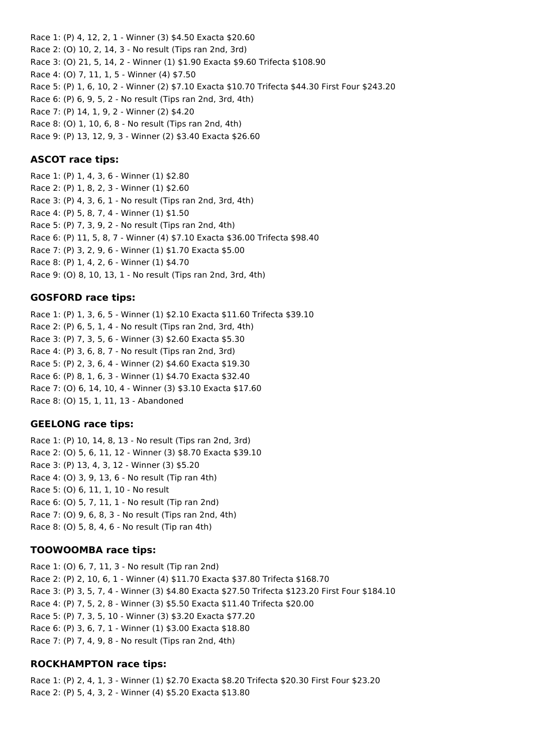Race 1: (P) 4, 12, 2, 1 - Winner (3) \$4.50 Exacta \$20.60 Race 2: (O) 10, 2, 14, 3 - No result (Tips ran 2nd, 3rd) Race 3: (O) 21, 5, 14, 2 - Winner (1) \$1.90 Exacta \$9.60 Trifecta \$108.90 Race 4: (O) 7, 11, 1, 5 - Winner (4) \$7.50 Race 5: (P) 1, 6, 10, 2 - Winner (2) \$7.10 Exacta \$10.70 Trifecta \$44.30 First Four \$243.20 Race 6: (P) 6, 9, 5, 2 - No result (Tips ran 2nd, 3rd, 4th) Race 7: (P) 14, 1, 9, 2 - Winner (2) \$4.20 Race 8: (O) 1, 10, 6, 8 - No result (Tips ran 2nd, 4th) Race 9: (P) 13, 12, 9, 3 - Winner (2) \$3.40 Exacta \$26.60

### **ASCOT race tips:**

Race 1: (P) 1, 4, 3, 6 - Winner (1) \$2.80 Race 2: (P) 1, 8, 2, 3 - Winner (1) \$2.60 Race 3: (P) 4, 3, 6, 1 - No result (Tips ran 2nd, 3rd, 4th) Race 4: (P) 5, 8, 7, 4 - Winner (1) \$1.50 Race 5: (P) 7, 3, 9, 2 - No result (Tips ran 2nd, 4th) Race 6: (P) 11, 5, 8, 7 - Winner (4) \$7.10 Exacta \$36.00 Trifecta \$98.40 Race 7: (P) 3, 2, 9, 6 - Winner (1) \$1.70 Exacta \$5.00 Race 8: (P) 1, 4, 2, 6 - Winner (1) \$4.70 Race 9: (O) 8, 10, 13, 1 - No result (Tips ran 2nd, 3rd, 4th)

#### **GOSFORD race tips:**

Race 1: (P) 1, 3, 6, 5 - Winner (1) \$2.10 Exacta \$11.60 Trifecta \$39.10 Race 2: (P) 6, 5, 1, 4 - No result (Tips ran 2nd, 3rd, 4th) Race 3: (P) 7, 3, 5, 6 - Winner (3) \$2.60 Exacta \$5.30 Race 4: (P) 3, 6, 8, 7 - No result (Tips ran 2nd, 3rd) Race 5: (P) 2, 3, 6, 4 - Winner (2) \$4.60 Exacta \$19.30 Race 6: (P) 8, 1, 6, 3 - Winner (1) \$4.70 Exacta \$32.40 Race 7: (O) 6, 14, 10, 4 - Winner (3) \$3.10 Exacta \$17.60 Race 8: (O) 15, 1, 11, 13 - Abandoned

#### **GEELONG race tips:**

Race 1: (P) 10, 14, 8, 13 - No result (Tips ran 2nd, 3rd) Race 2: (O) 5, 6, 11, 12 - Winner (3) \$8.70 Exacta \$39.10 Race 3: (P) 13, 4, 3, 12 - Winner (3) \$5.20 Race 4: (O) 3, 9, 13, 6 - No result (Tip ran 4th) Race 5: (O) 6, 11, 1, 10 - No result Race 6: (O) 5, 7, 11, 1 - No result (Tip ran 2nd) Race 7: (O) 9, 6, 8, 3 - No result (Tips ran 2nd, 4th) Race 8: (O) 5, 8, 4, 6 - No result (Tip ran 4th)

#### **TOOWOOMBA race tips:**

Race 1: (O) 6, 7, 11, 3 - No result (Tip ran 2nd) Race 2: (P) 2, 10, 6, 1 - Winner (4) \$11.70 Exacta \$37.80 Trifecta \$168.70 Race 3: (P) 3, 5, 7, 4 - Winner (3) \$4.80 Exacta \$27.50 Trifecta \$123.20 First Four \$184.10 Race 4: (P) 7, 5, 2, 8 - Winner (3) \$5.50 Exacta \$11.40 Trifecta \$20.00 Race 5: (P) 7, 3, 5, 10 - Winner (3) \$3.20 Exacta \$77.20 Race 6: (P) 3, 6, 7, 1 - Winner (1) \$3.00 Exacta \$18.80 Race 7: (P) 7, 4, 9, 8 - No result (Tips ran 2nd, 4th)

# **ROCKHAMPTON race tips:**

Race 1: (P) 2, 4, 1, 3 - Winner (1) \$2.70 Exacta \$8.20 Trifecta \$20.30 First Four \$23.20 Race 2: (P) 5, 4, 3, 2 - Winner (4) \$5.20 Exacta \$13.80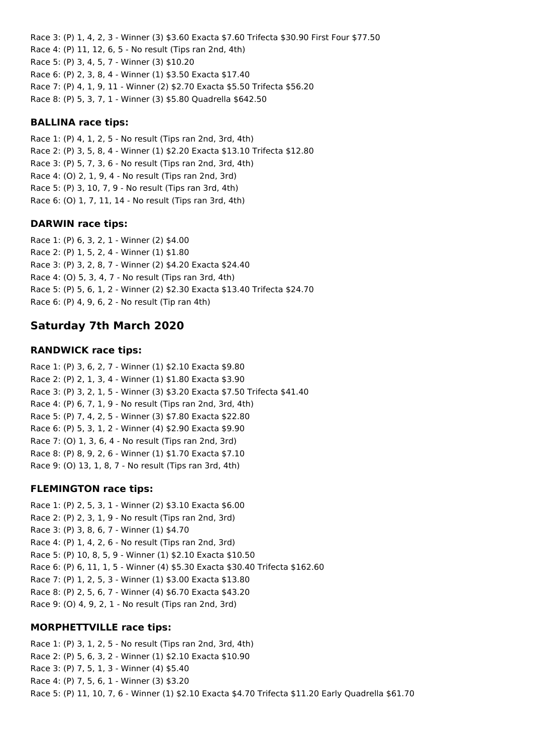Race 3: (P) 1, 4, 2, 3 - Winner (3) \$3.60 Exacta \$7.60 Trifecta \$30.90 First Four \$77.50 Race 4: (P) 11, 12, 6, 5 - No result (Tips ran 2nd, 4th) Race 5: (P) 3, 4, 5, 7 - Winner (3) \$10.20 Race 6: (P) 2, 3, 8, 4 - Winner (1) \$3.50 Exacta \$17.40 Race 7: (P) 4, 1, 9, 11 - Winner (2) \$2.70 Exacta \$5.50 Trifecta \$56.20 Race 8: (P) 5, 3, 7, 1 - Winner (3) \$5.80 Quadrella \$642.50

# **BALLINA race tips:**

Race 1: (P) 4, 1, 2, 5 - No result (Tips ran 2nd, 3rd, 4th) Race 2: (P) 3, 5, 8, 4 - Winner (1) \$2.20 Exacta \$13.10 Trifecta \$12.80 Race 3: (P) 5, 7, 3, 6 - No result (Tips ran 2nd, 3rd, 4th) Race 4: (O) 2, 1, 9, 4 - No result (Tips ran 2nd, 3rd) Race 5: (P) 3, 10, 7, 9 - No result (Tips ran 3rd, 4th) Race 6: (O) 1, 7, 11, 14 - No result (Tips ran 3rd, 4th)

### **DARWIN race tips:**

Race 1: (P) 6, 3, 2, 1 - Winner (2) \$4.00 Race 2: (P) 1, 5, 2, 4 - Winner (1) \$1.80 Race 3: (P) 3, 2, 8, 7 - Winner (2) \$4.20 Exacta \$24.40 Race 4: (O) 5, 3, 4, 7 - No result (Tips ran 3rd, 4th) Race 5: (P) 5, 6, 1, 2 - Winner (2) \$2.30 Exacta \$13.40 Trifecta \$24.70 Race 6: (P) 4, 9, 6, 2 - No result (Tip ran 4th)

# **Saturday 7th March 2020**

### **RANDWICK race tips:**

Race 1: (P) 3, 6, 2, 7 - Winner (1) \$2.10 Exacta \$9.80 Race 2: (P) 2, 1, 3, 4 - Winner (1) \$1.80 Exacta \$3.90 Race 3: (P) 3, 2, 1, 5 - Winner (3) \$3.20 Exacta \$7.50 Trifecta \$41.40 Race 4: (P) 6, 7, 1, 9 - No result (Tips ran 2nd, 3rd, 4th) Race 5: (P) 7, 4, 2, 5 - Winner (3) \$7.80 Exacta \$22.80 Race 6: (P) 5, 3, 1, 2 - Winner (4) \$2.90 Exacta \$9.90 Race 7: (O) 1, 3, 6, 4 - No result (Tips ran 2nd, 3rd) Race 8: (P) 8, 9, 2, 6 - Winner (1) \$1.70 Exacta \$7.10 Race 9: (O) 13, 1, 8, 7 - No result (Tips ran 3rd, 4th)

# **FLEMINGTON race tips:**

Race 1: (P) 2, 5, 3, 1 - Winner (2) \$3.10 Exacta \$6.00 Race 2: (P) 2, 3, 1, 9 - No result (Tips ran 2nd, 3rd) Race 3: (P) 3, 8, 6, 7 - Winner (1) \$4.70 Race 4: (P) 1, 4, 2, 6 - No result (Tips ran 2nd, 3rd) Race 5: (P) 10, 8, 5, 9 - Winner (1) \$2.10 Exacta \$10.50 Race 6: (P) 6, 11, 1, 5 - Winner (4) \$5.30 Exacta \$30.40 Trifecta \$162.60 Race 7: (P) 1, 2, 5, 3 - Winner (1) \$3.00 Exacta \$13.80 Race 8: (P) 2, 5, 6, 7 - Winner (4) \$6.70 Exacta \$43.20 Race 9: (O) 4, 9, 2, 1 - No result (Tips ran 2nd, 3rd)

#### **MORPHETTVILLE race tips:**

Race 1: (P) 3, 1, 2, 5 - No result (Tips ran 2nd, 3rd, 4th) Race 2: (P) 5, 6, 3, 2 - Winner (1) \$2.10 Exacta \$10.90 Race 3: (P) 7, 5, 1, 3 - Winner (4) \$5.40 Race 4: (P) 7, 5, 6, 1 - Winner (3) \$3.20 Race 5: (P) 11, 10, 7, 6 - Winner (1) \$2.10 Exacta \$4.70 Trifecta \$11.20 Early Quadrella \$61.70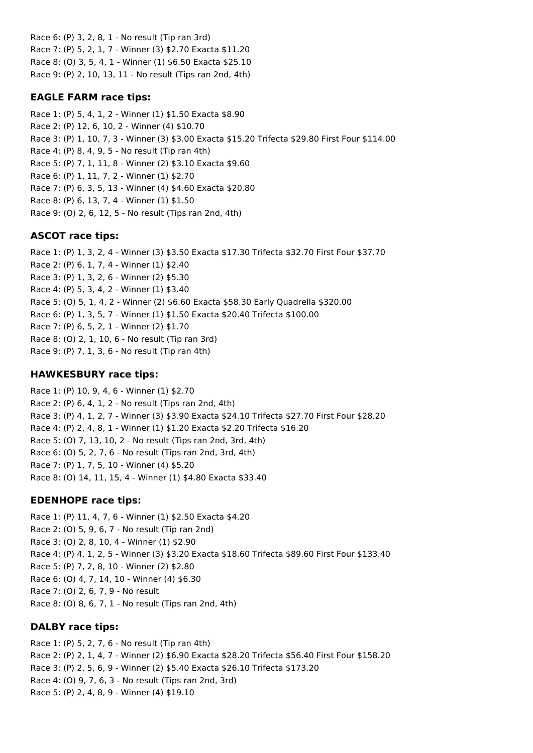Race 6: (P) 3, 2, 8, 1 - No result (Tip ran 3rd) Race 7: (P) 5, 2, 1, 7 - Winner (3) \$2.70 Exacta \$11.20 Race 8: (O) 3, 5, 4, 1 - Winner (1) \$6.50 Exacta \$25.10 Race 9: (P) 2, 10, 13, 11 - No result (Tips ran 2nd, 4th)

# **EAGLE FARM race tips:**

Race 1: (P) 5, 4, 1, 2 - Winner (1) \$1.50 Exacta \$8.90 Race 2: (P) 12, 6, 10, 2 - Winner (4) \$10.70 Race 3: (P) 1, 10, 7, 3 - Winner (3) \$3.00 Exacta \$15.20 Trifecta \$29.80 First Four \$114.00 Race 4: (P) 8, 4, 9, 5 - No result (Tip ran 4th) Race 5: (P) 7, 1, 11, 8 - Winner (2) \$3.10 Exacta \$9.60 Race 6: (P) 1, 11, 7, 2 - Winner (1) \$2.70 Race 7: (P) 6, 3, 5, 13 - Winner (4) \$4.60 Exacta \$20.80 Race 8: (P) 6, 13, 7, 4 - Winner (1) \$1.50 Race 9: (O) 2, 6, 12, 5 - No result (Tips ran 2nd, 4th)

# **ASCOT race tips:**

Race 1: (P) 1, 3, 2, 4 - Winner (3) \$3.50 Exacta \$17.30 Trifecta \$32.70 First Four \$37.70 Race 2: (P) 6, 1, 7, 4 - Winner (1) \$2.40 Race 3: (P) 1, 3, 2, 6 - Winner (2) \$5.30 Race 4: (P) 5, 3, 4, 2 - Winner (1) \$3.40 Race 5: (O) 5, 1, 4, 2 - Winner (2) \$6.60 Exacta \$58.30 Early Quadrella \$320.00 Race 6: (P) 1, 3, 5, 7 - Winner (1) \$1.50 Exacta \$20.40 Trifecta \$100.00 Race 7: (P) 6, 5, 2, 1 - Winner (2) \$1.70 Race 8: (O) 2, 1, 10, 6 - No result (Tip ran 3rd) Race 9: (P) 7, 1, 3, 6 - No result (Tip ran 4th)

# **HAWKESBURY race tips:**

Race 1: (P) 10, 9, 4, 6 - Winner (1) \$2.70 Race 2: (P) 6, 4, 1, 2 - No result (Tips ran 2nd, 4th) Race 3: (P) 4, 1, 2, 7 - Winner (3) \$3.90 Exacta \$24.10 Trifecta \$27.70 First Four \$28.20 Race 4: (P) 2, 4, 8, 1 - Winner (1) \$1.20 Exacta \$2.20 Trifecta \$16.20 Race 5: (O) 7, 13, 10, 2 - No result (Tips ran 2nd, 3rd, 4th) Race 6: (O) 5, 2, 7, 6 - No result (Tips ran 2nd, 3rd, 4th) Race 7: (P) 1, 7, 5, 10 - Winner (4) \$5.20 Race 8: (O) 14, 11, 15, 4 - Winner (1) \$4.80 Exacta \$33.40

# **EDENHOPE race tips:**

Race 1: (P) 11, 4, 7, 6 - Winner (1) \$2.50 Exacta \$4.20 Race 2: (O) 5, 9, 6, 7 - No result (Tip ran 2nd) Race 3: (O) 2, 8, 10, 4 - Winner (1) \$2.90 Race 4: (P) 4, 1, 2, 5 - Winner (3) \$3.20 Exacta \$18.60 Trifecta \$89.60 First Four \$133.40 Race 5: (P) 7, 2, 8, 10 - Winner (2) \$2.80 Race 6: (O) 4, 7, 14, 10 - Winner (4) \$6.30 Race 7: (O) 2, 6, 7, 9 - No result Race 8: (O) 8, 6, 7, 1 - No result (Tips ran 2nd, 4th)

# **DALBY race tips:**

Race 1: (P) 5, 2, 7, 6 - No result (Tip ran 4th) Race 2: (P) 2, 1, 4, 7 - Winner (2) \$6.90 Exacta \$28.20 Trifecta \$56.40 First Four \$158.20 Race 3: (P) 2, 5, 6, 9 - Winner (2) \$5.40 Exacta \$26.10 Trifecta \$173.20 Race 4: (O) 9, 7, 6, 3 - No result (Tips ran 2nd, 3rd) Race 5: (P) 2, 4, 8, 9 - Winner (4) \$19.10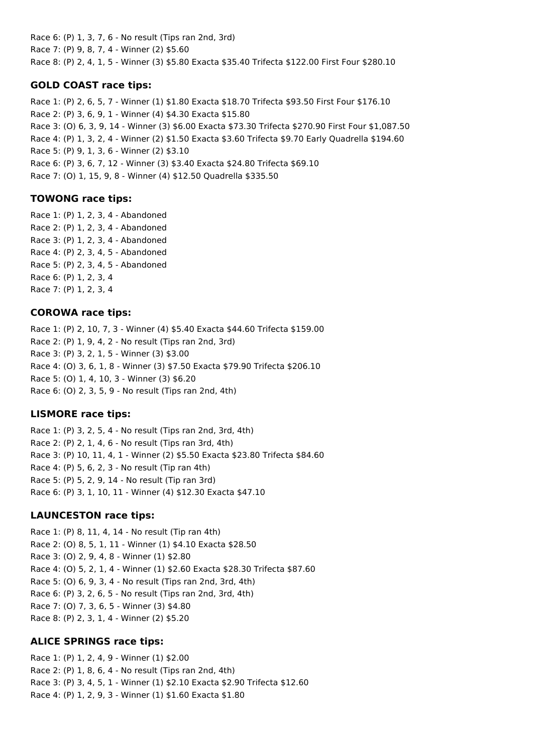Race 6: (P) 1, 3, 7, 6 - No result (Tips ran 2nd, 3rd) Race 7: (P) 9, 8, 7, 4 - Winner (2) \$5.60 Race 8: (P) 2, 4, 1, 5 - Winner (3) \$5.80 Exacta \$35.40 Trifecta \$122.00 First Four \$280.10

# **GOLD COAST race tips:**

Race 1: (P) 2, 6, 5, 7 - Winner (1) \$1.80 Exacta \$18.70 Trifecta \$93.50 First Four \$176.10 Race 2: (P) 3, 6, 9, 1 - Winner (4) \$4.30 Exacta \$15.80 Race 3: (O) 6, 3, 9, 14 - Winner (3) \$6.00 Exacta \$73.30 Trifecta \$270.90 First Four \$1,087.50 Race 4: (P) 1, 3, 2, 4 - Winner (2) \$1.50 Exacta \$3.60 Trifecta \$9.70 Early Quadrella \$194.60 Race 5: (P) 9, 1, 3, 6 - Winner (2) \$3.10 Race 6: (P) 3, 6, 7, 12 - Winner (3) \$3.40 Exacta \$24.80 Trifecta \$69.10 Race 7: (O) 1, 15, 9, 8 - Winner (4) \$12.50 Quadrella \$335.50

### **TOWONG race tips:**

Race 1: (P) 1, 2, 3, 4 - Abandoned Race 2: (P) 1, 2, 3, 4 - Abandoned Race 3: (P) 1, 2, 3, 4 - Abandoned Race 4: (P) 2, 3, 4, 5 - Abandoned Race 5: (P) 2, 3, 4, 5 - Abandoned Race 6: (P) 1, 2, 3, 4 Race 7: (P) 1, 2, 3, 4

### **COROWA race tips:**

Race 1: (P) 2, 10, 7, 3 - Winner (4) \$5.40 Exacta \$44.60 Trifecta \$159.00 Race 2: (P) 1, 9, 4, 2 - No result (Tips ran 2nd, 3rd) Race 3: (P) 3, 2, 1, 5 - Winner (3) \$3.00 Race 4: (O) 3, 6, 1, 8 - Winner (3) \$7.50 Exacta \$79.90 Trifecta \$206.10 Race 5: (O) 1, 4, 10, 3 - Winner (3) \$6.20 Race 6: (O) 2, 3, 5, 9 - No result (Tips ran 2nd, 4th)

# **LISMORE race tips:**

Race 1: (P) 3, 2, 5, 4 - No result (Tips ran 2nd, 3rd, 4th) Race 2: (P) 2, 1, 4, 6 - No result (Tips ran 3rd, 4th) Race 3: (P) 10, 11, 4, 1 - Winner (2) \$5.50 Exacta \$23.80 Trifecta \$84.60 Race 4: (P) 5, 6, 2, 3 - No result (Tip ran 4th) Race 5: (P) 5, 2, 9, 14 - No result (Tip ran 3rd) Race 6: (P) 3, 1, 10, 11 - Winner (4) \$12.30 Exacta \$47.10

#### **LAUNCESTON race tips:**

Race 1: (P) 8, 11, 4, 14 - No result (Tip ran 4th) Race 2: (O) 8, 5, 1, 11 - Winner (1) \$4.10 Exacta \$28.50 Race 3: (O) 2, 9, 4, 8 - Winner (1) \$2.80 Race 4: (O) 5, 2, 1, 4 - Winner (1) \$2.60 Exacta \$28.30 Trifecta \$87.60 Race 5: (O) 6, 9, 3, 4 - No result (Tips ran 2nd, 3rd, 4th) Race 6: (P) 3, 2, 6, 5 - No result (Tips ran 2nd, 3rd, 4th) Race 7: (O) 7, 3, 6, 5 - Winner (3) \$4.80 Race 8: (P) 2, 3, 1, 4 - Winner (2) \$5.20

#### **ALICE SPRINGS race tips:**

Race 1: (P) 1, 2, 4, 9 - Winner (1) \$2.00 Race 2: (P) 1, 8, 6, 4 - No result (Tips ran 2nd, 4th) Race 3: (P) 3, 4, 5, 1 - Winner (1) \$2.10 Exacta \$2.90 Trifecta \$12.60 Race 4: (P) 1, 2, 9, 3 - Winner (1) \$1.60 Exacta \$1.80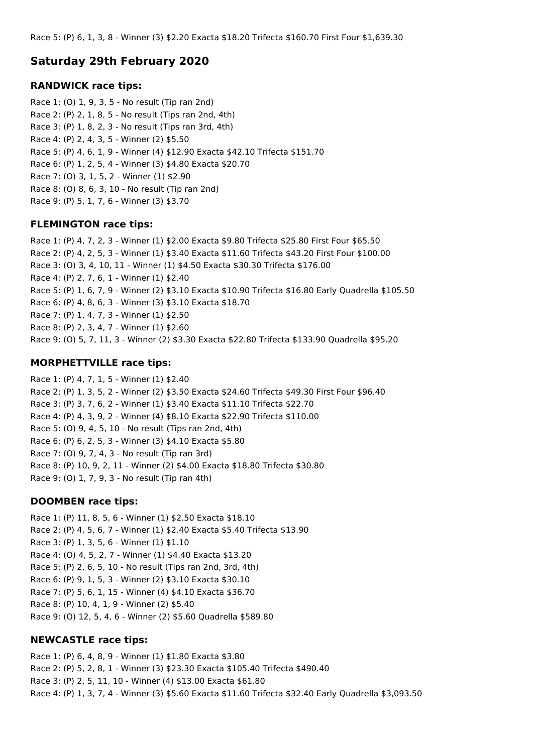Race 5: (P) 6, 1, 3, 8 - Winner (3) \$2.20 Exacta \$18.20 Trifecta \$160.70 First Four \$1,639.30

# **Saturday 29th February 2020**

### **RANDWICK race tips:**

Race 1: (O) 1, 9, 3, 5 - No result (Tip ran 2nd) Race 2: (P) 2, 1, 8, 5 - No result (Tips ran 2nd, 4th) Race 3: (P) 1, 8, 2, 3 - No result (Tips ran 3rd, 4th) Race 4: (P) 2, 4, 3, 5 - Winner (2) \$5.50 Race 5: (P) 4, 6, 1, 9 - Winner (4) \$12.90 Exacta \$42.10 Trifecta \$151.70 Race 6: (P) 1, 2, 5, 4 - Winner (3) \$4.80 Exacta \$20.70 Race 7: (O) 3, 1, 5, 2 - Winner (1) \$2.90 Race 8: (O) 8, 6, 3, 10 - No result (Tip ran 2nd) Race 9: (P) 5, 1, 7, 6 - Winner (3) \$3.70

# **FLEMINGTON race tips:**

Race 1: (P) 4, 7, 2, 3 - Winner (1) \$2.00 Exacta \$9.80 Trifecta \$25.80 First Four \$65.50 Race 2: (P) 4, 2, 5, 3 - Winner (1) \$3.40 Exacta \$11.60 Trifecta \$43.20 First Four \$100.00 Race 3: (O) 3, 4, 10, 11 - Winner (1) \$4.50 Exacta \$30.30 Trifecta \$176.00 Race 4: (P) 2, 7, 6, 1 - Winner (1) \$2.40 Race 5: (P) 1, 6, 7, 9 - Winner (2) \$3.10 Exacta \$10.90 Trifecta \$16.80 Early Quadrella \$105.50 Race 6: (P) 4, 8, 6, 3 - Winner (3) \$3.10 Exacta \$18.70 Race 7: (P) 1, 4, 7, 3 - Winner (1) \$2.50 Race 8: (P) 2, 3, 4, 7 - Winner (1) \$2.60 Race 9: (O) 5, 7, 11, 3 - Winner (2) \$3.30 Exacta \$22.80 Trifecta \$133.90 Quadrella \$95.20

# **MORPHETTVILLE race tips:**

Race 1: (P) 4, 7, 1, 5 - Winner (1) \$2.40 Race 2: (P) 1, 3, 5, 2 - Winner (2) \$3.50 Exacta \$24.60 Trifecta \$49.30 First Four \$96.40 Race 3: (P) 3, 7, 6, 2 - Winner (1) \$3.40 Exacta \$11.10 Trifecta \$22.70 Race 4: (P) 4, 3, 9, 2 - Winner (4) \$8.10 Exacta \$22.90 Trifecta \$110.00 Race 5: (O) 9, 4, 5, 10 - No result (Tips ran 2nd, 4th) Race 6: (P) 6, 2, 5, 3 - Winner (3) \$4.10 Exacta \$5.80 Race 7: (O) 9, 7, 4, 3 - No result (Tip ran 3rd) Race 8: (P) 10, 9, 2, 11 - Winner (2) \$4.00 Exacta \$18.80 Trifecta \$30.80 Race 9: (O) 1, 7, 9, 3 - No result (Tip ran 4th)

# **DOOMBEN race tips:**

Race 1: (P) 11, 8, 5, 6 - Winner (1) \$2.50 Exacta \$18.10 Race 2: (P) 4, 5, 6, 7 - Winner (1) \$2.40 Exacta \$5.40 Trifecta \$13.90 Race 3: (P) 1, 3, 5, 6 - Winner (1) \$1.10 Race 4: (O) 4, 5, 2, 7 - Winner (1) \$4.40 Exacta \$13.20 Race 5: (P) 2, 6, 5, 10 - No result (Tips ran 2nd, 3rd, 4th) Race 6: (P) 9, 1, 5, 3 - Winner (2) \$3.10 Exacta \$30.10 Race 7: (P) 5, 6, 1, 15 - Winner (4) \$4.10 Exacta \$36.70 Race 8: (P) 10, 4, 1, 9 - Winner (2) \$5.40 Race 9: (O) 12, 5, 4, 6 - Winner (2) \$5.60 Quadrella \$589.80

# **NEWCASTLE race tips:**

Race 1: (P) 6, 4, 8, 9 - Winner (1) \$1.80 Exacta \$3.80 Race 2: (P) 5, 2, 8, 1 - Winner (3) \$23.30 Exacta \$105.40 Trifecta \$490.40 Race 3: (P) 2, 5, 11, 10 - Winner (4) \$13.00 Exacta \$61.80 Race 4: (P) 1, 3, 7, 4 - Winner (3) \$5.60 Exacta \$11.60 Trifecta \$32.40 Early Quadrella \$3,093.50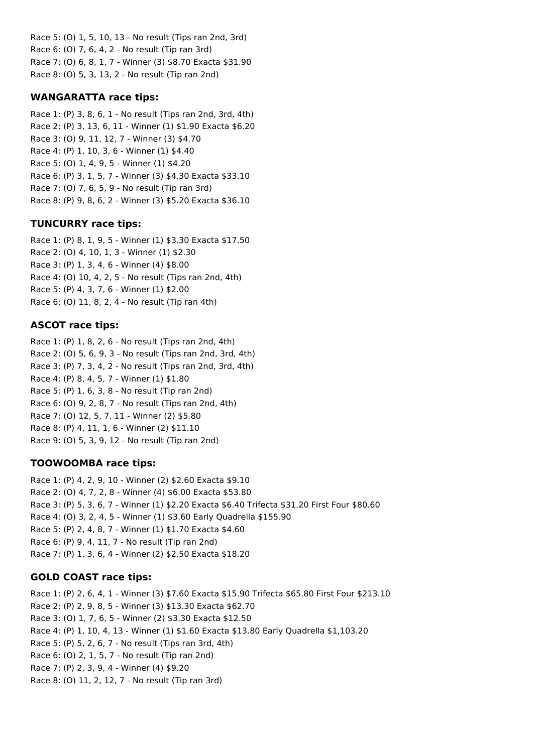Race 5: (O) 1, 5, 10, 13 - No result (Tips ran 2nd, 3rd) Race 6: (O) 7, 6, 4, 2 - No result (Tip ran 3rd) Race 7: (O) 6, 8, 1, 7 - Winner (3) \$8.70 Exacta \$31.90 Race 8: (O) 5, 3, 13, 2 - No result (Tip ran 2nd)

# **WANGARATTA race tips:**

Race 1: (P) 3, 8, 6, 1 - No result (Tips ran 2nd, 3rd, 4th) Race 2: (P) 3, 13, 6, 11 - Winner (1) \$1.90 Exacta \$6.20 Race 3: (O) 9, 11, 12, 7 - Winner (3) \$4.70 Race 4: (P) 1, 10, 3, 6 - Winner (1) \$4.40 Race 5: (O) 1, 4, 9, 5 - Winner (1) \$4.20 Race 6: (P) 3, 1, 5, 7 - Winner (3) \$4.30 Exacta \$33.10 Race 7: (O) 7, 6, 5, 9 - No result (Tip ran 3rd) Race 8: (P) 9, 8, 6, 2 - Winner (3) \$5.20 Exacta \$36.10

# **TUNCURRY race tips:**

Race 1: (P) 8, 1, 9, 5 - Winner (1) \$3.30 Exacta \$17.50 Race 2: (O) 4, 10, 1, 3 - Winner (1) \$2.30 Race 3: (P) 1, 3, 4, 6 - Winner (4) \$8.00 Race 4: (O) 10, 4, 2, 5 - No result (Tips ran 2nd, 4th) Race 5: (P) 4, 3, 7, 6 - Winner (1) \$2.00 Race 6: (O) 11, 8, 2, 4 - No result (Tip ran 4th)

# **ASCOT race tips:**

Race 1: (P) 1, 8, 2, 6 - No result (Tips ran 2nd, 4th) Race 2: (O) 5, 6, 9, 3 - No result (Tips ran 2nd, 3rd, 4th) Race 3: (P) 7, 3, 4, 2 - No result (Tips ran 2nd, 3rd, 4th) Race 4: (P) 8, 4, 5, 7 - Winner (1) \$1.80 Race 5: (P) 1, 6, 3, 8 - No result (Tip ran 2nd) Race 6: (O) 9, 2, 8, 7 - No result (Tips ran 2nd, 4th) Race 7: (O) 12, 5, 7, 11 - Winner (2) \$5.80 Race 8: (P) 4, 11, 1, 6 - Winner (2) \$11.10 Race 9: (O) 5, 3, 9, 12 - No result (Tip ran 2nd)

# **TOOWOOMBA race tips:**

Race 1: (P) 4, 2, 9, 10 - Winner (2) \$2.60 Exacta \$9.10 Race 2: (O) 4, 7, 2, 8 - Winner (4) \$6.00 Exacta \$53.80 Race 3: (P) 5, 3, 6, 7 - Winner (1) \$2.20 Exacta \$6.40 Trifecta \$31.20 First Four \$80.60 Race 4: (O) 3, 2, 4, 5 - Winner (1) \$3.60 Early Quadrella \$155.90 Race 5: (P) 2, 4, 8, 7 - Winner (1) \$1.70 Exacta \$4.60 Race 6: (P) 9, 4, 11, 7 - No result (Tip ran 2nd) Race 7: (P) 1, 3, 6, 4 - Winner (2) \$2.50 Exacta \$18.20

# **GOLD COAST race tips:**

Race 1: (P) 2, 6, 4, 1 - Winner (3) \$7.60 Exacta \$15.90 Trifecta \$65.80 First Four \$213.10 Race 2: (P) 2, 9, 8, 5 - Winner (3) \$13.30 Exacta \$62.70 Race 3: (O) 1, 7, 6, 5 - Winner (2) \$3.30 Exacta \$12.50 Race 4: (P) 1, 10, 4, 13 - Winner (1) \$1.60 Exacta \$13.80 Early Quadrella \$1,103.20 Race 5: (P) 5, 2, 6, 7 - No result (Tips ran 3rd, 4th) Race 6: (O) 2, 1, 5, 7 - No result (Tip ran 2nd) Race 7: (P) 2, 3, 9, 4 - Winner (4) \$9.20 Race 8: (O) 11, 2, 12, 7 - No result (Tip ran 3rd)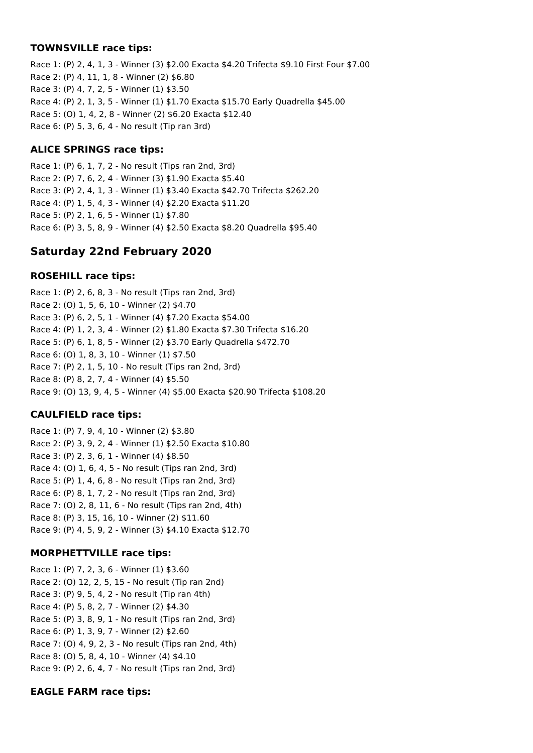#### **TOWNSVILLE race tips:**

Race 1: (P) 2, 4, 1, 3 - Winner (3) \$2.00 Exacta \$4.20 Trifecta \$9.10 First Four \$7.00 Race 2: (P) 4, 11, 1, 8 - Winner (2) \$6.80 Race 3: (P) 4, 7, 2, 5 - Winner (1) \$3.50 Race 4: (P) 2, 1, 3, 5 - Winner (1) \$1.70 Exacta \$15.70 Early Quadrella \$45.00 Race 5: (O) 1, 4, 2, 8 - Winner (2) \$6.20 Exacta \$12.40 Race 6: (P) 5, 3, 6, 4 - No result (Tip ran 3rd)

# **ALICE SPRINGS race tips:**

Race 1: (P) 6, 1, 7, 2 - No result (Tips ran 2nd, 3rd) Race 2: (P) 7, 6, 2, 4 - Winner (3) \$1.90 Exacta \$5.40 Race 3: (P) 2, 4, 1, 3 - Winner (1) \$3.40 Exacta \$42.70 Trifecta \$262.20 Race 4: (P) 1, 5, 4, 3 - Winner (4) \$2.20 Exacta \$11.20 Race 5: (P) 2, 1, 6, 5 - Winner (1) \$7.80 Race 6: (P) 3, 5, 8, 9 - Winner (4) \$2.50 Exacta \$8.20 Quadrella \$95.40

# **Saturday 22nd February 2020**

# **ROSEHILL race tips:**

Race 1: (P) 2, 6, 8, 3 - No result (Tips ran 2nd, 3rd) Race 2: (O) 1, 5, 6, 10 - Winner (2) \$4.70 Race 3: (P) 6, 2, 5, 1 - Winner (4) \$7.20 Exacta \$54.00 Race 4: (P) 1, 2, 3, 4 - Winner (2) \$1.80 Exacta \$7.30 Trifecta \$16.20 Race 5: (P) 6, 1, 8, 5 - Winner (2) \$3.70 Early Quadrella \$472.70 Race 6: (O) 1, 8, 3, 10 - Winner (1) \$7.50 Race 7: (P) 2, 1, 5, 10 - No result (Tips ran 2nd, 3rd) Race 8: (P) 8, 2, 7, 4 - Winner (4) \$5.50 Race 9: (O) 13, 9, 4, 5 - Winner (4) \$5.00 Exacta \$20.90 Trifecta \$108.20

# **CAULFIELD race tips:**

Race 1: (P) 7, 9, 4, 10 - Winner (2) \$3.80 Race 2: (P) 3, 9, 2, 4 - Winner (1) \$2.50 Exacta \$10.80 Race 3: (P) 2, 3, 6, 1 - Winner (4) \$8.50 Race 4: (O) 1, 6, 4, 5 - No result (Tips ran 2nd, 3rd) Race 5: (P) 1, 4, 6, 8 - No result (Tips ran 2nd, 3rd) Race 6: (P) 8, 1, 7, 2 - No result (Tips ran 2nd, 3rd) Race 7: (O) 2, 8, 11, 6 - No result (Tips ran 2nd, 4th) Race 8: (P) 3, 15, 16, 10 - Winner (2) \$11.60 Race 9: (P) 4, 5, 9, 2 - Winner (3) \$4.10 Exacta \$12.70

# **MORPHETTVILLE race tips:**

Race 1: (P) 7, 2, 3, 6 - Winner (1) \$3.60 Race 2: (O) 12, 2, 5, 15 - No result (Tip ran 2nd) Race 3: (P) 9, 5, 4, 2 - No result (Tip ran 4th) Race 4: (P) 5, 8, 2, 7 - Winner (2) \$4.30 Race 5: (P) 3, 8, 9, 1 - No result (Tips ran 2nd, 3rd) Race 6: (P) 1, 3, 9, 7 - Winner (2) \$2.60 Race 7: (O) 4, 9, 2, 3 - No result (Tips ran 2nd, 4th) Race 8: (O) 5, 8, 4, 10 - Winner (4) \$4.10 Race 9: (P) 2, 6, 4, 7 - No result (Tips ran 2nd, 3rd)

# **EAGLE FARM race tips:**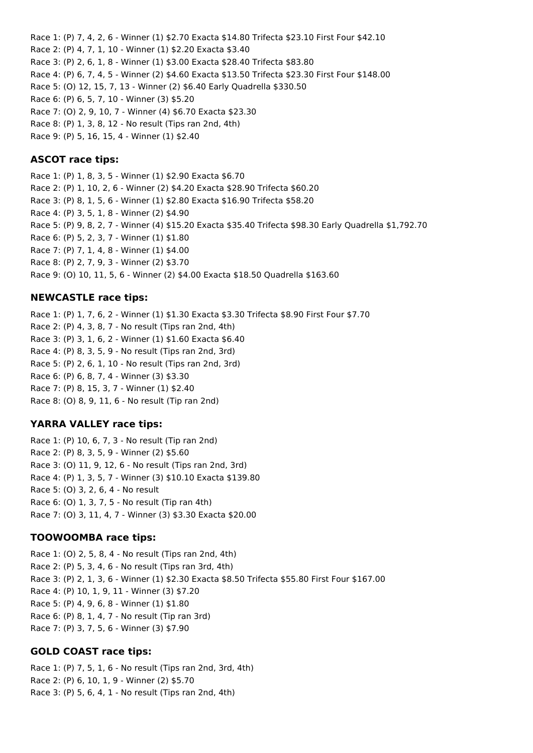Race 1: (P) 7, 4, 2, 6 - Winner (1) \$2.70 Exacta \$14.80 Trifecta \$23.10 First Four \$42.10 Race 2: (P) 4, 7, 1, 10 - Winner (1) \$2.20 Exacta \$3.40 Race 3: (P) 2, 6, 1, 8 - Winner (1) \$3.00 Exacta \$28.40 Trifecta \$83.80 Race 4: (P) 6, 7, 4, 5 - Winner (2) \$4.60 Exacta \$13.50 Trifecta \$23.30 First Four \$148.00 Race 5: (O) 12, 15, 7, 13 - Winner (2) \$6.40 Early Quadrella \$330.50 Race 6: (P) 6, 5, 7, 10 - Winner (3) \$5.20 Race 7: (O) 2, 9, 10, 7 - Winner (4) \$6.70 Exacta \$23.30 Race 8: (P) 1, 3, 8, 12 - No result (Tips ran 2nd, 4th) Race 9: (P) 5, 16, 15, 4 - Winner (1) \$2.40

#### **ASCOT race tips:**

Race 1: (P) 1, 8, 3, 5 - Winner (1) \$2.90 Exacta \$6.70 Race 2: (P) 1, 10, 2, 6 - Winner (2) \$4.20 Exacta \$28.90 Trifecta \$60.20 Race 3: (P) 8, 1, 5, 6 - Winner (1) \$2.80 Exacta \$16.90 Trifecta \$58.20 Race 4: (P) 3, 5, 1, 8 - Winner (2) \$4.90 Race 5: (P) 9, 8, 2, 7 - Winner (4) \$15.20 Exacta \$35.40 Trifecta \$98.30 Early Quadrella \$1,792.70 Race 6: (P) 5, 2, 3, 7 - Winner (1) \$1.80 Race 7: (P) 7, 1, 4, 8 - Winner (1) \$4.00 Race 8: (P) 2, 7, 9, 3 - Winner (2) \$3.70 Race 9: (O) 10, 11, 5, 6 - Winner (2) \$4.00 Exacta \$18.50 Quadrella \$163.60

### **NEWCASTLE race tips:**

Race 1: (P) 1, 7, 6, 2 - Winner (1) \$1.30 Exacta \$3.30 Trifecta \$8.90 First Four \$7.70 Race 2: (P) 4, 3, 8, 7 - No result (Tips ran 2nd, 4th) Race 3: (P) 3, 1, 6, 2 - Winner (1) \$1.60 Exacta \$6.40 Race 4: (P) 8, 3, 5, 9 - No result (Tips ran 2nd, 3rd) Race 5: (P) 2, 6, 1, 10 - No result (Tips ran 2nd, 3rd) Race 6: (P) 6, 8, 7, 4 - Winner (3) \$3.30 Race 7: (P) 8, 15, 3, 7 - Winner (1) \$2.40 Race 8: (O) 8, 9, 11, 6 - No result (Tip ran 2nd)

#### **YARRA VALLEY race tips:**

Race 1: (P) 10, 6, 7, 3 - No result (Tip ran 2nd) Race 2: (P) 8, 3, 5, 9 - Winner (2) \$5.60 Race 3: (O) 11, 9, 12, 6 - No result (Tips ran 2nd, 3rd) Race 4: (P) 1, 3, 5, 7 - Winner (3) \$10.10 Exacta \$139.80 Race 5: (O) 3, 2, 6, 4 - No result Race 6: (O) 1, 3, 7, 5 - No result (Tip ran 4th) Race 7: (O) 3, 11, 4, 7 - Winner (3) \$3.30 Exacta \$20.00

# **TOOWOOMBA race tips:**

Race 1: (O) 2, 5, 8, 4 - No result (Tips ran 2nd, 4th) Race 2: (P) 5, 3, 4, 6 - No result (Tips ran 3rd, 4th) Race 3: (P) 2, 1, 3, 6 - Winner (1) \$2.30 Exacta \$8.50 Trifecta \$55.80 First Four \$167.00 Race 4: (P) 10, 1, 9, 11 - Winner (3) \$7.20 Race 5: (P) 4, 9, 6, 8 - Winner (1) \$1.80 Race 6: (P) 8, 1, 4, 7 - No result (Tip ran 3rd) Race 7: (P) 3, 7, 5, 6 - Winner (3) \$7.90

# **GOLD COAST race tips:**

Race 1: (P) 7, 5, 1, 6 - No result (Tips ran 2nd, 3rd, 4th) Race 2: (P) 6, 10, 1, 9 - Winner (2) \$5.70 Race 3: (P) 5, 6, 4, 1 - No result (Tips ran 2nd, 4th)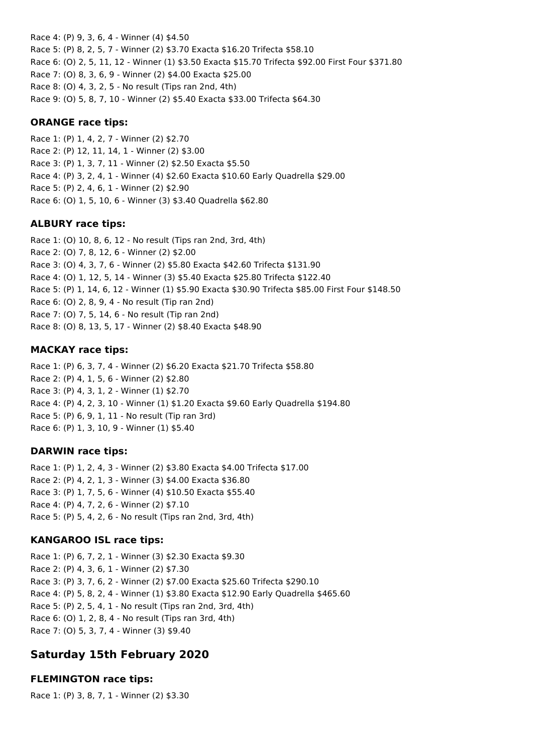Race 4: (P) 9, 3, 6, 4 - Winner (4) \$4.50 Race 5: (P) 8, 2, 5, 7 - Winner (2) \$3.70 Exacta \$16.20 Trifecta \$58.10 Race 6: (O) 2, 5, 11, 12 - Winner (1) \$3.50 Exacta \$15.70 Trifecta \$92.00 First Four \$371.80 Race 7: (O) 8, 3, 6, 9 - Winner (2) \$4.00 Exacta \$25.00 Race 8: (O) 4, 3, 2, 5 - No result (Tips ran 2nd, 4th) Race 9: (O) 5, 8, 7, 10 - Winner (2) \$5.40 Exacta \$33.00 Trifecta \$64.30

# **ORANGE race tips:**

Race 1: (P) 1, 4, 2, 7 - Winner (2) \$2.70 Race 2: (P) 12, 11, 14, 1 - Winner (2) \$3.00 Race 3: (P) 1, 3, 7, 11 - Winner (2) \$2.50 Exacta \$5.50 Race 4: (P) 3, 2, 4, 1 - Winner (4) \$2.60 Exacta \$10.60 Early Quadrella \$29.00 Race 5: (P) 2, 4, 6, 1 - Winner (2) \$2.90 Race 6: (O) 1, 5, 10, 6 - Winner (3) \$3.40 Quadrella \$62.80

# **ALBURY race tips:**

Race 1: (O) 10, 8, 6, 12 - No result (Tips ran 2nd, 3rd, 4th) Race 2: (O) 7, 8, 12, 6 - Winner (2) \$2.00 Race 3: (O) 4, 3, 7, 6 - Winner (2) \$5.80 Exacta \$42.60 Trifecta \$131.90 Race 4: (O) 1, 12, 5, 14 - Winner (3) \$5.40 Exacta \$25.80 Trifecta \$122.40 Race 5: (P) 1, 14, 6, 12 - Winner (1) \$5.90 Exacta \$30.90 Trifecta \$85.00 First Four \$148.50 Race 6: (O) 2, 8, 9, 4 - No result (Tip ran 2nd) Race 7: (O) 7, 5, 14, 6 - No result (Tip ran 2nd) Race 8: (O) 8, 13, 5, 17 - Winner (2) \$8.40 Exacta \$48.90

# **MACKAY race tips:**

Race 1: (P) 6, 3, 7, 4 - Winner (2) \$6.20 Exacta \$21.70 Trifecta \$58.80 Race 2: (P) 4, 1, 5, 6 - Winner (2) \$2.80 Race 3: (P) 4, 3, 1, 2 - Winner (1) \$2.70 Race 4: (P) 4, 2, 3, 10 - Winner (1) \$1.20 Exacta \$9.60 Early Quadrella \$194.80 Race 5: (P) 6, 9, 1, 11 - No result (Tip ran 3rd) Race 6: (P) 1, 3, 10, 9 - Winner (1) \$5.40

# **DARWIN race tips:**

Race 1: (P) 1, 2, 4, 3 - Winner (2) \$3.80 Exacta \$4.00 Trifecta \$17.00 Race 2: (P) 4, 2, 1, 3 - Winner (3) \$4.00 Exacta \$36.80 Race 3: (P) 1, 7, 5, 6 - Winner (4) \$10.50 Exacta \$55.40 Race 4: (P) 4, 7, 2, 6 - Winner (2) \$7.10 Race 5: (P) 5, 4, 2, 6 - No result (Tips ran 2nd, 3rd, 4th)

# **KANGAROO ISL race tips:**

Race 1: (P) 6, 7, 2, 1 - Winner (3) \$2.30 Exacta \$9.30 Race 2: (P) 4, 3, 6, 1 - Winner (2) \$7.30 Race 3: (P) 3, 7, 6, 2 - Winner (2) \$7.00 Exacta \$25.60 Trifecta \$290.10 Race 4: (P) 5, 8, 2, 4 - Winner (1) \$3.80 Exacta \$12.90 Early Quadrella \$465.60 Race 5: (P) 2, 5, 4, 1 - No result (Tips ran 2nd, 3rd, 4th) Race 6: (O) 1, 2, 8, 4 - No result (Tips ran 3rd, 4th) Race 7: (O) 5, 3, 7, 4 - Winner (3) \$9.40

# **Saturday 15th February 2020**

# **FLEMINGTON race tips:**

Race 1: (P) 3, 8, 7, 1 - Winner (2) \$3.30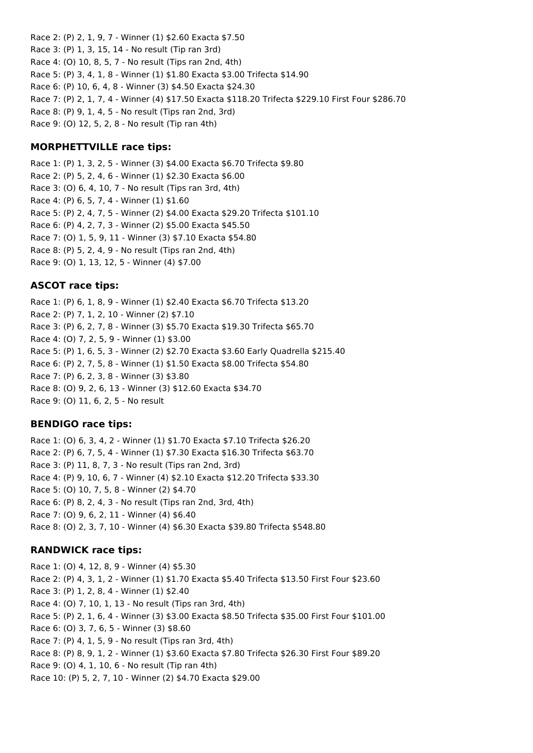Race 2: (P) 2, 1, 9, 7 - Winner (1) \$2.60 Exacta \$7.50 Race 3: (P) 1, 3, 15, 14 - No result (Tip ran 3rd) Race 4: (O) 10, 8, 5, 7 - No result (Tips ran 2nd, 4th) Race 5: (P) 3, 4, 1, 8 - Winner (1) \$1.80 Exacta \$3.00 Trifecta \$14.90 Race 6: (P) 10, 6, 4, 8 - Winner (3) \$4.50 Exacta \$24.30 Race 7: (P) 2, 1, 7, 4 - Winner (4) \$17.50 Exacta \$118.20 Trifecta \$229.10 First Four \$286.70 Race 8: (P) 9, 1, 4, 5 - No result (Tips ran 2nd, 3rd) Race 9: (O) 12, 5, 2, 8 - No result (Tip ran 4th)

### **MORPHETTVILLE race tips:**

Race 1: (P) 1, 3, 2, 5 - Winner (3) \$4.00 Exacta \$6.70 Trifecta \$9.80 Race 2: (P) 5, 2, 4, 6 - Winner (1) \$2.30 Exacta \$6.00 Race 3: (O) 6, 4, 10, 7 - No result (Tips ran 3rd, 4th) Race 4: (P) 6, 5, 7, 4 - Winner (1) \$1.60 Race 5: (P) 2, 4, 7, 5 - Winner (2) \$4.00 Exacta \$29.20 Trifecta \$101.10 Race 6: (P) 4, 2, 7, 3 - Winner (2) \$5.00 Exacta \$45.50 Race 7: (O) 1, 5, 9, 11 - Winner (3) \$7.10 Exacta \$54.80 Race 8: (P) 5, 2, 4, 9 - No result (Tips ran 2nd, 4th) Race 9: (O) 1, 13, 12, 5 - Winner (4) \$7.00

# **ASCOT race tips:**

Race 1: (P) 6, 1, 8, 9 - Winner (1) \$2.40 Exacta \$6.70 Trifecta \$13.20 Race 2: (P) 7, 1, 2, 10 - Winner (2) \$7.10 Race 3: (P) 6, 2, 7, 8 - Winner (3) \$5.70 Exacta \$19.30 Trifecta \$65.70 Race 4: (O) 7, 2, 5, 9 - Winner (1) \$3.00 Race 5: (P) 1, 6, 5, 3 - Winner (2) \$2.70 Exacta \$3.60 Early Quadrella \$215.40 Race 6: (P) 2, 7, 5, 8 - Winner (1) \$1.50 Exacta \$8.00 Trifecta \$54.80 Race 7: (P) 6, 2, 3, 8 - Winner (3) \$3.80 Race 8: (O) 9, 2, 6, 13 - Winner (3) \$12.60 Exacta \$34.70 Race 9: (O) 11, 6, 2, 5 - No result

#### **BENDIGO race tips:**

Race 1: (O) 6, 3, 4, 2 - Winner (1) \$1.70 Exacta \$7.10 Trifecta \$26.20 Race 2: (P) 6, 7, 5, 4 - Winner (1) \$7.30 Exacta \$16.30 Trifecta \$63.70 Race 3: (P) 11, 8, 7, 3 - No result (Tips ran 2nd, 3rd) Race 4: (P) 9, 10, 6, 7 - Winner (4) \$2.10 Exacta \$12.20 Trifecta \$33.30 Race 5: (O) 10, 7, 5, 8 - Winner (2) \$4.70 Race 6: (P) 8, 2, 4, 3 - No result (Tips ran 2nd, 3rd, 4th) Race 7: (O) 9, 6, 2, 11 - Winner (4) \$6.40 Race 8: (O) 2, 3, 7, 10 - Winner (4) \$6.30 Exacta \$39.80 Trifecta \$548.80

#### **RANDWICK race tips:**

Race 1: (O) 4, 12, 8, 9 - Winner (4) \$5.30 Race 2: (P) 4, 3, 1, 2 - Winner (1) \$1.70 Exacta \$5.40 Trifecta \$13.50 First Four \$23.60 Race 3: (P) 1, 2, 8, 4 - Winner (1) \$2.40 Race 4: (O) 7, 10, 1, 13 - No result (Tips ran 3rd, 4th) Race 5: (P) 2, 1, 6, 4 - Winner (3) \$3.00 Exacta \$8.50 Trifecta \$35.00 First Four \$101.00 Race 6: (O) 3, 7, 6, 5 - Winner (3) \$8.60 Race 7: (P) 4, 1, 5, 9 - No result (Tips ran 3rd, 4th) Race 8: (P) 8, 9, 1, 2 - Winner (1) \$3.60 Exacta \$7.80 Trifecta \$26.30 First Four \$89.20 Race 9: (O) 4, 1, 10, 6 - No result (Tip ran 4th) Race 10: (P) 5, 2, 7, 10 - Winner (2) \$4.70 Exacta \$29.00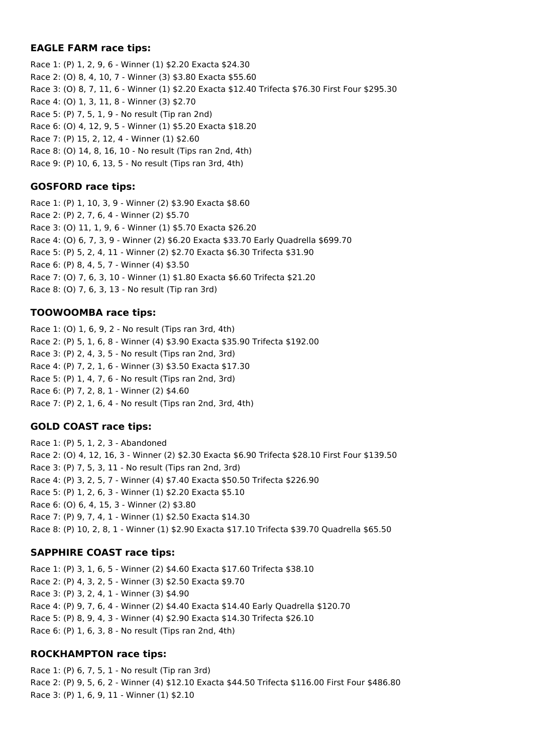# **EAGLE FARM race tips:**

Race 1: (P) 1, 2, 9, 6 - Winner (1) \$2.20 Exacta \$24.30 Race 2: (O) 8, 4, 10, 7 - Winner (3) \$3.80 Exacta \$55.60 Race 3: (O) 8, 7, 11, 6 - Winner (1) \$2.20 Exacta \$12.40 Trifecta \$76.30 First Four \$295.30 Race 4: (O) 1, 3, 11, 8 - Winner (3) \$2.70 Race 5: (P) 7, 5, 1, 9 - No result (Tip ran 2nd) Race 6: (O) 4, 12, 9, 5 - Winner (1) \$5.20 Exacta \$18.20 Race 7: (P) 15, 2, 12, 4 - Winner (1) \$2.60 Race 8: (O) 14, 8, 16, 10 - No result (Tips ran 2nd, 4th) Race 9: (P) 10, 6, 13, 5 - No result (Tips ran 3rd, 4th)

# **GOSFORD race tips:**

Race 1: (P) 1, 10, 3, 9 - Winner (2) \$3.90 Exacta \$8.60 Race 2: (P) 2, 7, 6, 4 - Winner (2) \$5.70 Race 3: (O) 11, 1, 9, 6 - Winner (1) \$5.70 Exacta \$26.20 Race 4: (O) 6, 7, 3, 9 - Winner (2) \$6.20 Exacta \$33.70 Early Quadrella \$699.70 Race 5: (P) 5, 2, 4, 11 - Winner (2) \$2.70 Exacta \$6.30 Trifecta \$31.90 Race 6: (P) 8, 4, 5, 7 - Winner (4) \$3.50 Race 7: (O) 7, 6, 3, 10 - Winner (1) \$1.80 Exacta \$6.60 Trifecta \$21.20 Race 8: (O) 7, 6, 3, 13 - No result (Tip ran 3rd)

# **TOOWOOMBA race tips:**

Race 1: (O) 1, 6, 9, 2 - No result (Tips ran 3rd, 4th) Race 2: (P) 5, 1, 6, 8 - Winner (4) \$3.90 Exacta \$35.90 Trifecta \$192.00 Race 3: (P) 2, 4, 3, 5 - No result (Tips ran 2nd, 3rd) Race 4: (P) 7, 2, 1, 6 - Winner (3) \$3.50 Exacta \$17.30 Race 5: (P) 1, 4, 7, 6 - No result (Tips ran 2nd, 3rd) Race 6: (P) 7, 2, 8, 1 - Winner (2) \$4.60 Race 7: (P) 2, 1, 6, 4 - No result (Tips ran 2nd, 3rd, 4th)

# **GOLD COAST race tips:**

Race 1: (P) 5, 1, 2, 3 - Abandoned Race 2: (O) 4, 12, 16, 3 - Winner (2) \$2.30 Exacta \$6.90 Trifecta \$28.10 First Four \$139.50 Race 3: (P) 7, 5, 3, 11 - No result (Tips ran 2nd, 3rd) Race 4: (P) 3, 2, 5, 7 - Winner (4) \$7.40 Exacta \$50.50 Trifecta \$226.90 Race 5: (P) 1, 2, 6, 3 - Winner (1) \$2.20 Exacta \$5.10 Race 6: (O) 6, 4, 15, 3 - Winner (2) \$3.80 Race 7: (P) 9, 7, 4, 1 - Winner (1) \$2.50 Exacta \$14.30 Race 8: (P) 10, 2, 8, 1 - Winner (1) \$2.90 Exacta \$17.10 Trifecta \$39.70 Quadrella \$65.50

# **SAPPHIRE COAST race tips:**

Race 1: (P) 3, 1, 6, 5 - Winner (2) \$4.60 Exacta \$17.60 Trifecta \$38.10 Race 2: (P) 4, 3, 2, 5 - Winner (3) \$2.50 Exacta \$9.70 Race 3: (P) 3, 2, 4, 1 - Winner (3) \$4.90 Race 4: (P) 9, 7, 6, 4 - Winner (2) \$4.40 Exacta \$14.40 Early Quadrella \$120.70 Race 5: (P) 8, 9, 4, 3 - Winner (4) \$2.90 Exacta \$14.30 Trifecta \$26.10 Race 6: (P) 1, 6, 3, 8 - No result (Tips ran 2nd, 4th)

# **ROCKHAMPTON race tips:**

Race 1: (P) 6, 7, 5, 1 - No result (Tip ran 3rd) Race 2: (P) 9, 5, 6, 2 - Winner (4) \$12.10 Exacta \$44.50 Trifecta \$116.00 First Four \$486.80 Race 3: (P) 1, 6, 9, 11 - Winner (1) \$2.10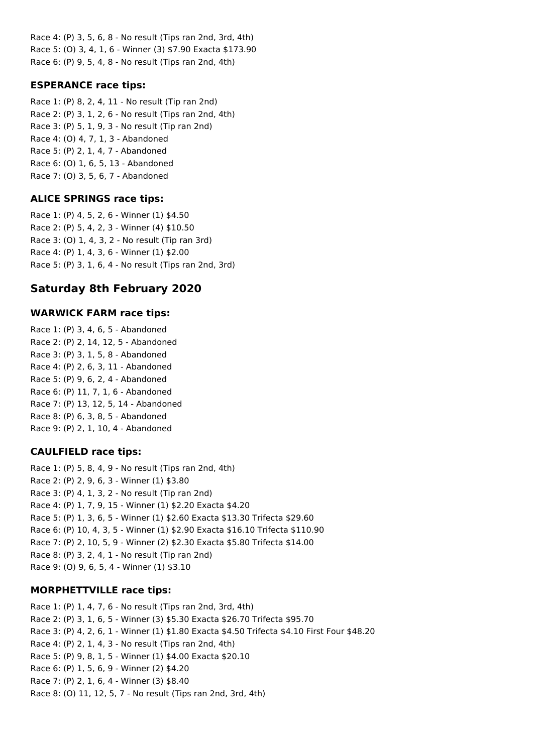Race 4: (P) 3, 5, 6, 8 - No result (Tips ran 2nd, 3rd, 4th) Race 5: (O) 3, 4, 1, 6 - Winner (3) \$7.90 Exacta \$173.90 Race 6: (P) 9, 5, 4, 8 - No result (Tips ran 2nd, 4th)

# **ESPERANCE race tips:**

Race 1: (P) 8, 2, 4, 11 - No result (Tip ran 2nd) Race 2: (P) 3, 1, 2, 6 - No result (Tips ran 2nd, 4th) Race 3: (P) 5, 1, 9, 3 - No result (Tip ran 2nd) Race 4: (O) 4, 7, 1, 3 - Abandoned Race 5: (P) 2, 1, 4, 7 - Abandoned Race 6: (O) 1, 6, 5, 13 - Abandoned Race 7: (O) 3, 5, 6, 7 - Abandoned

# **ALICE SPRINGS race tips:**

Race 1: (P) 4, 5, 2, 6 - Winner (1) \$4.50 Race 2: (P) 5, 4, 2, 3 - Winner (4) \$10.50 Race 3: (O) 1, 4, 3, 2 - No result (Tip ran 3rd) Race 4: (P) 1, 4, 3, 6 - Winner (1) \$2.00 Race 5: (P) 3, 1, 6, 4 - No result (Tips ran 2nd, 3rd)

# **Saturday 8th February 2020**

#### **WARWICK FARM race tips:**

Race 1: (P) 3, 4, 6, 5 - Abandoned Race 2: (P) 2, 14, 12, 5 - Abandoned Race 3: (P) 3, 1, 5, 8 - Abandoned Race 4: (P) 2, 6, 3, 11 - Abandoned Race 5: (P) 9, 6, 2, 4 - Abandoned Race 6: (P) 11, 7, 1, 6 - Abandoned Race 7: (P) 13, 12, 5, 14 - Abandoned Race 8: (P) 6, 3, 8, 5 - Abandoned Race 9: (P) 2, 1, 10, 4 - Abandoned

#### **CAULFIELD race tips:**

Race 1: (P) 5, 8, 4, 9 - No result (Tips ran 2nd, 4th) Race 2: (P) 2, 9, 6, 3 - Winner (1) \$3.80 Race 3: (P) 4, 1, 3, 2 - No result (Tip ran 2nd) Race 4: (P) 1, 7, 9, 15 - Winner (1) \$2.20 Exacta \$4.20 Race 5: (P) 1, 3, 6, 5 - Winner (1) \$2.60 Exacta \$13.30 Trifecta \$29.60 Race 6: (P) 10, 4, 3, 5 - Winner (1) \$2.90 Exacta \$16.10 Trifecta \$110.90 Race 7: (P) 2, 10, 5, 9 - Winner (2) \$2.30 Exacta \$5.80 Trifecta \$14.00 Race 8: (P) 3, 2, 4, 1 - No result (Tip ran 2nd) Race 9: (O) 9, 6, 5, 4 - Winner (1) \$3.10

# **MORPHETTVILLE race tips:**

Race 1: (P) 1, 4, 7, 6 - No result (Tips ran 2nd, 3rd, 4th) Race 2: (P) 3, 1, 6, 5 - Winner (3) \$5.30 Exacta \$26.70 Trifecta \$95.70 Race 3: (P) 4, 2, 6, 1 - Winner (1) \$1.80 Exacta \$4.50 Trifecta \$4.10 First Four \$48.20 Race 4: (P) 2, 1, 4, 3 - No result (Tips ran 2nd, 4th) Race 5: (P) 9, 8, 1, 5 - Winner (1) \$4.00 Exacta \$20.10 Race 6: (P) 1, 5, 6, 9 - Winner (2) \$4.20 Race 7: (P) 2, 1, 6, 4 - Winner (3) \$8.40 Race 8: (O) 11, 12, 5, 7 - No result (Tips ran 2nd, 3rd, 4th)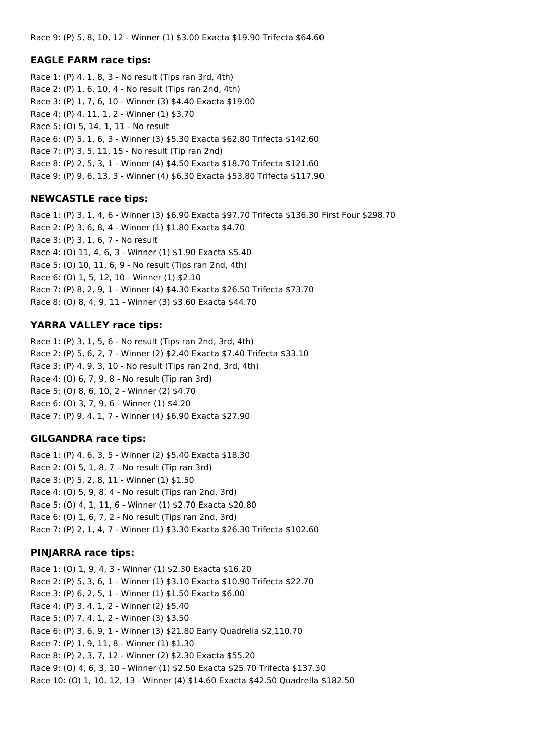Race 9: (P) 5, 8, 10, 12 - Winner (1) \$3.00 Exacta \$19.90 Trifecta \$64.60

#### **EAGLE FARM race tips:**

Race 1: (P) 4, 1, 8, 3 - No result (Tips ran 3rd, 4th) Race 2: (P) 1, 6, 10, 4 - No result (Tips ran 2nd, 4th) Race 3: (P) 1, 7, 6, 10 - Winner (3) \$4.40 Exacta \$19.00 Race 4: (P) 4, 11, 1, 2 - Winner (1) \$3.70 Race 5: (O) 5, 14, 1, 11 - No result Race 6: (P) 5, 1, 6, 3 - Winner (3) \$5.30 Exacta \$62.80 Trifecta \$142.60 Race 7: (P) 3, 5, 11, 15 - No result (Tip ran 2nd) Race 8: (P) 2, 5, 3, 1 - Winner (4) \$4.50 Exacta \$18.70 Trifecta \$121.60 Race 9: (P) 9, 6, 13, 3 - Winner (4) \$6.30 Exacta \$53.80 Trifecta \$117.90

#### **NEWCASTLE race tips:**

Race 1: (P) 3, 1, 4, 6 - Winner (3) \$6.90 Exacta \$97.70 Trifecta \$136.30 First Four \$298.70 Race 2: (P) 3, 6, 8, 4 - Winner (1) \$1.80 Exacta \$4.70 Race 3: (P) 3, 1, 6, 7 - No result Race 4: (O) 11, 4, 6, 3 - Winner (1) \$1.90 Exacta \$5.40 Race 5: (O) 10, 11, 6, 9 - No result (Tips ran 2nd, 4th) Race 6: (O) 1, 5, 12, 10 - Winner (1) \$2.10 Race 7: (P) 8, 2, 9, 1 - Winner (4) \$4.30 Exacta \$26.50 Trifecta \$73.70 Race 8: (O) 8, 4, 9, 11 - Winner (3) \$3.60 Exacta \$44.70

## **YARRA VALLEY race tips:**

Race 1: (P) 3, 1, 5, 6 - No result (Tips ran 2nd, 3rd, 4th) Race 2: (P) 5, 6, 2, 7 - Winner (2) \$2.40 Exacta \$7.40 Trifecta \$33.10 Race 3: (P) 4, 9, 3, 10 - No result (Tips ran 2nd, 3rd, 4th) Race 4: (O) 6, 7, 9, 8 - No result (Tip ran 3rd) Race 5: (O) 8, 6, 10, 2 - Winner (2) \$4.70 Race 6: (O) 3, 7, 9, 6 - Winner (1) \$4.20 Race 7: (P) 9, 4, 1, 7 - Winner (4) \$6.90 Exacta \$27.90

#### **GILGANDRA race tips:**

Race 1: (P) 4, 6, 3, 5 - Winner (2) \$5.40 Exacta \$18.30 Race 2: (O) 5, 1, 8, 7 - No result (Tip ran 3rd) Race 3: (P) 5, 2, 8, 11 - Winner (1) \$1.50 Race 4: (O) 5, 9, 8, 4 - No result (Tips ran 2nd, 3rd) Race 5: (O) 4, 1, 11, 6 - Winner (1) \$2.70 Exacta \$20.80 Race 6: (O) 1, 6, 7, 2 - No result (Tips ran 2nd, 3rd) Race 7: (P) 2, 1, 4, 7 - Winner (1) \$3.30 Exacta \$26.30 Trifecta \$102.60

## **PINJARRA race tips:**

Race 1: (O) 1, 9, 4, 3 - Winner (1) \$2.30 Exacta \$16.20 Race 2: (P) 5, 3, 6, 1 - Winner (1) \$3.10 Exacta \$10.90 Trifecta \$22.70 Race 3: (P) 6, 2, 5, 1 - Winner (1) \$1.50 Exacta \$6.00 Race 4: (P) 3, 4, 1, 2 - Winner (2) \$5.40 Race 5: (P) 7, 4, 1, 2 - Winner (3) \$3.50 Race 6: (P) 3, 6, 9, 1 - Winner (3) \$21.80 Early Quadrella \$2,110.70 Race 7: (P) 1, 9, 11, 8 - Winner (1) \$1.30 Race 8: (P) 2, 3, 7, 12 - Winner (2) \$2.30 Exacta \$55.20 Race 9: (O) 4, 6, 3, 10 - Winner (1) \$2.50 Exacta \$25.70 Trifecta \$137.30 Race 10: (O) 1, 10, 12, 13 - Winner (4) \$14.60 Exacta \$42.50 Quadrella \$182.50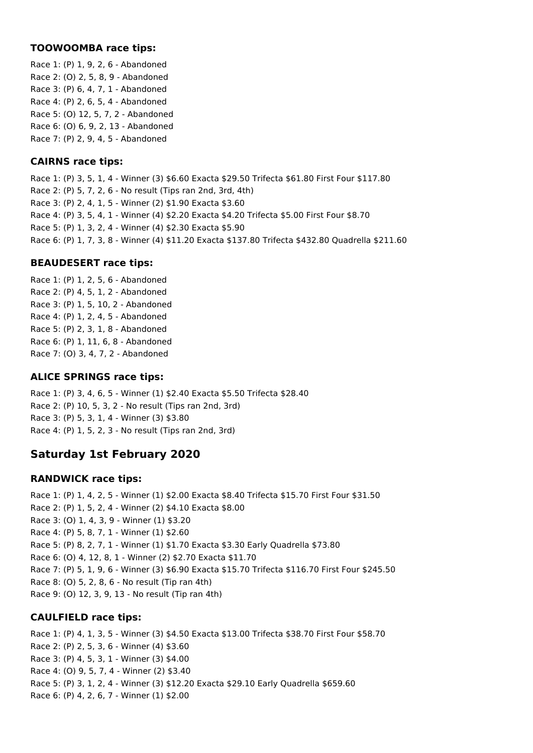## **TOOWOOMBA race tips:**

Race 1: (P) 1, 9, 2, 6 - Abandoned Race 2: (O) 2, 5, 8, 9 - Abandoned Race 3: (P) 6, 4, 7, 1 - Abandoned Race 4: (P) 2, 6, 5, 4 - Abandoned Race 5: (O) 12, 5, 7, 2 - Abandoned Race 6: (O) 6, 9, 2, 13 - Abandoned Race 7: (P) 2, 9, 4, 5 - Abandoned

## **CAIRNS race tips:**

Race 1: (P) 3, 5, 1, 4 - Winner (3) \$6.60 Exacta \$29.50 Trifecta \$61.80 First Four \$117.80 Race 2: (P) 5, 7, 2, 6 - No result (Tips ran 2nd, 3rd, 4th) Race 3: (P) 2, 4, 1, 5 - Winner (2) \$1.90 Exacta \$3.60 Race 4: (P) 3, 5, 4, 1 - Winner (4) \$2.20 Exacta \$4.20 Trifecta \$5.00 First Four \$8.70 Race 5: (P) 1, 3, 2, 4 - Winner (4) \$2.30 Exacta \$5.90 Race 6: (P) 1, 7, 3, 8 - Winner (4) \$11.20 Exacta \$137.80 Trifecta \$432.80 Quadrella \$211.60

## **BEAUDESERT race tips:**

Race 1: (P) 1, 2, 5, 6 - Abandoned Race 2: (P) 4, 5, 1, 2 - Abandoned Race 3: (P) 1, 5, 10, 2 - Abandoned Race 4: (P) 1, 2, 4, 5 - Abandoned Race 5: (P) 2, 3, 1, 8 - Abandoned Race 6: (P) 1, 11, 6, 8 - Abandoned Race 7: (O) 3, 4, 7, 2 - Abandoned

## **ALICE SPRINGS race tips:**

Race 1: (P) 3, 4, 6, 5 - Winner (1) \$2.40 Exacta \$5.50 Trifecta \$28.40 Race 2: (P) 10, 5, 3, 2 - No result (Tips ran 2nd, 3rd) Race 3: (P) 5, 3, 1, 4 - Winner (3) \$3.80 Race 4: (P) 1, 5, 2, 3 - No result (Tips ran 2nd, 3rd)

# **Saturday 1st February 2020**

## **RANDWICK race tips:**

Race 1: (P) 1, 4, 2, 5 - Winner (1) \$2.00 Exacta \$8.40 Trifecta \$15.70 First Four \$31.50 Race 2: (P) 1, 5, 2, 4 - Winner (2) \$4.10 Exacta \$8.00 Race 3: (O) 1, 4, 3, 9 - Winner (1) \$3.20 Race 4: (P) 5, 8, 7, 1 - Winner (1) \$2.60 Race 5: (P) 8, 2, 7, 1 - Winner (1) \$1.70 Exacta \$3.30 Early Quadrella \$73.80 Race 6: (O) 4, 12, 8, 1 - Winner (2) \$2.70 Exacta \$11.70 Race 7: (P) 5, 1, 9, 6 - Winner (3) \$6.90 Exacta \$15.70 Trifecta \$116.70 First Four \$245.50 Race 8: (O) 5, 2, 8, 6 - No result (Tip ran 4th) Race 9: (O) 12, 3, 9, 13 - No result (Tip ran 4th)

## **CAULFIELD race tips:**

Race 1: (P) 4, 1, 3, 5 - Winner (3) \$4.50 Exacta \$13.00 Trifecta \$38.70 First Four \$58.70 Race 2: (P) 2, 5, 3, 6 - Winner (4) \$3.60 Race 3: (P) 4, 5, 3, 1 - Winner (3) \$4.00 Race 4: (O) 9, 5, 7, 4 - Winner (2) \$3.40 Race 5: (P) 3, 1, 2, 4 - Winner (3) \$12.20 Exacta \$29.10 Early Quadrella \$659.60 Race 6: (P) 4, 2, 6, 7 - Winner (1) \$2.00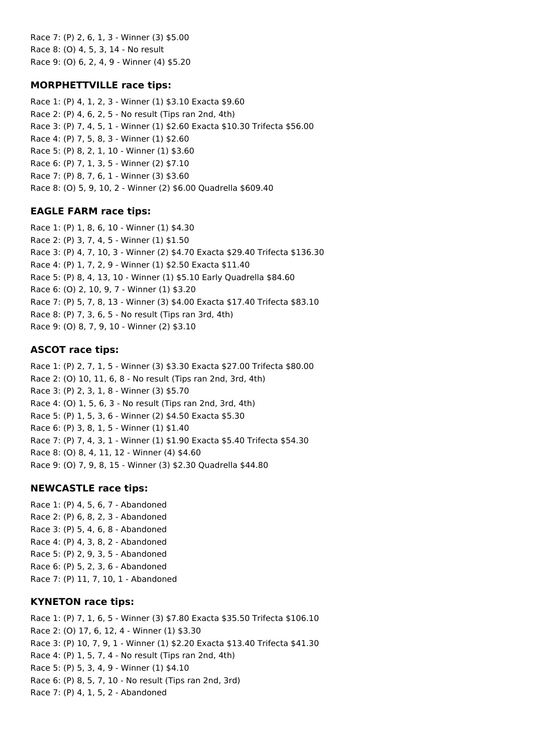Race 7: (P) 2, 6, 1, 3 - Winner (3) \$5.00 Race 8: (O) 4, 5, 3, 14 - No result Race 9: (O) 6, 2, 4, 9 - Winner (4) \$5.20

## **MORPHETTVILLE race tips:**

Race 1: (P) 4, 1, 2, 3 - Winner (1) \$3.10 Exacta \$9.60 Race 2: (P) 4, 6, 2, 5 - No result (Tips ran 2nd, 4th) Race 3: (P) 7, 4, 5, 1 - Winner (1) \$2.60 Exacta \$10.30 Trifecta \$56.00 Race 4: (P) 7, 5, 8, 3 - Winner (1) \$2.60 Race 5: (P) 8, 2, 1, 10 - Winner (1) \$3.60 Race 6: (P) 7, 1, 3, 5 - Winner (2) \$7.10 Race 7: (P) 8, 7, 6, 1 - Winner (3) \$3.60 Race 8: (O) 5, 9, 10, 2 - Winner (2) \$6.00 Quadrella \$609.40

## **EAGLE FARM race tips:**

Race 1: (P) 1, 8, 6, 10 - Winner (1) \$4.30 Race 2: (P) 3, 7, 4, 5 - Winner (1) \$1.50 Race 3: (P) 4, 7, 10, 3 - Winner (2) \$4.70 Exacta \$29.40 Trifecta \$136.30 Race 4: (P) 1, 7, 2, 9 - Winner (1) \$2.50 Exacta \$11.40 Race 5: (P) 8, 4, 13, 10 - Winner (1) \$5.10 Early Quadrella \$84.60 Race 6: (O) 2, 10, 9, 7 - Winner (1) \$3.20 Race 7: (P) 5, 7, 8, 13 - Winner (3) \$4.00 Exacta \$17.40 Trifecta \$83.10 Race 8: (P) 7, 3, 6, 5 - No result (Tips ran 3rd, 4th) Race 9: (O) 8, 7, 9, 10 - Winner (2) \$3.10

## **ASCOT race tips:**

Race 1: (P) 2, 7, 1, 5 - Winner (3) \$3.30 Exacta \$27.00 Trifecta \$80.00 Race 2: (O) 10, 11, 6, 8 - No result (Tips ran 2nd, 3rd, 4th) Race 3: (P) 2, 3, 1, 8 - Winner (3) \$5.70 Race 4: (O) 1, 5, 6, 3 - No result (Tips ran 2nd, 3rd, 4th) Race 5: (P) 1, 5, 3, 6 - Winner (2) \$4.50 Exacta \$5.30 Race 6: (P) 3, 8, 1, 5 - Winner (1) \$1.40 Race 7: (P) 7, 4, 3, 1 - Winner (1) \$1.90 Exacta \$5.40 Trifecta \$54.30 Race 8: (O) 8, 4, 11, 12 - Winner (4) \$4.60 Race 9: (O) 7, 9, 8, 15 - Winner (3) \$2.30 Quadrella \$44.80

## **NEWCASTLE race tips:**

Race 1: (P) 4, 5, 6, 7 - Abandoned Race 2: (P) 6, 8, 2, 3 - Abandoned Race 3: (P) 5, 4, 6, 8 - Abandoned Race 4: (P) 4, 3, 8, 2 - Abandoned Race 5: (P) 2, 9, 3, 5 - Abandoned Race 6: (P) 5, 2, 3, 6 - Abandoned Race 7: (P) 11, 7, 10, 1 - Abandoned

## **KYNETON race tips:**

Race 1: (P) 7, 1, 6, 5 - Winner (3) \$7.80 Exacta \$35.50 Trifecta \$106.10 Race 2: (O) 17, 6, 12, 4 - Winner (1) \$3.30 Race 3: (P) 10, 7, 9, 1 - Winner (1) \$2.20 Exacta \$13.40 Trifecta \$41.30 Race 4: (P) 1, 5, 7, 4 - No result (Tips ran 2nd, 4th) Race 5: (P) 5, 3, 4, 9 - Winner (1) \$4.10 Race 6: (P) 8, 5, 7, 10 - No result (Tips ran 2nd, 3rd) Race 7: (P) 4, 1, 5, 2 - Abandoned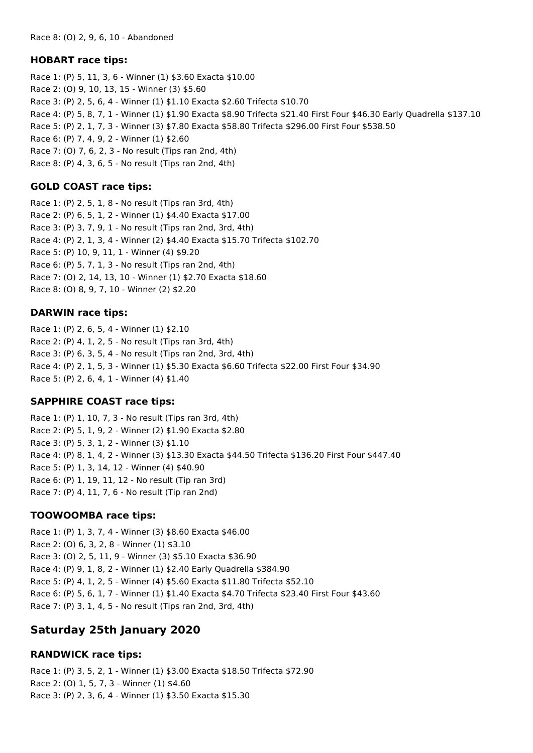## **HOBART race tips:**

Race 1: (P) 5, 11, 3, 6 - Winner (1) \$3.60 Exacta \$10.00 Race 2: (O) 9, 10, 13, 15 - Winner (3) \$5.60 Race 3: (P) 2, 5, 6, 4 - Winner (1) \$1.10 Exacta \$2.60 Trifecta \$10.70 Race 4: (P) 5, 8, 7, 1 - Winner (1) \$1.90 Exacta \$8.90 Trifecta \$21.40 First Four \$46.30 Early Quadrella \$137.10 Race 5: (P) 2, 1, 7, 3 - Winner (3) \$7.80 Exacta \$58.80 Trifecta \$296.00 First Four \$538.50 Race 6: (P) 7, 4, 9, 2 - Winner (1) \$2.60 Race 7: (O) 7, 6, 2, 3 - No result (Tips ran 2nd, 4th) Race 8: (P) 4, 3, 6, 5 - No result (Tips ran 2nd, 4th)

## **GOLD COAST race tips:**

Race 1: (P) 2, 5, 1, 8 - No result (Tips ran 3rd, 4th) Race 2: (P) 6, 5, 1, 2 - Winner (1) \$4.40 Exacta \$17.00 Race 3: (P) 3, 7, 9, 1 - No result (Tips ran 2nd, 3rd, 4th) Race 4: (P) 2, 1, 3, 4 - Winner (2) \$4.40 Exacta \$15.70 Trifecta \$102.70 Race 5: (P) 10, 9, 11, 1 - Winner (4) \$9.20 Race 6: (P) 5, 7, 1, 3 - No result (Tips ran 2nd, 4th) Race 7: (O) 2, 14, 13, 10 - Winner (1) \$2.70 Exacta \$18.60 Race 8: (O) 8, 9, 7, 10 - Winner (2) \$2.20

## **DARWIN race tips:**

Race 1: (P) 2, 6, 5, 4 - Winner (1) \$2.10 Race 2: (P) 4, 1, 2, 5 - No result (Tips ran 3rd, 4th) Race 3: (P) 6, 3, 5, 4 - No result (Tips ran 2nd, 3rd, 4th) Race 4: (P) 2, 1, 5, 3 - Winner (1) \$5.30 Exacta \$6.60 Trifecta \$22.00 First Four \$34.90 Race 5: (P) 2, 6, 4, 1 - Winner (4) \$1.40

## **SAPPHIRE COAST race tips:**

Race 1: (P) 1, 10, 7, 3 - No result (Tips ran 3rd, 4th) Race 2: (P) 5, 1, 9, 2 - Winner (2) \$1.90 Exacta \$2.80 Race 3: (P) 5, 3, 1, 2 - Winner (3) \$1.10 Race 4: (P) 8, 1, 4, 2 - Winner (3) \$13.30 Exacta \$44.50 Trifecta \$136.20 First Four \$447.40 Race 5: (P) 1, 3, 14, 12 - Winner (4) \$40.90 Race 6: (P) 1, 19, 11, 12 - No result (Tip ran 3rd) Race 7: (P) 4, 11, 7, 6 - No result (Tip ran 2nd)

## **TOOWOOMBA race tips:**

Race 1: (P) 1, 3, 7, 4 - Winner (3) \$8.60 Exacta \$46.00 Race 2: (O) 6, 3, 2, 8 - Winner (1) \$3.10 Race 3: (O) 2, 5, 11, 9 - Winner (3) \$5.10 Exacta \$36.90 Race 4: (P) 9, 1, 8, 2 - Winner (1) \$2.40 Early Quadrella \$384.90 Race 5: (P) 4, 1, 2, 5 - Winner (4) \$5.60 Exacta \$11.80 Trifecta \$52.10 Race 6: (P) 5, 6, 1, 7 - Winner (1) \$1.40 Exacta \$4.70 Trifecta \$23.40 First Four \$43.60 Race 7: (P) 3, 1, 4, 5 - No result (Tips ran 2nd, 3rd, 4th)

# **Saturday 25th January 2020**

## **RANDWICK race tips:**

Race 1: (P) 3, 5, 2, 1 - Winner (1) \$3.00 Exacta \$18.50 Trifecta \$72.90 Race 2: (O) 1, 5, 7, 3 - Winner (1) \$4.60 Race 3: (P) 2, 3, 6, 4 - Winner (1) \$3.50 Exacta \$15.30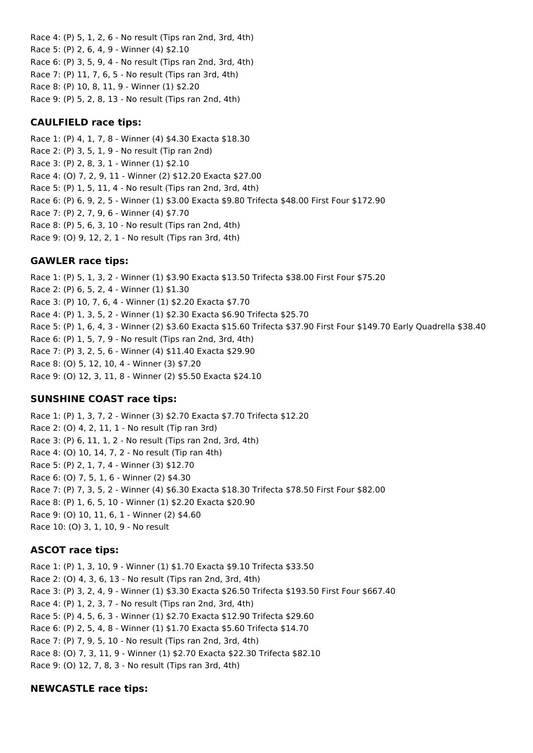Race 4: (P) 5, 1, 2, 6 - No result (Tips ran 2nd, 3rd, 4th) Race 5: (P) 2, 6, 4, 9 - Winner (4) \$2.10 Race 6: (P) 3, 5, 9, 4 - No result (Tips ran 2nd, 3rd, 4th) Race 7: (P) 11, 7, 6, 5 - No result (Tips ran 3rd, 4th) Race 8: (P) 10, 8, 11, 9 - Winner (1) \$2.20 Race 9: (P) 5, 2, 8, 13 - No result (Tips ran 2nd, 4th)

## **CAULFIELD race tips:**

Race 1: (P) 4, 1, 7, 8 - Winner (4) \$4.30 Exacta \$18.30 Race 2: (P) 3, 5, 1, 9 - No result (Tip ran 2nd) Race 3: (P) 2, 8, 3, 1 - Winner (1) \$2.10 Race 4: (O) 7, 2, 9, 11 - Winner (2) \$12.20 Exacta \$27.00 Race 5: (P) 1, 5, 11, 4 - No result (Tips ran 2nd, 3rd, 4th) Race 6: (P) 6, 9, 2, 5 - Winner (1) \$3.00 Exacta \$9.80 Trifecta \$48.00 First Four \$172.90 Race 7: (P) 2, 7, 9, 6 - Winner (4) \$7.70 Race 8: (P) 5, 6, 3, 10 - No result (Tips ran 2nd, 4th) Race 9: (O) 9, 12, 2, 1 - No result (Tips ran 3rd, 4th)

## **GAWLER race tips:**

Race 1: (P) 5, 1, 3, 2 - Winner (1) \$3.90 Exacta \$13.50 Trifecta \$38.00 First Four \$75.20 Race 2: (P) 6, 5, 2, 4 - Winner (1) \$1.30 Race 3: (P) 10, 7, 6, 4 - Winner (1) \$2.20 Exacta \$7.70 Race 4: (P) 1, 3, 5, 2 - Winner (1) \$2.30 Exacta \$6.90 Trifecta \$25.70 Race 5: (P) 1, 6, 4, 3 - Winner (2) \$3.60 Exacta \$15.60 Trifecta \$37.90 First Four \$149.70 Early Quadrella \$38.40 Race 6: (P) 1, 5, 7, 9 - No result (Tips ran 2nd, 3rd, 4th) Race 7: (P) 3, 2, 5, 6 - Winner (4) \$11.40 Exacta \$29.90 Race 8: (O) 5, 12, 10, 4 - Winner (3) \$7.20 Race 9: (O) 12, 3, 11, 8 - Winner (2) \$5.50 Exacta \$24.10

## **SUNSHINE COAST race tips:**

Race 1: (P) 1, 3, 7, 2 - Winner (3) \$2.70 Exacta \$7.70 Trifecta \$12.20 Race 2: (O) 4, 2, 11, 1 - No result (Tip ran 3rd) Race 3: (P) 6, 11, 1, 2 - No result (Tips ran 2nd, 3rd, 4th) Race 4: (O) 10, 14, 7, 2 - No result (Tip ran 4th) Race 5: (P) 2, 1, 7, 4 - Winner (3) \$12.70 Race 6: (O) 7, 5, 1, 6 - Winner (2) \$4.30 Race 7: (P) 7, 3, 5, 2 - Winner (4) \$6.30 Exacta \$18.30 Trifecta \$78.50 First Four \$82.00 Race 8: (P) 1, 6, 5, 10 - Winner (1) \$2.20 Exacta \$20.90 Race 9: (O) 10, 11, 6, 1 - Winner (2) \$4.60 Race 10: (O) 3, 1, 10, 9 - No result

#### **ASCOT race tips:**

Race 1: (P) 1, 3, 10, 9 - Winner (1) \$1.70 Exacta \$9.10 Trifecta \$33.50 Race 2: (O) 4, 3, 6, 13 - No result (Tips ran 2nd, 3rd, 4th) Race 3: (P) 3, 2, 4, 9 - Winner (1) \$3.30 Exacta \$26.50 Trifecta \$193.50 First Four \$667.40 Race 4: (P) 1, 2, 3, 7 - No result (Tips ran 2nd, 3rd, 4th) Race 5: (P) 4, 5, 6, 3 - Winner (1) \$2.70 Exacta \$12.90 Trifecta \$29.60 Race 6: (P) 2, 5, 4, 8 - Winner (1) \$1.70 Exacta \$5.60 Trifecta \$14.70 Race 7: (P) 7, 9, 5, 10 - No result (Tips ran 2nd, 3rd, 4th) Race 8: (O) 7, 3, 11, 9 - Winner (1) \$2.70 Exacta \$22.30 Trifecta \$82.10 Race 9: (O) 12, 7, 8, 3 - No result (Tips ran 3rd, 4th)

#### **NEWCASTLE race tips:**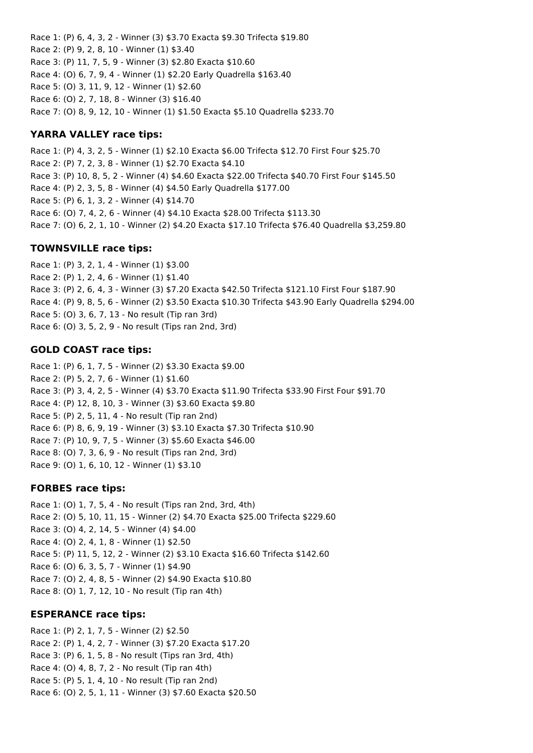Race 1: (P) 6, 4, 3, 2 - Winner (3) \$3.70 Exacta \$9.30 Trifecta \$19.80 Race 2: (P) 9, 2, 8, 10 - Winner (1) \$3.40 Race 3: (P) 11, 7, 5, 9 - Winner (3) \$2.80 Exacta \$10.60 Race 4: (O) 6, 7, 9, 4 - Winner (1) \$2.20 Early Quadrella \$163.40 Race 5: (O) 3, 11, 9, 12 - Winner (1) \$2.60 Race 6: (O) 2, 7, 18, 8 - Winner (3) \$16.40 Race 7: (O) 8, 9, 12, 10 - Winner (1) \$1.50 Exacta \$5.10 Quadrella \$233.70

## **YARRA VALLEY race tips:**

Race 1: (P) 4, 3, 2, 5 - Winner (1) \$2.10 Exacta \$6.00 Trifecta \$12.70 First Four \$25.70 Race 2: (P) 7, 2, 3, 8 - Winner (1) \$2.70 Exacta \$4.10 Race 3: (P) 10, 8, 5, 2 - Winner (4) \$4.60 Exacta \$22.00 Trifecta \$40.70 First Four \$145.50 Race 4: (P) 2, 3, 5, 8 - Winner (4) \$4.50 Early Quadrella \$177.00 Race 5: (P) 6, 1, 3, 2 - Winner (4) \$14.70 Race 6: (O) 7, 4, 2, 6 - Winner (4) \$4.10 Exacta \$28.00 Trifecta \$113.30 Race 7: (O) 6, 2, 1, 10 - Winner (2) \$4.20 Exacta \$17.10 Trifecta \$76.40 Quadrella \$3,259.80

## **TOWNSVILLE race tips:**

Race 1: (P) 3, 2, 1, 4 - Winner (1) \$3.00 Race 2: (P) 1, 2, 4, 6 - Winner (1) \$1.40 Race 3: (P) 2, 6, 4, 3 - Winner (3) \$7.20 Exacta \$42.50 Trifecta \$121.10 First Four \$187.90 Race 4: (P) 9, 8, 5, 6 - Winner (2) \$3.50 Exacta \$10.30 Trifecta \$43.90 Early Quadrella \$294.00 Race 5: (O) 3, 6, 7, 13 - No result (Tip ran 3rd) Race 6: (O) 3, 5, 2, 9 - No result (Tips ran 2nd, 3rd)

## **GOLD COAST race tips:**

Race 1: (P) 6, 1, 7, 5 - Winner (2) \$3.30 Exacta \$9.00 Race 2: (P) 5, 2, 7, 6 - Winner (1) \$1.60 Race 3: (P) 3, 4, 2, 5 - Winner (4) \$3.70 Exacta \$11.90 Trifecta \$33.90 First Four \$91.70 Race 4: (P) 12, 8, 10, 3 - Winner (3) \$3.60 Exacta \$9.80 Race 5: (P) 2, 5, 11, 4 - No result (Tip ran 2nd) Race 6: (P) 8, 6, 9, 19 - Winner (3) \$3.10 Exacta \$7.30 Trifecta \$10.90 Race 7: (P) 10, 9, 7, 5 - Winner (3) \$5.60 Exacta \$46.00 Race 8: (O) 7, 3, 6, 9 - No result (Tips ran 2nd, 3rd) Race 9: (O) 1, 6, 10, 12 - Winner (1) \$3.10

#### **FORBES race tips:**

Race 1: (O) 1, 7, 5, 4 - No result (Tips ran 2nd, 3rd, 4th) Race 2: (O) 5, 10, 11, 15 - Winner (2) \$4.70 Exacta \$25.00 Trifecta \$229.60 Race 3: (O) 4, 2, 14, 5 - Winner (4) \$4.00 Race 4: (O) 2, 4, 1, 8 - Winner (1) \$2.50 Race 5: (P) 11, 5, 12, 2 - Winner (2) \$3.10 Exacta \$16.60 Trifecta \$142.60 Race 6: (O) 6, 3, 5, 7 - Winner (1) \$4.90 Race 7: (O) 2, 4, 8, 5 - Winner (2) \$4.90 Exacta \$10.80 Race 8: (O) 1, 7, 12, 10 - No result (Tip ran 4th)

#### **ESPERANCE race tips:**

Race 1: (P) 2, 1, 7, 5 - Winner (2) \$2.50 Race 2: (P) 1, 4, 2, 7 - Winner (3) \$7.20 Exacta \$17.20 Race 3: (P) 6, 1, 5, 8 - No result (Tips ran 3rd, 4th) Race 4: (O) 4, 8, 7, 2 - No result (Tip ran 4th) Race 5: (P) 5, 1, 4, 10 - No result (Tip ran 2nd) Race 6: (O) 2, 5, 1, 11 - Winner (3) \$7.60 Exacta \$20.50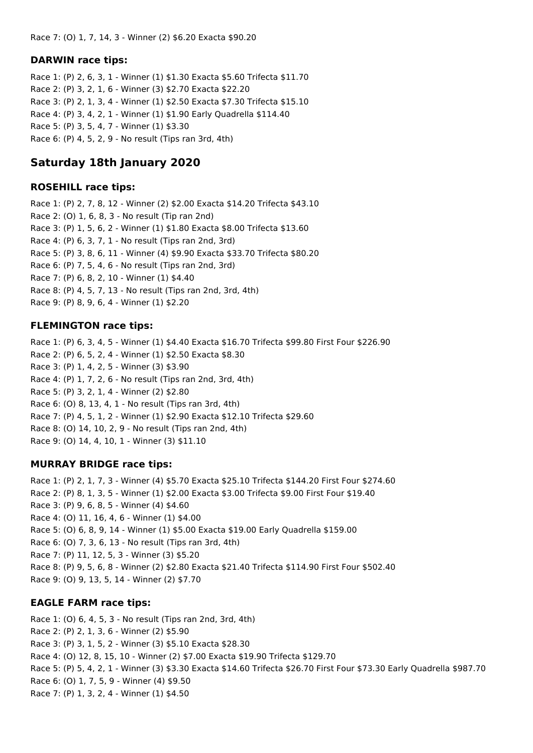#### **DARWIN race tips:**

Race 1: (P) 2, 6, 3, 1 - Winner (1) \$1.30 Exacta \$5.60 Trifecta \$11.70 Race 2: (P) 3, 2, 1, 6 - Winner (3) \$2.70 Exacta \$22.20 Race 3: (P) 2, 1, 3, 4 - Winner (1) \$2.50 Exacta \$7.30 Trifecta \$15.10 Race 4: (P) 3, 4, 2, 1 - Winner (1) \$1.90 Early Quadrella \$114.40 Race 5: (P) 3, 5, 4, 7 - Winner (1) \$3.30 Race 6: (P) 4, 5, 2, 9 - No result (Tips ran 3rd, 4th)

## **Saturday 18th January 2020**

#### **ROSEHILL race tips:**

Race 1: (P) 2, 7, 8, 12 - Winner (2) \$2.00 Exacta \$14.20 Trifecta \$43.10 Race 2: (O) 1, 6, 8, 3 - No result (Tip ran 2nd) Race 3: (P) 1, 5, 6, 2 - Winner (1) \$1.80 Exacta \$8.00 Trifecta \$13.60 Race 4: (P) 6, 3, 7, 1 - No result (Tips ran 2nd, 3rd) Race 5: (P) 3, 8, 6, 11 - Winner (4) \$9.90 Exacta \$33.70 Trifecta \$80.20 Race 6: (P) 7, 5, 4, 6 - No result (Tips ran 2nd, 3rd) Race 7: (P) 6, 8, 2, 10 - Winner (1) \$4.40 Race 8: (P) 4, 5, 7, 13 - No result (Tips ran 2nd, 3rd, 4th) Race 9: (P) 8, 9, 6, 4 - Winner (1) \$2.20

#### **FLEMINGTON race tips:**

Race 1: (P) 6, 3, 4, 5 - Winner (1) \$4.40 Exacta \$16.70 Trifecta \$99.80 First Four \$226.90 Race 2: (P) 6, 5, 2, 4 - Winner (1) \$2.50 Exacta \$8.30 Race 3: (P) 1, 4, 2, 5 - Winner (3) \$3.90 Race 4: (P) 1, 7, 2, 6 - No result (Tips ran 2nd, 3rd, 4th) Race 5: (P) 3, 2, 1, 4 - Winner (2) \$2.80 Race 6: (O) 8, 13, 4, 1 - No result (Tips ran 3rd, 4th) Race 7: (P) 4, 5, 1, 2 - Winner (1) \$2.90 Exacta \$12.10 Trifecta \$29.60 Race 8: (O) 14, 10, 2, 9 - No result (Tips ran 2nd, 4th) Race 9: (O) 14, 4, 10, 1 - Winner (3) \$11.10

#### **MURRAY BRIDGE race tips:**

Race 1: (P) 2, 1, 7, 3 - Winner (4) \$5.70 Exacta \$25.10 Trifecta \$144.20 First Four \$274.60 Race 2: (P) 8, 1, 3, 5 - Winner (1) \$2.00 Exacta \$3.00 Trifecta \$9.00 First Four \$19.40 Race 3: (P) 9, 6, 8, 5 - Winner (4) \$4.60 Race 4: (O) 11, 16, 4, 6 - Winner (1) \$4.00 Race 5: (O) 6, 8, 9, 14 - Winner (1) \$5.00 Exacta \$19.00 Early Quadrella \$159.00 Race 6: (O) 7, 3, 6, 13 - No result (Tips ran 3rd, 4th) Race 7: (P) 11, 12, 5, 3 - Winner (3) \$5.20 Race 8: (P) 9, 5, 6, 8 - Winner (2) \$2.80 Exacta \$21.40 Trifecta \$114.90 First Four \$502.40 Race 9: (O) 9, 13, 5, 14 - Winner (2) \$7.70

## **EAGLE FARM race tips:**

Race 1: (O) 6, 4, 5, 3 - No result (Tips ran 2nd, 3rd, 4th) Race 2: (P) 2, 1, 3, 6 - Winner (2) \$5.90 Race 3: (P) 3, 1, 5, 2 - Winner (3) \$5.10 Exacta \$28.30 Race 4: (O) 12, 8, 15, 10 - Winner (2) \$7.00 Exacta \$19.90 Trifecta \$129.70 Race 5: (P) 5, 4, 2, 1 - Winner (3) \$3.30 Exacta \$14.60 Trifecta \$26.70 First Four \$73.30 Early Quadrella \$987.70 Race 6: (O) 1, 7, 5, 9 - Winner (4) \$9.50 Race 7: (P) 1, 3, 2, 4 - Winner (1) \$4.50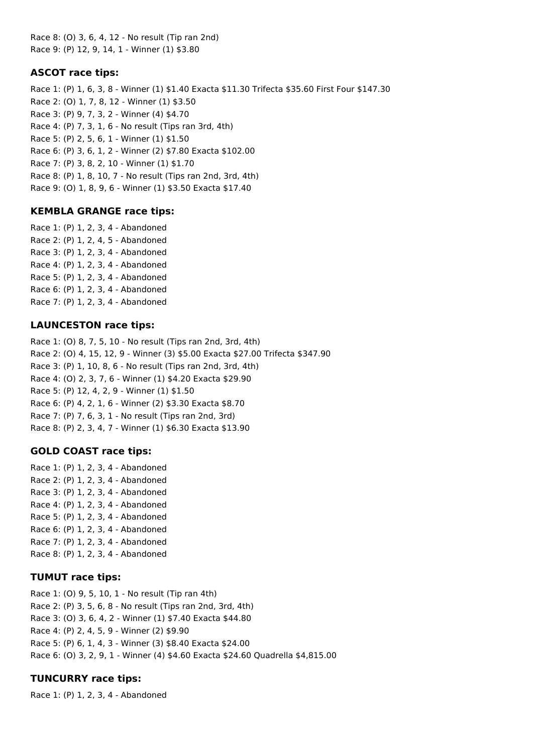Race 8: (O) 3, 6, 4, 12 - No result (Tip ran 2nd) Race 9: (P) 12, 9, 14, 1 - Winner (1) \$3.80

## **ASCOT race tips:**

Race 1: (P) 1, 6, 3, 8 - Winner (1) \$1.40 Exacta \$11.30 Trifecta \$35.60 First Four \$147.30 Race 2: (O) 1, 7, 8, 12 - Winner (1) \$3.50 Race 3: (P) 9, 7, 3, 2 - Winner (4) \$4.70 Race 4: (P) 7, 3, 1, 6 - No result (Tips ran 3rd, 4th) Race 5: (P) 2, 5, 6, 1 - Winner (1) \$1.50 Race 6: (P) 3, 6, 1, 2 - Winner (2) \$7.80 Exacta \$102.00 Race 7: (P) 3, 8, 2, 10 - Winner (1) \$1.70 Race 8: (P) 1, 8, 10, 7 - No result (Tips ran 2nd, 3rd, 4th) Race 9: (O) 1, 8, 9, 6 - Winner (1) \$3.50 Exacta \$17.40

## **KEMBLA GRANGE race tips:**

Race 1: (P) 1, 2, 3, 4 - Abandoned Race 2: (P) 1, 2, 4, 5 - Abandoned Race 3: (P) 1, 2, 3, 4 - Abandoned Race 4: (P) 1, 2, 3, 4 - Abandoned Race 5: (P) 1, 2, 3, 4 - Abandoned Race 6: (P) 1, 2, 3, 4 - Abandoned Race 7: (P) 1, 2, 3, 4 - Abandoned

## **LAUNCESTON race tips:**

Race 1: (O) 8, 7, 5, 10 - No result (Tips ran 2nd, 3rd, 4th) Race 2: (O) 4, 15, 12, 9 - Winner (3) \$5.00 Exacta \$27.00 Trifecta \$347.90 Race 3: (P) 1, 10, 8, 6 - No result (Tips ran 2nd, 3rd, 4th) Race 4: (O) 2, 3, 7, 6 - Winner (1) \$4.20 Exacta \$29.90 Race 5: (P) 12, 4, 2, 9 - Winner (1) \$1.50 Race 6: (P) 4, 2, 1, 6 - Winner (2) \$3.30 Exacta \$8.70 Race 7: (P) 7, 6, 3, 1 - No result (Tips ran 2nd, 3rd) Race 8: (P) 2, 3, 4, 7 - Winner (1) \$6.30 Exacta \$13.90

#### **GOLD COAST race tips:**

Race 1: (P) 1, 2, 3, 4 - Abandoned Race 2: (P) 1, 2, 3, 4 - Abandoned Race 3: (P) 1, 2, 3, 4 - Abandoned Race 4: (P) 1, 2, 3, 4 - Abandoned Race 5: (P) 1, 2, 3, 4 - Abandoned Race 6: (P) 1, 2, 3, 4 - Abandoned Race 7: (P) 1, 2, 3, 4 - Abandoned Race 8: (P) 1, 2, 3, 4 - Abandoned

#### **TUMUT race tips:**

Race 1: (O) 9, 5, 10, 1 - No result (Tip ran 4th) Race 2: (P) 3, 5, 6, 8 - No result (Tips ran 2nd, 3rd, 4th) Race 3: (O) 3, 6, 4, 2 - Winner (1) \$7.40 Exacta \$44.80 Race 4: (P) 2, 4, 5, 9 - Winner (2) \$9.90 Race 5: (P) 6, 1, 4, 3 - Winner (3) \$8.40 Exacta \$24.00 Race 6: (O) 3, 2, 9, 1 - Winner (4) \$4.60 Exacta \$24.60 Quadrella \$4,815.00

## **TUNCURRY race tips:**

Race 1: (P) 1, 2, 3, 4 - Abandoned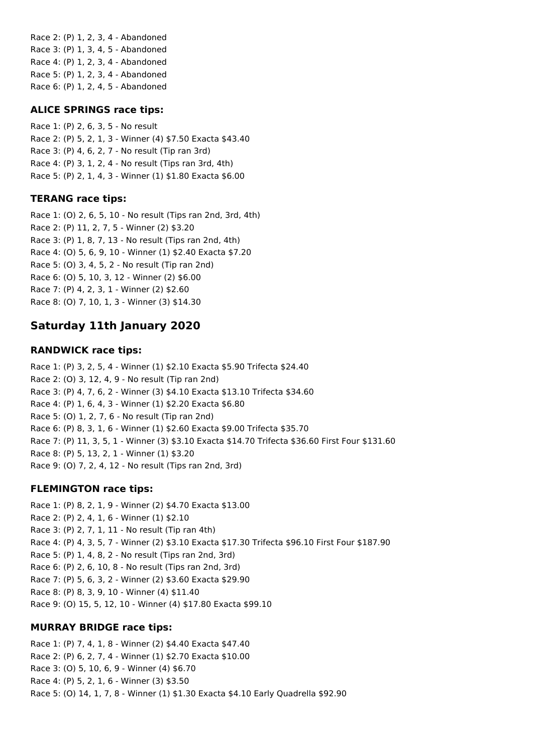Race 2: (P) 1, 2, 3, 4 - Abandoned Race 3: (P) 1, 3, 4, 5 - Abandoned Race 4: (P) 1, 2, 3, 4 - Abandoned Race 5: (P) 1, 2, 3, 4 - Abandoned Race 6: (P) 1, 2, 4, 5 - Abandoned

### **ALICE SPRINGS race tips:**

Race 1: (P) 2, 6, 3, 5 - No result Race 2: (P) 5, 2, 1, 3 - Winner (4) \$7.50 Exacta \$43.40 Race 3: (P) 4, 6, 2, 7 - No result (Tip ran 3rd) Race 4: (P) 3, 1, 2, 4 - No result (Tips ran 3rd, 4th) Race 5: (P) 2, 1, 4, 3 - Winner (1) \$1.80 Exacta \$6.00

## **TERANG race tips:**

Race 1: (O) 2, 6, 5, 10 - No result (Tips ran 2nd, 3rd, 4th) Race 2: (P) 11, 2, 7, 5 - Winner (2) \$3.20 Race 3: (P) 1, 8, 7, 13 - No result (Tips ran 2nd, 4th) Race 4: (O) 5, 6, 9, 10 - Winner (1) \$2.40 Exacta \$7.20 Race 5: (O) 3, 4, 5, 2 - No result (Tip ran 2nd) Race 6: (O) 5, 10, 3, 12 - Winner (2) \$6.00 Race 7: (P) 4, 2, 3, 1 - Winner (2) \$2.60 Race 8: (O) 7, 10, 1, 3 - Winner (3) \$14.30

# **Saturday 11th January 2020**

## **RANDWICK race tips:**

Race 1: (P) 3, 2, 5, 4 - Winner (1) \$2.10 Exacta \$5.90 Trifecta \$24.40 Race 2: (O) 3, 12, 4, 9 - No result (Tip ran 2nd) Race 3: (P) 4, 7, 6, 2 - Winner (3) \$4.10 Exacta \$13.10 Trifecta \$34.60 Race 4: (P) 1, 6, 4, 3 - Winner (1) \$2.20 Exacta \$6.80 Race 5: (O) 1, 2, 7, 6 - No result (Tip ran 2nd) Race 6: (P) 8, 3, 1, 6 - Winner (1) \$2.60 Exacta \$9.00 Trifecta \$35.70 Race 7: (P) 11, 3, 5, 1 - Winner (3) \$3.10 Exacta \$14.70 Trifecta \$36.60 First Four \$131.60 Race 8: (P) 5, 13, 2, 1 - Winner (1) \$3.20 Race 9: (O) 7, 2, 4, 12 - No result (Tips ran 2nd, 3rd)

## **FLEMINGTON race tips:**

Race 1: (P) 8, 2, 1, 9 - Winner (2) \$4.70 Exacta \$13.00 Race 2: (P) 2, 4, 1, 6 - Winner (1) \$2.10 Race 3: (P) 2, 7, 1, 11 - No result (Tip ran 4th) Race 4: (P) 4, 3, 5, 7 - Winner (2) \$3.10 Exacta \$17.30 Trifecta \$96.10 First Four \$187.90 Race 5: (P) 1, 4, 8, 2 - No result (Tips ran 2nd, 3rd) Race 6: (P) 2, 6, 10, 8 - No result (Tips ran 2nd, 3rd) Race 7: (P) 5, 6, 3, 2 - Winner (2) \$3.60 Exacta \$29.90 Race 8: (P) 8, 3, 9, 10 - Winner (4) \$11.40 Race 9: (O) 15, 5, 12, 10 - Winner (4) \$17.80 Exacta \$99.10

#### **MURRAY BRIDGE race tips:**

Race 1: (P) 7, 4, 1, 8 - Winner (2) \$4.40 Exacta \$47.40 Race 2: (P) 6, 2, 7, 4 - Winner (1) \$2.70 Exacta \$10.00 Race 3: (O) 5, 10, 6, 9 - Winner (4) \$6.70 Race 4: (P) 5, 2, 1, 6 - Winner (3) \$3.50 Race 5: (O) 14, 1, 7, 8 - Winner (1) \$1.30 Exacta \$4.10 Early Quadrella \$92.90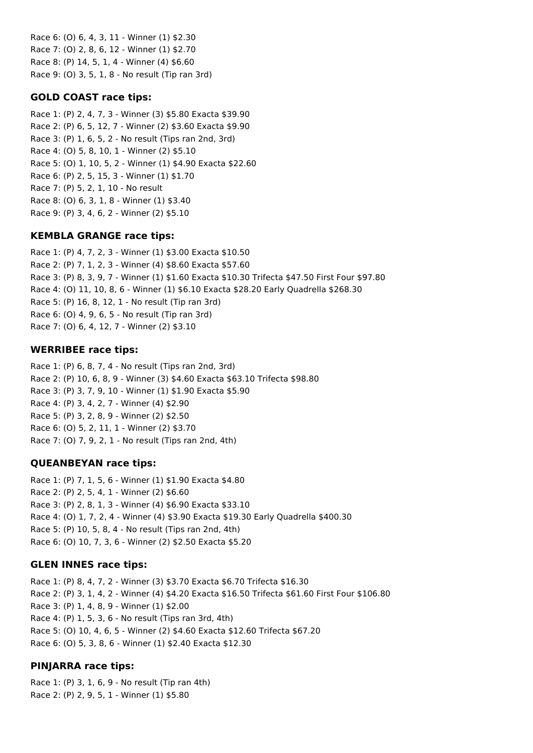Race 6: (O) 6, 4, 3, 11 - Winner (1) \$2.30 Race 7: (O) 2, 8, 6, 12 - Winner (1) \$2.70 Race 8: (P) 14, 5, 1, 4 - Winner (4) \$6.60 Race 9: (O) 3, 5, 1, 8 - No result (Tip ran 3rd)

## **GOLD COAST race tips:**

Race 1: (P) 2, 4, 7, 3 - Winner (3) \$5.80 Exacta \$39.90 Race 2: (P) 6, 5, 12, 7 - Winner (2) \$3.60 Exacta \$9.90 Race 3: (P) 1, 6, 5, 2 - No result (Tips ran 2nd, 3rd) Race 4: (O) 5, 8, 10, 1 - Winner (2) \$5.10 Race 5: (O) 1, 10, 5, 2 - Winner (1) \$4.90 Exacta \$22.60 Race 6: (P) 2, 5, 15, 3 - Winner (1) \$1.70 Race 7: (P) 5, 2, 1, 10 - No result Race 8: (O) 6, 3, 1, 8 - Winner (1) \$3.40 Race 9: (P) 3, 4, 6, 2 - Winner (2) \$5.10

#### **KEMBLA GRANGE race tips:**

Race 1: (P) 4, 7, 2, 3 - Winner (1) \$3.00 Exacta \$10.50 Race 2: (P) 7, 1, 2, 3 - Winner (4) \$8.60 Exacta \$57.60 Race 3: (P) 8, 3, 9, 7 - Winner (1) \$1.60 Exacta \$10.30 Trifecta \$47.50 First Four \$97.80 Race 4: (O) 11, 10, 8, 6 - Winner (1) \$6.10 Exacta \$28.20 Early Quadrella \$268.30 Race 5: (P) 16, 8, 12, 1 - No result (Tip ran 3rd) Race 6: (O) 4, 9, 6, 5 - No result (Tip ran 3rd) Race 7: (O) 6, 4, 12, 7 - Winner (2) \$3.10

#### **WERRIBEE race tips:**

Race 1: (P) 6, 8, 7, 4 - No result (Tips ran 2nd, 3rd) Race 2: (P) 10, 6, 8, 9 - Winner (3) \$4.60 Exacta \$63.10 Trifecta \$98.80 Race 3: (P) 3, 7, 9, 10 - Winner (1) \$1.90 Exacta \$5.90 Race 4: (P) 3, 4, 2, 7 - Winner (4) \$2.90 Race 5: (P) 3, 2, 8, 9 - Winner (2) \$2.50 Race 6: (O) 5, 2, 11, 1 - Winner (2) \$3.70 Race 7: (O) 7, 9, 2, 1 - No result (Tips ran 2nd, 4th)

#### **QUEANBEYAN race tips:**

Race 1: (P) 7, 1, 5, 6 - Winner (1) \$1.90 Exacta \$4.80 Race 2: (P) 2, 5, 4, 1 - Winner (2) \$6.60 Race 3: (P) 2, 8, 1, 3 - Winner (4) \$6.90 Exacta \$33.10 Race 4: (O) 1, 7, 2, 4 - Winner (4) \$3.90 Exacta \$19.30 Early Quadrella \$400.30 Race 5: (P) 10, 5, 8, 4 - No result (Tips ran 2nd, 4th) Race 6: (O) 10, 7, 3, 6 - Winner (2) \$2.50 Exacta \$5.20

#### **GLEN INNES race tips:**

Race 1: (P) 8, 4, 7, 2 - Winner (3) \$3.70 Exacta \$6.70 Trifecta \$16.30 Race 2: (P) 3, 1, 4, 2 - Winner (4) \$4.20 Exacta \$16.50 Trifecta \$61.60 First Four \$106.80 Race 3: (P) 1, 4, 8, 9 - Winner (1) \$2.00 Race 4: (P) 1, 5, 3, 6 - No result (Tips ran 3rd, 4th) Race 5: (O) 10, 4, 6, 5 - Winner (2) \$4.60 Exacta \$12.60 Trifecta \$67.20 Race 6: (O) 5, 3, 8, 6 - Winner (1) \$2.40 Exacta \$12.30

#### **PINJARRA race tips:**

Race 1: (P) 3, 1, 6, 9 - No result (Tip ran 4th) Race 2: (P) 2, 9, 5, 1 - Winner (1) \$5.80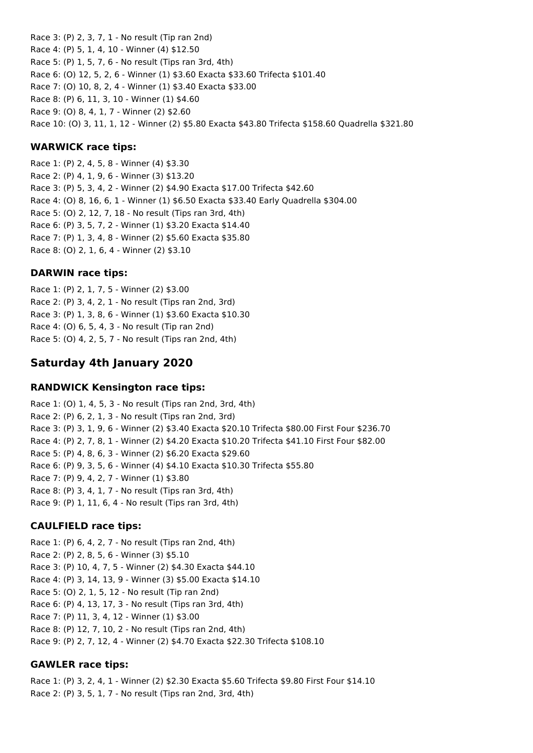Race 3: (P) 2, 3, 7, 1 - No result (Tip ran 2nd) Race 4: (P) 5, 1, 4, 10 - Winner (4) \$12.50 Race 5: (P) 1, 5, 7, 6 - No result (Tips ran 3rd, 4th) Race 6: (O) 12, 5, 2, 6 - Winner (1) \$3.60 Exacta \$33.60 Trifecta \$101.40 Race 7: (O) 10, 8, 2, 4 - Winner (1) \$3.40 Exacta \$33.00 Race 8: (P) 6, 11, 3, 10 - Winner (1) \$4.60 Race 9: (O) 8, 4, 1, 7 - Winner (2) \$2.60 Race 10: (O) 3, 11, 1, 12 - Winner (2) \$5.80 Exacta \$43.80 Trifecta \$158.60 Quadrella \$321.80

## **WARWICK race tips:**

Race 1: (P) 2, 4, 5, 8 - Winner (4) \$3.30 Race 2: (P) 4, 1, 9, 6 - Winner (3) \$13.20 Race 3: (P) 5, 3, 4, 2 - Winner (2) \$4.90 Exacta \$17.00 Trifecta \$42.60 Race 4: (O) 8, 16, 6, 1 - Winner (1) \$6.50 Exacta \$33.40 Early Quadrella \$304.00 Race 5: (O) 2, 12, 7, 18 - No result (Tips ran 3rd, 4th) Race 6: (P) 3, 5, 7, 2 - Winner (1) \$3.20 Exacta \$14.40 Race 7: (P) 1, 3, 4, 8 - Winner (2) \$5.60 Exacta \$35.80 Race 8: (O) 2, 1, 6, 4 - Winner (2) \$3.10

## **DARWIN race tips:**

Race 1: (P) 2, 1, 7, 5 - Winner (2) \$3.00 Race 2: (P) 3, 4, 2, 1 - No result (Tips ran 2nd, 3rd) Race 3: (P) 1, 3, 8, 6 - Winner (1) \$3.60 Exacta \$10.30 Race 4: (O) 6, 5, 4, 3 - No result (Tip ran 2nd) Race 5: (O) 4, 2, 5, 7 - No result (Tips ran 2nd, 4th)

# **Saturday 4th January 2020**

#### **RANDWICK Kensington race tips:**

Race 1: (O) 1, 4, 5, 3 - No result (Tips ran 2nd, 3rd, 4th) Race 2: (P) 6, 2, 1, 3 - No result (Tips ran 2nd, 3rd) Race 3: (P) 3, 1, 9, 6 - Winner (2) \$3.40 Exacta \$20.10 Trifecta \$80.00 First Four \$236.70 Race 4: (P) 2, 7, 8, 1 - Winner (2) \$4.20 Exacta \$10.20 Trifecta \$41.10 First Four \$82.00 Race 5: (P) 4, 8, 6, 3 - Winner (2) \$6.20 Exacta \$29.60 Race 6: (P) 9, 3, 5, 6 - Winner (4) \$4.10 Exacta \$10.30 Trifecta \$55.80 Race 7: (P) 9, 4, 2, 7 - Winner (1) \$3.80 Race 8: (P) 3, 4, 1, 7 - No result (Tips ran 3rd, 4th) Race 9: (P) 1, 11, 6, 4 - No result (Tips ran 3rd, 4th)

## **CAULFIELD race tips:**

Race 1: (P) 6, 4, 2, 7 - No result (Tips ran 2nd, 4th) Race 2: (P) 2, 8, 5, 6 - Winner (3) \$5.10 Race 3: (P) 10, 4, 7, 5 - Winner (2) \$4.30 Exacta \$44.10 Race 4: (P) 3, 14, 13, 9 - Winner (3) \$5.00 Exacta \$14.10 Race 5: (O) 2, 1, 5, 12 - No result (Tip ran 2nd) Race 6: (P) 4, 13, 17, 3 - No result (Tips ran 3rd, 4th) Race 7: (P) 11, 3, 4, 12 - Winner (1) \$3.00 Race 8: (P) 12, 7, 10, 2 - No result (Tips ran 2nd, 4th) Race 9: (P) 2, 7, 12, 4 - Winner (2) \$4.70 Exacta \$22.30 Trifecta \$108.10

## **GAWLER race tips:**

Race 1: (P) 3, 2, 4, 1 - Winner (2) \$2.30 Exacta \$5.60 Trifecta \$9.80 First Four \$14.10 Race 2: (P) 3, 5, 1, 7 - No result (Tips ran 2nd, 3rd, 4th)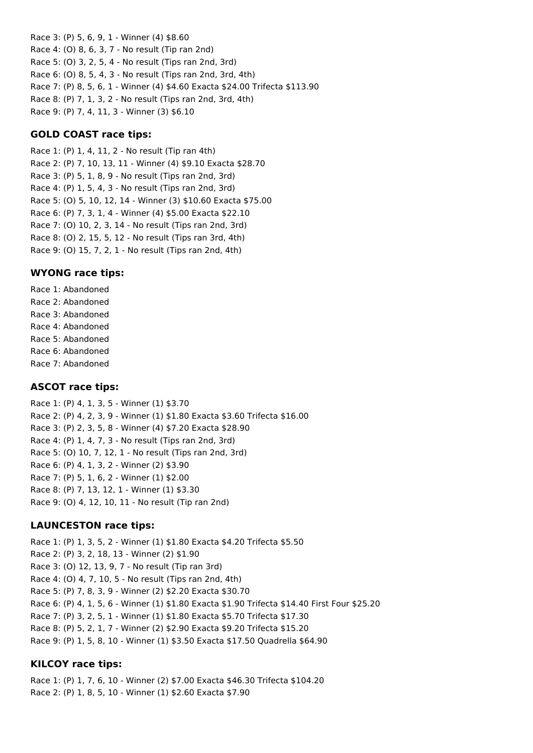Race 3: (P) 5, 6, 9, 1 - Winner (4) \$8.60 Race 4: (O) 8, 6, 3, 7 - No result (Tip ran 2nd) Race 5: (O) 3, 2, 5, 4 - No result (Tips ran 2nd, 3rd) Race 6: (O) 8, 5, 4, 3 - No result (Tips ran 2nd, 3rd, 4th) Race 7: (P) 8, 5, 6, 1 - Winner (4) \$4.60 Exacta \$24.00 Trifecta \$113.90 Race 8: (P) 7, 1, 3, 2 - No result (Tips ran 2nd, 3rd, 4th) Race 9: (P) 7, 4, 11, 3 - Winner (3) \$6.10

## **GOLD COAST race tips:**

Race 1: (P) 1, 4, 11, 2 - No result (Tip ran 4th) Race 2: (P) 7, 10, 13, 11 - Winner (4) \$9.10 Exacta \$28.70 Race 3: (P) 5, 1, 8, 9 - No result (Tips ran 2nd, 3rd) Race 4: (P) 1, 5, 4, 3 - No result (Tips ran 2nd, 3rd) Race 5: (O) 5, 10, 12, 14 - Winner (3) \$10.60 Exacta \$75.00 Race 6: (P) 7, 3, 1, 4 - Winner (4) \$5.00 Exacta \$22.10 Race 7: (O) 10, 2, 3, 14 - No result (Tips ran 2nd, 3rd) Race 8: (O) 2, 15, 5, 12 - No result (Tips ran 3rd, 4th) Race 9: (O) 15, 7, 2, 1 - No result (Tips ran 2nd, 4th)

## **WYONG race tips:**

Race 1: Abandoned Race 2: Abandoned Race 3: Abandoned Race 4: Abandoned Race 5: Abandoned Race 6: Abandoned Race 7: Abandoned

## **ASCOT race tips:**

Race 1: (P) 4, 1, 3, 5 - Winner (1) \$3.70 Race 2: (P) 4, 2, 3, 9 - Winner (1) \$1.80 Exacta \$3.60 Trifecta \$16.00 Race 3: (P) 2, 3, 5, 8 - Winner (4) \$7.20 Exacta \$28.90 Race 4: (P) 1, 4, 7, 3 - No result (Tips ran 2nd, 3rd) Race 5: (O) 10, 7, 12, 1 - No result (Tips ran 2nd, 3rd) Race 6: (P) 4, 1, 3, 2 - Winner (2) \$3.90 Race 7: (P) 5, 1, 6, 2 - Winner (1) \$2.00 Race 8: (P) 7, 13, 12, 1 - Winner (1) \$3.30 Race 9: (O) 4, 12, 10, 11 - No result (Tip ran 2nd)

## **LAUNCESTON race tips:**

Race 1: (P) 1, 3, 5, 2 - Winner (1) \$1.80 Exacta \$4.20 Trifecta \$5.50 Race 2: (P) 3, 2, 18, 13 - Winner (2) \$1.90 Race 3: (O) 12, 13, 9, 7 - No result (Tip ran 3rd) Race 4: (O) 4, 7, 10, 5 - No result (Tips ran 2nd, 4th) Race 5: (P) 7, 8, 3, 9 - Winner (2) \$2.20 Exacta \$30.70 Race 6: (P) 4, 1, 5, 6 - Winner (1) \$1.80 Exacta \$1.90 Trifecta \$14.40 First Four \$25.20 Race 7: (P) 3, 2, 5, 1 - Winner (1) \$1.80 Exacta \$5.70 Trifecta \$17.30 Race 8: (P) 5, 2, 1, 7 - Winner (2) \$2.90 Exacta \$9.20 Trifecta \$15.20 Race 9: (P) 1, 5, 8, 10 - Winner (1) \$3.50 Exacta \$17.50 Quadrella \$64.90

## **KILCOY race tips:**

Race 1: (P) 1, 7, 6, 10 - Winner (2) \$7.00 Exacta \$46.30 Trifecta \$104.20 Race 2: (P) 1, 8, 5, 10 - Winner (1) \$2.60 Exacta \$7.90